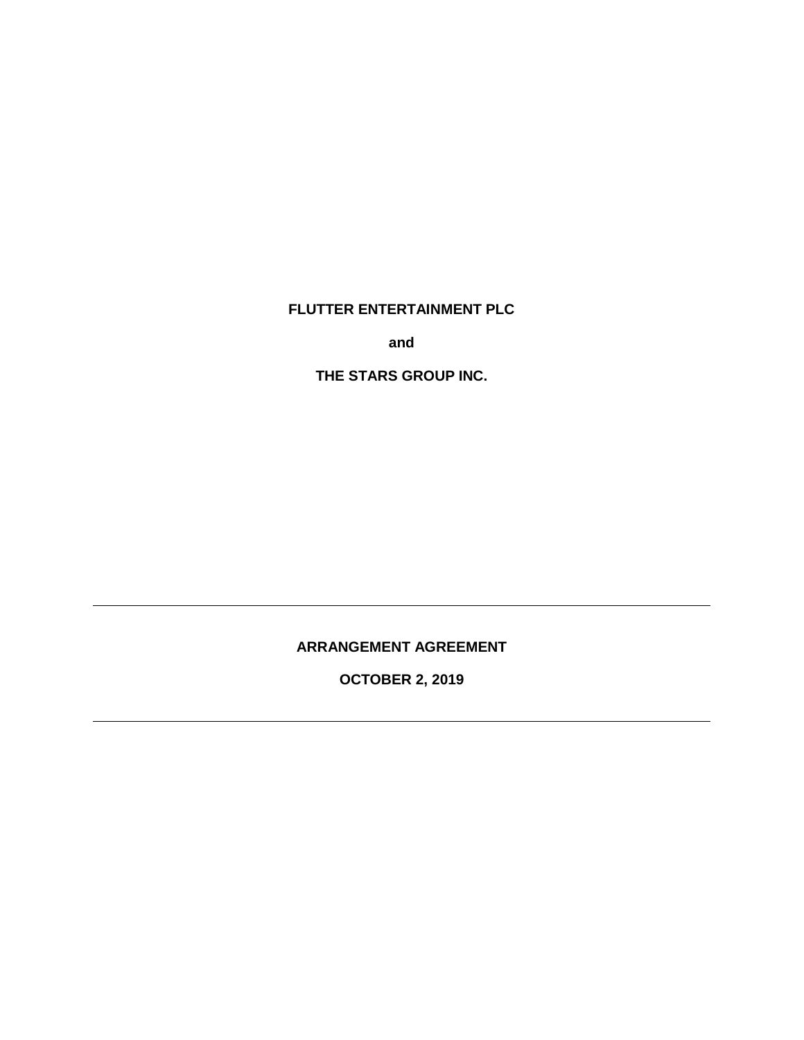**FLUTTER ENTERTAINMENT PLC** 

**and** 

**THE STARS GROUP INC.** 

**ARRANGEMENT AGREEMENT** 

**OCTOBER 2, 2019**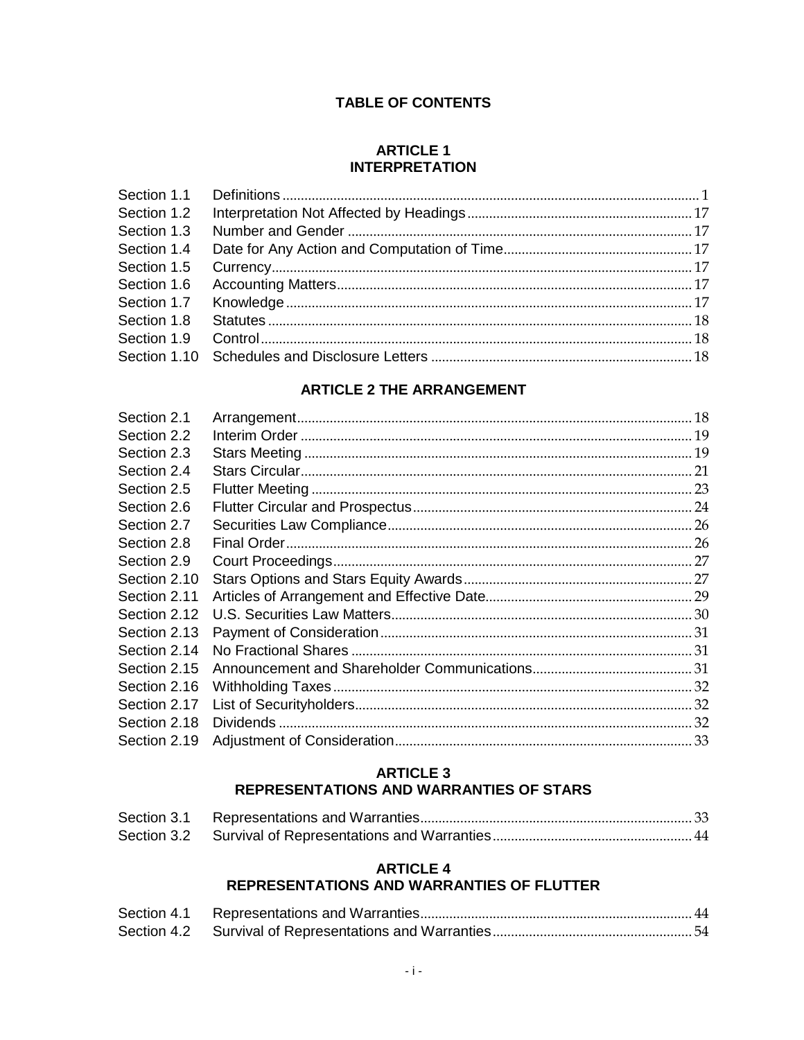# **TABLE OF CONTENTS**

## **ARTICLE 1 INTERPRETATION**

# **ARTICLE 2 THE ARRANGEMENT**

| Section 2.1  |  |
|--------------|--|
| Section 2.2  |  |
| Section 2.3  |  |
| Section 2.4  |  |
| Section 2.5  |  |
| Section 2.6  |  |
| Section 2.7  |  |
| Section 2.8  |  |
| Section 2.9  |  |
| Section 2.10 |  |
| Section 2.11 |  |
| Section 2.12 |  |
| Section 2.13 |  |
| Section 2.14 |  |
| Section 2.15 |  |
| Section 2.16 |  |
| Section 2.17 |  |
| Section 2.18 |  |
| Section 2.19 |  |
|              |  |

# **ARTICLE 3**

# REPRESENTATIONS AND WARRANTIES OF STARS

# **ARTICLE 4** REPRESENTATIONS AND WARRANTIES OF FLUTTER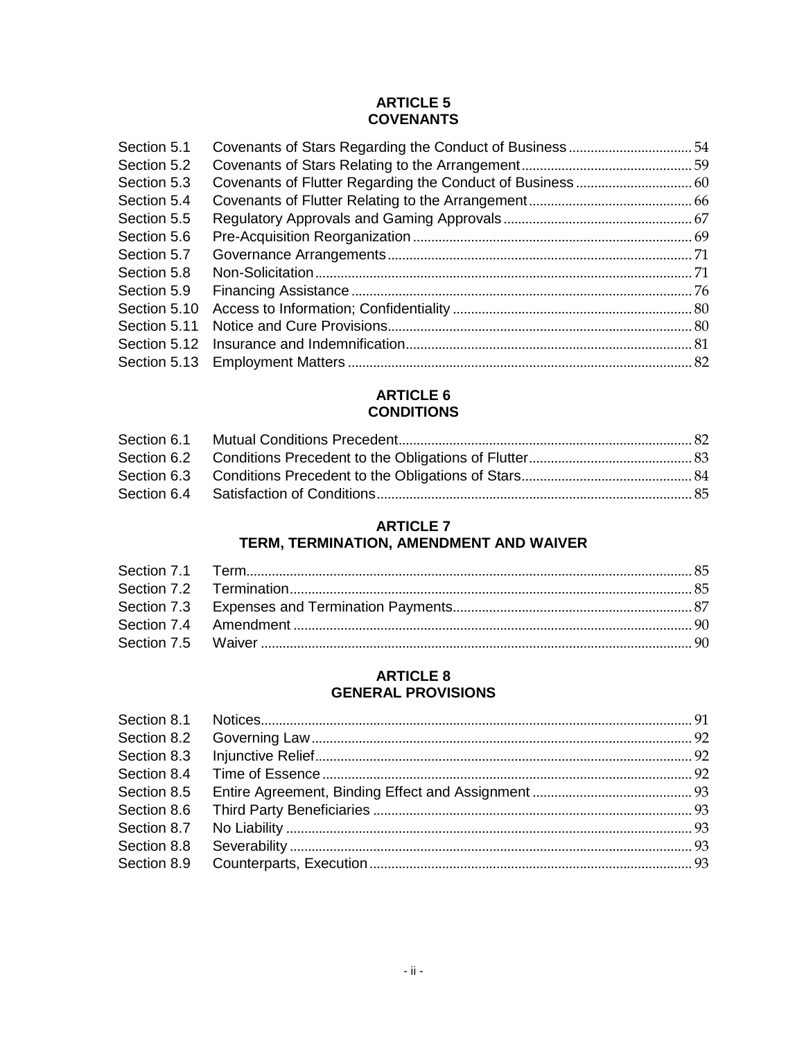# **ARTICLE 5 COVENANTS**

| Section 5.1  |  |
|--------------|--|
| Section 5.2  |  |
| Section 5.3  |  |
| Section 5.4  |  |
| Section 5.5  |  |
| Section 5.6  |  |
| Section 5.7  |  |
| Section 5.8  |  |
| Section 5.9  |  |
| Section 5.10 |  |
| Section 5.11 |  |
| Section 5.12 |  |
|              |  |

# **ARTICLE 6 CONDITIONS**

# **ARTICLE 7**

# **TERM, TERMINATION, AMENDMENT AND WAIVER**

# **ARTICLE 8 GENERAL PROVISIONS**

| Section 8.2 |  |
|-------------|--|
| Section 8.3 |  |
| Section 8.4 |  |
| Section 8.5 |  |
| Section 8.6 |  |
| Section 8.7 |  |
| Section 8.8 |  |
| Section 8.9 |  |
|             |  |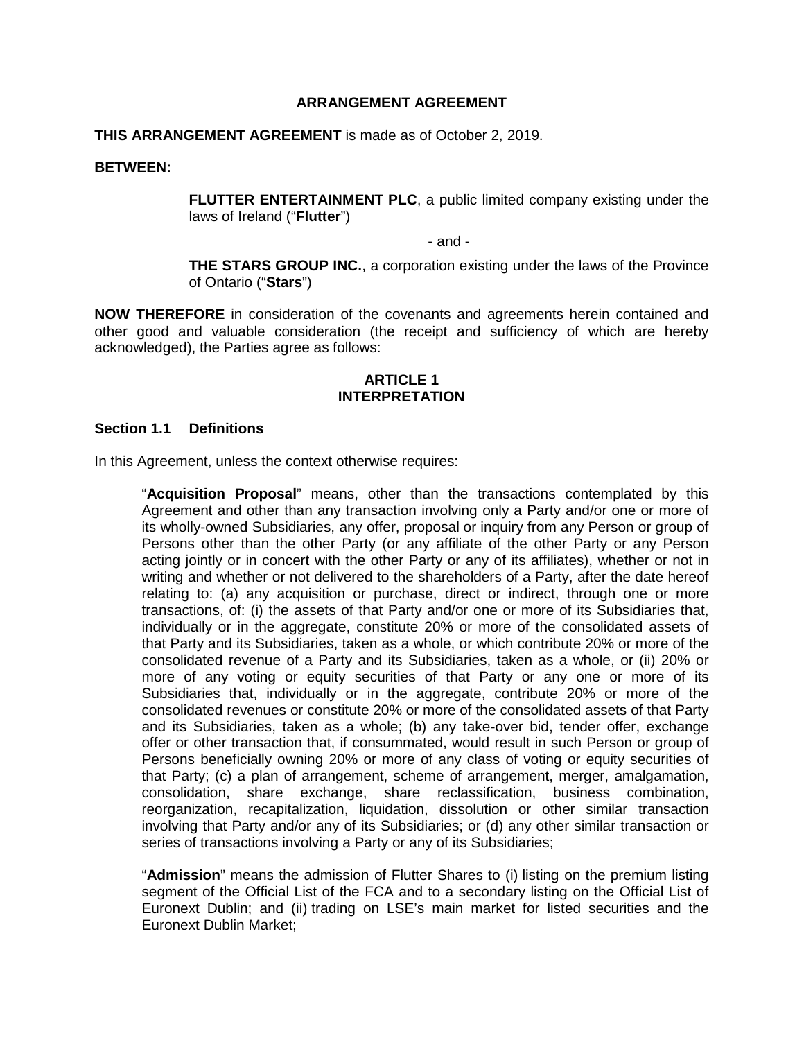## **ARRANGEMENT AGREEMENT**

## **THIS ARRANGEMENT AGREEMENT** is made as of October 2, 2019.

#### **BETWEEN:**

**FLUTTER ENTERTAINMENT PLC**, a public limited company existing under the laws of Ireland ("**Flutter**")

- and -

**THE STARS GROUP INC.**, a corporation existing under the laws of the Province of Ontario ("**Stars**")

**NOW THEREFORE** in consideration of the covenants and agreements herein contained and other good and valuable consideration (the receipt and sufficiency of which are hereby acknowledged), the Parties agree as follows:

#### **ARTICLE 1 INTERPRETATION**

#### **Section 1.1 Definitions**

In this Agreement, unless the context otherwise requires:

"**Acquisition Proposal**" means, other than the transactions contemplated by this Agreement and other than any transaction involving only a Party and/or one or more of its wholly-owned Subsidiaries, any offer, proposal or inquiry from any Person or group of Persons other than the other Party (or any affiliate of the other Party or any Person acting jointly or in concert with the other Party or any of its affiliates), whether or not in writing and whether or not delivered to the shareholders of a Party, after the date hereof relating to: (a) any acquisition or purchase, direct or indirect, through one or more transactions, of: (i) the assets of that Party and/or one or more of its Subsidiaries that, individually or in the aggregate, constitute 20% or more of the consolidated assets of that Party and its Subsidiaries, taken as a whole, or which contribute 20% or more of the consolidated revenue of a Party and its Subsidiaries, taken as a whole, or (ii) 20% or more of any voting or equity securities of that Party or any one or more of its Subsidiaries that, individually or in the aggregate, contribute 20% or more of the consolidated revenues or constitute 20% or more of the consolidated assets of that Party and its Subsidiaries, taken as a whole; (b) any take-over bid, tender offer, exchange offer or other transaction that, if consummated, would result in such Person or group of Persons beneficially owning 20% or more of any class of voting or equity securities of that Party; (c) a plan of arrangement, scheme of arrangement, merger, amalgamation, consolidation, share exchange, share reclassification, business combination, reorganization, recapitalization, liquidation, dissolution or other similar transaction involving that Party and/or any of its Subsidiaries; or (d) any other similar transaction or series of transactions involving a Party or any of its Subsidiaries;

"**Admission**" means the admission of Flutter Shares to (i) listing on the premium listing segment of the Official List of the FCA and to a secondary listing on the Official List of Euronext Dublin; and (ii) trading on LSE's main market for listed securities and the Euronext Dublin Market;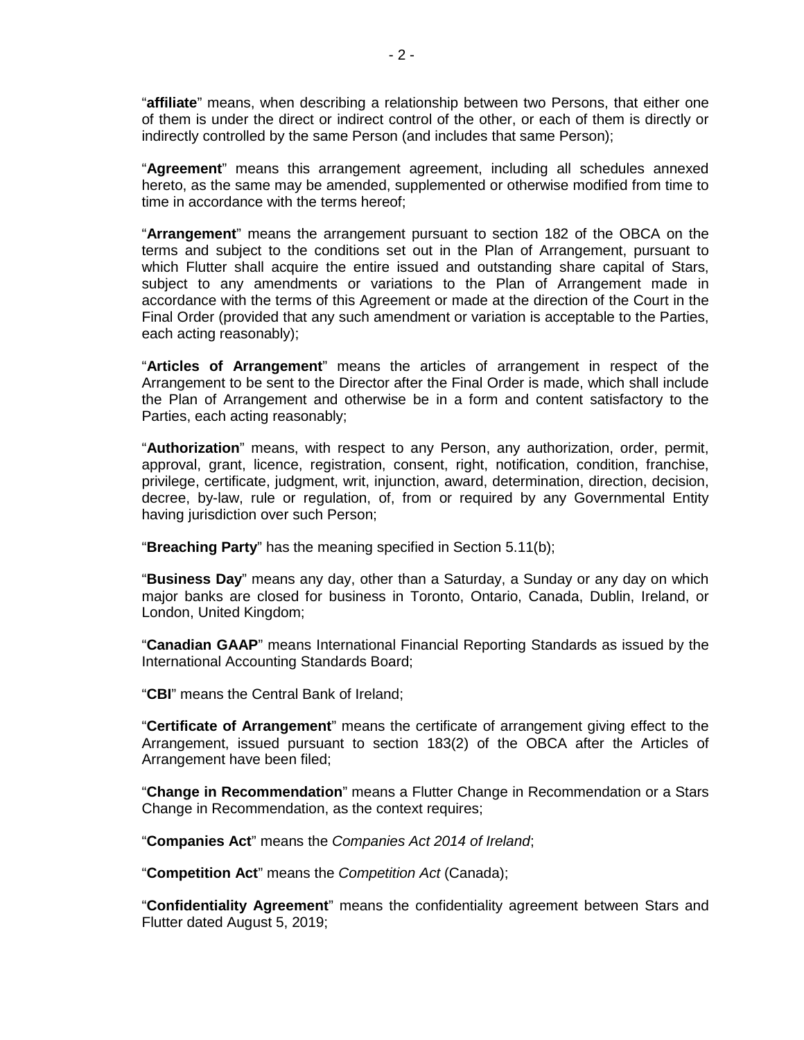"**affiliate**" means, when describing a relationship between two Persons, that either one of them is under the direct or indirect control of the other, or each of them is directly or indirectly controlled by the same Person (and includes that same Person);

"**Agreement**" means this arrangement agreement, including all schedules annexed hereto, as the same may be amended, supplemented or otherwise modified from time to time in accordance with the terms hereof;

"**Arrangement**" means the arrangement pursuant to section 182 of the OBCA on the terms and subject to the conditions set out in the Plan of Arrangement, pursuant to which Flutter shall acquire the entire issued and outstanding share capital of Stars, subject to any amendments or variations to the Plan of Arrangement made in accordance with the terms of this Agreement or made at the direction of the Court in the Final Order (provided that any such amendment or variation is acceptable to the Parties, each acting reasonably);

"**Articles of Arrangement**" means the articles of arrangement in respect of the Arrangement to be sent to the Director after the Final Order is made, which shall include the Plan of Arrangement and otherwise be in a form and content satisfactory to the Parties, each acting reasonably;

"**Authorization**" means, with respect to any Person, any authorization, order, permit, approval, grant, licence, registration, consent, right, notification, condition, franchise, privilege, certificate, judgment, writ, injunction, award, determination, direction, decision, decree, by-law, rule or regulation, of, from or required by any Governmental Entity having jurisdiction over such Person;

"**Breaching Party**" has the meaning specified in Section 5.11(b);

"**Business Day**" means any day, other than a Saturday, a Sunday or any day on which major banks are closed for business in Toronto, Ontario, Canada, Dublin, Ireland, or London, United Kingdom;

"**Canadian GAAP**" means International Financial Reporting Standards as issued by the International Accounting Standards Board;

"**CBI**" means the Central Bank of Ireland;

"**Certificate of Arrangement**" means the certificate of arrangement giving effect to the Arrangement, issued pursuant to section 183(2) of the OBCA after the Articles of Arrangement have been filed;

"**Change in Recommendation**" means a Flutter Change in Recommendation or a Stars Change in Recommendation, as the context requires;

"**Companies Act**" means the *Companies Act 2014 of Ireland*;

"**Competition Act**" means the *Competition Act* (Canada);

"**Confidentiality Agreement**" means the confidentiality agreement between Stars and Flutter dated August 5, 2019;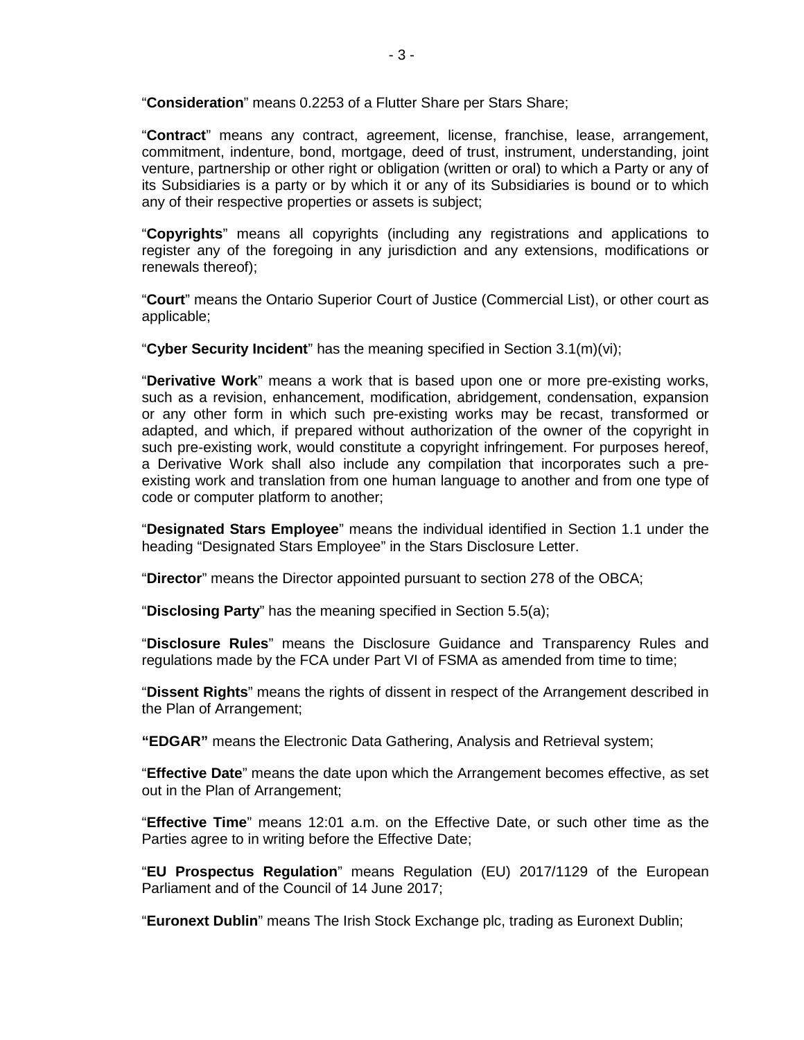"**Consideration**" means 0.2253 of a Flutter Share per Stars Share;

"**Contract**" means any contract, agreement, license, franchise, lease, arrangement, commitment, indenture, bond, mortgage, deed of trust, instrument, understanding, joint venture, partnership or other right or obligation (written or oral) to which a Party or any of its Subsidiaries is a party or by which it or any of its Subsidiaries is bound or to which any of their respective properties or assets is subject;

"**Copyrights**" means all copyrights (including any registrations and applications to register any of the foregoing in any jurisdiction and any extensions, modifications or renewals thereof);

"**Court**" means the Ontario Superior Court of Justice (Commercial List), or other court as applicable;

"**Cyber Security Incident**" has the meaning specified in Section 3.1(m)(vi);

"**Derivative Work**" means a work that is based upon one or more pre-existing works, such as a revision, enhancement, modification, abridgement, condensation, expansion or any other form in which such pre-existing works may be recast, transformed or adapted, and which, if prepared without authorization of the owner of the copyright in such pre-existing work, would constitute a copyright infringement. For purposes hereof, a Derivative Work shall also include any compilation that incorporates such a preexisting work and translation from one human language to another and from one type of code or computer platform to another;

"**Designated Stars Employee**" means the individual identified in Section 1.1 under the heading "Designated Stars Employee" in the Stars Disclosure Letter.

"**Director**" means the Director appointed pursuant to section 278 of the OBCA;

"**Disclosing Party**" has the meaning specified in Section 5.5(a);

"**Disclosure Rules**" means the Disclosure Guidance and Transparency Rules and regulations made by the FCA under Part VI of FSMA as amended from time to time;

"**Dissent Rights**" means the rights of dissent in respect of the Arrangement described in the Plan of Arrangement;

**"EDGAR"** means the Electronic Data Gathering, Analysis and Retrieval system;

"**Effective Date**" means the date upon which the Arrangement becomes effective, as set out in the Plan of Arrangement;

"**Effective Time**" means 12:01 a.m. on the Effective Date, or such other time as the Parties agree to in writing before the Effective Date;

"**EU Prospectus Regulation**" means Regulation (EU) 2017/1129 of the European Parliament and of the Council of 14 June 2017;

"**Euronext Dublin**" means The Irish Stock Exchange plc, trading as Euronext Dublin;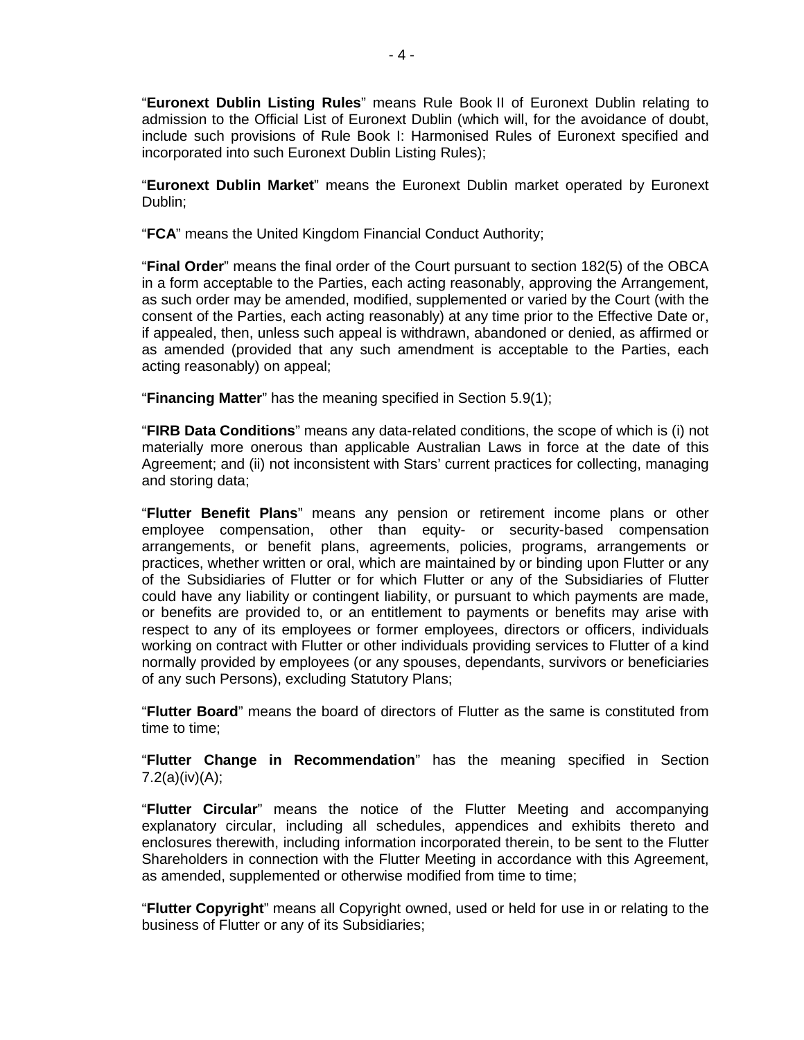"**Euronext Dublin Listing Rules**" means Rule Book II of Euronext Dublin relating to admission to the Official List of Euronext Dublin (which will, for the avoidance of doubt, include such provisions of Rule Book I: Harmonised Rules of Euronext specified and incorporated into such Euronext Dublin Listing Rules);

"**Euronext Dublin Market**" means the Euronext Dublin market operated by Euronext Dublin;

"**FCA**" means the United Kingdom Financial Conduct Authority;

"**Final Order**" means the final order of the Court pursuant to section 182(5) of the OBCA in a form acceptable to the Parties, each acting reasonably, approving the Arrangement, as such order may be amended, modified, supplemented or varied by the Court (with the consent of the Parties, each acting reasonably) at any time prior to the Effective Date or, if appealed, then, unless such appeal is withdrawn, abandoned or denied, as affirmed or as amended (provided that any such amendment is acceptable to the Parties, each acting reasonably) on appeal;

"**Financing Matter**" has the meaning specified in Section 5.9(1);

"**FIRB Data Conditions**" means any data-related conditions, the scope of which is (i) not materially more onerous than applicable Australian Laws in force at the date of this Agreement; and (ii) not inconsistent with Stars' current practices for collecting, managing and storing data;

"**Flutter Benefit Plans**" means any pension or retirement income plans or other employee compensation, other than equity- or security-based compensation arrangements, or benefit plans, agreements, policies, programs, arrangements or practices, whether written or oral, which are maintained by or binding upon Flutter or any of the Subsidiaries of Flutter or for which Flutter or any of the Subsidiaries of Flutter could have any liability or contingent liability, or pursuant to which payments are made, or benefits are provided to, or an entitlement to payments or benefits may arise with respect to any of its employees or former employees, directors or officers, individuals working on contract with Flutter or other individuals providing services to Flutter of a kind normally provided by employees (or any spouses, dependants, survivors or beneficiaries of any such Persons), excluding Statutory Plans;

"**Flutter Board**" means the board of directors of Flutter as the same is constituted from time to time;

"**Flutter Change in Recommendation**" has the meaning specified in Section  $7.2(a)(iv)(A);$ 

"**Flutter Circular**" means the notice of the Flutter Meeting and accompanying explanatory circular, including all schedules, appendices and exhibits thereto and enclosures therewith, including information incorporated therein, to be sent to the Flutter Shareholders in connection with the Flutter Meeting in accordance with this Agreement, as amended, supplemented or otherwise modified from time to time;

"**Flutter Copyright**" means all Copyright owned, used or held for use in or relating to the business of Flutter or any of its Subsidiaries;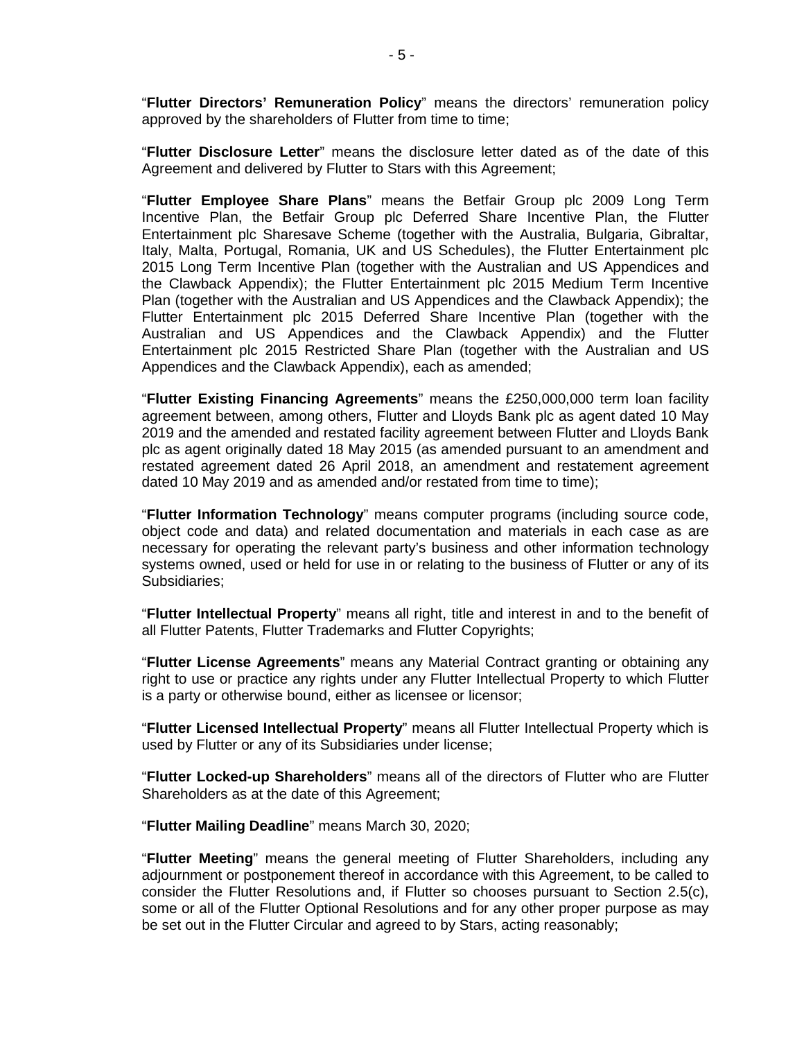"**Flutter Directors' Remuneration Policy**" means the directors' remuneration policy approved by the shareholders of Flutter from time to time;

"**Flutter Disclosure Letter**" means the disclosure letter dated as of the date of this Agreement and delivered by Flutter to Stars with this Agreement;

"**Flutter Employee Share Plans**" means the Betfair Group plc 2009 Long Term Incentive Plan, the Betfair Group plc Deferred Share Incentive Plan, the Flutter Entertainment plc Sharesave Scheme (together with the Australia, Bulgaria, Gibraltar, Italy, Malta, Portugal, Romania, UK and US Schedules), the Flutter Entertainment plc 2015 Long Term Incentive Plan (together with the Australian and US Appendices and the Clawback Appendix); the Flutter Entertainment plc 2015 Medium Term Incentive Plan (together with the Australian and US Appendices and the Clawback Appendix); the Flutter Entertainment plc 2015 Deferred Share Incentive Plan (together with the Australian and US Appendices and the Clawback Appendix) and the Flutter Entertainment plc 2015 Restricted Share Plan (together with the Australian and US Appendices and the Clawback Appendix), each as amended;

"**Flutter Existing Financing Agreements**" means the £250,000,000 term loan facility agreement between, among others, Flutter and Lloyds Bank plc as agent dated 10 May 2019 and the amended and restated facility agreement between Flutter and Lloyds Bank plc as agent originally dated 18 May 2015 (as amended pursuant to an amendment and restated agreement dated 26 April 2018, an amendment and restatement agreement dated 10 May 2019 and as amended and/or restated from time to time);

"**Flutter Information Technology**" means computer programs (including source code, object code and data) and related documentation and materials in each case as are necessary for operating the relevant party's business and other information technology systems owned, used or held for use in or relating to the business of Flutter or any of its Subsidiaries;

"**Flutter Intellectual Property**" means all right, title and interest in and to the benefit of all Flutter Patents, Flutter Trademarks and Flutter Copyrights;

"**Flutter License Agreements**" means any Material Contract granting or obtaining any right to use or practice any rights under any Flutter Intellectual Property to which Flutter is a party or otherwise bound, either as licensee or licensor;

"**Flutter Licensed Intellectual Property**" means all Flutter Intellectual Property which is used by Flutter or any of its Subsidiaries under license;

"**Flutter Locked-up Shareholders**" means all of the directors of Flutter who are Flutter Shareholders as at the date of this Agreement;

"**Flutter Mailing Deadline**" means March 30, 2020;

"**Flutter Meeting**" means the general meeting of Flutter Shareholders, including any adjournment or postponement thereof in accordance with this Agreement, to be called to consider the Flutter Resolutions and, if Flutter so chooses pursuant to Section 2.5(c), some or all of the Flutter Optional Resolutions and for any other proper purpose as may be set out in the Flutter Circular and agreed to by Stars, acting reasonably;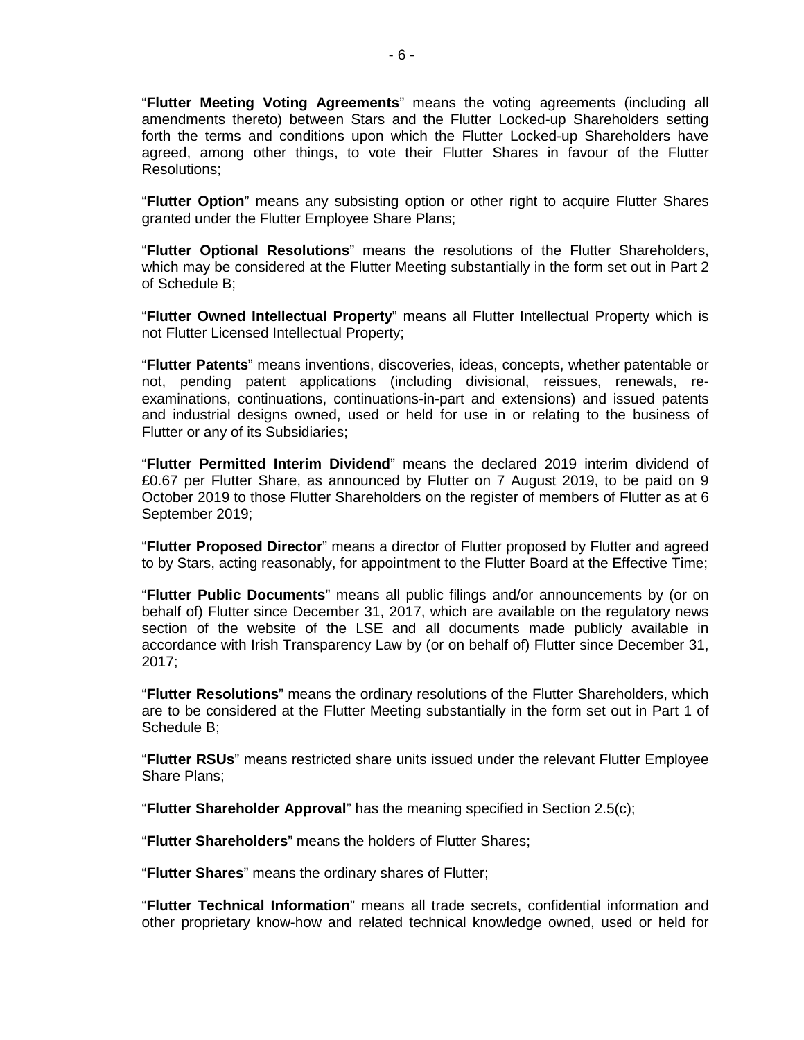"**Flutter Meeting Voting Agreements**" means the voting agreements (including all amendments thereto) between Stars and the Flutter Locked-up Shareholders setting forth the terms and conditions upon which the Flutter Locked-up Shareholders have agreed, among other things, to vote their Flutter Shares in favour of the Flutter Resolutions;

"**Flutter Option**" means any subsisting option or other right to acquire Flutter Shares granted under the Flutter Employee Share Plans;

"**Flutter Optional Resolutions**" means the resolutions of the Flutter Shareholders, which may be considered at the Flutter Meeting substantially in the form set out in Part 2 of Schedule B;

"**Flutter Owned Intellectual Property**" means all Flutter Intellectual Property which is not Flutter Licensed Intellectual Property;

"**Flutter Patents**" means inventions, discoveries, ideas, concepts, whether patentable or not, pending patent applications (including divisional, reissues, renewals, reexaminations, continuations, continuations-in-part and extensions) and issued patents and industrial designs owned, used or held for use in or relating to the business of Flutter or any of its Subsidiaries;

"**Flutter Permitted Interim Dividend**" means the declared 2019 interim dividend of £0.67 per Flutter Share, as announced by Flutter on 7 August 2019, to be paid on 9 October 2019 to those Flutter Shareholders on the register of members of Flutter as at 6 September 2019;

"**Flutter Proposed Director**" means a director of Flutter proposed by Flutter and agreed to by Stars, acting reasonably, for appointment to the Flutter Board at the Effective Time;

"**Flutter Public Documents**" means all public filings and/or announcements by (or on behalf of) Flutter since December 31, 2017, which are available on the regulatory news section of the website of the LSE and all documents made publicly available in accordance with Irish Transparency Law by (or on behalf of) Flutter since December 31, 2017;

"**Flutter Resolutions**" means the ordinary resolutions of the Flutter Shareholders, which are to be considered at the Flutter Meeting substantially in the form set out in Part 1 of Schedule B;

"**Flutter RSUs**" means restricted share units issued under the relevant Flutter Employee Share Plans;

"**Flutter Shareholder Approval**" has the meaning specified in Section 2.5(c);

"**Flutter Shareholders**" means the holders of Flutter Shares;

"**Flutter Shares**" means the ordinary shares of Flutter;

"**Flutter Technical Information**" means all trade secrets, confidential information and other proprietary know-how and related technical knowledge owned, used or held for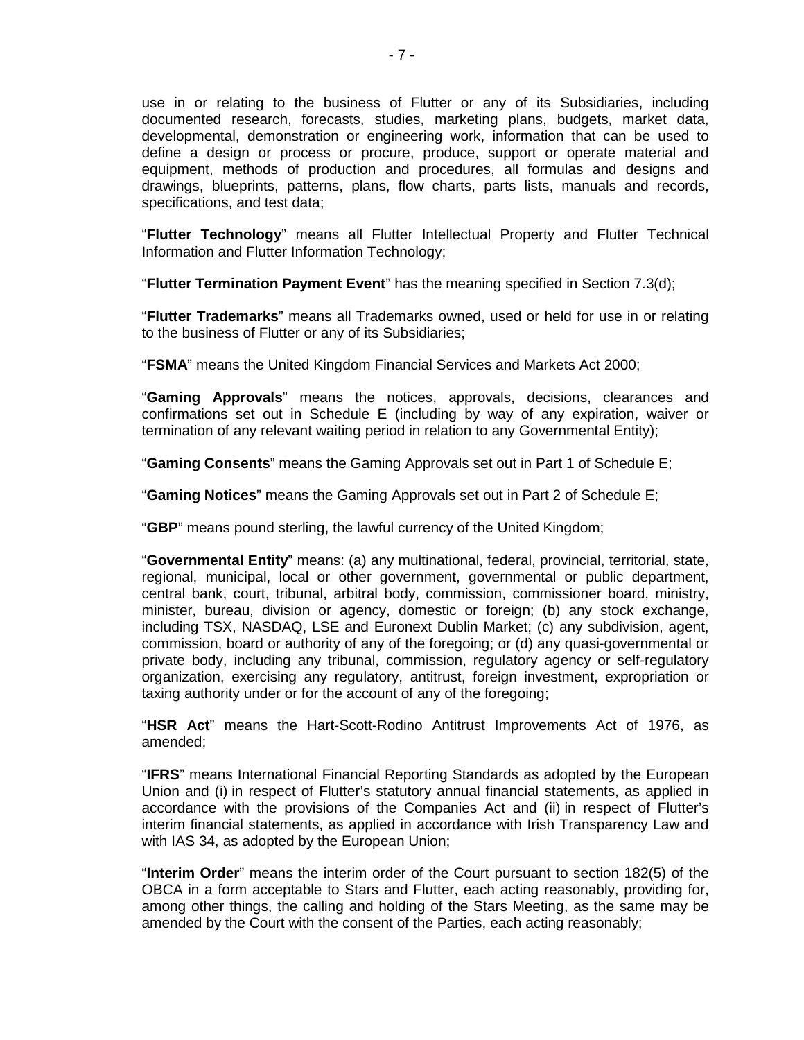use in or relating to the business of Flutter or any of its Subsidiaries, including documented research, forecasts, studies, marketing plans, budgets, market data, developmental, demonstration or engineering work, information that can be used to define a design or process or procure, produce, support or operate material and equipment, methods of production and procedures, all formulas and designs and drawings, blueprints, patterns, plans, flow charts, parts lists, manuals and records, specifications, and test data;

"**Flutter Technology**" means all Flutter Intellectual Property and Flutter Technical Information and Flutter Information Technology;

"**Flutter Termination Payment Event**" has the meaning specified in Section 7.3(d);

"**Flutter Trademarks**" means all Trademarks owned, used or held for use in or relating to the business of Flutter or any of its Subsidiaries;

"**FSMA**" means the United Kingdom Financial Services and Markets Act 2000;

"**Gaming Approvals**" means the notices, approvals, decisions, clearances and confirmations set out in Schedule E (including by way of any expiration, waiver or termination of any relevant waiting period in relation to any Governmental Entity);

"**Gaming Consents**" means the Gaming Approvals set out in Part 1 of Schedule E;

"**Gaming Notices**" means the Gaming Approvals set out in Part 2 of Schedule E;

"**GBP**" means pound sterling, the lawful currency of the United Kingdom;

"**Governmental Entity**" means: (a) any multinational, federal, provincial, territorial, state, regional, municipal, local or other government, governmental or public department, central bank, court, tribunal, arbitral body, commission, commissioner board, ministry, minister, bureau, division or agency, domestic or foreign; (b) any stock exchange, including TSX, NASDAQ, LSE and Euronext Dublin Market; (c) any subdivision, agent, commission, board or authority of any of the foregoing; or (d) any quasi-governmental or private body, including any tribunal, commission, regulatory agency or self-regulatory organization, exercising any regulatory, antitrust, foreign investment, expropriation or taxing authority under or for the account of any of the foregoing;

"**HSR Act**" means the Hart-Scott-Rodino Antitrust Improvements Act of 1976, as amended;

"**IFRS**" means International Financial Reporting Standards as adopted by the European Union and (i) in respect of Flutter's statutory annual financial statements, as applied in accordance with the provisions of the Companies Act and (ii) in respect of Flutter's interim financial statements, as applied in accordance with Irish Transparency Law and with IAS 34, as adopted by the European Union;

"**Interim Order**" means the interim order of the Court pursuant to section 182(5) of the OBCA in a form acceptable to Stars and Flutter, each acting reasonably, providing for, among other things, the calling and holding of the Stars Meeting, as the same may be amended by the Court with the consent of the Parties, each acting reasonably;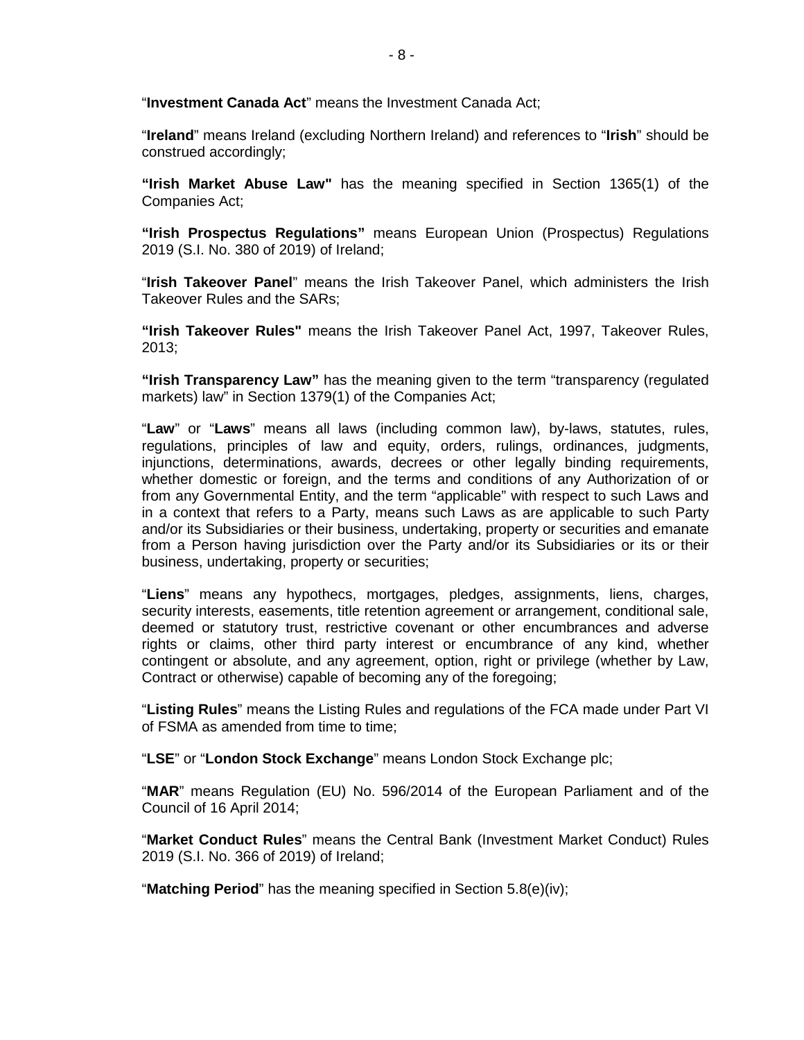"**Investment Canada Act**" means the Investment Canada Act;

"**Ireland**" means Ireland (excluding Northern Ireland) and references to "**Irish**" should be construed accordingly;

**"Irish Market Abuse Law"** has the meaning specified in Section 1365(1) of the Companies Act;

**"Irish Prospectus Regulations"** means European Union (Prospectus) Regulations 2019 (S.I. No. 380 of 2019) of Ireland;

"**Irish Takeover Panel**" means the Irish Takeover Panel, which administers the Irish Takeover Rules and the SARs;

**"Irish Takeover Rules"** means the Irish Takeover Panel Act, 1997, Takeover Rules, 2013;

**"Irish Transparency Law"** has the meaning given to the term "transparency (regulated markets) law" in Section 1379(1) of the Companies Act;

"**Law**" or "**Laws**" means all laws (including common law), by-laws, statutes, rules, regulations, principles of law and equity, orders, rulings, ordinances, judgments, injunctions, determinations, awards, decrees or other legally binding requirements, whether domestic or foreign, and the terms and conditions of any Authorization of or from any Governmental Entity, and the term "applicable" with respect to such Laws and in a context that refers to a Party, means such Laws as are applicable to such Party and/or its Subsidiaries or their business, undertaking, property or securities and emanate from a Person having jurisdiction over the Party and/or its Subsidiaries or its or their business, undertaking, property or securities;

"**Liens**" means any hypothecs, mortgages, pledges, assignments, liens, charges, security interests, easements, title retention agreement or arrangement, conditional sale, deemed or statutory trust, restrictive covenant or other encumbrances and adverse rights or claims, other third party interest or encumbrance of any kind, whether contingent or absolute, and any agreement, option, right or privilege (whether by Law, Contract or otherwise) capable of becoming any of the foregoing;

"**Listing Rules**" means the Listing Rules and regulations of the FCA made under Part VI of FSMA as amended from time to time;

"**LSE**" or "**London Stock Exchange**" means London Stock Exchange plc;

"**MAR**" means Regulation (EU) No. 596/2014 of the European Parliament and of the Council of 16 April 2014;

"**Market Conduct Rules**" means the Central Bank (Investment Market Conduct) Rules 2019 (S.I. No. 366 of 2019) of Ireland;

"**Matching Period**" has the meaning specified in Section 5.8(e)(iv);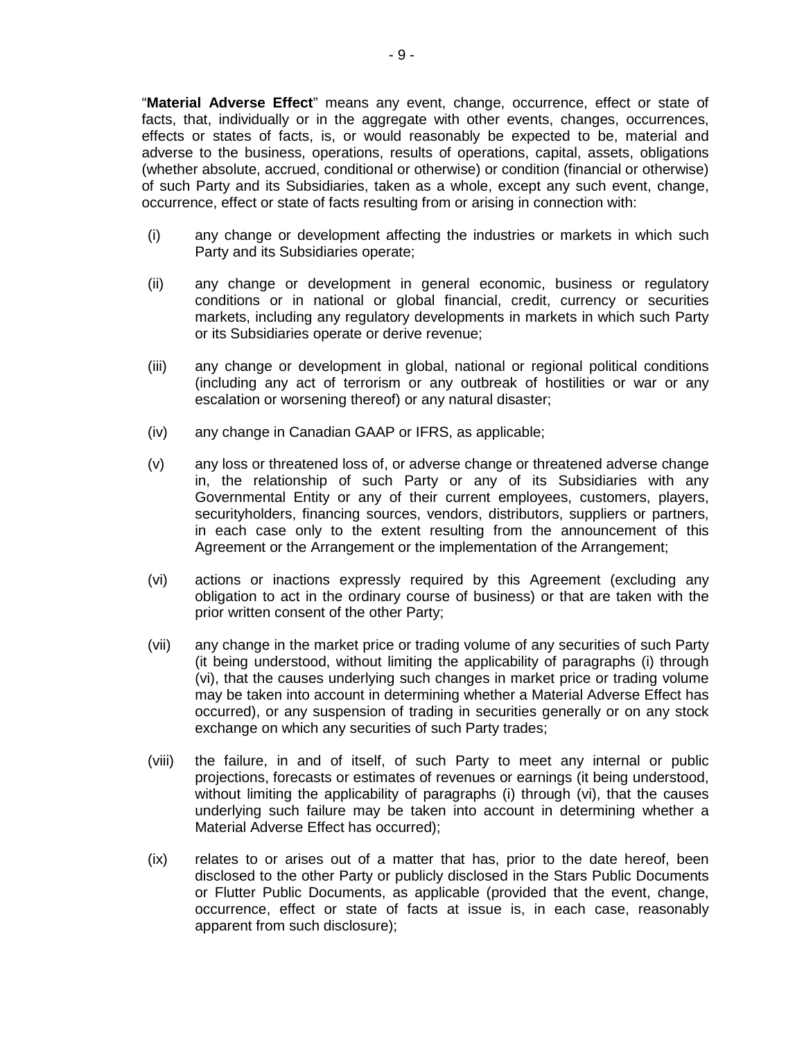"**Material Adverse Effect**" means any event, change, occurrence, effect or state of facts, that, individually or in the aggregate with other events, changes, occurrences, effects or states of facts, is, or would reasonably be expected to be, material and adverse to the business, operations, results of operations, capital, assets, obligations (whether absolute, accrued, conditional or otherwise) or condition (financial or otherwise) of such Party and its Subsidiaries, taken as a whole, except any such event, change, occurrence, effect or state of facts resulting from or arising in connection with:

- (i) any change or development affecting the industries or markets in which such Party and its Subsidiaries operate;
- (ii) any change or development in general economic, business or regulatory conditions or in national or global financial, credit, currency or securities markets, including any regulatory developments in markets in which such Party or its Subsidiaries operate or derive revenue;
- (iii) any change or development in global, national or regional political conditions (including any act of terrorism or any outbreak of hostilities or war or any escalation or worsening thereof) or any natural disaster;
- (iv) any change in Canadian GAAP or IFRS, as applicable;
- (v) any loss or threatened loss of, or adverse change or threatened adverse change in, the relationship of such Party or any of its Subsidiaries with any Governmental Entity or any of their current employees, customers, players, securityholders, financing sources, vendors, distributors, suppliers or partners, in each case only to the extent resulting from the announcement of this Agreement or the Arrangement or the implementation of the Arrangement;
- (vi) actions or inactions expressly required by this Agreement (excluding any obligation to act in the ordinary course of business) or that are taken with the prior written consent of the other Party;
- (vii) any change in the market price or trading volume of any securities of such Party (it being understood, without limiting the applicability of paragraphs (i) through (vi), that the causes underlying such changes in market price or trading volume may be taken into account in determining whether a Material Adverse Effect has occurred), or any suspension of trading in securities generally or on any stock exchange on which any securities of such Party trades;
- (viii) the failure, in and of itself, of such Party to meet any internal or public projections, forecasts or estimates of revenues or earnings (it being understood, without limiting the applicability of paragraphs (i) through (vi), that the causes underlying such failure may be taken into account in determining whether a Material Adverse Effect has occurred);
- (ix) relates to or arises out of a matter that has, prior to the date hereof, been disclosed to the other Party or publicly disclosed in the Stars Public Documents or Flutter Public Documents, as applicable (provided that the event, change, occurrence, effect or state of facts at issue is, in each case, reasonably apparent from such disclosure);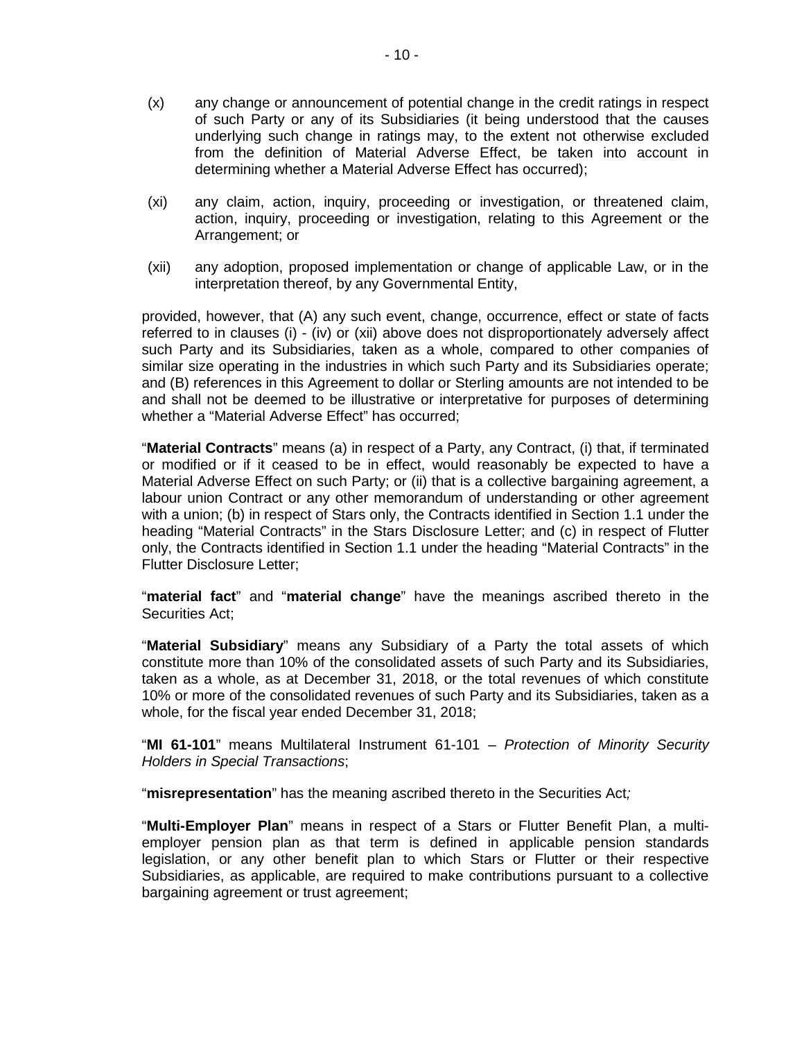- (x) any change or announcement of potential change in the credit ratings in respect of such Party or any of its Subsidiaries (it being understood that the causes underlying such change in ratings may, to the extent not otherwise excluded from the definition of Material Adverse Effect, be taken into account in determining whether a Material Adverse Effect has occurred);
- (xi) any claim, action, inquiry, proceeding or investigation, or threatened claim, action, inquiry, proceeding or investigation, relating to this Agreement or the Arrangement; or
- (xii) any adoption, proposed implementation or change of applicable Law, or in the interpretation thereof, by any Governmental Entity,

provided, however, that (A) any such event, change, occurrence, effect or state of facts referred to in clauses (i) - (iv) or (xii) above does not disproportionately adversely affect such Party and its Subsidiaries, taken as a whole, compared to other companies of similar size operating in the industries in which such Party and its Subsidiaries operate; and (B) references in this Agreement to dollar or Sterling amounts are not intended to be and shall not be deemed to be illustrative or interpretative for purposes of determining whether a "Material Adverse Effect" has occurred;

"**Material Contracts**" means (a) in respect of a Party, any Contract, (i) that, if terminated or modified or if it ceased to be in effect, would reasonably be expected to have a Material Adverse Effect on such Party; or (ii) that is a collective bargaining agreement, a labour union Contract or any other memorandum of understanding or other agreement with a union; (b) in respect of Stars only, the Contracts identified in Section 1.1 under the heading "Material Contracts" in the Stars Disclosure Letter; and (c) in respect of Flutter only, the Contracts identified in Section 1.1 under the heading "Material Contracts" in the Flutter Disclosure Letter;

"**material fact**" and "**material change**" have the meanings ascribed thereto in the Securities Act;

"**Material Subsidiary**" means any Subsidiary of a Party the total assets of which constitute more than 10% of the consolidated assets of such Party and its Subsidiaries, taken as a whole, as at December 31, 2018, or the total revenues of which constitute 10% or more of the consolidated revenues of such Party and its Subsidiaries, taken as a whole, for the fiscal year ended December 31, 2018;

"**MI 61-101**" means Multilateral Instrument 61-101 – *Protection of Minority Security Holders in Special Transactions*;

"**misrepresentation**" has the meaning ascribed thereto in the Securities Act*;*

"**Multi-Employer Plan**" means in respect of a Stars or Flutter Benefit Plan, a multiemployer pension plan as that term is defined in applicable pension standards legislation, or any other benefit plan to which Stars or Flutter or their respective Subsidiaries, as applicable, are required to make contributions pursuant to a collective bargaining agreement or trust agreement;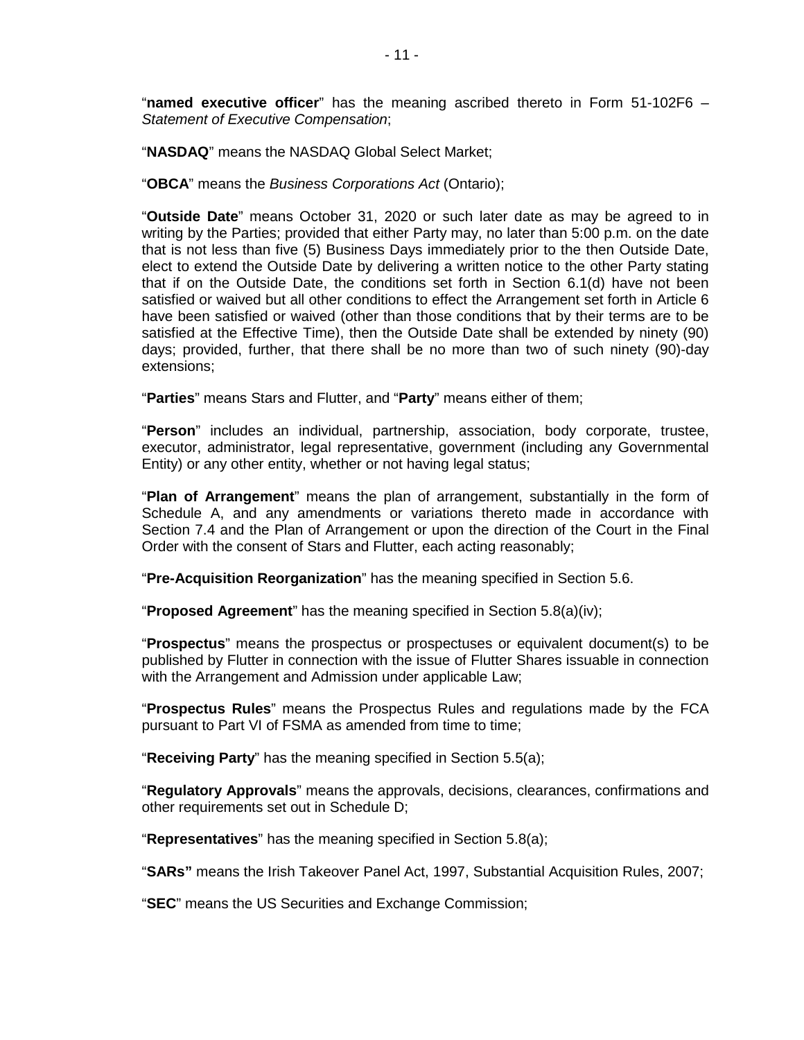"**named executive officer**" has the meaning ascribed thereto in Form 51-102F6 – *Statement of Executive Compensation*;

"**NASDAQ**" means the NASDAQ Global Select Market;

"**OBCA**" means the *Business Corporations Act* (Ontario);

"**Outside Date**" means October 31, 2020 or such later date as may be agreed to in writing by the Parties; provided that either Party may, no later than 5:00 p.m. on the date that is not less than five (5) Business Days immediately prior to the then Outside Date, elect to extend the Outside Date by delivering a written notice to the other Party stating that if on the Outside Date, the conditions set forth in Section 6.1(d) have not been satisfied or waived but all other conditions to effect the Arrangement set forth in Article 6 have been satisfied or waived (other than those conditions that by their terms are to be satisfied at the Effective Time), then the Outside Date shall be extended by ninety (90) days; provided, further, that there shall be no more than two of such ninety (90)-day extensions;

"**Parties**" means Stars and Flutter, and "**Party**" means either of them;

"**Person**" includes an individual, partnership, association, body corporate, trustee, executor, administrator, legal representative, government (including any Governmental Entity) or any other entity, whether or not having legal status;

"**Plan of Arrangement**" means the plan of arrangement, substantially in the form of Schedule A, and any amendments or variations thereto made in accordance with Section 7.4 and the Plan of Arrangement or upon the direction of the Court in the Final Order with the consent of Stars and Flutter, each acting reasonably;

"**Pre-Acquisition Reorganization**" has the meaning specified in Section 5.6.

"**Proposed Agreement**" has the meaning specified in Section 5.8(a)(iv);

"**Prospectus**" means the prospectus or prospectuses or equivalent document(s) to be published by Flutter in connection with the issue of Flutter Shares issuable in connection with the Arrangement and Admission under applicable Law;

"**Prospectus Rules**" means the Prospectus Rules and regulations made by the FCA pursuant to Part VI of FSMA as amended from time to time;

"**Receiving Party**" has the meaning specified in Section 5.5(a);

"**Regulatory Approvals**" means the approvals, decisions, clearances, confirmations and other requirements set out in Schedule D;

"**Representatives**" has the meaning specified in Section 5.8(a);

"**SARs"** means the Irish Takeover Panel Act, 1997, Substantial Acquisition Rules, 2007;

"**SEC**" means the US Securities and Exchange Commission;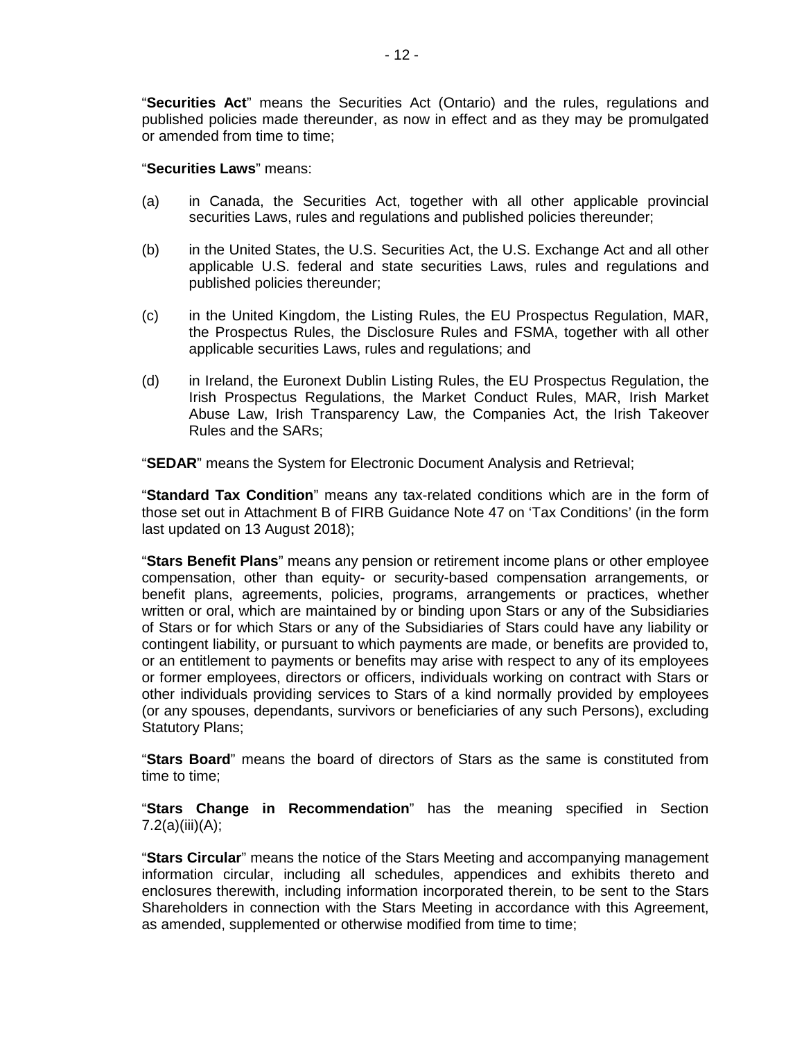"**Securities Act**" means the Securities Act (Ontario) and the rules, regulations and published policies made thereunder, as now in effect and as they may be promulgated or amended from time to time;

## "**Securities Laws**" means:

- (a) in Canada, the Securities Act, together with all other applicable provincial securities Laws, rules and regulations and published policies thereunder;
- (b) in the United States, the U.S. Securities Act, the U.S. Exchange Act and all other applicable U.S. federal and state securities Laws, rules and regulations and published policies thereunder;
- (c) in the United Kingdom, the Listing Rules, the EU Prospectus Regulation, MAR, the Prospectus Rules, the Disclosure Rules and FSMA, together with all other applicable securities Laws, rules and regulations; and
- (d) in Ireland, the Euronext Dublin Listing Rules, the EU Prospectus Regulation, the Irish Prospectus Regulations, the Market Conduct Rules, MAR, Irish Market Abuse Law, Irish Transparency Law, the Companies Act, the Irish Takeover Rules and the SARs;

"**SEDAR**" means the System for Electronic Document Analysis and Retrieval;

"**Standard Tax Condition**" means any tax-related conditions which are in the form of those set out in Attachment B of FIRB Guidance Note 47 on 'Tax Conditions' (in the form last updated on 13 August 2018);

"**Stars Benefit Plans**" means any pension or retirement income plans or other employee compensation, other than equity- or security-based compensation arrangements, or benefit plans, agreements, policies, programs, arrangements or practices, whether written or oral, which are maintained by or binding upon Stars or any of the Subsidiaries of Stars or for which Stars or any of the Subsidiaries of Stars could have any liability or contingent liability, or pursuant to which payments are made, or benefits are provided to, or an entitlement to payments or benefits may arise with respect to any of its employees or former employees, directors or officers, individuals working on contract with Stars or other individuals providing services to Stars of a kind normally provided by employees (or any spouses, dependants, survivors or beneficiaries of any such Persons), excluding Statutory Plans;

"**Stars Board**" means the board of directors of Stars as the same is constituted from time to time;

"**Stars Change in Recommendation**" has the meaning specified in Section 7.2(a)(iii)(A);

"**Stars Circular**" means the notice of the Stars Meeting and accompanying management information circular, including all schedules, appendices and exhibits thereto and enclosures therewith, including information incorporated therein, to be sent to the Stars Shareholders in connection with the Stars Meeting in accordance with this Agreement, as amended, supplemented or otherwise modified from time to time;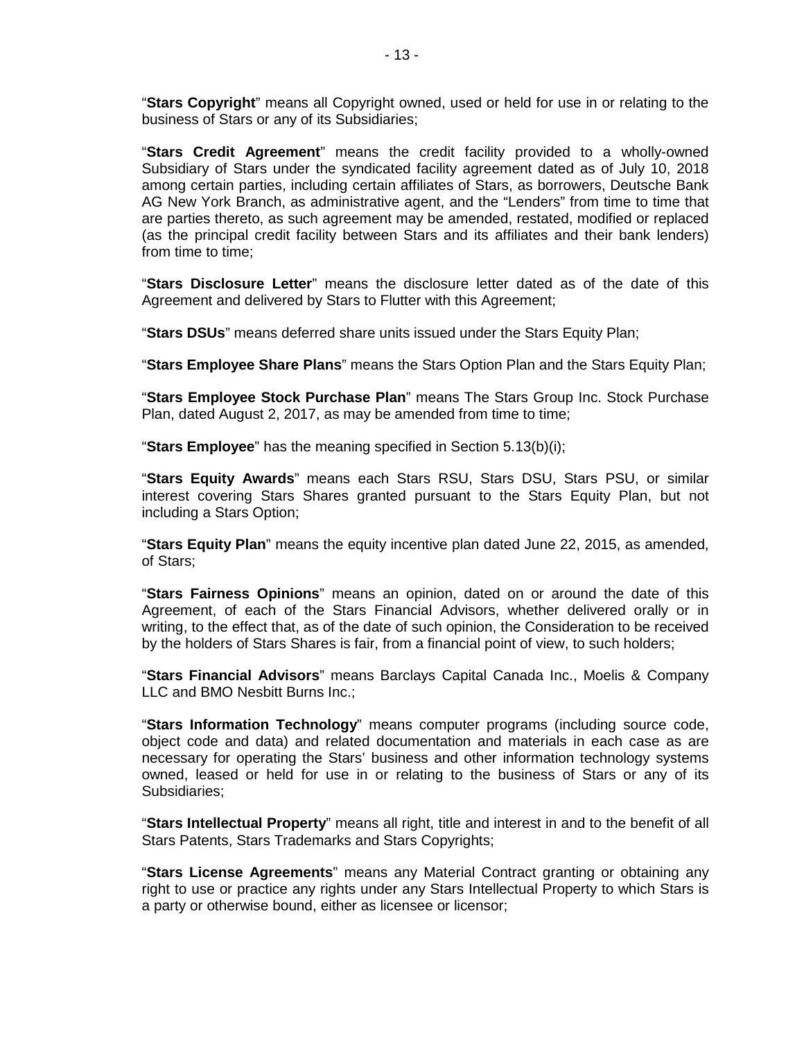"**Stars Copyright**" means all Copyright owned, used or held for use in or relating to the business of Stars or any of its Subsidiaries;

"**Stars Credit Agreement**" means the credit facility provided to a wholly-owned Subsidiary of Stars under the syndicated facility agreement dated as of July 10, 2018 among certain parties, including certain affiliates of Stars, as borrowers, Deutsche Bank AG New York Branch, as administrative agent, and the "Lenders" from time to time that are parties thereto, as such agreement may be amended, restated, modified or replaced (as the principal credit facility between Stars and its affiliates and their bank lenders) from time to time;

"**Stars Disclosure Letter**" means the disclosure letter dated as of the date of this Agreement and delivered by Stars to Flutter with this Agreement;

"**Stars DSUs**" means deferred share units issued under the Stars Equity Plan;

"**Stars Employee Share Plans**" means the Stars Option Plan and the Stars Equity Plan;

"**Stars Employee Stock Purchase Plan**" means The Stars Group Inc. Stock Purchase Plan, dated August 2, 2017, as may be amended from time to time;

"**Stars Employee**" has the meaning specified in Section 5.13(b)(i);

"**Stars Equity Awards**" means each Stars RSU, Stars DSU, Stars PSU, or similar interest covering Stars Shares granted pursuant to the Stars Equity Plan, but not including a Stars Option;

"**Stars Equity Plan**" means the equity incentive plan dated June 22, 2015, as amended, of Stars;

"**Stars Fairness Opinions**" means an opinion, dated on or around the date of this Agreement, of each of the Stars Financial Advisors, whether delivered orally or in writing, to the effect that, as of the date of such opinion, the Consideration to be received by the holders of Stars Shares is fair, from a financial point of view, to such holders;

"**Stars Financial Advisors**" means Barclays Capital Canada Inc., Moelis & Company LLC and BMO Nesbitt Burns Inc.;

"**Stars Information Technology**" means computer programs (including source code, object code and data) and related documentation and materials in each case as are necessary for operating the Stars' business and other information technology systems owned, leased or held for use in or relating to the business of Stars or any of its Subsidiaries;

"**Stars Intellectual Property**" means all right, title and interest in and to the benefit of all Stars Patents, Stars Trademarks and Stars Copyrights;

"**Stars License Agreements**" means any Material Contract granting or obtaining any right to use or practice any rights under any Stars Intellectual Property to which Stars is a party or otherwise bound, either as licensee or licensor;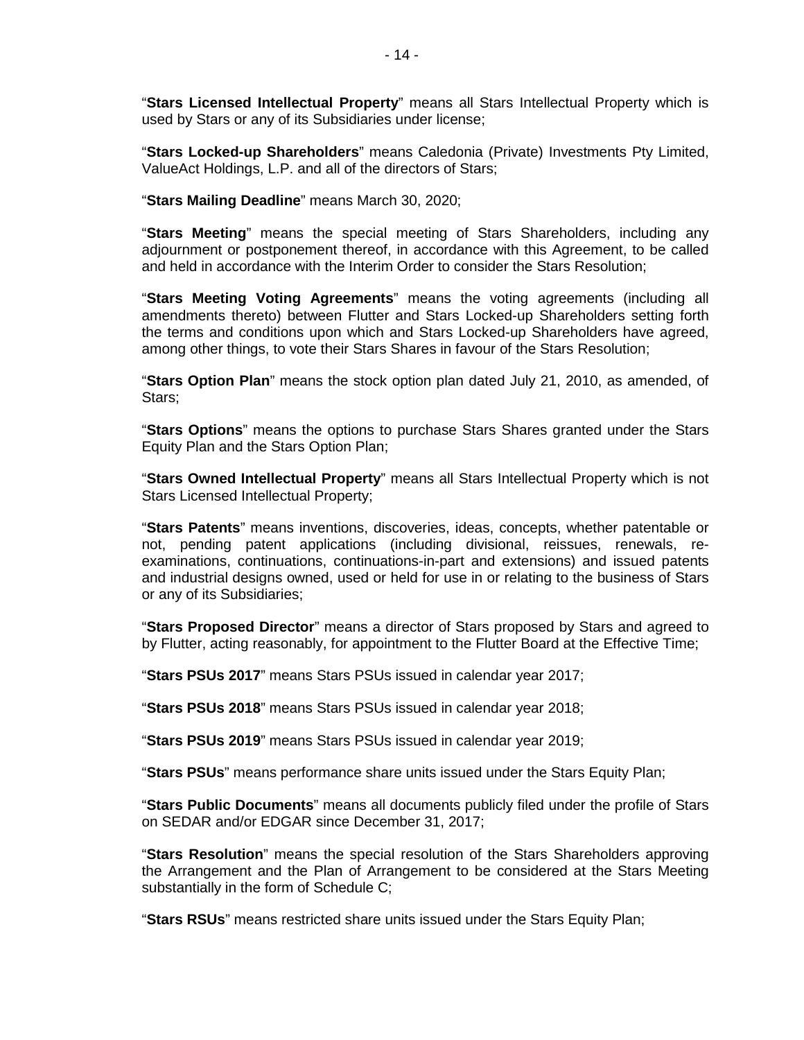"**Stars Licensed Intellectual Property**" means all Stars Intellectual Property which is used by Stars or any of its Subsidiaries under license;

"**Stars Locked-up Shareholders**" means Caledonia (Private) Investments Pty Limited, ValueAct Holdings, L.P. and all of the directors of Stars;

"**Stars Mailing Deadline**" means March 30, 2020;

"**Stars Meeting**" means the special meeting of Stars Shareholders, including any adjournment or postponement thereof, in accordance with this Agreement, to be called and held in accordance with the Interim Order to consider the Stars Resolution;

"**Stars Meeting Voting Agreements**" means the voting agreements (including all amendments thereto) between Flutter and Stars Locked-up Shareholders setting forth the terms and conditions upon which and Stars Locked-up Shareholders have agreed, among other things, to vote their Stars Shares in favour of the Stars Resolution;

"**Stars Option Plan**" means the stock option plan dated July 21, 2010, as amended, of Stars;

"**Stars Options**" means the options to purchase Stars Shares granted under the Stars Equity Plan and the Stars Option Plan;

"**Stars Owned Intellectual Property**" means all Stars Intellectual Property which is not Stars Licensed Intellectual Property;

"**Stars Patents**" means inventions, discoveries, ideas, concepts, whether patentable or not, pending patent applications (including divisional, reissues, renewals, reexaminations, continuations, continuations-in-part and extensions) and issued patents and industrial designs owned, used or held for use in or relating to the business of Stars or any of its Subsidiaries;

"**Stars Proposed Director**" means a director of Stars proposed by Stars and agreed to by Flutter, acting reasonably, for appointment to the Flutter Board at the Effective Time;

"**Stars PSUs 2017**" means Stars PSUs issued in calendar year 2017;

"**Stars PSUs 2018**" means Stars PSUs issued in calendar year 2018;

"**Stars PSUs 2019**" means Stars PSUs issued in calendar year 2019;

"**Stars PSUs**" means performance share units issued under the Stars Equity Plan;

"**Stars Public Documents**" means all documents publicly filed under the profile of Stars on SEDAR and/or EDGAR since December 31, 2017;

"**Stars Resolution**" means the special resolution of the Stars Shareholders approving the Arrangement and the Plan of Arrangement to be considered at the Stars Meeting substantially in the form of Schedule C;

"**Stars RSUs**" means restricted share units issued under the Stars Equity Plan;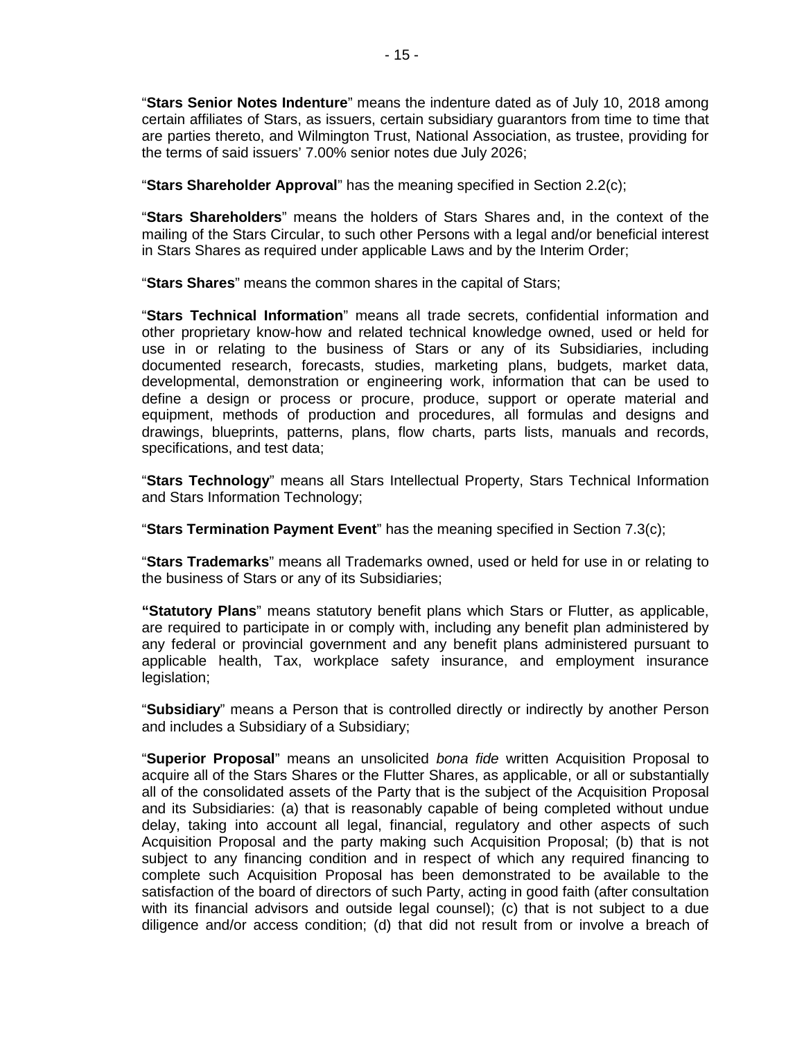"**Stars Senior Notes Indenture**" means the indenture dated as of July 10, 2018 among certain affiliates of Stars, as issuers, certain subsidiary guarantors from time to time that are parties thereto, and Wilmington Trust, National Association, as trustee, providing for the terms of said issuers' 7.00% senior notes due July 2026;

"**Stars Shareholder Approval**" has the meaning specified in Section 2.2(c);

"**Stars Shareholders**" means the holders of Stars Shares and, in the context of the mailing of the Stars Circular, to such other Persons with a legal and/or beneficial interest in Stars Shares as required under applicable Laws and by the Interim Order;

"**Stars Shares**" means the common shares in the capital of Stars;

"**Stars Technical Information**" means all trade secrets, confidential information and other proprietary know-how and related technical knowledge owned, used or held for use in or relating to the business of Stars or any of its Subsidiaries, including documented research, forecasts, studies, marketing plans, budgets, market data, developmental, demonstration or engineering work, information that can be used to define a design or process or procure, produce, support or operate material and equipment, methods of production and procedures, all formulas and designs and drawings, blueprints, patterns, plans, flow charts, parts lists, manuals and records, specifications, and test data;

"**Stars Technology**" means all Stars Intellectual Property, Stars Technical Information and Stars Information Technology;

"**Stars Termination Payment Event**" has the meaning specified in Section 7.3(c);

"**Stars Trademarks**" means all Trademarks owned, used or held for use in or relating to the business of Stars or any of its Subsidiaries;

**"Statutory Plans**" means statutory benefit plans which Stars or Flutter, as applicable, are required to participate in or comply with, including any benefit plan administered by any federal or provincial government and any benefit plans administered pursuant to applicable health, Tax, workplace safety insurance, and employment insurance legislation;

"**Subsidiary**" means a Person that is controlled directly or indirectly by another Person and includes a Subsidiary of a Subsidiary;

"**Superior Proposal**" means an unsolicited *bona fide* written Acquisition Proposal to acquire all of the Stars Shares or the Flutter Shares, as applicable, or all or substantially all of the consolidated assets of the Party that is the subject of the Acquisition Proposal and its Subsidiaries: (a) that is reasonably capable of being completed without undue delay, taking into account all legal, financial, regulatory and other aspects of such Acquisition Proposal and the party making such Acquisition Proposal; (b) that is not subject to any financing condition and in respect of which any required financing to complete such Acquisition Proposal has been demonstrated to be available to the satisfaction of the board of directors of such Party, acting in good faith (after consultation with its financial advisors and outside legal counsel); (c) that is not subject to a due diligence and/or access condition; (d) that did not result from or involve a breach of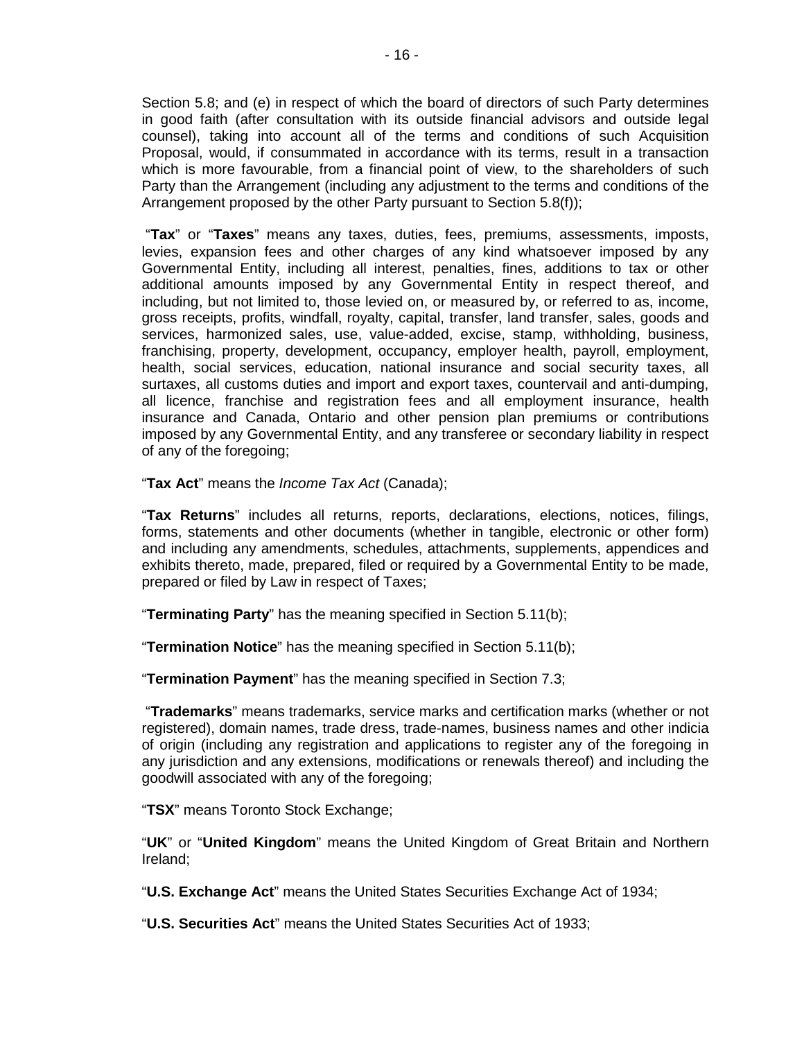Section 5.8; and (e) in respect of which the board of directors of such Party determines in good faith (after consultation with its outside financial advisors and outside legal counsel), taking into account all of the terms and conditions of such Acquisition Proposal, would, if consummated in accordance with its terms, result in a transaction which is more favourable, from a financial point of view, to the shareholders of such Party than the Arrangement (including any adjustment to the terms and conditions of the Arrangement proposed by the other Party pursuant to Section 5.8(f));

 "**Tax**" or "**Taxes**" means any taxes, duties, fees, premiums, assessments, imposts, levies, expansion fees and other charges of any kind whatsoever imposed by any Governmental Entity, including all interest, penalties, fines, additions to tax or other additional amounts imposed by any Governmental Entity in respect thereof, and including, but not limited to, those levied on, or measured by, or referred to as, income, gross receipts, profits, windfall, royalty, capital, transfer, land transfer, sales, goods and services, harmonized sales, use, value-added, excise, stamp, withholding, business, franchising, property, development, occupancy, employer health, payroll, employment, health, social services, education, national insurance and social security taxes, all surtaxes, all customs duties and import and export taxes, countervail and anti-dumping, all licence, franchise and registration fees and all employment insurance, health insurance and Canada, Ontario and other pension plan premiums or contributions imposed by any Governmental Entity, and any transferee or secondary liability in respect of any of the foregoing;

"**Tax Act**" means the *Income Tax Act* (Canada);

"**Tax Returns**" includes all returns, reports, declarations, elections, notices, filings, forms, statements and other documents (whether in tangible, electronic or other form) and including any amendments, schedules, attachments, supplements, appendices and exhibits thereto, made, prepared, filed or required by a Governmental Entity to be made, prepared or filed by Law in respect of Taxes;

"**Terminating Party**" has the meaning specified in Section 5.11(b);

"**Termination Notice**" has the meaning specified in Section 5.11(b);

"**Termination Payment**" has the meaning specified in Section 7.3;

 "**Trademarks**" means trademarks, service marks and certification marks (whether or not registered), domain names, trade dress, trade-names, business names and other indicia of origin (including any registration and applications to register any of the foregoing in any jurisdiction and any extensions, modifications or renewals thereof) and including the goodwill associated with any of the foregoing;

"**TSX**" means Toronto Stock Exchange;

"**UK**" or "**United Kingdom**" means the United Kingdom of Great Britain and Northern Ireland;

"**U.S. Exchange Act**" means the United States Securities Exchange Act of 1934;

"**U.S. Securities Act**" means the United States Securities Act of 1933;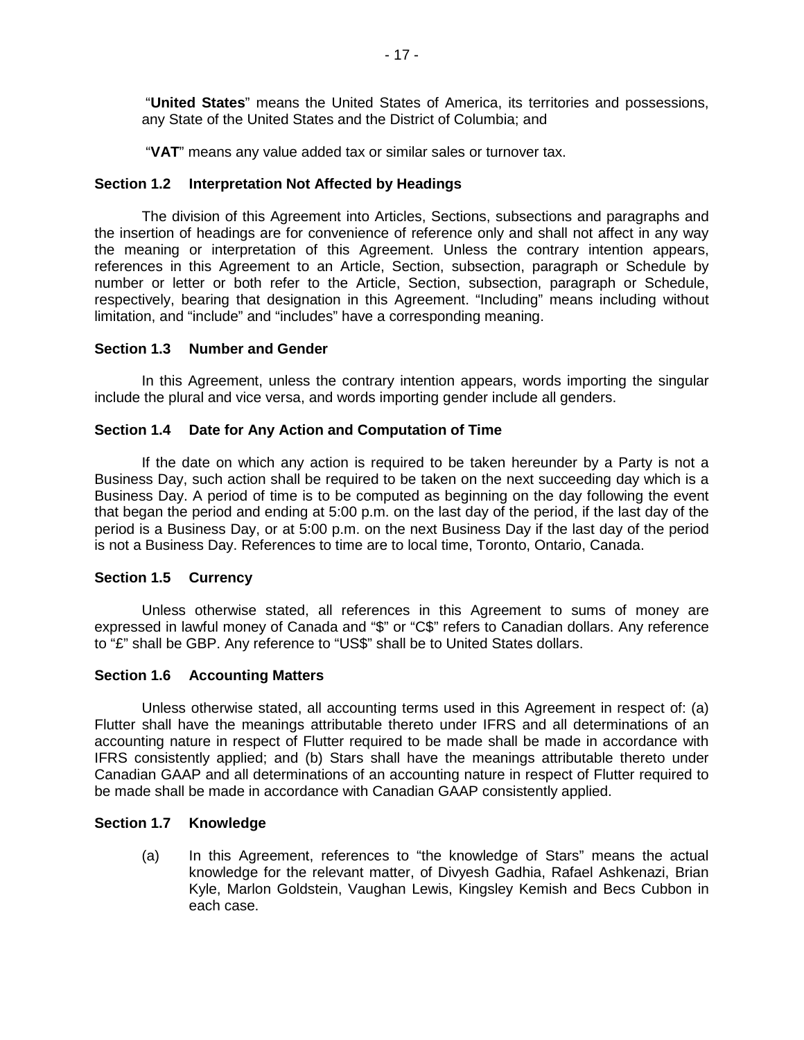"**United States**" means the United States of America, its territories and possessions, any State of the United States and the District of Columbia; and

"**VAT**" means any value added tax or similar sales or turnover tax.

# **Section 1.2 Interpretation Not Affected by Headings**

The division of this Agreement into Articles, Sections, subsections and paragraphs and the insertion of headings are for convenience of reference only and shall not affect in any way the meaning or interpretation of this Agreement. Unless the contrary intention appears, references in this Agreement to an Article, Section, subsection, paragraph or Schedule by number or letter or both refer to the Article, Section, subsection, paragraph or Schedule, respectively, bearing that designation in this Agreement. "Including" means including without limitation, and "include" and "includes" have a corresponding meaning.

## **Section 1.3 Number and Gender**

In this Agreement, unless the contrary intention appears, words importing the singular include the plural and vice versa, and words importing gender include all genders.

## **Section 1.4 Date for Any Action and Computation of Time**

If the date on which any action is required to be taken hereunder by a Party is not a Business Day, such action shall be required to be taken on the next succeeding day which is a Business Day. A period of time is to be computed as beginning on the day following the event that began the period and ending at 5:00 p.m. on the last day of the period, if the last day of the period is a Business Day, or at 5:00 p.m. on the next Business Day if the last day of the period is not a Business Day. References to time are to local time, Toronto, Ontario, Canada.

# **Section 1.5 Currency**

Unless otherwise stated, all references in this Agreement to sums of money are expressed in lawful money of Canada and "\$" or "C\$" refers to Canadian dollars. Any reference to "£" shall be GBP. Any reference to "US\$" shall be to United States dollars.

## **Section 1.6 Accounting Matters**

Unless otherwise stated, all accounting terms used in this Agreement in respect of: (a) Flutter shall have the meanings attributable thereto under IFRS and all determinations of an accounting nature in respect of Flutter required to be made shall be made in accordance with IFRS consistently applied; and (b) Stars shall have the meanings attributable thereto under Canadian GAAP and all determinations of an accounting nature in respect of Flutter required to be made shall be made in accordance with Canadian GAAP consistently applied.

## **Section 1.7 Knowledge**

(a) In this Agreement, references to "the knowledge of Stars" means the actual knowledge for the relevant matter, of Divyesh Gadhia, Rafael Ashkenazi, Brian Kyle, Marlon Goldstein, Vaughan Lewis, Kingsley Kemish and Becs Cubbon in each case.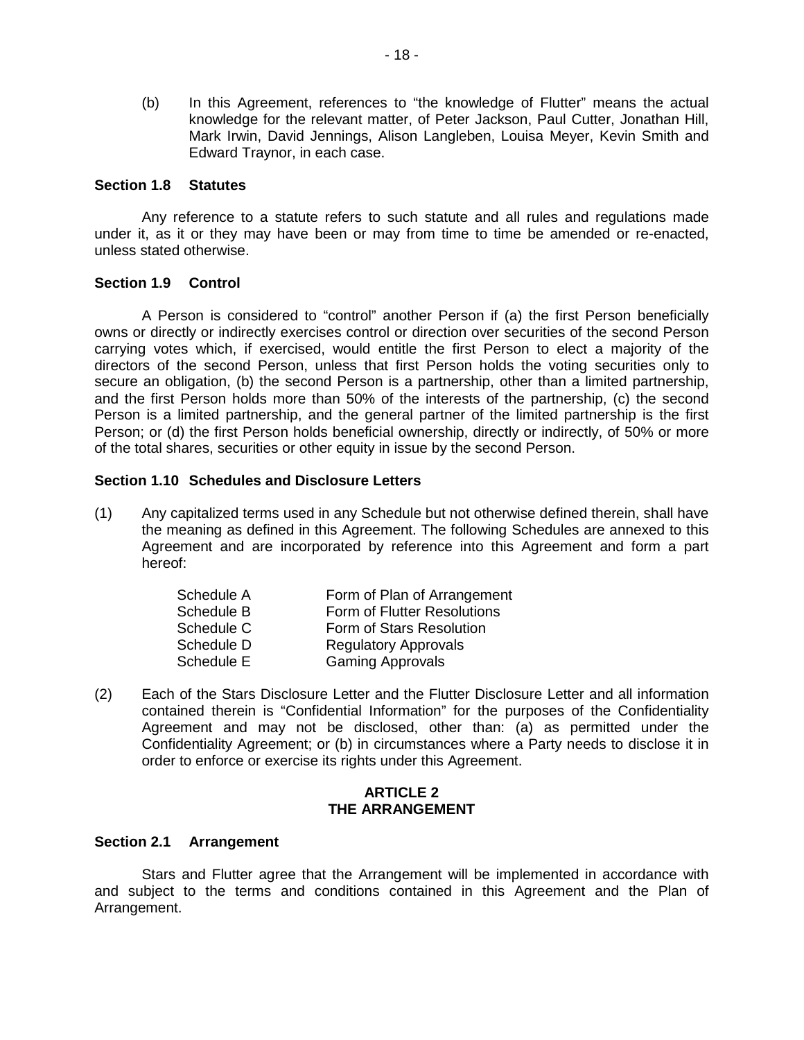(b) In this Agreement, references to "the knowledge of Flutter" means the actual knowledge for the relevant matter, of Peter Jackson, Paul Cutter, Jonathan Hill, Mark Irwin, David Jennings, Alison Langleben, Louisa Meyer, Kevin Smith and Edward Traynor, in each case.

#### **Section 1.8 Statutes**

Any reference to a statute refers to such statute and all rules and regulations made under it, as it or they may have been or may from time to time be amended or re-enacted, unless stated otherwise.

## **Section 1.9 Control**

A Person is considered to "control" another Person if (a) the first Person beneficially owns or directly or indirectly exercises control or direction over securities of the second Person carrying votes which, if exercised, would entitle the first Person to elect a majority of the directors of the second Person, unless that first Person holds the voting securities only to secure an obligation, (b) the second Person is a partnership, other than a limited partnership, and the first Person holds more than 50% of the interests of the partnership, (c) the second Person is a limited partnership, and the general partner of the limited partnership is the first Person; or (d) the first Person holds beneficial ownership, directly or indirectly, of 50% or more of the total shares, securities or other equity in issue by the second Person.

#### **Section 1.10 Schedules and Disclosure Letters**

(1) Any capitalized terms used in any Schedule but not otherwise defined therein, shall have the meaning as defined in this Agreement. The following Schedules are annexed to this Agreement and are incorporated by reference into this Agreement and form a part hereof:

| Schedule A | Form of Plan of Arrangement |
|------------|-----------------------------|
| Schedule B | Form of Flutter Resolutions |
| Schedule C | Form of Stars Resolution    |
| Schedule D | <b>Regulatory Approvals</b> |
| Schedule E | <b>Gaming Approvals</b>     |

(2) Each of the Stars Disclosure Letter and the Flutter Disclosure Letter and all information contained therein is "Confidential Information" for the purposes of the Confidentiality Agreement and may not be disclosed, other than: (a) as permitted under the Confidentiality Agreement; or (b) in circumstances where a Party needs to disclose it in order to enforce or exercise its rights under this Agreement.

#### **ARTICLE 2 THE ARRANGEMENT**

## **Section 2.1 Arrangement**

Stars and Flutter agree that the Arrangement will be implemented in accordance with and subject to the terms and conditions contained in this Agreement and the Plan of Arrangement.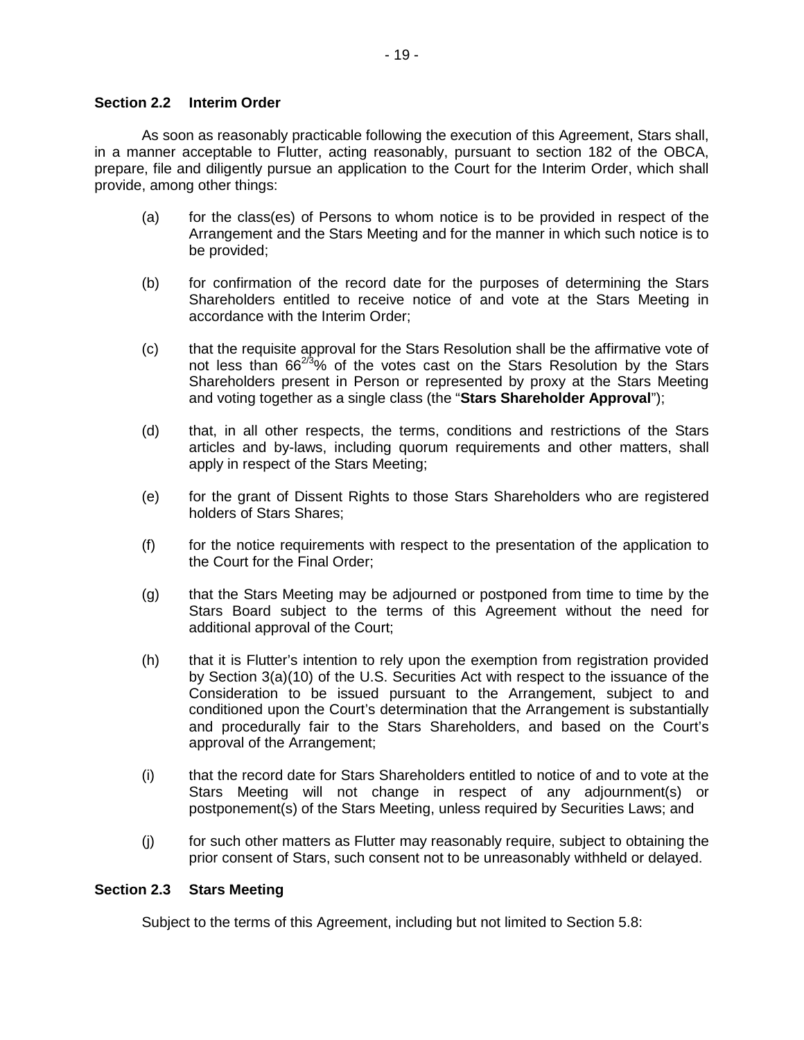## **Section 2.2 Interim Order**

As soon as reasonably practicable following the execution of this Agreement, Stars shall, in a manner acceptable to Flutter, acting reasonably, pursuant to section 182 of the OBCA, prepare, file and diligently pursue an application to the Court for the Interim Order, which shall provide, among other things:

- (a) for the class(es) of Persons to whom notice is to be provided in respect of the Arrangement and the Stars Meeting and for the manner in which such notice is to be provided;
- (b) for confirmation of the record date for the purposes of determining the Stars Shareholders entitled to receive notice of and vote at the Stars Meeting in accordance with the Interim Order;
- (c) that the requisite approval for the Stars Resolution shall be the affirmative vote of not less than  $66^{2/3}\%$  of the votes cast on the Stars Resolution by the Stars Shareholders present in Person or represented by proxy at the Stars Meeting and voting together as a single class (the "**Stars Shareholder Approval**");
- (d) that, in all other respects, the terms, conditions and restrictions of the Stars articles and by-laws, including quorum requirements and other matters, shall apply in respect of the Stars Meeting;
- (e) for the grant of Dissent Rights to those Stars Shareholders who are registered holders of Stars Shares;
- (f) for the notice requirements with respect to the presentation of the application to the Court for the Final Order;
- (g) that the Stars Meeting may be adjourned or postponed from time to time by the Stars Board subject to the terms of this Agreement without the need for additional approval of the Court;
- (h) that it is Flutter's intention to rely upon the exemption from registration provided by Section 3(a)(10) of the U.S. Securities Act with respect to the issuance of the Consideration to be issued pursuant to the Arrangement, subject to and conditioned upon the Court's determination that the Arrangement is substantially and procedurally fair to the Stars Shareholders, and based on the Court's approval of the Arrangement;
- (i) that the record date for Stars Shareholders entitled to notice of and to vote at the Stars Meeting will not change in respect of any adjournment(s) or postponement(s) of the Stars Meeting, unless required by Securities Laws; and
- (j) for such other matters as Flutter may reasonably require, subject to obtaining the prior consent of Stars, such consent not to be unreasonably withheld or delayed.

## **Section 2.3 Stars Meeting**

Subject to the terms of this Agreement, including but not limited to Section 5.8: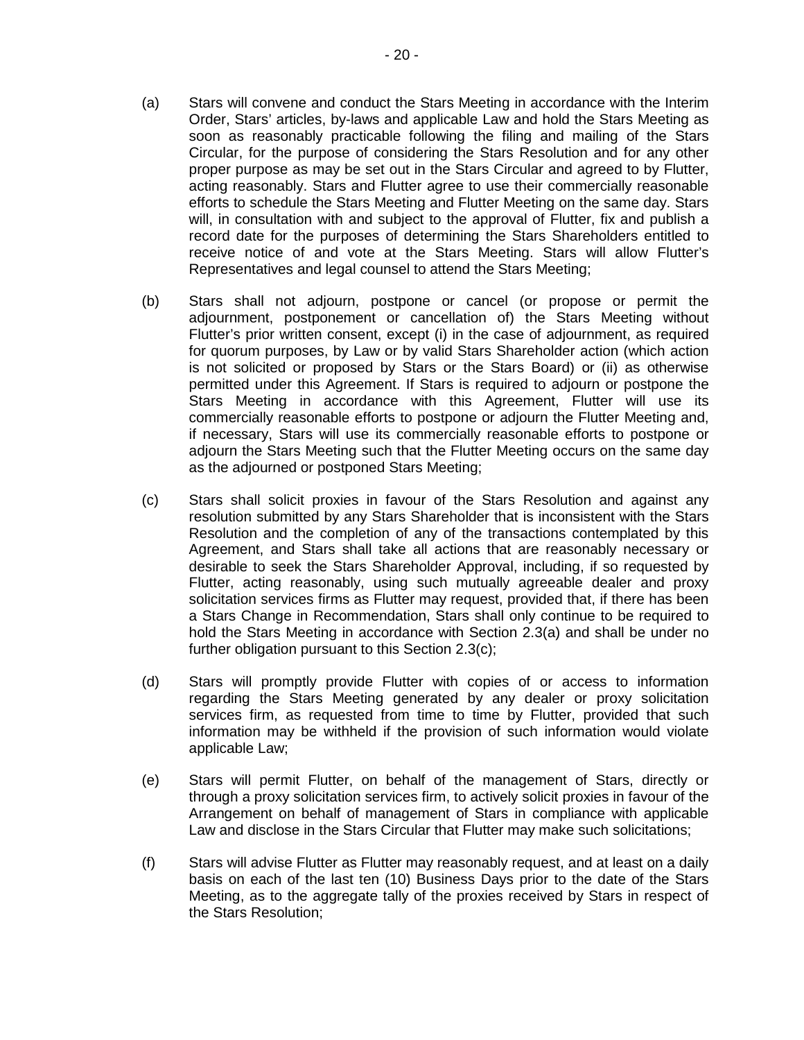- (a) Stars will convene and conduct the Stars Meeting in accordance with the Interim Order, Stars' articles, by-laws and applicable Law and hold the Stars Meeting as soon as reasonably practicable following the filing and mailing of the Stars Circular, for the purpose of considering the Stars Resolution and for any other proper purpose as may be set out in the Stars Circular and agreed to by Flutter, acting reasonably. Stars and Flutter agree to use their commercially reasonable efforts to schedule the Stars Meeting and Flutter Meeting on the same day. Stars will, in consultation with and subject to the approval of Flutter, fix and publish a record date for the purposes of determining the Stars Shareholders entitled to receive notice of and vote at the Stars Meeting. Stars will allow Flutter's Representatives and legal counsel to attend the Stars Meeting;
- (b) Stars shall not adjourn, postpone or cancel (or propose or permit the adjournment, postponement or cancellation of) the Stars Meeting without Flutter's prior written consent, except (i) in the case of adjournment, as required for quorum purposes, by Law or by valid Stars Shareholder action (which action is not solicited or proposed by Stars or the Stars Board) or (ii) as otherwise permitted under this Agreement. If Stars is required to adjourn or postpone the Stars Meeting in accordance with this Agreement, Flutter will use its commercially reasonable efforts to postpone or adjourn the Flutter Meeting and, if necessary, Stars will use its commercially reasonable efforts to postpone or adjourn the Stars Meeting such that the Flutter Meeting occurs on the same day as the adjourned or postponed Stars Meeting;
- (c) Stars shall solicit proxies in favour of the Stars Resolution and against any resolution submitted by any Stars Shareholder that is inconsistent with the Stars Resolution and the completion of any of the transactions contemplated by this Agreement, and Stars shall take all actions that are reasonably necessary or desirable to seek the Stars Shareholder Approval, including, if so requested by Flutter, acting reasonably, using such mutually agreeable dealer and proxy solicitation services firms as Flutter may request, provided that, if there has been a Stars Change in Recommendation, Stars shall only continue to be required to hold the Stars Meeting in accordance with Section 2.3(a) and shall be under no further obligation pursuant to this Section 2.3(c);
- (d) Stars will promptly provide Flutter with copies of or access to information regarding the Stars Meeting generated by any dealer or proxy solicitation services firm, as requested from time to time by Flutter, provided that such information may be withheld if the provision of such information would violate applicable Law;
- (e) Stars will permit Flutter, on behalf of the management of Stars, directly or through a proxy solicitation services firm, to actively solicit proxies in favour of the Arrangement on behalf of management of Stars in compliance with applicable Law and disclose in the Stars Circular that Flutter may make such solicitations;
- (f) Stars will advise Flutter as Flutter may reasonably request, and at least on a daily basis on each of the last ten (10) Business Days prior to the date of the Stars Meeting, as to the aggregate tally of the proxies received by Stars in respect of the Stars Resolution;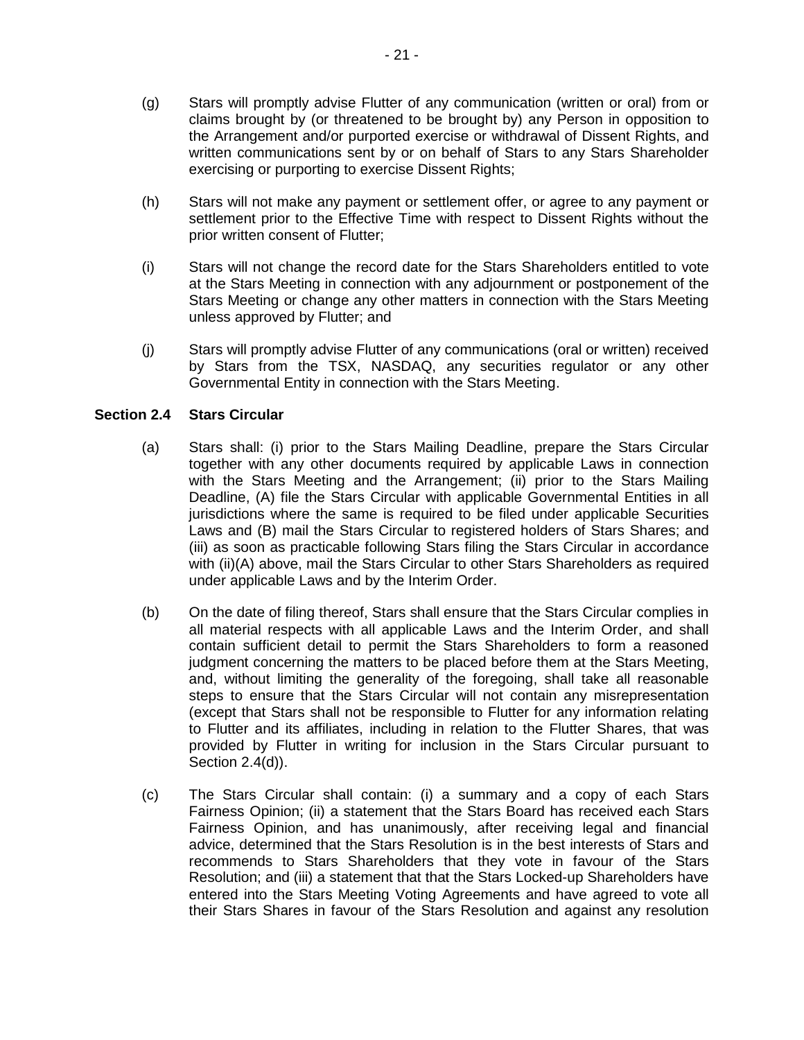- (g) Stars will promptly advise Flutter of any communication (written or oral) from or claims brought by (or threatened to be brought by) any Person in opposition to the Arrangement and/or purported exercise or withdrawal of Dissent Rights, and written communications sent by or on behalf of Stars to any Stars Shareholder exercising or purporting to exercise Dissent Rights;
- (h) Stars will not make any payment or settlement offer, or agree to any payment or settlement prior to the Effective Time with respect to Dissent Rights without the prior written consent of Flutter;
- (i) Stars will not change the record date for the Stars Shareholders entitled to vote at the Stars Meeting in connection with any adjournment or postponement of the Stars Meeting or change any other matters in connection with the Stars Meeting unless approved by Flutter; and
- (j) Stars will promptly advise Flutter of any communications (oral or written) received by Stars from the TSX, NASDAQ, any securities regulator or any other Governmental Entity in connection with the Stars Meeting.

# **Section 2.4 Stars Circular**

- (a) Stars shall: (i) prior to the Stars Mailing Deadline, prepare the Stars Circular together with any other documents required by applicable Laws in connection with the Stars Meeting and the Arrangement; (ii) prior to the Stars Mailing Deadline, (A) file the Stars Circular with applicable Governmental Entities in all jurisdictions where the same is required to be filed under applicable Securities Laws and (B) mail the Stars Circular to registered holders of Stars Shares; and (iii) as soon as practicable following Stars filing the Stars Circular in accordance with (ii)(A) above, mail the Stars Circular to other Stars Shareholders as required under applicable Laws and by the Interim Order.
- (b) On the date of filing thereof, Stars shall ensure that the Stars Circular complies in all material respects with all applicable Laws and the Interim Order, and shall contain sufficient detail to permit the Stars Shareholders to form a reasoned judgment concerning the matters to be placed before them at the Stars Meeting, and, without limiting the generality of the foregoing, shall take all reasonable steps to ensure that the Stars Circular will not contain any misrepresentation (except that Stars shall not be responsible to Flutter for any information relating to Flutter and its affiliates, including in relation to the Flutter Shares, that was provided by Flutter in writing for inclusion in the Stars Circular pursuant to Section 2.4(d)).
- (c) The Stars Circular shall contain: (i) a summary and a copy of each Stars Fairness Opinion; (ii) a statement that the Stars Board has received each Stars Fairness Opinion, and has unanimously, after receiving legal and financial advice, determined that the Stars Resolution is in the best interests of Stars and recommends to Stars Shareholders that they vote in favour of the Stars Resolution; and (iii) a statement that that the Stars Locked-up Shareholders have entered into the Stars Meeting Voting Agreements and have agreed to vote all their Stars Shares in favour of the Stars Resolution and against any resolution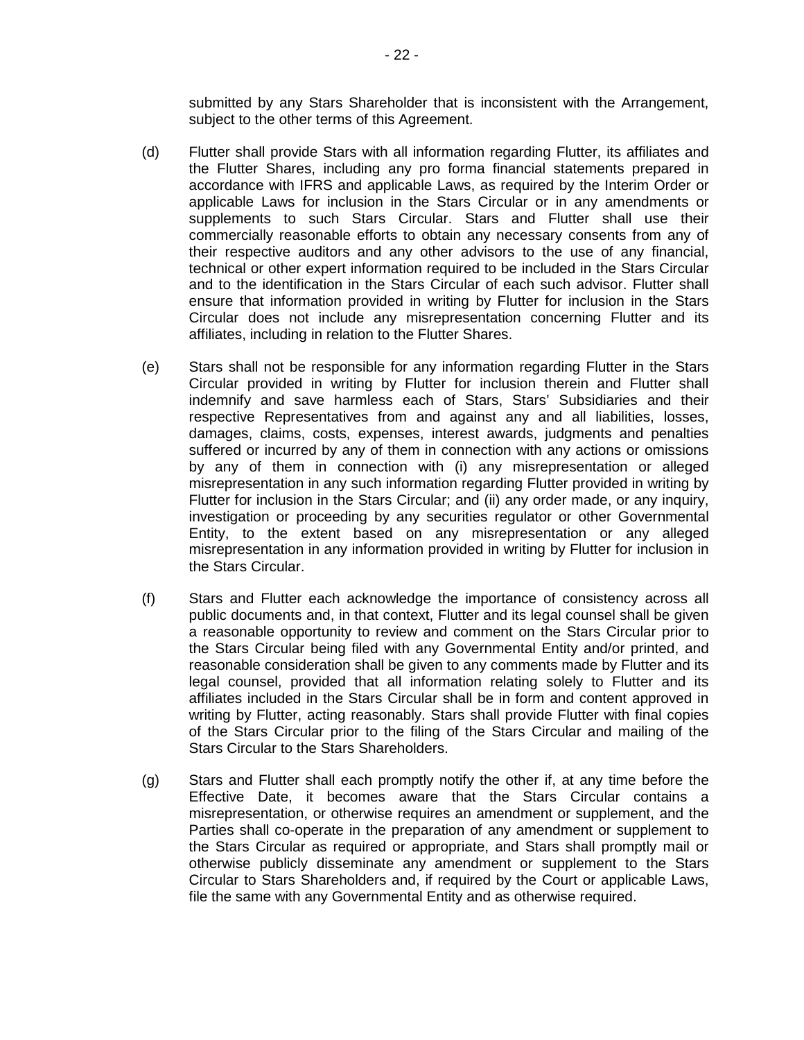submitted by any Stars Shareholder that is inconsistent with the Arrangement, subject to the other terms of this Agreement.

- (d) Flutter shall provide Stars with all information regarding Flutter, its affiliates and the Flutter Shares, including any pro forma financial statements prepared in accordance with IFRS and applicable Laws, as required by the Interim Order or applicable Laws for inclusion in the Stars Circular or in any amendments or supplements to such Stars Circular. Stars and Flutter shall use their commercially reasonable efforts to obtain any necessary consents from any of their respective auditors and any other advisors to the use of any financial, technical or other expert information required to be included in the Stars Circular and to the identification in the Stars Circular of each such advisor. Flutter shall ensure that information provided in writing by Flutter for inclusion in the Stars Circular does not include any misrepresentation concerning Flutter and its affiliates, including in relation to the Flutter Shares.
- (e) Stars shall not be responsible for any information regarding Flutter in the Stars Circular provided in writing by Flutter for inclusion therein and Flutter shall indemnify and save harmless each of Stars, Stars' Subsidiaries and their respective Representatives from and against any and all liabilities, losses, damages, claims, costs, expenses, interest awards, judgments and penalties suffered or incurred by any of them in connection with any actions or omissions by any of them in connection with (i) any misrepresentation or alleged misrepresentation in any such information regarding Flutter provided in writing by Flutter for inclusion in the Stars Circular; and (ii) any order made, or any inquiry, investigation or proceeding by any securities regulator or other Governmental Entity, to the extent based on any misrepresentation or any alleged misrepresentation in any information provided in writing by Flutter for inclusion in the Stars Circular.
- (f) Stars and Flutter each acknowledge the importance of consistency across all public documents and, in that context, Flutter and its legal counsel shall be given a reasonable opportunity to review and comment on the Stars Circular prior to the Stars Circular being filed with any Governmental Entity and/or printed, and reasonable consideration shall be given to any comments made by Flutter and its legal counsel, provided that all information relating solely to Flutter and its affiliates included in the Stars Circular shall be in form and content approved in writing by Flutter, acting reasonably. Stars shall provide Flutter with final copies of the Stars Circular prior to the filing of the Stars Circular and mailing of the Stars Circular to the Stars Shareholders.
- (g) Stars and Flutter shall each promptly notify the other if, at any time before the Effective Date, it becomes aware that the Stars Circular contains a misrepresentation, or otherwise requires an amendment or supplement, and the Parties shall co-operate in the preparation of any amendment or supplement to the Stars Circular as required or appropriate, and Stars shall promptly mail or otherwise publicly disseminate any amendment or supplement to the Stars Circular to Stars Shareholders and, if required by the Court or applicable Laws, file the same with any Governmental Entity and as otherwise required.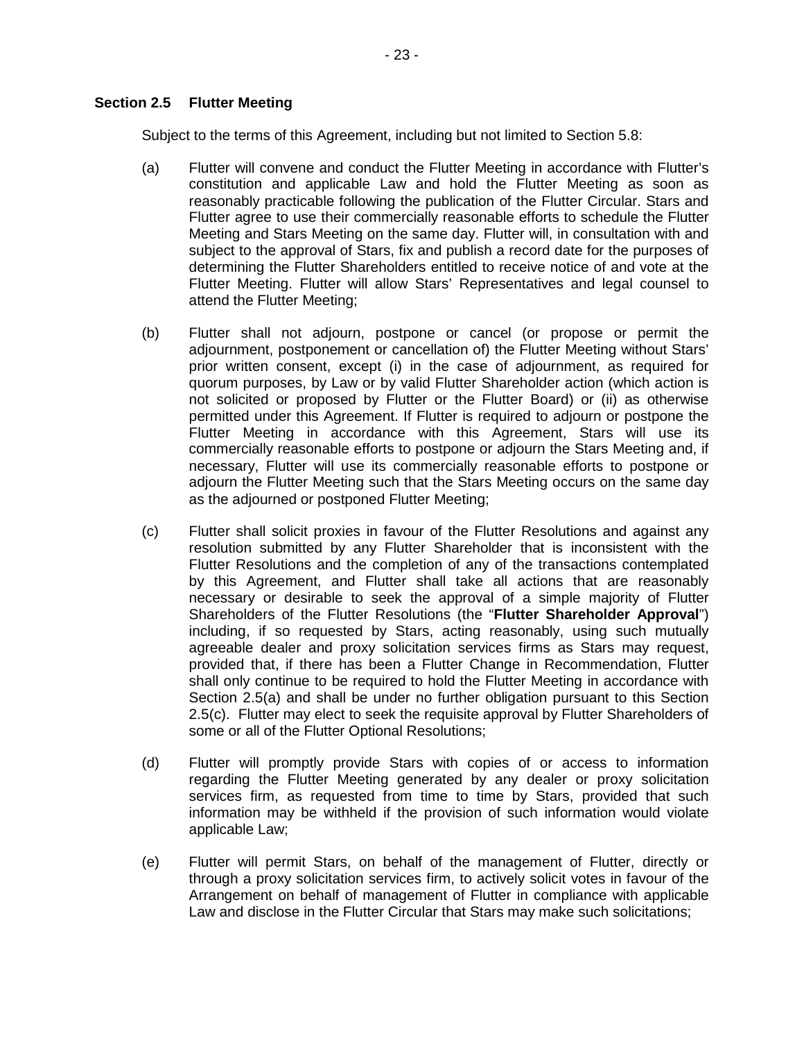Subject to the terms of this Agreement, including but not limited to Section 5.8:

- (a) Flutter will convene and conduct the Flutter Meeting in accordance with Flutter's constitution and applicable Law and hold the Flutter Meeting as soon as reasonably practicable following the publication of the Flutter Circular. Stars and Flutter agree to use their commercially reasonable efforts to schedule the Flutter Meeting and Stars Meeting on the same day. Flutter will, in consultation with and subject to the approval of Stars, fix and publish a record date for the purposes of determining the Flutter Shareholders entitled to receive notice of and vote at the Flutter Meeting. Flutter will allow Stars' Representatives and legal counsel to attend the Flutter Meeting;
- (b) Flutter shall not adjourn, postpone or cancel (or propose or permit the adjournment, postponement or cancellation of) the Flutter Meeting without Stars' prior written consent, except (i) in the case of adjournment, as required for quorum purposes, by Law or by valid Flutter Shareholder action (which action is not solicited or proposed by Flutter or the Flutter Board) or (ii) as otherwise permitted under this Agreement. If Flutter is required to adjourn or postpone the Flutter Meeting in accordance with this Agreement, Stars will use its commercially reasonable efforts to postpone or adjourn the Stars Meeting and, if necessary, Flutter will use its commercially reasonable efforts to postpone or adjourn the Flutter Meeting such that the Stars Meeting occurs on the same day as the adjourned or postponed Flutter Meeting;
- (c) Flutter shall solicit proxies in favour of the Flutter Resolutions and against any resolution submitted by any Flutter Shareholder that is inconsistent with the Flutter Resolutions and the completion of any of the transactions contemplated by this Agreement, and Flutter shall take all actions that are reasonably necessary or desirable to seek the approval of a simple majority of Flutter Shareholders of the Flutter Resolutions (the "**Flutter Shareholder Approval**") including, if so requested by Stars, acting reasonably, using such mutually agreeable dealer and proxy solicitation services firms as Stars may request, provided that, if there has been a Flutter Change in Recommendation, Flutter shall only continue to be required to hold the Flutter Meeting in accordance with Section 2.5(a) and shall be under no further obligation pursuant to this Section 2.5(c). Flutter may elect to seek the requisite approval by Flutter Shareholders of some or all of the Flutter Optional Resolutions;
- (d) Flutter will promptly provide Stars with copies of or access to information regarding the Flutter Meeting generated by any dealer or proxy solicitation services firm, as requested from time to time by Stars, provided that such information may be withheld if the provision of such information would violate applicable Law;
- (e) Flutter will permit Stars, on behalf of the management of Flutter, directly or through a proxy solicitation services firm, to actively solicit votes in favour of the Arrangement on behalf of management of Flutter in compliance with applicable Law and disclose in the Flutter Circular that Stars may make such solicitations;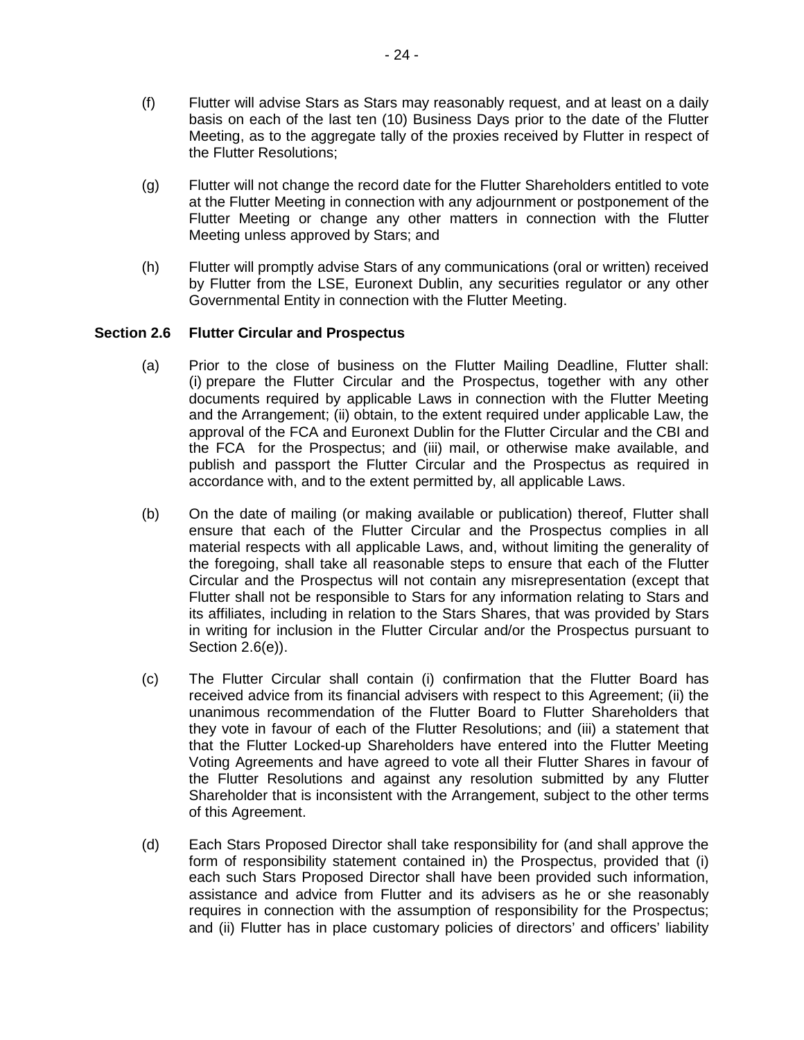- (f) Flutter will advise Stars as Stars may reasonably request, and at least on a daily basis on each of the last ten (10) Business Days prior to the date of the Flutter Meeting, as to the aggregate tally of the proxies received by Flutter in respect of the Flutter Resolutions;
- (g) Flutter will not change the record date for the Flutter Shareholders entitled to vote at the Flutter Meeting in connection with any adjournment or postponement of the Flutter Meeting or change any other matters in connection with the Flutter Meeting unless approved by Stars; and
- (h) Flutter will promptly advise Stars of any communications (oral or written) received by Flutter from the LSE, Euronext Dublin, any securities regulator or any other Governmental Entity in connection with the Flutter Meeting.

# **Section 2.6 Flutter Circular and Prospectus**

- (a) Prior to the close of business on the Flutter Mailing Deadline, Flutter shall: (i) prepare the Flutter Circular and the Prospectus, together with any other documents required by applicable Laws in connection with the Flutter Meeting and the Arrangement; (ii) obtain, to the extent required under applicable Law, the approval of the FCA and Euronext Dublin for the Flutter Circular and the CBI and the FCA for the Prospectus; and (iii) mail, or otherwise make available, and publish and passport the Flutter Circular and the Prospectus as required in accordance with, and to the extent permitted by, all applicable Laws.
- (b) On the date of mailing (or making available or publication) thereof, Flutter shall ensure that each of the Flutter Circular and the Prospectus complies in all material respects with all applicable Laws, and, without limiting the generality of the foregoing, shall take all reasonable steps to ensure that each of the Flutter Circular and the Prospectus will not contain any misrepresentation (except that Flutter shall not be responsible to Stars for any information relating to Stars and its affiliates, including in relation to the Stars Shares, that was provided by Stars in writing for inclusion in the Flutter Circular and/or the Prospectus pursuant to Section 2.6(e)).
- (c) The Flutter Circular shall contain (i) confirmation that the Flutter Board has received advice from its financial advisers with respect to this Agreement; (ii) the unanimous recommendation of the Flutter Board to Flutter Shareholders that they vote in favour of each of the Flutter Resolutions; and (iii) a statement that that the Flutter Locked-up Shareholders have entered into the Flutter Meeting Voting Agreements and have agreed to vote all their Flutter Shares in favour of the Flutter Resolutions and against any resolution submitted by any Flutter Shareholder that is inconsistent with the Arrangement, subject to the other terms of this Agreement.
- (d) Each Stars Proposed Director shall take responsibility for (and shall approve the form of responsibility statement contained in) the Prospectus, provided that (i) each such Stars Proposed Director shall have been provided such information, assistance and advice from Flutter and its advisers as he or she reasonably requires in connection with the assumption of responsibility for the Prospectus; and (ii) Flutter has in place customary policies of directors' and officers' liability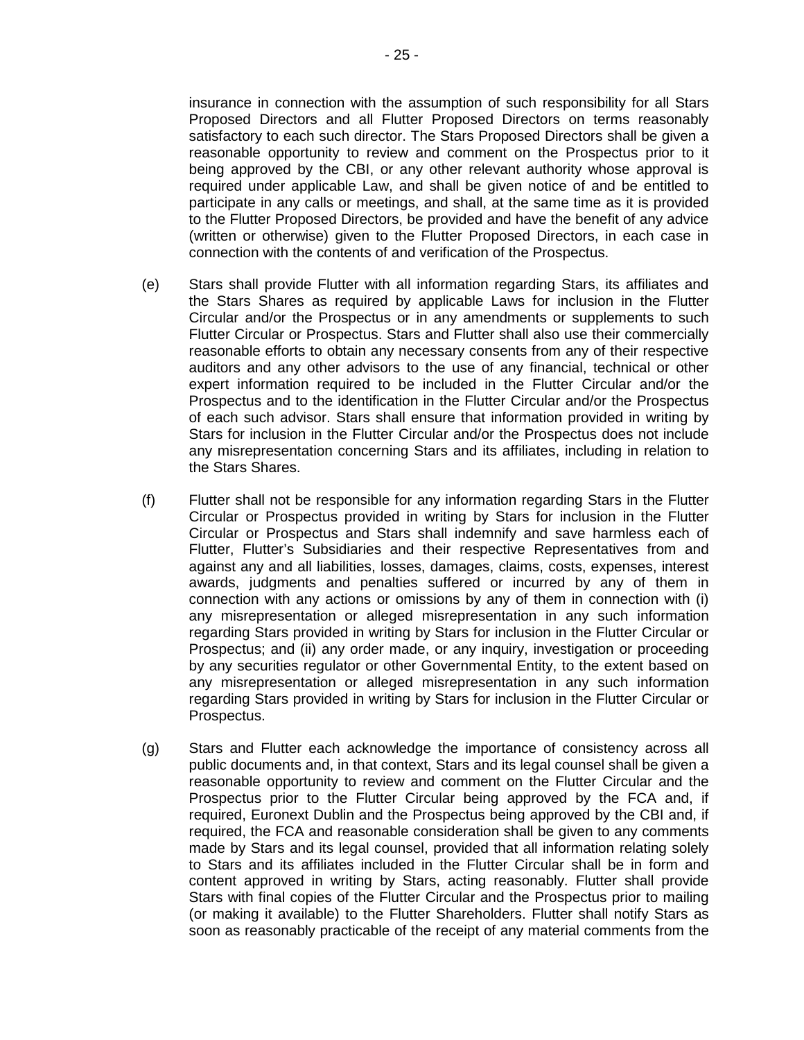insurance in connection with the assumption of such responsibility for all Stars Proposed Directors and all Flutter Proposed Directors on terms reasonably satisfactory to each such director. The Stars Proposed Directors shall be given a reasonable opportunity to review and comment on the Prospectus prior to it being approved by the CBI, or any other relevant authority whose approval is required under applicable Law, and shall be given notice of and be entitled to participate in any calls or meetings, and shall, at the same time as it is provided to the Flutter Proposed Directors, be provided and have the benefit of any advice (written or otherwise) given to the Flutter Proposed Directors, in each case in connection with the contents of and verification of the Prospectus.

- (e) Stars shall provide Flutter with all information regarding Stars, its affiliates and the Stars Shares as required by applicable Laws for inclusion in the Flutter Circular and/or the Prospectus or in any amendments or supplements to such Flutter Circular or Prospectus. Stars and Flutter shall also use their commercially reasonable efforts to obtain any necessary consents from any of their respective auditors and any other advisors to the use of any financial, technical or other expert information required to be included in the Flutter Circular and/or the Prospectus and to the identification in the Flutter Circular and/or the Prospectus of each such advisor. Stars shall ensure that information provided in writing by Stars for inclusion in the Flutter Circular and/or the Prospectus does not include any misrepresentation concerning Stars and its affiliates, including in relation to the Stars Shares.
- (f) Flutter shall not be responsible for any information regarding Stars in the Flutter Circular or Prospectus provided in writing by Stars for inclusion in the Flutter Circular or Prospectus and Stars shall indemnify and save harmless each of Flutter, Flutter's Subsidiaries and their respective Representatives from and against any and all liabilities, losses, damages, claims, costs, expenses, interest awards, judgments and penalties suffered or incurred by any of them in connection with any actions or omissions by any of them in connection with (i) any misrepresentation or alleged misrepresentation in any such information regarding Stars provided in writing by Stars for inclusion in the Flutter Circular or Prospectus; and (ii) any order made, or any inquiry, investigation or proceeding by any securities regulator or other Governmental Entity, to the extent based on any misrepresentation or alleged misrepresentation in any such information regarding Stars provided in writing by Stars for inclusion in the Flutter Circular or Prospectus.
- (g) Stars and Flutter each acknowledge the importance of consistency across all public documents and, in that context, Stars and its legal counsel shall be given a reasonable opportunity to review and comment on the Flutter Circular and the Prospectus prior to the Flutter Circular being approved by the FCA and, if required, Euronext Dublin and the Prospectus being approved by the CBI and, if required, the FCA and reasonable consideration shall be given to any comments made by Stars and its legal counsel, provided that all information relating solely to Stars and its affiliates included in the Flutter Circular shall be in form and content approved in writing by Stars, acting reasonably. Flutter shall provide Stars with final copies of the Flutter Circular and the Prospectus prior to mailing (or making it available) to the Flutter Shareholders. Flutter shall notify Stars as soon as reasonably practicable of the receipt of any material comments from the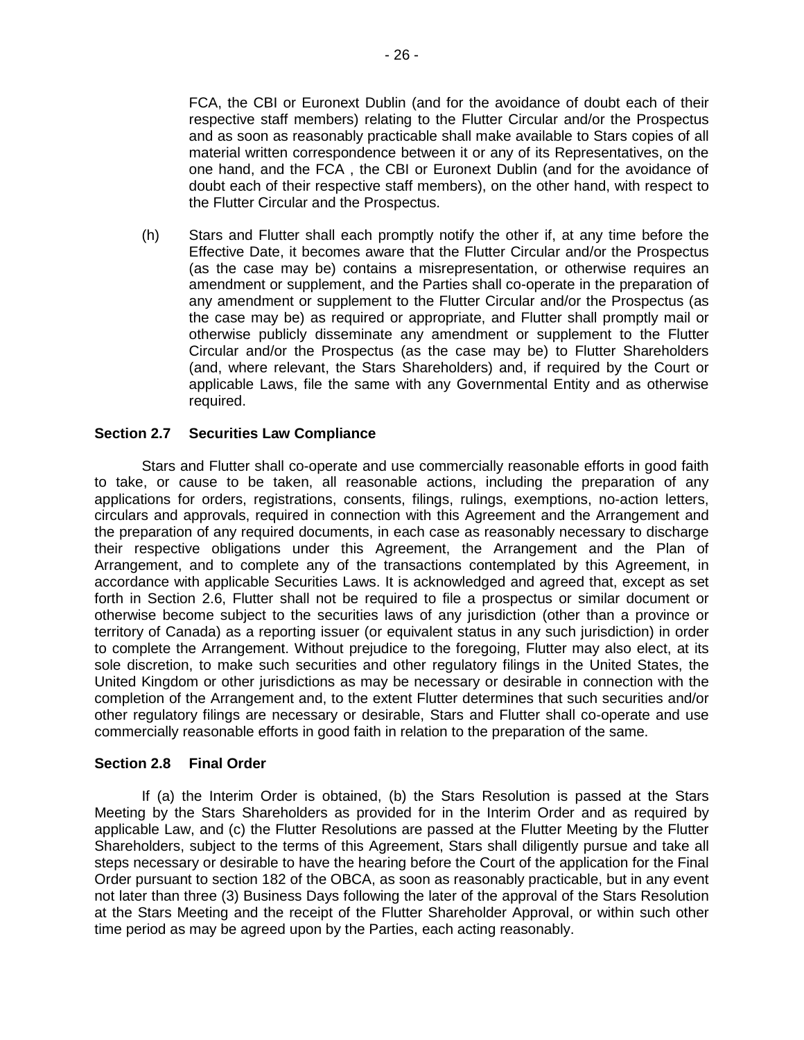FCA, the CBI or Euronext Dublin (and for the avoidance of doubt each of their respective staff members) relating to the Flutter Circular and/or the Prospectus and as soon as reasonably practicable shall make available to Stars copies of all material written correspondence between it or any of its Representatives, on the one hand, and the FCA , the CBI or Euronext Dublin (and for the avoidance of doubt each of their respective staff members), on the other hand, with respect to the Flutter Circular and the Prospectus.

(h) Stars and Flutter shall each promptly notify the other if, at any time before the Effective Date, it becomes aware that the Flutter Circular and/or the Prospectus (as the case may be) contains a misrepresentation, or otherwise requires an amendment or supplement, and the Parties shall co-operate in the preparation of any amendment or supplement to the Flutter Circular and/or the Prospectus (as the case may be) as required or appropriate, and Flutter shall promptly mail or otherwise publicly disseminate any amendment or supplement to the Flutter Circular and/or the Prospectus (as the case may be) to Flutter Shareholders (and, where relevant, the Stars Shareholders) and, if required by the Court or applicable Laws, file the same with any Governmental Entity and as otherwise required.

## **Section 2.7 Securities Law Compliance**

Stars and Flutter shall co-operate and use commercially reasonable efforts in good faith to take, or cause to be taken, all reasonable actions, including the preparation of any applications for orders, registrations, consents, filings, rulings, exemptions, no-action letters, circulars and approvals, required in connection with this Agreement and the Arrangement and the preparation of any required documents, in each case as reasonably necessary to discharge their respective obligations under this Agreement, the Arrangement and the Plan of Arrangement, and to complete any of the transactions contemplated by this Agreement, in accordance with applicable Securities Laws. It is acknowledged and agreed that, except as set forth in Section 2.6, Flutter shall not be required to file a prospectus or similar document or otherwise become subject to the securities laws of any jurisdiction (other than a province or territory of Canada) as a reporting issuer (or equivalent status in any such jurisdiction) in order to complete the Arrangement. Without prejudice to the foregoing, Flutter may also elect, at its sole discretion, to make such securities and other regulatory filings in the United States, the United Kingdom or other jurisdictions as may be necessary or desirable in connection with the completion of the Arrangement and, to the extent Flutter determines that such securities and/or other regulatory filings are necessary or desirable, Stars and Flutter shall co-operate and use commercially reasonable efforts in good faith in relation to the preparation of the same.

## **Section 2.8 Final Order**

If (a) the Interim Order is obtained, (b) the Stars Resolution is passed at the Stars Meeting by the Stars Shareholders as provided for in the Interim Order and as required by applicable Law, and (c) the Flutter Resolutions are passed at the Flutter Meeting by the Flutter Shareholders, subject to the terms of this Agreement, Stars shall diligently pursue and take all steps necessary or desirable to have the hearing before the Court of the application for the Final Order pursuant to section 182 of the OBCA, as soon as reasonably practicable, but in any event not later than three (3) Business Days following the later of the approval of the Stars Resolution at the Stars Meeting and the receipt of the Flutter Shareholder Approval, or within such other time period as may be agreed upon by the Parties, each acting reasonably.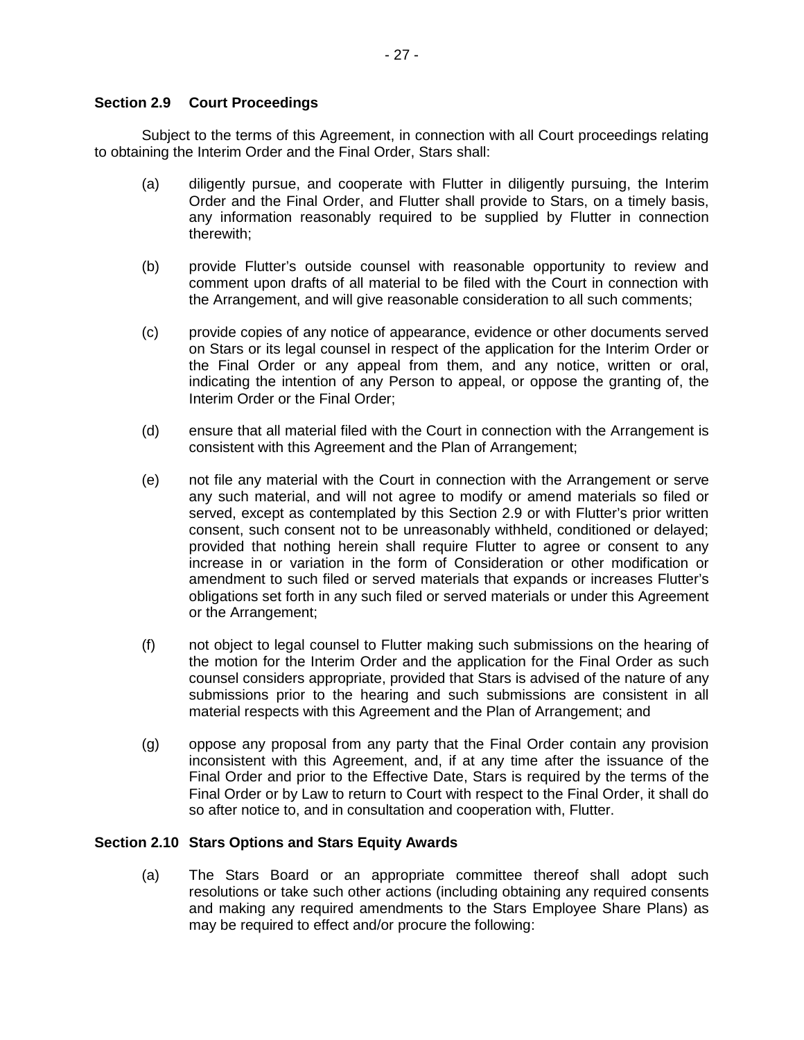## **Section 2.9 Court Proceedings**

Subject to the terms of this Agreement, in connection with all Court proceedings relating to obtaining the Interim Order and the Final Order, Stars shall:

- (a) diligently pursue, and cooperate with Flutter in diligently pursuing, the Interim Order and the Final Order, and Flutter shall provide to Stars, on a timely basis, any information reasonably required to be supplied by Flutter in connection therewith;
- (b) provide Flutter's outside counsel with reasonable opportunity to review and comment upon drafts of all material to be filed with the Court in connection with the Arrangement, and will give reasonable consideration to all such comments;
- (c) provide copies of any notice of appearance, evidence or other documents served on Stars or its legal counsel in respect of the application for the Interim Order or the Final Order or any appeal from them, and any notice, written or oral, indicating the intention of any Person to appeal, or oppose the granting of, the Interim Order or the Final Order;
- (d) ensure that all material filed with the Court in connection with the Arrangement is consistent with this Agreement and the Plan of Arrangement;
- (e) not file any material with the Court in connection with the Arrangement or serve any such material, and will not agree to modify or amend materials so filed or served, except as contemplated by this Section 2.9 or with Flutter's prior written consent, such consent not to be unreasonably withheld, conditioned or delayed; provided that nothing herein shall require Flutter to agree or consent to any increase in or variation in the form of Consideration or other modification or amendment to such filed or served materials that expands or increases Flutter's obligations set forth in any such filed or served materials or under this Agreement or the Arrangement;
- (f) not object to legal counsel to Flutter making such submissions on the hearing of the motion for the Interim Order and the application for the Final Order as such counsel considers appropriate, provided that Stars is advised of the nature of any submissions prior to the hearing and such submissions are consistent in all material respects with this Agreement and the Plan of Arrangement; and
- (g) oppose any proposal from any party that the Final Order contain any provision inconsistent with this Agreement, and, if at any time after the issuance of the Final Order and prior to the Effective Date, Stars is required by the terms of the Final Order or by Law to return to Court with respect to the Final Order, it shall do so after notice to, and in consultation and cooperation with, Flutter.

# **Section 2.10 Stars Options and Stars Equity Awards**

(a) The Stars Board or an appropriate committee thereof shall adopt such resolutions or take such other actions (including obtaining any required consents and making any required amendments to the Stars Employee Share Plans) as may be required to effect and/or procure the following: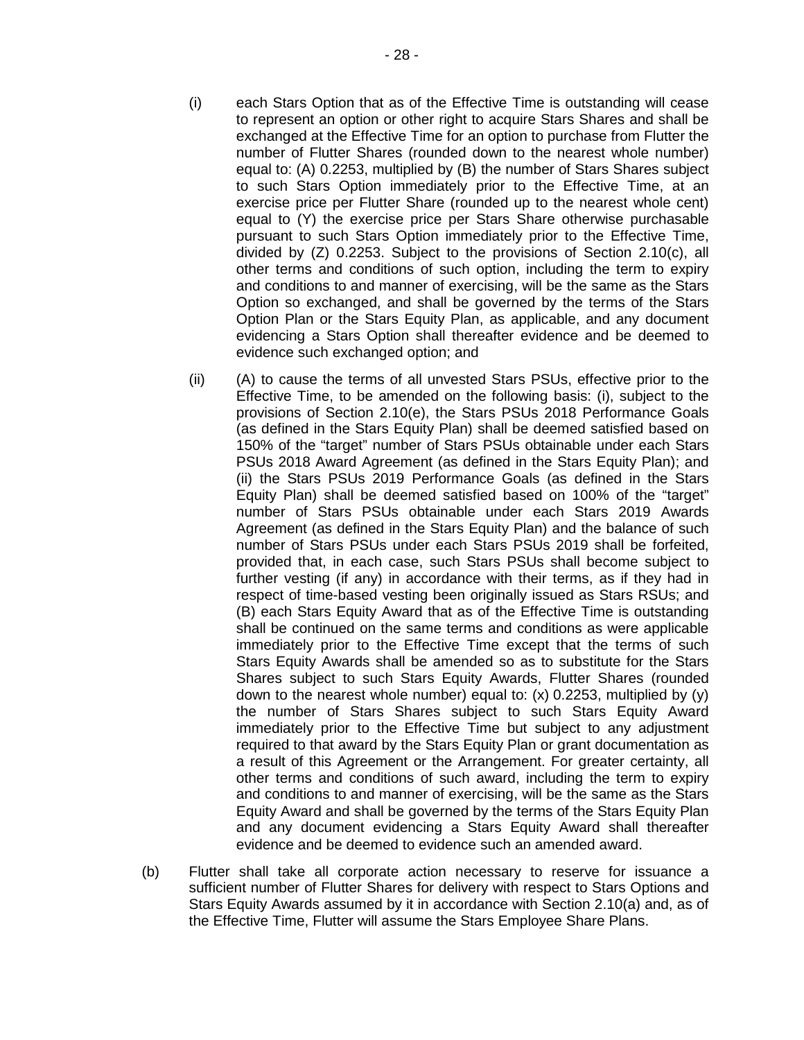- (i) each Stars Option that as of the Effective Time is outstanding will cease to represent an option or other right to acquire Stars Shares and shall be exchanged at the Effective Time for an option to purchase from Flutter the number of Flutter Shares (rounded down to the nearest whole number) equal to: (A) 0.2253, multiplied by (B) the number of Stars Shares subject to such Stars Option immediately prior to the Effective Time, at an exercise price per Flutter Share (rounded up to the nearest whole cent) equal to (Y) the exercise price per Stars Share otherwise purchasable pursuant to such Stars Option immediately prior to the Effective Time, divided by (Z) 0.2253. Subject to the provisions of Section 2.10(c), all other terms and conditions of such option, including the term to expiry and conditions to and manner of exercising, will be the same as the Stars Option so exchanged, and shall be governed by the terms of the Stars Option Plan or the Stars Equity Plan, as applicable, and any document evidencing a Stars Option shall thereafter evidence and be deemed to evidence such exchanged option; and
- (ii) (A) to cause the terms of all unvested Stars PSUs, effective prior to the Effective Time, to be amended on the following basis: (i), subject to the provisions of Section 2.10(e), the Stars PSUs 2018 Performance Goals (as defined in the Stars Equity Plan) shall be deemed satisfied based on 150% of the "target" number of Stars PSUs obtainable under each Stars PSUs 2018 Award Agreement (as defined in the Stars Equity Plan); and (ii) the Stars PSUs 2019 Performance Goals (as defined in the Stars Equity Plan) shall be deemed satisfied based on 100% of the "target" number of Stars PSUs obtainable under each Stars 2019 Awards Agreement (as defined in the Stars Equity Plan) and the balance of such number of Stars PSUs under each Stars PSUs 2019 shall be forfeited, provided that, in each case, such Stars PSUs shall become subject to further vesting (if any) in accordance with their terms, as if they had in respect of time-based vesting been originally issued as Stars RSUs; and (B) each Stars Equity Award that as of the Effective Time is outstanding shall be continued on the same terms and conditions as were applicable immediately prior to the Effective Time except that the terms of such Stars Equity Awards shall be amended so as to substitute for the Stars Shares subject to such Stars Equity Awards, Flutter Shares (rounded down to the nearest whole number) equal to: (x) 0.2253, multiplied by (y) the number of Stars Shares subject to such Stars Equity Award immediately prior to the Effective Time but subject to any adjustment required to that award by the Stars Equity Plan or grant documentation as a result of this Agreement or the Arrangement. For greater certainty, all other terms and conditions of such award, including the term to expiry and conditions to and manner of exercising, will be the same as the Stars Equity Award and shall be governed by the terms of the Stars Equity Plan and any document evidencing a Stars Equity Award shall thereafter evidence and be deemed to evidence such an amended award.
- (b) Flutter shall take all corporate action necessary to reserve for issuance a sufficient number of Flutter Shares for delivery with respect to Stars Options and Stars Equity Awards assumed by it in accordance with Section 2.10(a) and, as of the Effective Time, Flutter will assume the Stars Employee Share Plans.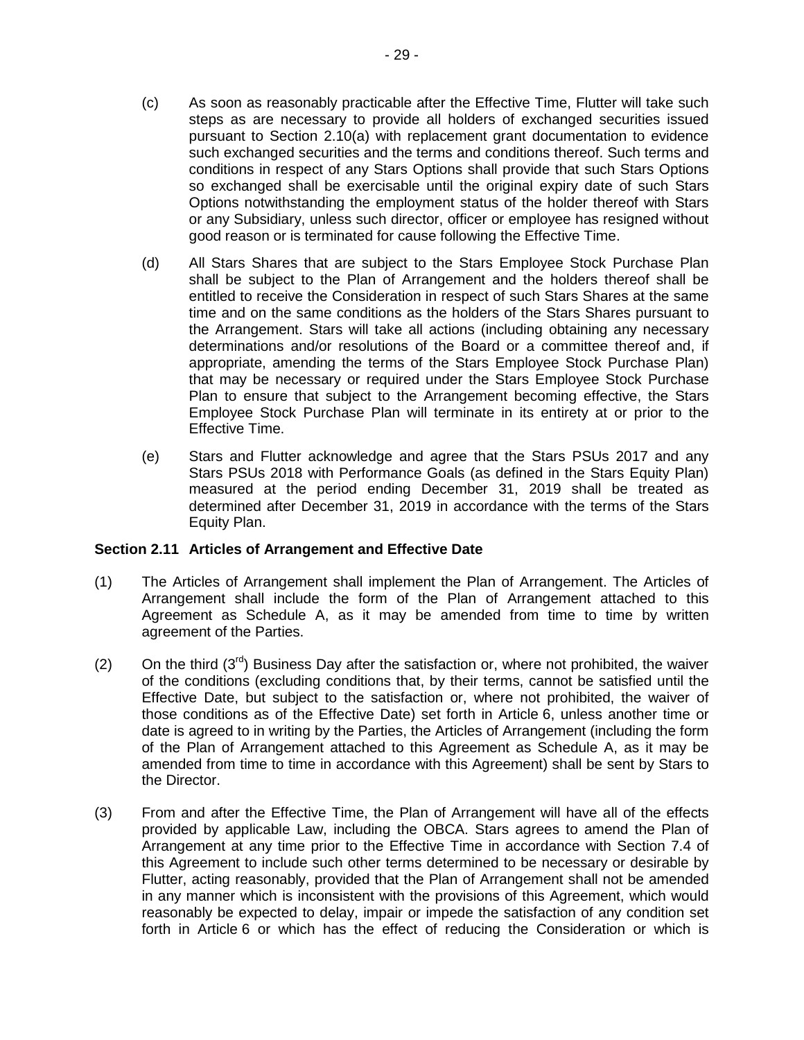- (c) As soon as reasonably practicable after the Effective Time, Flutter will take such steps as are necessary to provide all holders of exchanged securities issued pursuant to Section 2.10(a) with replacement grant documentation to evidence such exchanged securities and the terms and conditions thereof. Such terms and conditions in respect of any Stars Options shall provide that such Stars Options so exchanged shall be exercisable until the original expiry date of such Stars Options notwithstanding the employment status of the holder thereof with Stars or any Subsidiary, unless such director, officer or employee has resigned without good reason or is terminated for cause following the Effective Time.
- (d) All Stars Shares that are subject to the Stars Employee Stock Purchase Plan shall be subject to the Plan of Arrangement and the holders thereof shall be entitled to receive the Consideration in respect of such Stars Shares at the same time and on the same conditions as the holders of the Stars Shares pursuant to the Arrangement. Stars will take all actions (including obtaining any necessary determinations and/or resolutions of the Board or a committee thereof and, if appropriate, amending the terms of the Stars Employee Stock Purchase Plan) that may be necessary or required under the Stars Employee Stock Purchase Plan to ensure that subject to the Arrangement becoming effective, the Stars Employee Stock Purchase Plan will terminate in its entirety at or prior to the Effective Time.
- (e) Stars and Flutter acknowledge and agree that the Stars PSUs 2017 and any Stars PSUs 2018 with Performance Goals (as defined in the Stars Equity Plan) measured at the period ending December 31, 2019 shall be treated as determined after December 31, 2019 in accordance with the terms of the Stars Equity Plan.

# **Section 2.11 Articles of Arrangement and Effective Date**

- (1) The Articles of Arrangement shall implement the Plan of Arrangement. The Articles of Arrangement shall include the form of the Plan of Arrangement attached to this Agreement as Schedule A, as it may be amended from time to time by written agreement of the Parties.
- (2) On the third  $(3^{rd})$  Business Day after the satisfaction or, where not prohibited, the waiver of the conditions (excluding conditions that, by their terms, cannot be satisfied until the Effective Date, but subject to the satisfaction or, where not prohibited, the waiver of those conditions as of the Effective Date) set forth in Article 6, unless another time or date is agreed to in writing by the Parties, the Articles of Arrangement (including the form of the Plan of Arrangement attached to this Agreement as Schedule A, as it may be amended from time to time in accordance with this Agreement) shall be sent by Stars to the Director.
- (3) From and after the Effective Time, the Plan of Arrangement will have all of the effects provided by applicable Law, including the OBCA. Stars agrees to amend the Plan of Arrangement at any time prior to the Effective Time in accordance with Section 7.4 of this Agreement to include such other terms determined to be necessary or desirable by Flutter, acting reasonably, provided that the Plan of Arrangement shall not be amended in any manner which is inconsistent with the provisions of this Agreement, which would reasonably be expected to delay, impair or impede the satisfaction of any condition set forth in Article 6 or which has the effect of reducing the Consideration or which is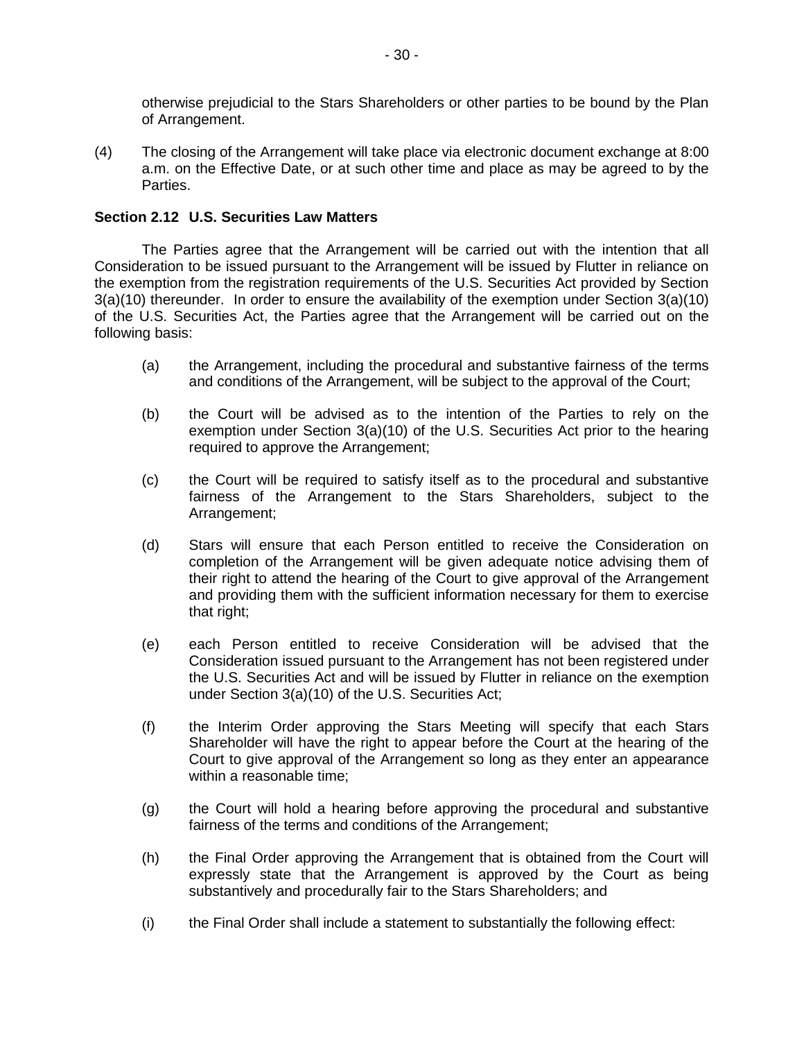otherwise prejudicial to the Stars Shareholders or other parties to be bound by the Plan of Arrangement.

(4) The closing of the Arrangement will take place via electronic document exchange at 8:00 a.m. on the Effective Date, or at such other time and place as may be agreed to by the Parties.

## **Section 2.12 U.S. Securities Law Matters**

The Parties agree that the Arrangement will be carried out with the intention that all Consideration to be issued pursuant to the Arrangement will be issued by Flutter in reliance on the exemption from the registration requirements of the U.S. Securities Act provided by Section 3(a)(10) thereunder. In order to ensure the availability of the exemption under Section 3(a)(10) of the U.S. Securities Act, the Parties agree that the Arrangement will be carried out on the following basis:

- (a) the Arrangement, including the procedural and substantive fairness of the terms and conditions of the Arrangement, will be subject to the approval of the Court;
- (b) the Court will be advised as to the intention of the Parties to rely on the exemption under Section 3(a)(10) of the U.S. Securities Act prior to the hearing required to approve the Arrangement;
- (c) the Court will be required to satisfy itself as to the procedural and substantive fairness of the Arrangement to the Stars Shareholders, subject to the Arrangement;
- (d) Stars will ensure that each Person entitled to receive the Consideration on completion of the Arrangement will be given adequate notice advising them of their right to attend the hearing of the Court to give approval of the Arrangement and providing them with the sufficient information necessary for them to exercise that right;
- (e) each Person entitled to receive Consideration will be advised that the Consideration issued pursuant to the Arrangement has not been registered under the U.S. Securities Act and will be issued by Flutter in reliance on the exemption under Section 3(a)(10) of the U.S. Securities Act;
- (f) the Interim Order approving the Stars Meeting will specify that each Stars Shareholder will have the right to appear before the Court at the hearing of the Court to give approval of the Arrangement so long as they enter an appearance within a reasonable time;
- (g) the Court will hold a hearing before approving the procedural and substantive fairness of the terms and conditions of the Arrangement;
- (h) the Final Order approving the Arrangement that is obtained from the Court will expressly state that the Arrangement is approved by the Court as being substantively and procedurally fair to the Stars Shareholders; and
- (i) the Final Order shall include a statement to substantially the following effect: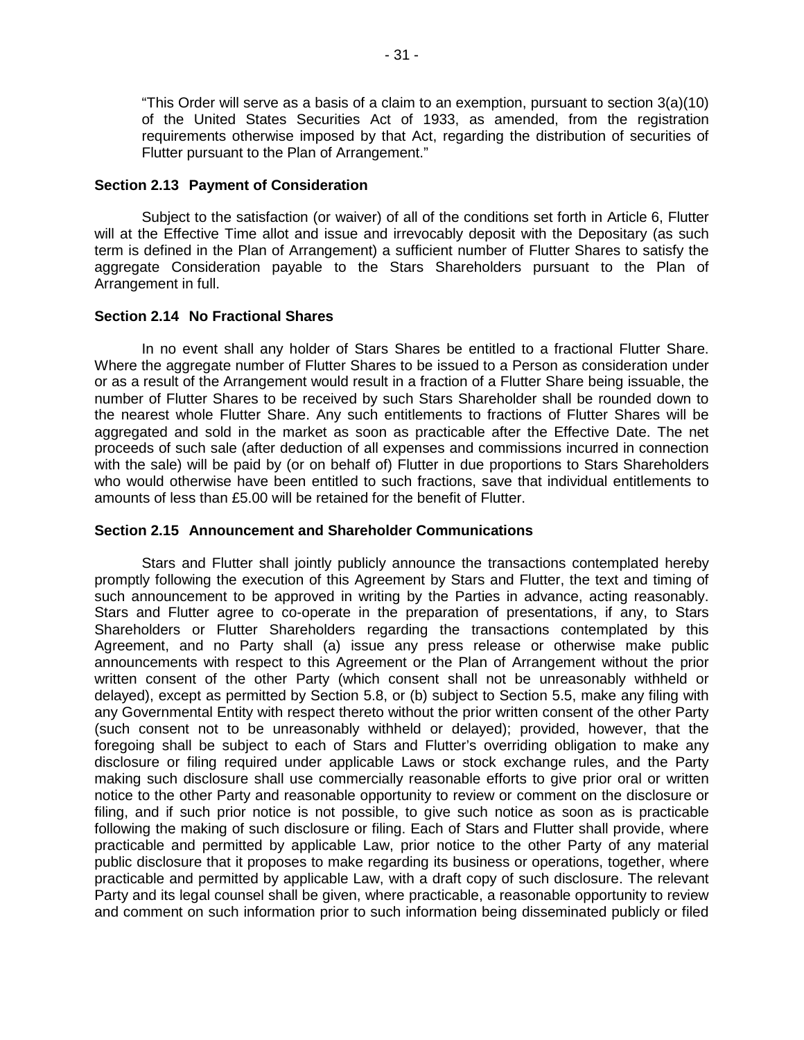"This Order will serve as a basis of a claim to an exemption, pursuant to section 3(a)(10) of the United States Securities Act of 1933, as amended, from the registration requirements otherwise imposed by that Act, regarding the distribution of securities of Flutter pursuant to the Plan of Arrangement."

#### **Section 2.13 Payment of Consideration**

Subject to the satisfaction (or waiver) of all of the conditions set forth in Article 6, Flutter will at the Effective Time allot and issue and irrevocably deposit with the Depositary (as such term is defined in the Plan of Arrangement) a sufficient number of Flutter Shares to satisfy the aggregate Consideration payable to the Stars Shareholders pursuant to the Plan of Arrangement in full.

#### **Section 2.14 No Fractional Shares**

In no event shall any holder of Stars Shares be entitled to a fractional Flutter Share. Where the aggregate number of Flutter Shares to be issued to a Person as consideration under or as a result of the Arrangement would result in a fraction of a Flutter Share being issuable, the number of Flutter Shares to be received by such Stars Shareholder shall be rounded down to the nearest whole Flutter Share. Any such entitlements to fractions of Flutter Shares will be aggregated and sold in the market as soon as practicable after the Effective Date. The net proceeds of such sale (after deduction of all expenses and commissions incurred in connection with the sale) will be paid by (or on behalf of) Flutter in due proportions to Stars Shareholders who would otherwise have been entitled to such fractions, save that individual entitlements to amounts of less than £5.00 will be retained for the benefit of Flutter.

## **Section 2.15 Announcement and Shareholder Communications**

Stars and Flutter shall jointly publicly announce the transactions contemplated hereby promptly following the execution of this Agreement by Stars and Flutter, the text and timing of such announcement to be approved in writing by the Parties in advance, acting reasonably. Stars and Flutter agree to co-operate in the preparation of presentations, if any, to Stars Shareholders or Flutter Shareholders regarding the transactions contemplated by this Agreement, and no Party shall (a) issue any press release or otherwise make public announcements with respect to this Agreement or the Plan of Arrangement without the prior written consent of the other Party (which consent shall not be unreasonably withheld or delayed), except as permitted by Section 5.8, or (b) subject to Section 5.5, make any filing with any Governmental Entity with respect thereto without the prior written consent of the other Party (such consent not to be unreasonably withheld or delayed); provided, however, that the foregoing shall be subject to each of Stars and Flutter's overriding obligation to make any disclosure or filing required under applicable Laws or stock exchange rules, and the Party making such disclosure shall use commercially reasonable efforts to give prior oral or written notice to the other Party and reasonable opportunity to review or comment on the disclosure or filing, and if such prior notice is not possible, to give such notice as soon as is practicable following the making of such disclosure or filing. Each of Stars and Flutter shall provide, where practicable and permitted by applicable Law, prior notice to the other Party of any material public disclosure that it proposes to make regarding its business or operations, together, where practicable and permitted by applicable Law, with a draft copy of such disclosure. The relevant Party and its legal counsel shall be given, where practicable, a reasonable opportunity to review and comment on such information prior to such information being disseminated publicly or filed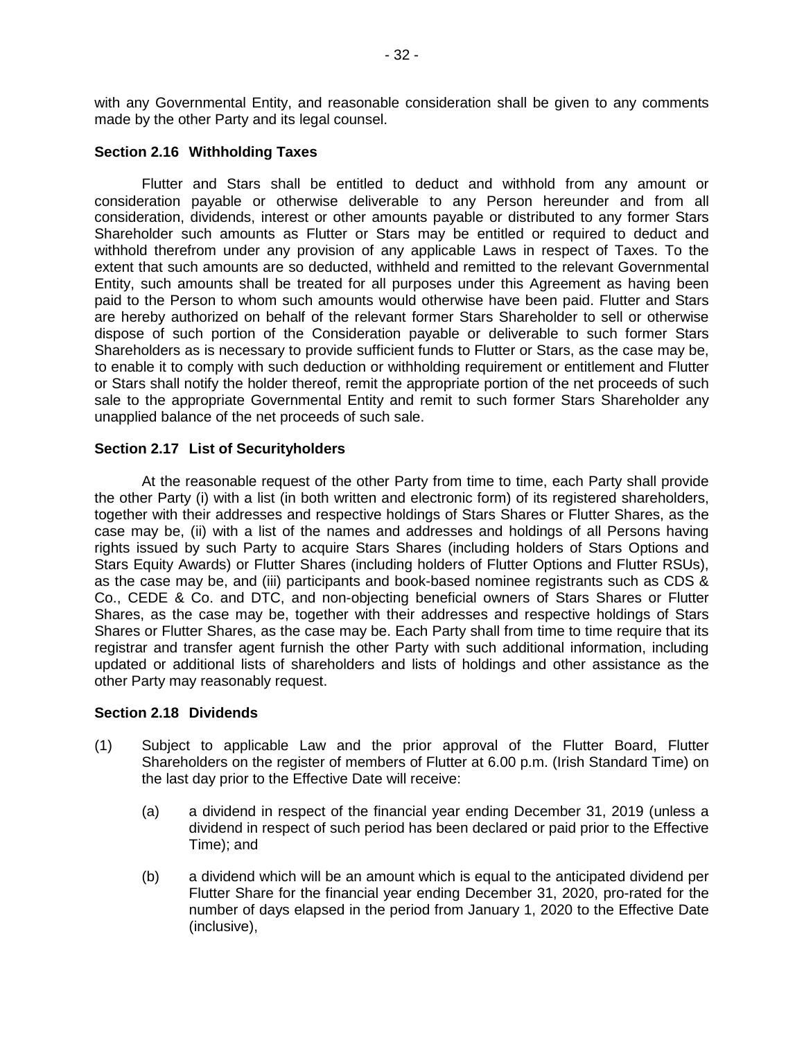with any Governmental Entity, and reasonable consideration shall be given to any comments made by the other Party and its legal counsel.

## **Section 2.16 Withholding Taxes**

Flutter and Stars shall be entitled to deduct and withhold from any amount or consideration payable or otherwise deliverable to any Person hereunder and from all consideration, dividends, interest or other amounts payable or distributed to any former Stars Shareholder such amounts as Flutter or Stars may be entitled or required to deduct and withhold therefrom under any provision of any applicable Laws in respect of Taxes. To the extent that such amounts are so deducted, withheld and remitted to the relevant Governmental Entity, such amounts shall be treated for all purposes under this Agreement as having been paid to the Person to whom such amounts would otherwise have been paid. Flutter and Stars are hereby authorized on behalf of the relevant former Stars Shareholder to sell or otherwise dispose of such portion of the Consideration payable or deliverable to such former Stars Shareholders as is necessary to provide sufficient funds to Flutter or Stars, as the case may be, to enable it to comply with such deduction or withholding requirement or entitlement and Flutter or Stars shall notify the holder thereof, remit the appropriate portion of the net proceeds of such sale to the appropriate Governmental Entity and remit to such former Stars Shareholder any unapplied balance of the net proceeds of such sale.

#### **Section 2.17 List of Securityholders**

At the reasonable request of the other Party from time to time, each Party shall provide the other Party (i) with a list (in both written and electronic form) of its registered shareholders, together with their addresses and respective holdings of Stars Shares or Flutter Shares, as the case may be, (ii) with a list of the names and addresses and holdings of all Persons having rights issued by such Party to acquire Stars Shares (including holders of Stars Options and Stars Equity Awards) or Flutter Shares (including holders of Flutter Options and Flutter RSUs), as the case may be, and (iii) participants and book-based nominee registrants such as CDS & Co., CEDE & Co. and DTC, and non-objecting beneficial owners of Stars Shares or Flutter Shares, as the case may be, together with their addresses and respective holdings of Stars Shares or Flutter Shares, as the case may be. Each Party shall from time to time require that its registrar and transfer agent furnish the other Party with such additional information, including updated or additional lists of shareholders and lists of holdings and other assistance as the other Party may reasonably request.

## **Section 2.18 Dividends**

- (1) Subject to applicable Law and the prior approval of the Flutter Board, Flutter Shareholders on the register of members of Flutter at 6.00 p.m. (Irish Standard Time) on the last day prior to the Effective Date will receive:
	- (a) a dividend in respect of the financial year ending December 31, 2019 (unless a dividend in respect of such period has been declared or paid prior to the Effective Time); and
	- (b) a dividend which will be an amount which is equal to the anticipated dividend per Flutter Share for the financial year ending December 31, 2020, pro-rated for the number of days elapsed in the period from January 1, 2020 to the Effective Date (inclusive),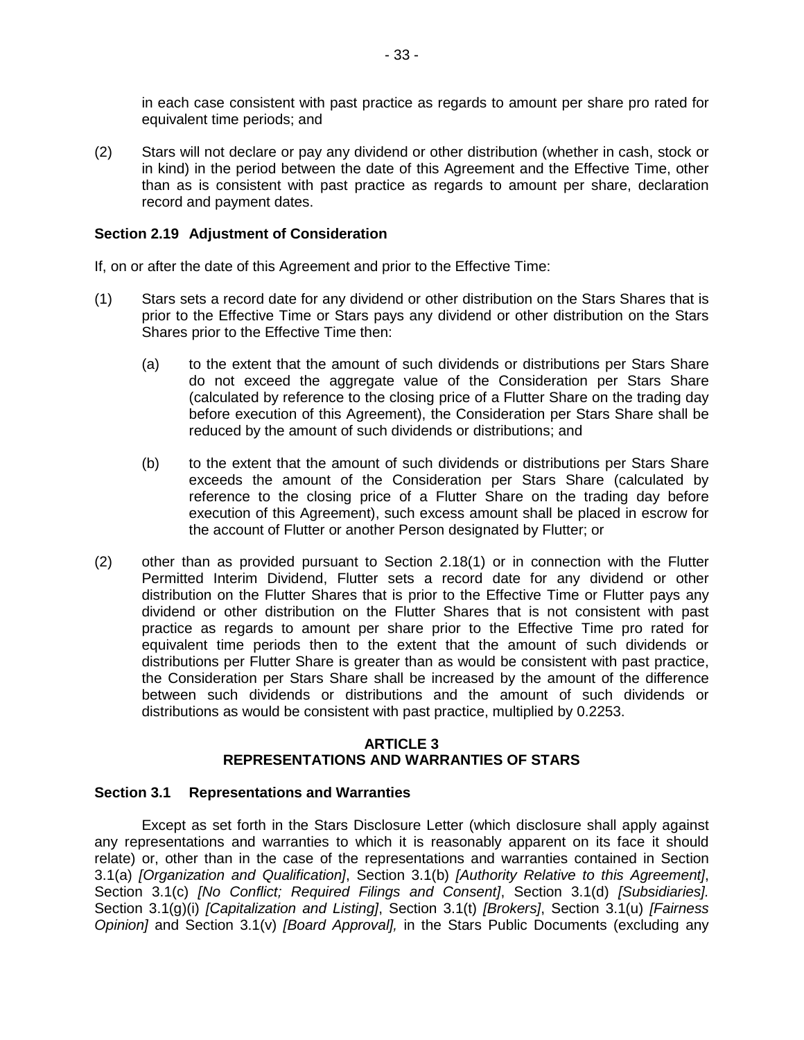in each case consistent with past practice as regards to amount per share pro rated for equivalent time periods; and

(2) Stars will not declare or pay any dividend or other distribution (whether in cash, stock or in kind) in the period between the date of this Agreement and the Effective Time, other than as is consistent with past practice as regards to amount per share, declaration record and payment dates.

## **Section 2.19 Adjustment of Consideration**

If, on or after the date of this Agreement and prior to the Effective Time:

- (1) Stars sets a record date for any dividend or other distribution on the Stars Shares that is prior to the Effective Time or Stars pays any dividend or other distribution on the Stars Shares prior to the Effective Time then:
	- (a) to the extent that the amount of such dividends or distributions per Stars Share do not exceed the aggregate value of the Consideration per Stars Share (calculated by reference to the closing price of a Flutter Share on the trading day before execution of this Agreement), the Consideration per Stars Share shall be reduced by the amount of such dividends or distributions; and
	- (b) to the extent that the amount of such dividends or distributions per Stars Share exceeds the amount of the Consideration per Stars Share (calculated by reference to the closing price of a Flutter Share on the trading day before execution of this Agreement), such excess amount shall be placed in escrow for the account of Flutter or another Person designated by Flutter; or
- (2) other than as provided pursuant to Section 2.18(1) or in connection with the Flutter Permitted Interim Dividend, Flutter sets a record date for any dividend or other distribution on the Flutter Shares that is prior to the Effective Time or Flutter pays any dividend or other distribution on the Flutter Shares that is not consistent with past practice as regards to amount per share prior to the Effective Time pro rated for equivalent time periods then to the extent that the amount of such dividends or distributions per Flutter Share is greater than as would be consistent with past practice, the Consideration per Stars Share shall be increased by the amount of the difference between such dividends or distributions and the amount of such dividends or distributions as would be consistent with past practice, multiplied by 0.2253.

## **ARTICLE 3 REPRESENTATIONS AND WARRANTIES OF STARS**

## **Section 3.1 Representations and Warranties**

Except as set forth in the Stars Disclosure Letter (which disclosure shall apply against any representations and warranties to which it is reasonably apparent on its face it should relate) or, other than in the case of the representations and warranties contained in Section 3.1(a) *[Organization and Qualification]*, Section 3.1(b) *[Authority Relative to this Agreement]*, Section 3.1(c) *[No Conflict; Required Filings and Consent]*, Section 3.1(d) *[Subsidiaries].* Section 3.1(g)(i) *[Capitalization and Listing]*, Section 3.1(t) *[Brokers]*, Section 3.1(u) *[Fairness Opinion]* and Section 3.1(v) *[Board Approval],* in the Stars Public Documents (excluding any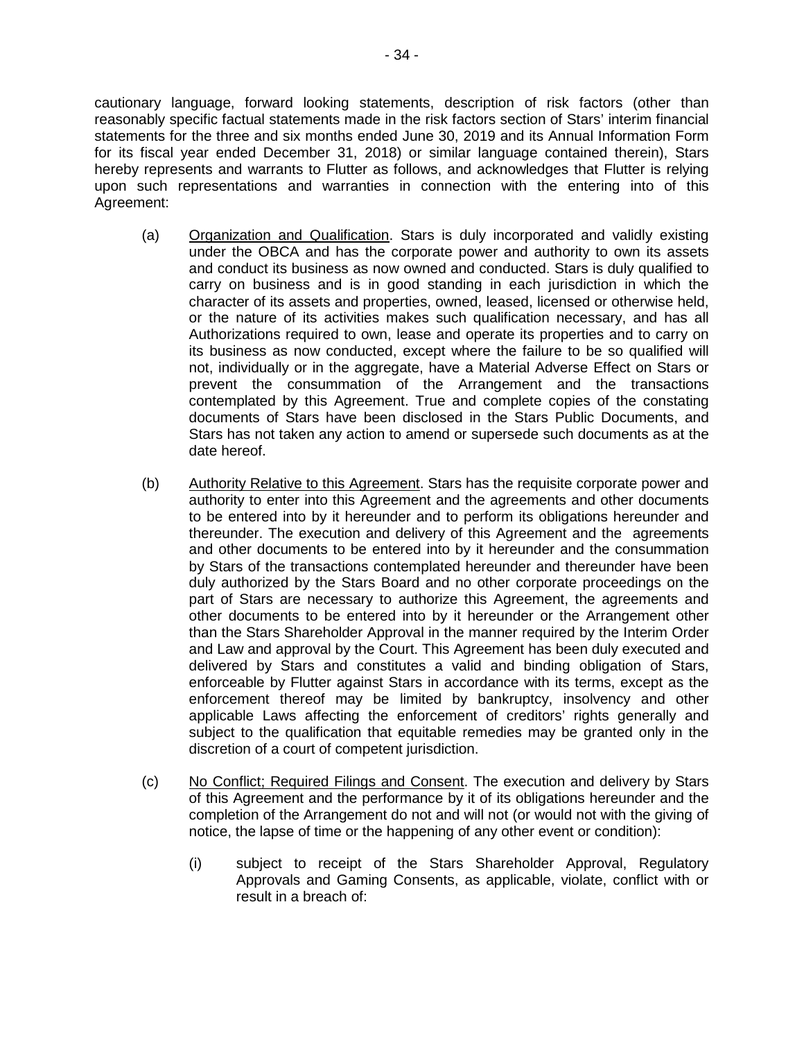cautionary language, forward looking statements, description of risk factors (other than reasonably specific factual statements made in the risk factors section of Stars' interim financial statements for the three and six months ended June 30, 2019 and its Annual Information Form for its fiscal year ended December 31, 2018) or similar language contained therein), Stars hereby represents and warrants to Flutter as follows, and acknowledges that Flutter is relying upon such representations and warranties in connection with the entering into of this Agreement:

- (a) Organization and Qualification. Stars is duly incorporated and validly existing under the OBCA and has the corporate power and authority to own its assets and conduct its business as now owned and conducted. Stars is duly qualified to carry on business and is in good standing in each jurisdiction in which the character of its assets and properties, owned, leased, licensed or otherwise held, or the nature of its activities makes such qualification necessary, and has all Authorizations required to own, lease and operate its properties and to carry on its business as now conducted, except where the failure to be so qualified will not, individually or in the aggregate, have a Material Adverse Effect on Stars or prevent the consummation of the Arrangement and the transactions contemplated by this Agreement. True and complete copies of the constating documents of Stars have been disclosed in the Stars Public Documents, and Stars has not taken any action to amend or supersede such documents as at the date hereof.
- (b) Authority Relative to this Agreement. Stars has the requisite corporate power and authority to enter into this Agreement and the agreements and other documents to be entered into by it hereunder and to perform its obligations hereunder and thereunder. The execution and delivery of this Agreement and the agreements and other documents to be entered into by it hereunder and the consummation by Stars of the transactions contemplated hereunder and thereunder have been duly authorized by the Stars Board and no other corporate proceedings on the part of Stars are necessary to authorize this Agreement, the agreements and other documents to be entered into by it hereunder or the Arrangement other than the Stars Shareholder Approval in the manner required by the Interim Order and Law and approval by the Court. This Agreement has been duly executed and delivered by Stars and constitutes a valid and binding obligation of Stars, enforceable by Flutter against Stars in accordance with its terms, except as the enforcement thereof may be limited by bankruptcy, insolvency and other applicable Laws affecting the enforcement of creditors' rights generally and subject to the qualification that equitable remedies may be granted only in the discretion of a court of competent jurisdiction.
- (c) No Conflict; Required Filings and Consent. The execution and delivery by Stars of this Agreement and the performance by it of its obligations hereunder and the completion of the Arrangement do not and will not (or would not with the giving of notice, the lapse of time or the happening of any other event or condition):
	- (i) subject to receipt of the Stars Shareholder Approval, Regulatory Approvals and Gaming Consents, as applicable, violate, conflict with or result in a breach of: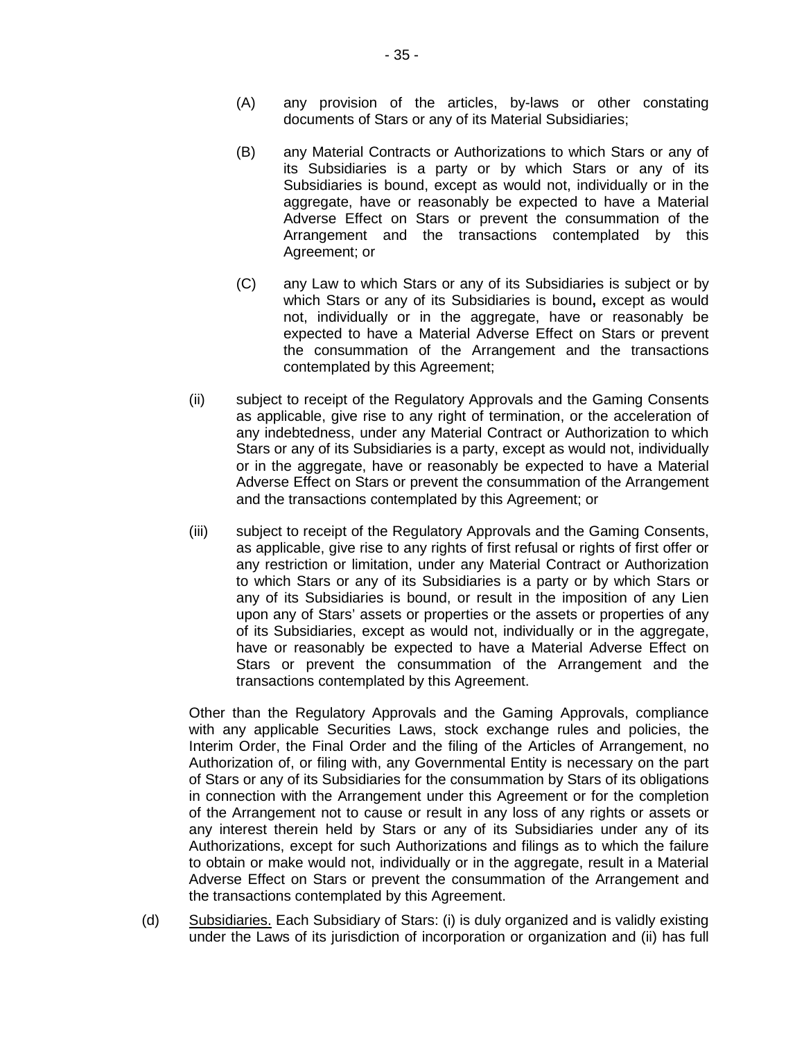- (A) any provision of the articles, by-laws or other constating documents of Stars or any of its Material Subsidiaries;
- (B) any Material Contracts or Authorizations to which Stars or any of its Subsidiaries is a party or by which Stars or any of its Subsidiaries is bound, except as would not, individually or in the aggregate, have or reasonably be expected to have a Material Adverse Effect on Stars or prevent the consummation of the Arrangement and the transactions contemplated by this Agreement; or
- (C) any Law to which Stars or any of its Subsidiaries is subject or by which Stars or any of its Subsidiaries is bound**,** except as would not, individually or in the aggregate, have or reasonably be expected to have a Material Adverse Effect on Stars or prevent the consummation of the Arrangement and the transactions contemplated by this Agreement;
- (ii) subject to receipt of the Regulatory Approvals and the Gaming Consents as applicable, give rise to any right of termination, or the acceleration of any indebtedness, under any Material Contract or Authorization to which Stars or any of its Subsidiaries is a party, except as would not, individually or in the aggregate, have or reasonably be expected to have a Material Adverse Effect on Stars or prevent the consummation of the Arrangement and the transactions contemplated by this Agreement; or
- (iii) subject to receipt of the Regulatory Approvals and the Gaming Consents, as applicable, give rise to any rights of first refusal or rights of first offer or any restriction or limitation, under any Material Contract or Authorization to which Stars or any of its Subsidiaries is a party or by which Stars or any of its Subsidiaries is bound, or result in the imposition of any Lien upon any of Stars' assets or properties or the assets or properties of any of its Subsidiaries, except as would not, individually or in the aggregate, have or reasonably be expected to have a Material Adverse Effect on Stars or prevent the consummation of the Arrangement and the transactions contemplated by this Agreement.

Other than the Regulatory Approvals and the Gaming Approvals, compliance with any applicable Securities Laws, stock exchange rules and policies, the Interim Order, the Final Order and the filing of the Articles of Arrangement, no Authorization of, or filing with, any Governmental Entity is necessary on the part of Stars or any of its Subsidiaries for the consummation by Stars of its obligations in connection with the Arrangement under this Agreement or for the completion of the Arrangement not to cause or result in any loss of any rights or assets or any interest therein held by Stars or any of its Subsidiaries under any of its Authorizations, except for such Authorizations and filings as to which the failure to obtain or make would not, individually or in the aggregate, result in a Material Adverse Effect on Stars or prevent the consummation of the Arrangement and the transactions contemplated by this Agreement.

(d) Subsidiaries. Each Subsidiary of Stars: (i) is duly organized and is validly existing under the Laws of its jurisdiction of incorporation or organization and (ii) has full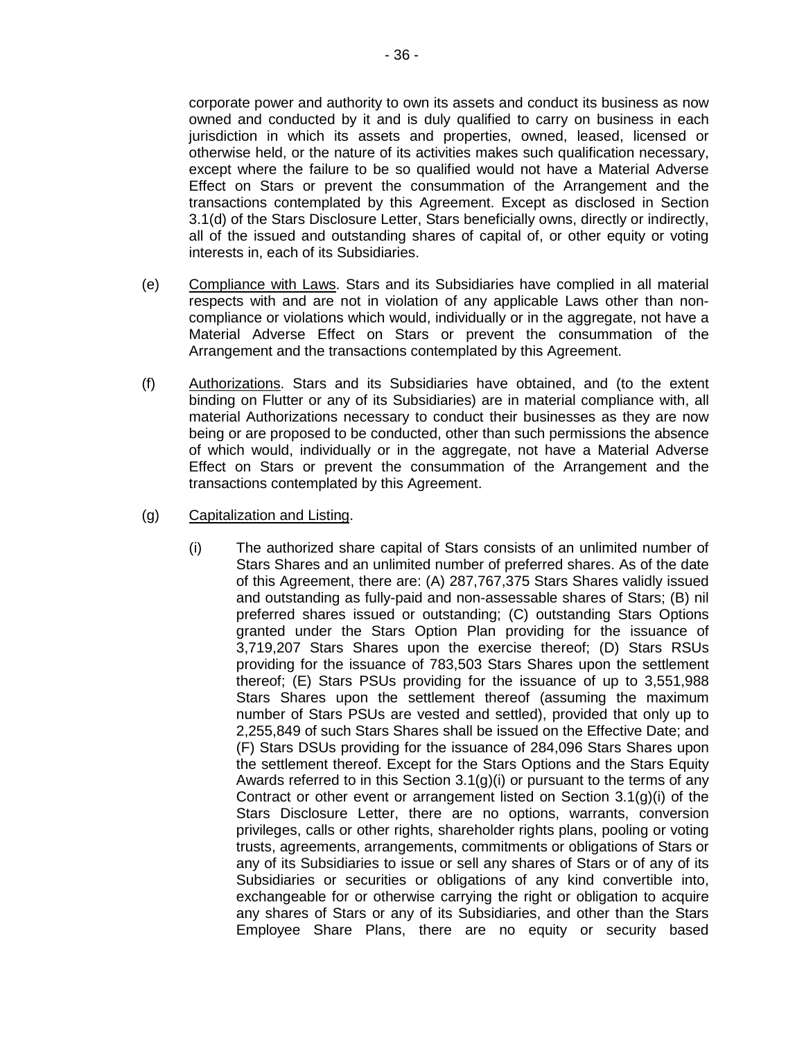corporate power and authority to own its assets and conduct its business as now owned and conducted by it and is duly qualified to carry on business in each jurisdiction in which its assets and properties, owned, leased, licensed or otherwise held, or the nature of its activities makes such qualification necessary, except where the failure to be so qualified would not have a Material Adverse Effect on Stars or prevent the consummation of the Arrangement and the transactions contemplated by this Agreement. Except as disclosed in Section 3.1(d) of the Stars Disclosure Letter, Stars beneficially owns, directly or indirectly, all of the issued and outstanding shares of capital of, or other equity or voting interests in, each of its Subsidiaries.

- (e) Compliance with Laws. Stars and its Subsidiaries have complied in all material respects with and are not in violation of any applicable Laws other than noncompliance or violations which would, individually or in the aggregate, not have a Material Adverse Effect on Stars or prevent the consummation of the Arrangement and the transactions contemplated by this Agreement.
- (f) Authorizations. Stars and its Subsidiaries have obtained, and (to the extent binding on Flutter or any of its Subsidiaries) are in material compliance with, all material Authorizations necessary to conduct their businesses as they are now being or are proposed to be conducted, other than such permissions the absence of which would, individually or in the aggregate, not have a Material Adverse Effect on Stars or prevent the consummation of the Arrangement and the transactions contemplated by this Agreement.
- (g) Capitalization and Listing.
	- (i) The authorized share capital of Stars consists of an unlimited number of Stars Shares and an unlimited number of preferred shares. As of the date of this Agreement, there are: (A) 287,767,375 Stars Shares validly issued and outstanding as fully-paid and non-assessable shares of Stars; (B) nil preferred shares issued or outstanding; (C) outstanding Stars Options granted under the Stars Option Plan providing for the issuance of 3,719,207 Stars Shares upon the exercise thereof; (D) Stars RSUs providing for the issuance of 783,503 Stars Shares upon the settlement thereof; (E) Stars PSUs providing for the issuance of up to 3,551,988 Stars Shares upon the settlement thereof (assuming the maximum number of Stars PSUs are vested and settled), provided that only up to 2,255,849 of such Stars Shares shall be issued on the Effective Date; and (F) Stars DSUs providing for the issuance of 284,096 Stars Shares upon the settlement thereof. Except for the Stars Options and the Stars Equity Awards referred to in this Section 3.1(g)(i) or pursuant to the terms of any Contract or other event or arrangement listed on Section 3.1(g)(i) of the Stars Disclosure Letter, there are no options, warrants, conversion privileges, calls or other rights, shareholder rights plans, pooling or voting trusts, agreements, arrangements, commitments or obligations of Stars or any of its Subsidiaries to issue or sell any shares of Stars or of any of its Subsidiaries or securities or obligations of any kind convertible into, exchangeable for or otherwise carrying the right or obligation to acquire any shares of Stars or any of its Subsidiaries, and other than the Stars Employee Share Plans, there are no equity or security based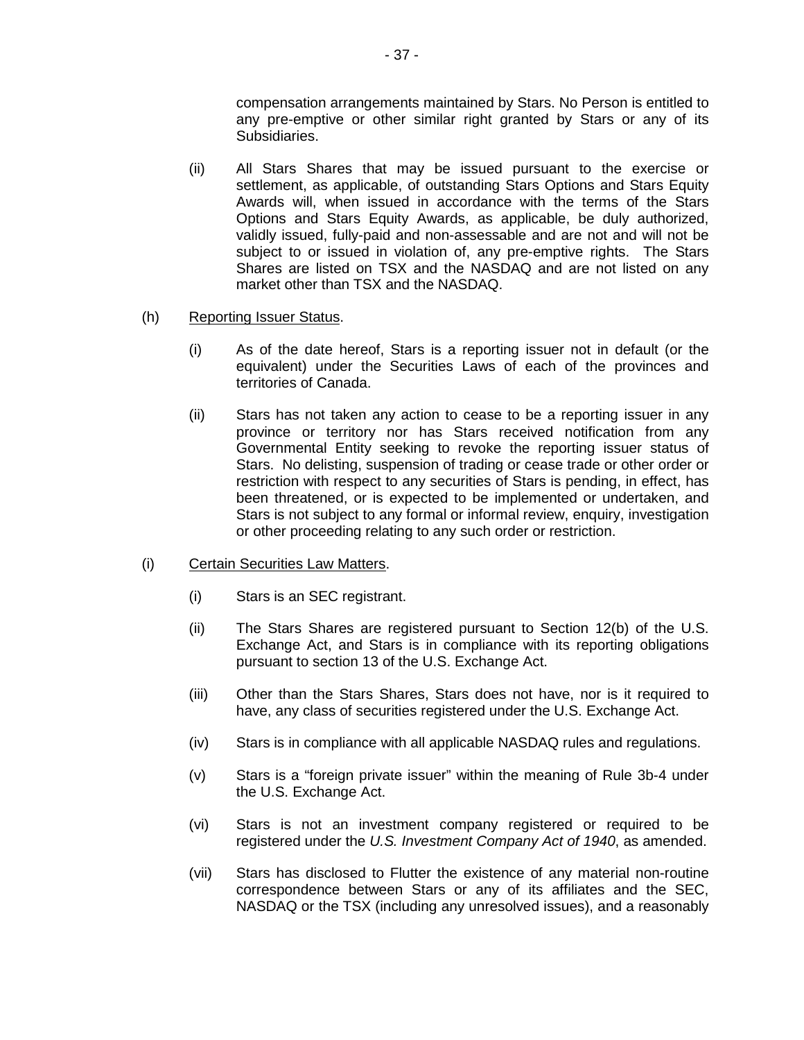compensation arrangements maintained by Stars. No Person is entitled to any pre-emptive or other similar right granted by Stars or any of its Subsidiaries.

(ii) All Stars Shares that may be issued pursuant to the exercise or settlement, as applicable, of outstanding Stars Options and Stars Equity Awards will, when issued in accordance with the terms of the Stars Options and Stars Equity Awards, as applicable, be duly authorized, validly issued, fully-paid and non-assessable and are not and will not be subject to or issued in violation of, any pre-emptive rights. The Stars Shares are listed on TSX and the NASDAQ and are not listed on any market other than TSX and the NASDAQ.

### (h) Reporting Issuer Status.

- (i) As of the date hereof, Stars is a reporting issuer not in default (or the equivalent) under the Securities Laws of each of the provinces and territories of Canada.
- (ii) Stars has not taken any action to cease to be a reporting issuer in any province or territory nor has Stars received notification from any Governmental Entity seeking to revoke the reporting issuer status of Stars. No delisting, suspension of trading or cease trade or other order or restriction with respect to any securities of Stars is pending, in effect, has been threatened, or is expected to be implemented or undertaken, and Stars is not subject to any formal or informal review, enquiry, investigation or other proceeding relating to any such order or restriction.
- (i) Certain Securities Law Matters.
	- (i) Stars is an SEC registrant.
	- (ii) The Stars Shares are registered pursuant to Section 12(b) of the U.S. Exchange Act, and Stars is in compliance with its reporting obligations pursuant to section 13 of the U.S. Exchange Act.
	- (iii) Other than the Stars Shares, Stars does not have, nor is it required to have, any class of securities registered under the U.S. Exchange Act.
	- (iv) Stars is in compliance with all applicable NASDAQ rules and regulations.
	- (v) Stars is a "foreign private issuer" within the meaning of Rule 3b-4 under the U.S. Exchange Act.
	- (vi) Stars is not an investment company registered or required to be registered under the *U.S. Investment Company Act of 1940*, as amended.
	- (vii) Stars has disclosed to Flutter the existence of any material non-routine correspondence between Stars or any of its affiliates and the SEC, NASDAQ or the TSX (including any unresolved issues), and a reasonably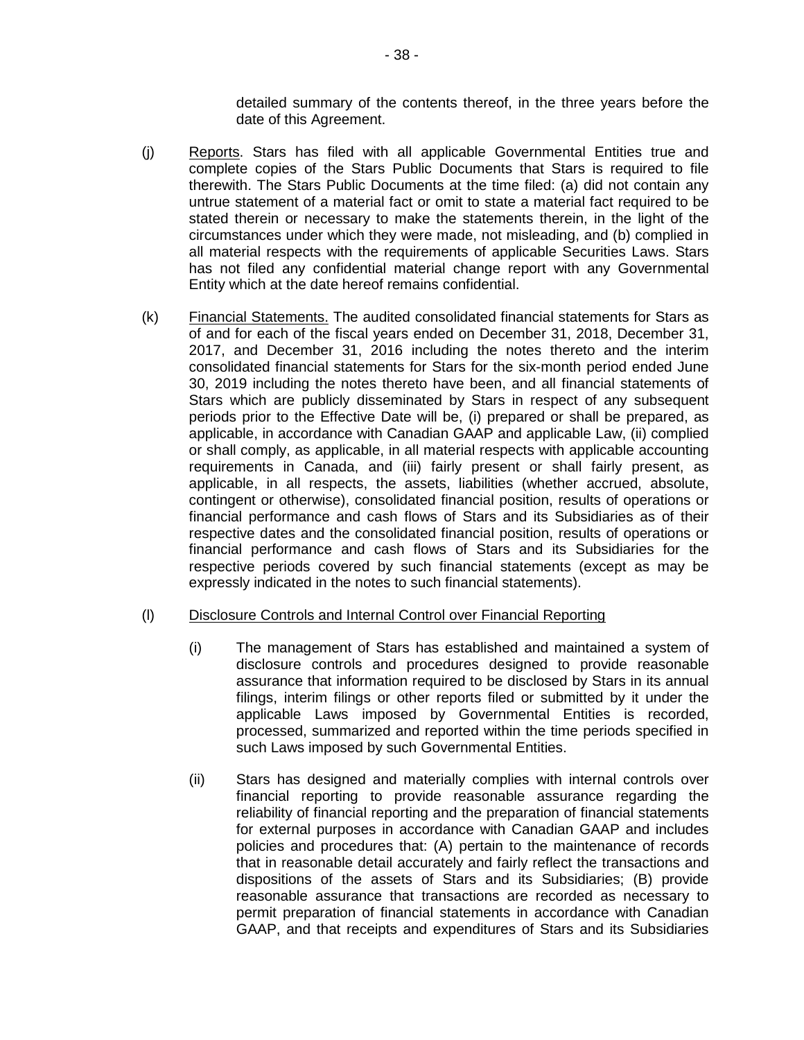detailed summary of the contents thereof, in the three years before the date of this Agreement.

- (j) Reports. Stars has filed with all applicable Governmental Entities true and complete copies of the Stars Public Documents that Stars is required to file therewith. The Stars Public Documents at the time filed: (a) did not contain any untrue statement of a material fact or omit to state a material fact required to be stated therein or necessary to make the statements therein, in the light of the circumstances under which they were made, not misleading, and (b) complied in all material respects with the requirements of applicable Securities Laws. Stars has not filed any confidential material change report with any Governmental Entity which at the date hereof remains confidential.
- (k) Financial Statements. The audited consolidated financial statements for Stars as of and for each of the fiscal years ended on December 31, 2018, December 31, 2017, and December 31, 2016 including the notes thereto and the interim consolidated financial statements for Stars for the six-month period ended June 30, 2019 including the notes thereto have been, and all financial statements of Stars which are publicly disseminated by Stars in respect of any subsequent periods prior to the Effective Date will be, (i) prepared or shall be prepared, as applicable, in accordance with Canadian GAAP and applicable Law, (ii) complied or shall comply, as applicable, in all material respects with applicable accounting requirements in Canada, and (iii) fairly present or shall fairly present, as applicable, in all respects, the assets, liabilities (whether accrued, absolute, contingent or otherwise), consolidated financial position, results of operations or financial performance and cash flows of Stars and its Subsidiaries as of their respective dates and the consolidated financial position, results of operations or financial performance and cash flows of Stars and its Subsidiaries for the respective periods covered by such financial statements (except as may be expressly indicated in the notes to such financial statements).

#### (l) Disclosure Controls and Internal Control over Financial Reporting

- (i) The management of Stars has established and maintained a system of disclosure controls and procedures designed to provide reasonable assurance that information required to be disclosed by Stars in its annual filings, interim filings or other reports filed or submitted by it under the applicable Laws imposed by Governmental Entities is recorded, processed, summarized and reported within the time periods specified in such Laws imposed by such Governmental Entities.
- (ii) Stars has designed and materially complies with internal controls over financial reporting to provide reasonable assurance regarding the reliability of financial reporting and the preparation of financial statements for external purposes in accordance with Canadian GAAP and includes policies and procedures that: (A) pertain to the maintenance of records that in reasonable detail accurately and fairly reflect the transactions and dispositions of the assets of Stars and its Subsidiaries; (B) provide reasonable assurance that transactions are recorded as necessary to permit preparation of financial statements in accordance with Canadian GAAP, and that receipts and expenditures of Stars and its Subsidiaries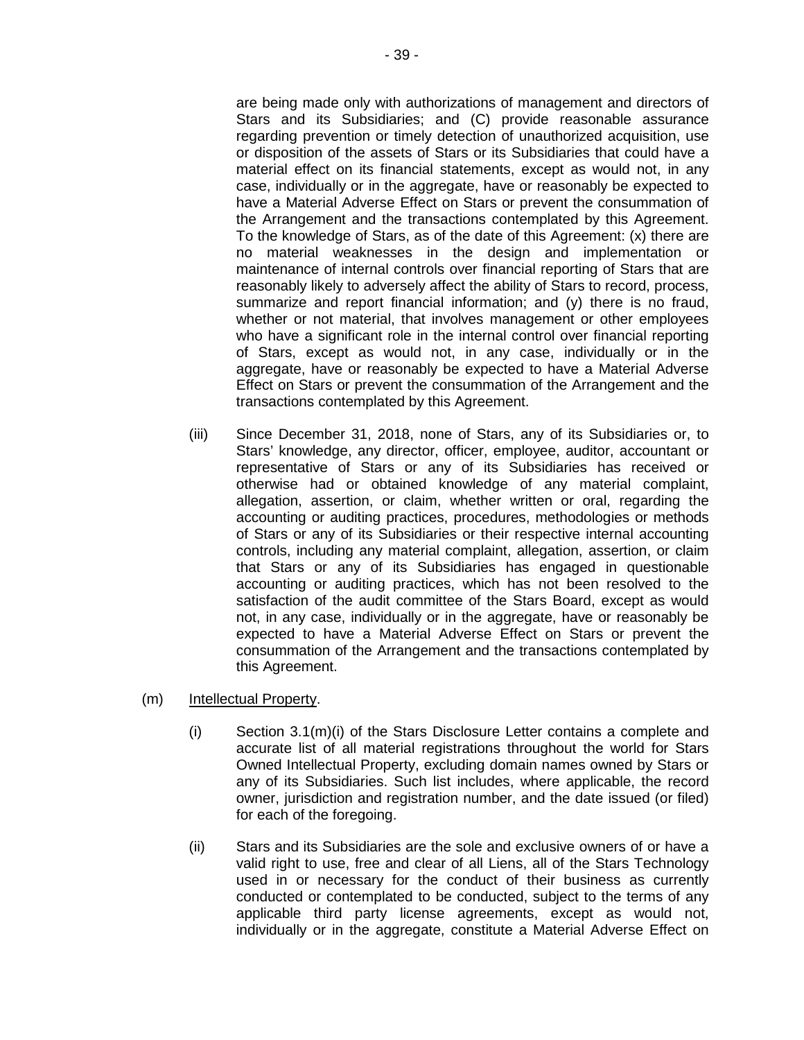are being made only with authorizations of management and directors of Stars and its Subsidiaries; and (C) provide reasonable assurance regarding prevention or timely detection of unauthorized acquisition, use or disposition of the assets of Stars or its Subsidiaries that could have a material effect on its financial statements, except as would not, in any case, individually or in the aggregate, have or reasonably be expected to have a Material Adverse Effect on Stars or prevent the consummation of the Arrangement and the transactions contemplated by this Agreement. To the knowledge of Stars, as of the date of this Agreement: (x) there are no material weaknesses in the design and implementation or maintenance of internal controls over financial reporting of Stars that are reasonably likely to adversely affect the ability of Stars to record, process, summarize and report financial information; and (y) there is no fraud, whether or not material, that involves management or other employees who have a significant role in the internal control over financial reporting of Stars, except as would not, in any case, individually or in the aggregate, have or reasonably be expected to have a Material Adverse Effect on Stars or prevent the consummation of the Arrangement and the transactions contemplated by this Agreement.

- (iii) Since December 31, 2018, none of Stars, any of its Subsidiaries or, to Stars' knowledge, any director, officer, employee, auditor, accountant or representative of Stars or any of its Subsidiaries has received or otherwise had or obtained knowledge of any material complaint, allegation, assertion, or claim, whether written or oral, regarding the accounting or auditing practices, procedures, methodologies or methods of Stars or any of its Subsidiaries or their respective internal accounting controls, including any material complaint, allegation, assertion, or claim that Stars or any of its Subsidiaries has engaged in questionable accounting or auditing practices, which has not been resolved to the satisfaction of the audit committee of the Stars Board, except as would not, in any case, individually or in the aggregate, have or reasonably be expected to have a Material Adverse Effect on Stars or prevent the consummation of the Arrangement and the transactions contemplated by this Agreement.
- (m) Intellectual Property.
	- $(i)$  Section 3.1 $(m)(i)$  of the Stars Disclosure Letter contains a complete and accurate list of all material registrations throughout the world for Stars Owned Intellectual Property, excluding domain names owned by Stars or any of its Subsidiaries. Such list includes, where applicable, the record owner, jurisdiction and registration number, and the date issued (or filed) for each of the foregoing.
	- (ii) Stars and its Subsidiaries are the sole and exclusive owners of or have a valid right to use, free and clear of all Liens, all of the Stars Technology used in or necessary for the conduct of their business as currently conducted or contemplated to be conducted, subject to the terms of any applicable third party license agreements, except as would not, individually or in the aggregate, constitute a Material Adverse Effect on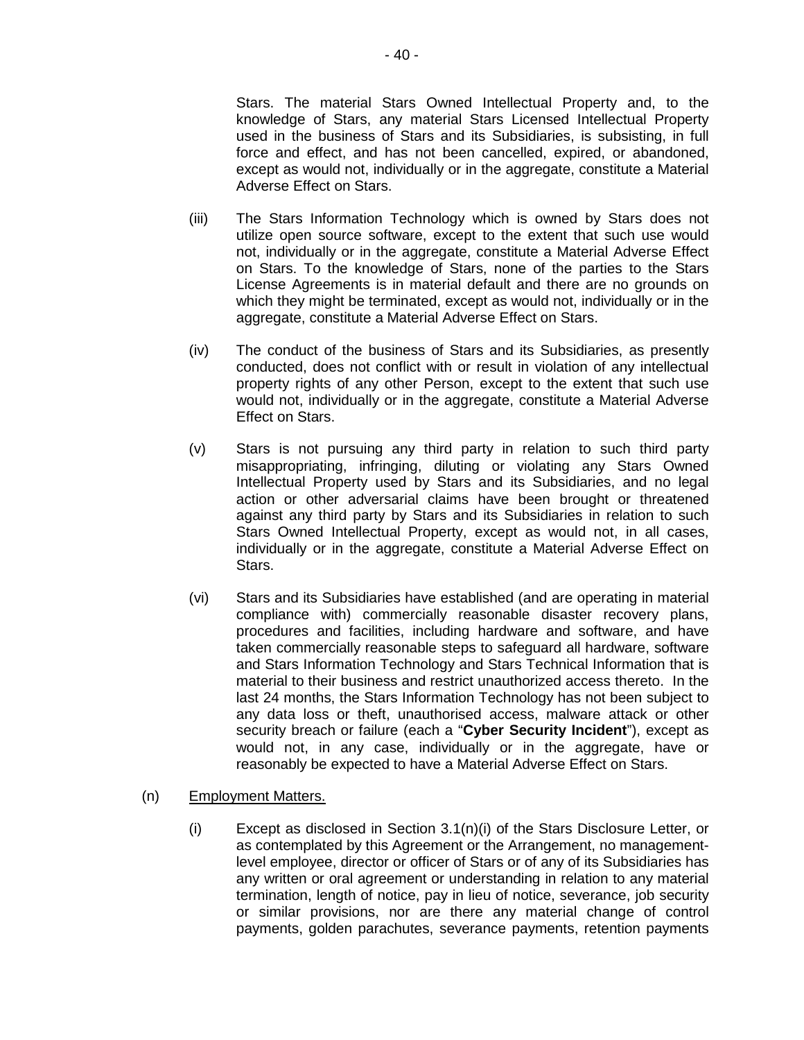Stars. The material Stars Owned Intellectual Property and, to the knowledge of Stars, any material Stars Licensed Intellectual Property used in the business of Stars and its Subsidiaries, is subsisting, in full force and effect, and has not been cancelled, expired, or abandoned, except as would not, individually or in the aggregate, constitute a Material Adverse Effect on Stars.

- (iii) The Stars Information Technology which is owned by Stars does not utilize open source software, except to the extent that such use would not, individually or in the aggregate, constitute a Material Adverse Effect on Stars. To the knowledge of Stars, none of the parties to the Stars License Agreements is in material default and there are no grounds on which they might be terminated, except as would not, individually or in the aggregate, constitute a Material Adverse Effect on Stars.
- (iv) The conduct of the business of Stars and its Subsidiaries, as presently conducted, does not conflict with or result in violation of any intellectual property rights of any other Person, except to the extent that such use would not, individually or in the aggregate, constitute a Material Adverse Effect on Stars.
- (v) Stars is not pursuing any third party in relation to such third party misappropriating, infringing, diluting or violating any Stars Owned Intellectual Property used by Stars and its Subsidiaries, and no legal action or other adversarial claims have been brought or threatened against any third party by Stars and its Subsidiaries in relation to such Stars Owned Intellectual Property, except as would not, in all cases, individually or in the aggregate, constitute a Material Adverse Effect on Stars.
- (vi) Stars and its Subsidiaries have established (and are operating in material compliance with) commercially reasonable disaster recovery plans, procedures and facilities, including hardware and software, and have taken commercially reasonable steps to safeguard all hardware, software and Stars Information Technology and Stars Technical Information that is material to their business and restrict unauthorized access thereto. In the last 24 months, the Stars Information Technology has not been subject to any data loss or theft, unauthorised access, malware attack or other security breach or failure (each a "**Cyber Security Incident**"), except as would not, in any case, individually or in the aggregate, have or reasonably be expected to have a Material Adverse Effect on Stars.

### (n) Employment Matters.

(i) Except as disclosed in Section 3.1(n)(i) of the Stars Disclosure Letter, or as contemplated by this Agreement or the Arrangement, no managementlevel employee, director or officer of Stars or of any of its Subsidiaries has any written or oral agreement or understanding in relation to any material termination, length of notice, pay in lieu of notice, severance, job security or similar provisions, nor are there any material change of control payments, golden parachutes, severance payments, retention payments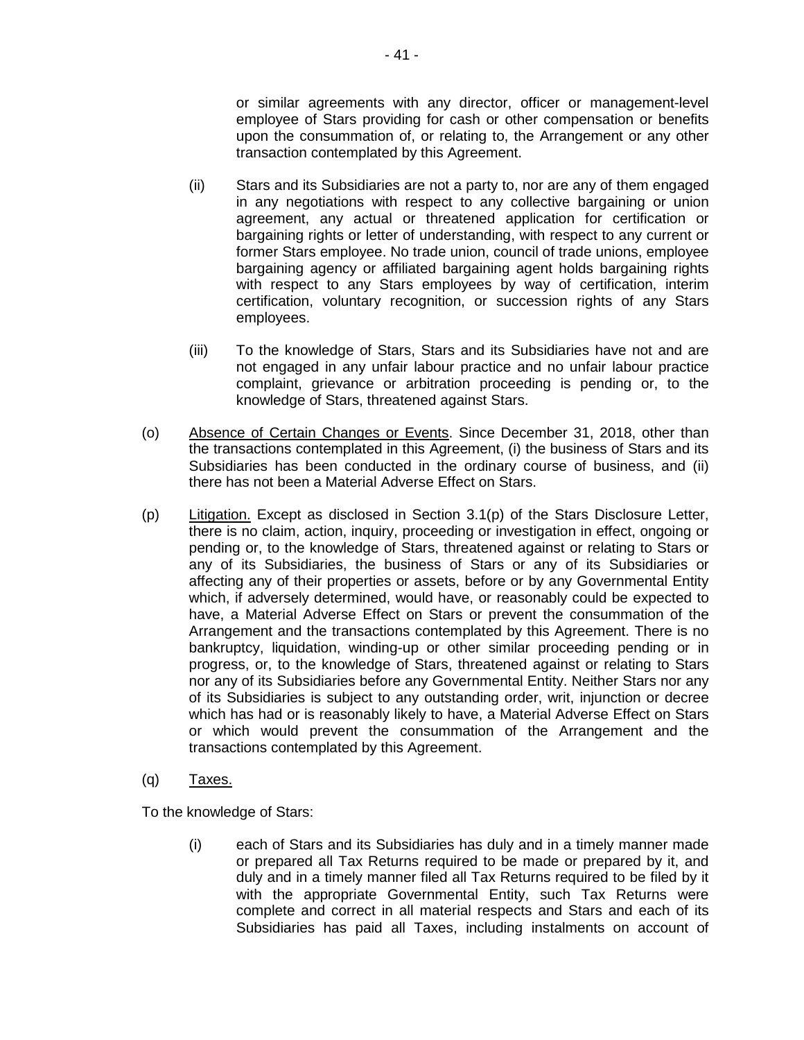or similar agreements with any director, officer or management-level employee of Stars providing for cash or other compensation or benefits upon the consummation of, or relating to, the Arrangement or any other transaction contemplated by this Agreement.

- (ii) Stars and its Subsidiaries are not a party to, nor are any of them engaged in any negotiations with respect to any collective bargaining or union agreement, any actual or threatened application for certification or bargaining rights or letter of understanding, with respect to any current or former Stars employee. No trade union, council of trade unions, employee bargaining agency or affiliated bargaining agent holds bargaining rights with respect to any Stars employees by way of certification, interim certification, voluntary recognition, or succession rights of any Stars employees.
- (iii) To the knowledge of Stars, Stars and its Subsidiaries have not and are not engaged in any unfair labour practice and no unfair labour practice complaint, grievance or arbitration proceeding is pending or, to the knowledge of Stars, threatened against Stars.
- (o) Absence of Certain Changes or Events. Since December 31, 2018, other than the transactions contemplated in this Agreement, (i) the business of Stars and its Subsidiaries has been conducted in the ordinary course of business, and (ii) there has not been a Material Adverse Effect on Stars.
- (p) Litigation. Except as disclosed in Section 3.1(p) of the Stars Disclosure Letter, there is no claim, action, inquiry, proceeding or investigation in effect, ongoing or pending or, to the knowledge of Stars, threatened against or relating to Stars or any of its Subsidiaries, the business of Stars or any of its Subsidiaries or affecting any of their properties or assets, before or by any Governmental Entity which, if adversely determined, would have, or reasonably could be expected to have, a Material Adverse Effect on Stars or prevent the consummation of the Arrangement and the transactions contemplated by this Agreement. There is no bankruptcy, liquidation, winding-up or other similar proceeding pending or in progress, or, to the knowledge of Stars, threatened against or relating to Stars nor any of its Subsidiaries before any Governmental Entity. Neither Stars nor any of its Subsidiaries is subject to any outstanding order, writ, injunction or decree which has had or is reasonably likely to have, a Material Adverse Effect on Stars or which would prevent the consummation of the Arrangement and the transactions contemplated by this Agreement.
- (q) Taxes.

To the knowledge of Stars:

(i) each of Stars and its Subsidiaries has duly and in a timely manner made or prepared all Tax Returns required to be made or prepared by it, and duly and in a timely manner filed all Tax Returns required to be filed by it with the appropriate Governmental Entity, such Tax Returns were complete and correct in all material respects and Stars and each of its Subsidiaries has paid all Taxes, including instalments on account of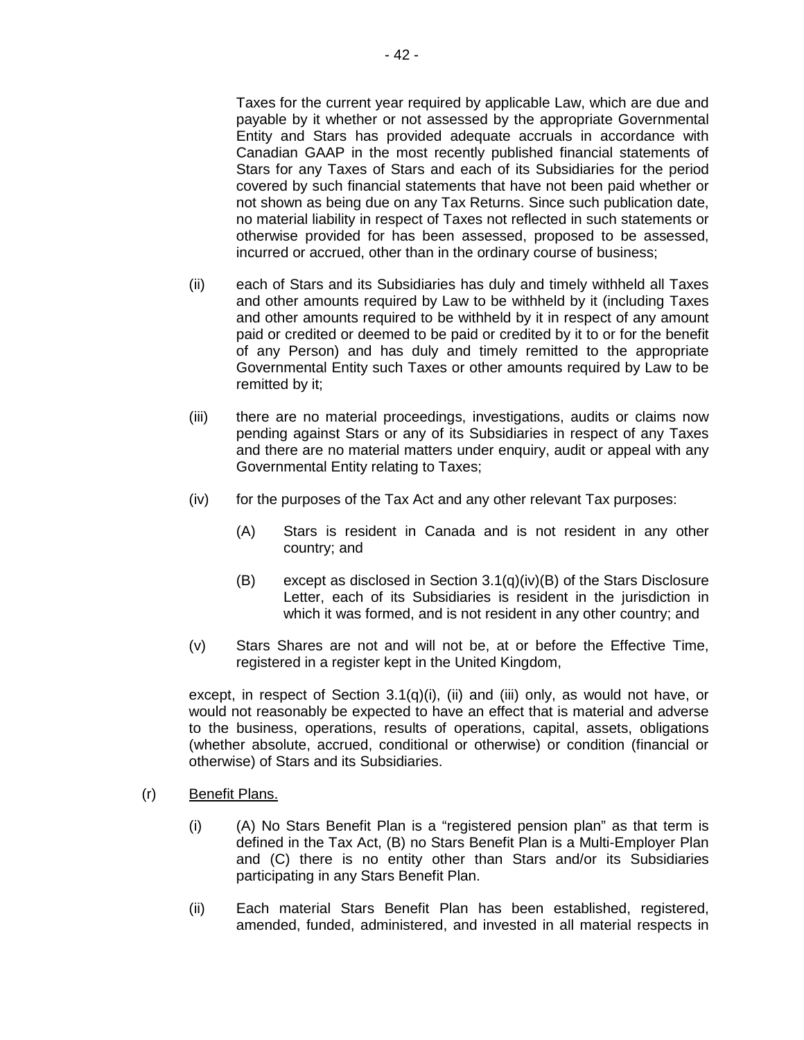Taxes for the current year required by applicable Law, which are due and payable by it whether or not assessed by the appropriate Governmental Entity and Stars has provided adequate accruals in accordance with Canadian GAAP in the most recently published financial statements of Stars for any Taxes of Stars and each of its Subsidiaries for the period covered by such financial statements that have not been paid whether or not shown as being due on any Tax Returns. Since such publication date, no material liability in respect of Taxes not reflected in such statements or otherwise provided for has been assessed, proposed to be assessed, incurred or accrued, other than in the ordinary course of business;

- (ii) each of Stars and its Subsidiaries has duly and timely withheld all Taxes and other amounts required by Law to be withheld by it (including Taxes and other amounts required to be withheld by it in respect of any amount paid or credited or deemed to be paid or credited by it to or for the benefit of any Person) and has duly and timely remitted to the appropriate Governmental Entity such Taxes or other amounts required by Law to be remitted by it;
- (iii) there are no material proceedings, investigations, audits or claims now pending against Stars or any of its Subsidiaries in respect of any Taxes and there are no material matters under enquiry, audit or appeal with any Governmental Entity relating to Taxes;
- $(iv)$  for the purposes of the Tax Act and any other relevant Tax purposes:
	- (A) Stars is resident in Canada and is not resident in any other country; and
	- (B) except as disclosed in Section 3.1(q)(iv)(B) of the Stars Disclosure Letter, each of its Subsidiaries is resident in the jurisdiction in which it was formed, and is not resident in any other country; and
- (v) Stars Shares are not and will not be, at or before the Effective Time, registered in a register kept in the United Kingdom,

except, in respect of Section  $3.1(q)(i)$ , (ii) and (iii) only, as would not have, or would not reasonably be expected to have an effect that is material and adverse to the business, operations, results of operations, capital, assets, obligations (whether absolute, accrued, conditional or otherwise) or condition (financial or otherwise) of Stars and its Subsidiaries.

- (r) Benefit Plans.
	- (i) (A) No Stars Benefit Plan is a "registered pension plan" as that term is defined in the Tax Act, (B) no Stars Benefit Plan is a Multi-Employer Plan and (C) there is no entity other than Stars and/or its Subsidiaries participating in any Stars Benefit Plan.
	- (ii) Each material Stars Benefit Plan has been established, registered, amended, funded, administered, and invested in all material respects in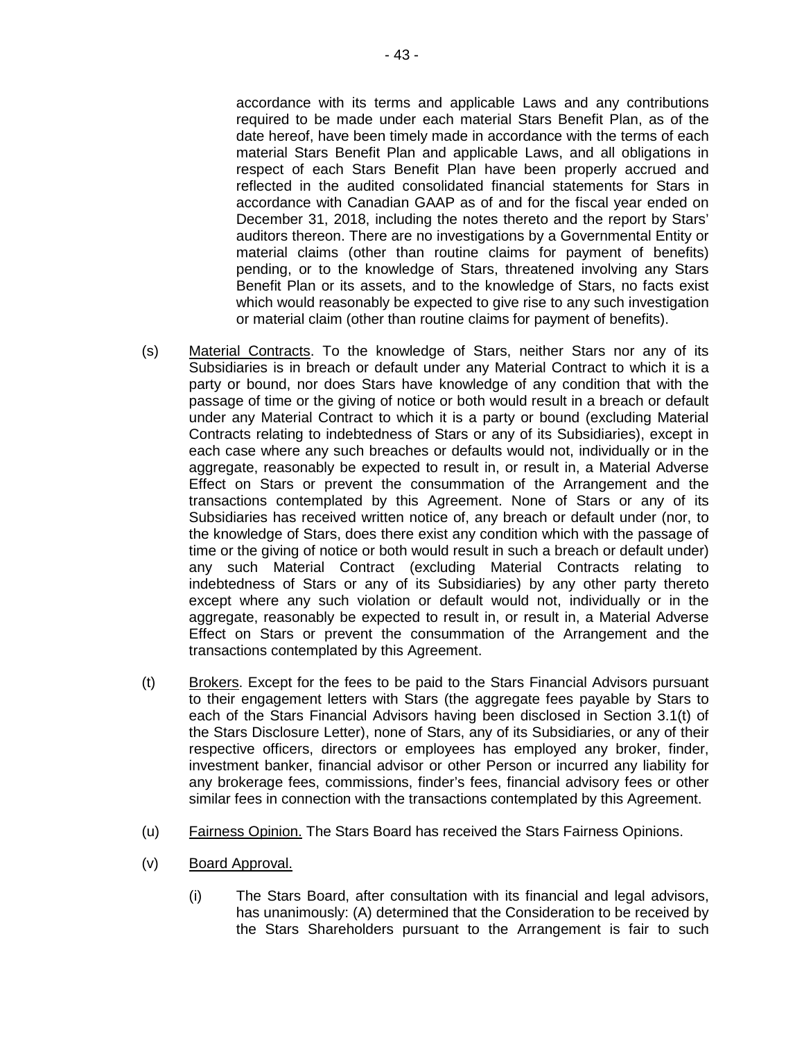accordance with its terms and applicable Laws and any contributions required to be made under each material Stars Benefit Plan, as of the date hereof, have been timely made in accordance with the terms of each material Stars Benefit Plan and applicable Laws, and all obligations in respect of each Stars Benefit Plan have been properly accrued and reflected in the audited consolidated financial statements for Stars in accordance with Canadian GAAP as of and for the fiscal year ended on December 31, 2018, including the notes thereto and the report by Stars' auditors thereon. There are no investigations by a Governmental Entity or material claims (other than routine claims for payment of benefits) pending, or to the knowledge of Stars, threatened involving any Stars Benefit Plan or its assets, and to the knowledge of Stars, no facts exist which would reasonably be expected to give rise to any such investigation or material claim (other than routine claims for payment of benefits).

- (s) Material Contracts. To the knowledge of Stars, neither Stars nor any of its Subsidiaries is in breach or default under any Material Contract to which it is a party or bound, nor does Stars have knowledge of any condition that with the passage of time or the giving of notice or both would result in a breach or default under any Material Contract to which it is a party or bound (excluding Material Contracts relating to indebtedness of Stars or any of its Subsidiaries), except in each case where any such breaches or defaults would not, individually or in the aggregate, reasonably be expected to result in, or result in, a Material Adverse Effect on Stars or prevent the consummation of the Arrangement and the transactions contemplated by this Agreement. None of Stars or any of its Subsidiaries has received written notice of, any breach or default under (nor, to the knowledge of Stars, does there exist any condition which with the passage of time or the giving of notice or both would result in such a breach or default under) any such Material Contract (excluding Material Contracts relating to indebtedness of Stars or any of its Subsidiaries) by any other party thereto except where any such violation or default would not, individually or in the aggregate, reasonably be expected to result in, or result in, a Material Adverse Effect on Stars or prevent the consummation of the Arrangement and the transactions contemplated by this Agreement.
- (t) Brokers. Except for the fees to be paid to the Stars Financial Advisors pursuant to their engagement letters with Stars (the aggregate fees payable by Stars to each of the Stars Financial Advisors having been disclosed in Section 3.1(t) of the Stars Disclosure Letter), none of Stars, any of its Subsidiaries, or any of their respective officers, directors or employees has employed any broker, finder, investment banker, financial advisor or other Person or incurred any liability for any brokerage fees, commissions, finder's fees, financial advisory fees or other similar fees in connection with the transactions contemplated by this Agreement.
- (u) Fairness Opinion. The Stars Board has received the Stars Fairness Opinions.
- (v) Board Approval.
	- (i) The Stars Board, after consultation with its financial and legal advisors, has unanimously: (A) determined that the Consideration to be received by the Stars Shareholders pursuant to the Arrangement is fair to such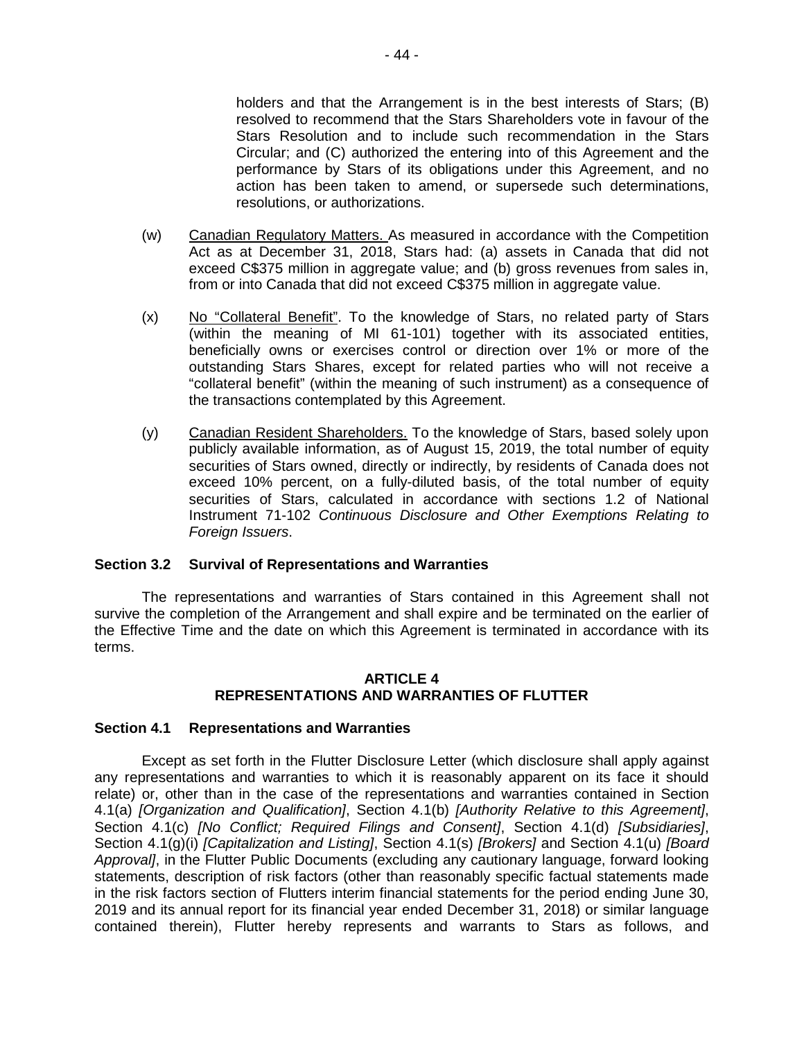holders and that the Arrangement is in the best interests of Stars; (B) resolved to recommend that the Stars Shareholders vote in favour of the Stars Resolution and to include such recommendation in the Stars Circular; and (C) authorized the entering into of this Agreement and the performance by Stars of its obligations under this Agreement, and no action has been taken to amend, or supersede such determinations, resolutions, or authorizations.

- (w) Canadian Regulatory Matters. As measured in accordance with the Competition Act as at December 31, 2018, Stars had: (a) assets in Canada that did not exceed C\$375 million in aggregate value; and (b) gross revenues from sales in, from or into Canada that did not exceed C\$375 million in aggregate value.
- (x) No "Collateral Benefit". To the knowledge of Stars, no related party of Stars (within the meaning of MI 61-101) together with its associated entities, beneficially owns or exercises control or direction over 1% or more of the outstanding Stars Shares, except for related parties who will not receive a "collateral benefit" (within the meaning of such instrument) as a consequence of the transactions contemplated by this Agreement.
- (y) Canadian Resident Shareholders. To the knowledge of Stars, based solely upon publicly available information, as of August 15, 2019, the total number of equity securities of Stars owned, directly or indirectly, by residents of Canada does not exceed 10% percent, on a fully-diluted basis, of the total number of equity securities of Stars, calculated in accordance with sections 1.2 of National Instrument 71-102 *Continuous Disclosure and Other Exemptions Relating to Foreign Issuers*.

### **Section 3.2 Survival of Representations and Warranties**

The representations and warranties of Stars contained in this Agreement shall not survive the completion of the Arrangement and shall expire and be terminated on the earlier of the Effective Time and the date on which this Agreement is terminated in accordance with its terms.

### **ARTICLE 4 REPRESENTATIONS AND WARRANTIES OF FLUTTER**

### **Section 4.1 Representations and Warranties**

Except as set forth in the Flutter Disclosure Letter (which disclosure shall apply against any representations and warranties to which it is reasonably apparent on its face it should relate) or, other than in the case of the representations and warranties contained in Section 4.1(a) *[Organization and Qualification]*, Section 4.1(b) *[Authority Relative to this Agreement]*, Section 4.1(c) *[No Conflict; Required Filings and Consent]*, Section 4.1(d) *[Subsidiaries]*, Section 4.1(g)(i) *[Capitalization and Listing]*, Section 4.1(s) *[Brokers]* and Section 4.1(u) *[Board Approval]*, in the Flutter Public Documents (excluding any cautionary language, forward looking statements, description of risk factors (other than reasonably specific factual statements made in the risk factors section of Flutters interim financial statements for the period ending June 30, 2019 and its annual report for its financial year ended December 31, 2018) or similar language contained therein), Flutter hereby represents and warrants to Stars as follows, and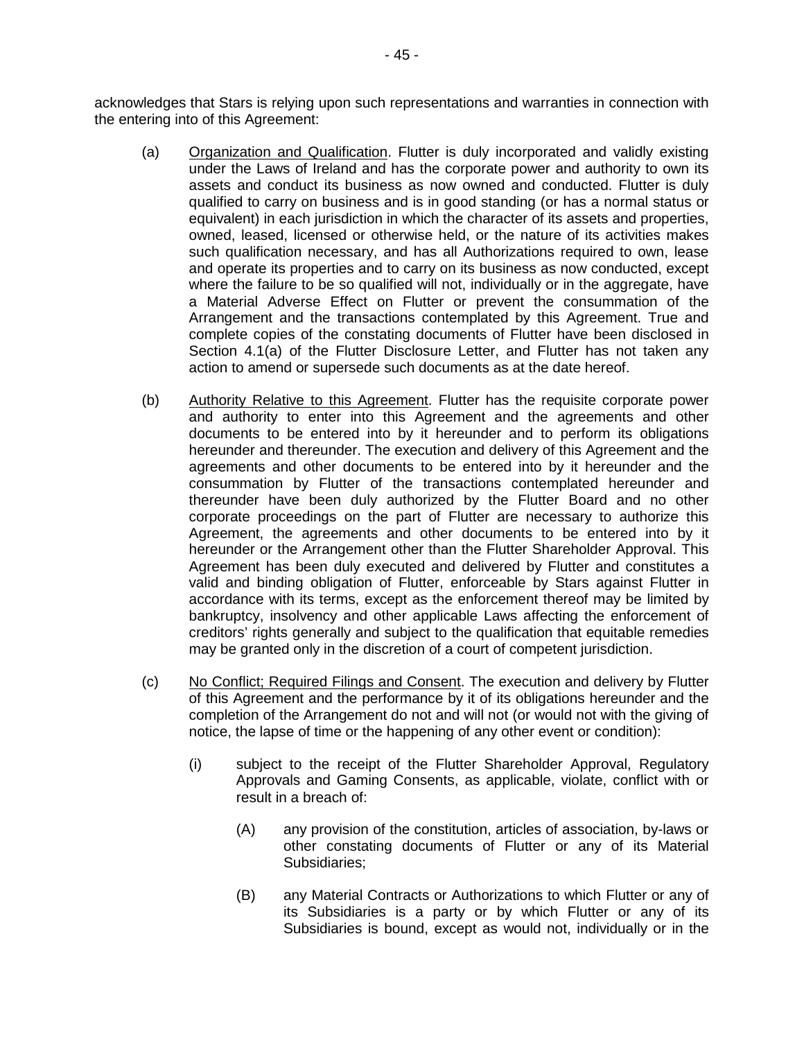acknowledges that Stars is relying upon such representations and warranties in connection with the entering into of this Agreement:

- (a) Organization and Qualification. Flutter is duly incorporated and validly existing under the Laws of Ireland and has the corporate power and authority to own its assets and conduct its business as now owned and conducted. Flutter is duly qualified to carry on business and is in good standing (or has a normal status or equivalent) in each jurisdiction in which the character of its assets and properties, owned, leased, licensed or otherwise held, or the nature of its activities makes such qualification necessary, and has all Authorizations required to own, lease and operate its properties and to carry on its business as now conducted, except where the failure to be so qualified will not, individually or in the aggregate, have a Material Adverse Effect on Flutter or prevent the consummation of the Arrangement and the transactions contemplated by this Agreement. True and complete copies of the constating documents of Flutter have been disclosed in Section 4.1(a) of the Flutter Disclosure Letter, and Flutter has not taken any action to amend or supersede such documents as at the date hereof.
- (b) Authority Relative to this Agreement. Flutter has the requisite corporate power and authority to enter into this Agreement and the agreements and other documents to be entered into by it hereunder and to perform its obligations hereunder and thereunder. The execution and delivery of this Agreement and the agreements and other documents to be entered into by it hereunder and the consummation by Flutter of the transactions contemplated hereunder and thereunder have been duly authorized by the Flutter Board and no other corporate proceedings on the part of Flutter are necessary to authorize this Agreement, the agreements and other documents to be entered into by it hereunder or the Arrangement other than the Flutter Shareholder Approval. This Agreement has been duly executed and delivered by Flutter and constitutes a valid and binding obligation of Flutter, enforceable by Stars against Flutter in accordance with its terms, except as the enforcement thereof may be limited by bankruptcy, insolvency and other applicable Laws affecting the enforcement of creditors' rights generally and subject to the qualification that equitable remedies may be granted only in the discretion of a court of competent jurisdiction.
- (c) No Conflict; Required Filings and Consent. The execution and delivery by Flutter of this Agreement and the performance by it of its obligations hereunder and the completion of the Arrangement do not and will not (or would not with the giving of notice, the lapse of time or the happening of any other event or condition):
	- (i) subject to the receipt of the Flutter Shareholder Approval, Regulatory Approvals and Gaming Consents, as applicable, violate, conflict with or result in a breach of:
		- (A) any provision of the constitution, articles of association, by-laws or other constating documents of Flutter or any of its Material Subsidiaries;
		- (B) any Material Contracts or Authorizations to which Flutter or any of its Subsidiaries is a party or by which Flutter or any of its Subsidiaries is bound, except as would not, individually or in the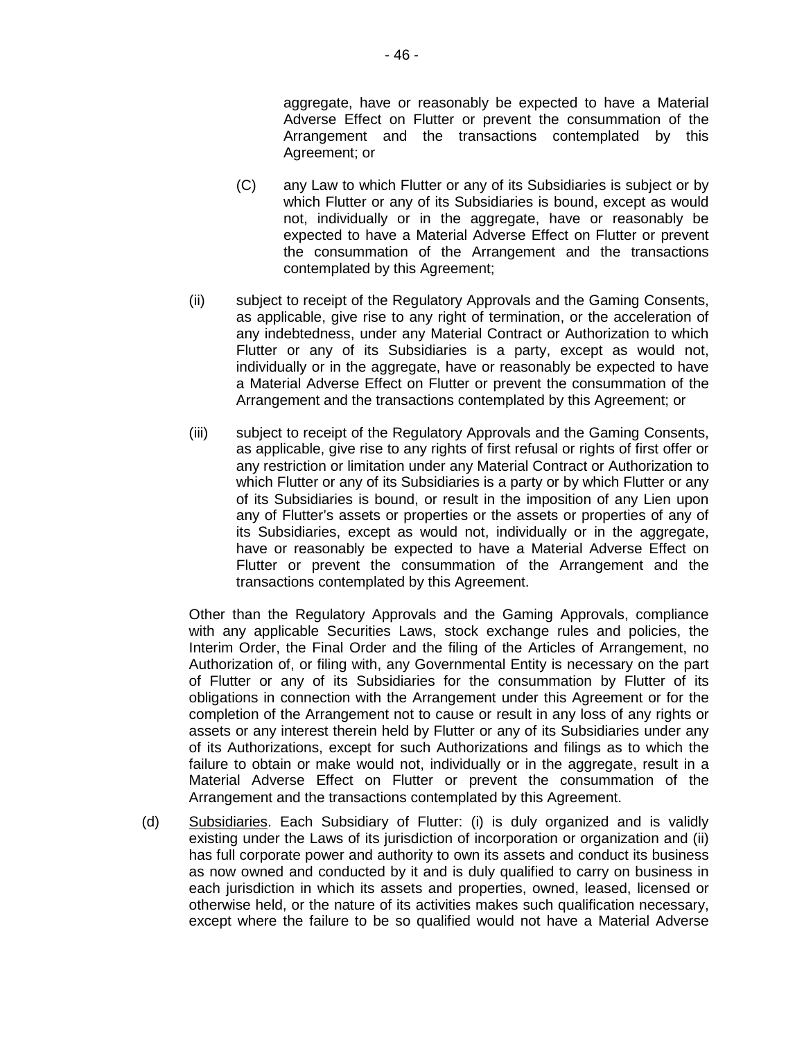aggregate, have or reasonably be expected to have a Material Adverse Effect on Flutter or prevent the consummation of the Arrangement and the transactions contemplated by this Agreement; or

- (C) any Law to which Flutter or any of its Subsidiaries is subject or by which Flutter or any of its Subsidiaries is bound, except as would not, individually or in the aggregate, have or reasonably be expected to have a Material Adverse Effect on Flutter or prevent the consummation of the Arrangement and the transactions contemplated by this Agreement;
- (ii) subject to receipt of the Regulatory Approvals and the Gaming Consents, as applicable, give rise to any right of termination, or the acceleration of any indebtedness, under any Material Contract or Authorization to which Flutter or any of its Subsidiaries is a party, except as would not, individually or in the aggregate, have or reasonably be expected to have a Material Adverse Effect on Flutter or prevent the consummation of the Arrangement and the transactions contemplated by this Agreement; or
- (iii) subject to receipt of the Regulatory Approvals and the Gaming Consents, as applicable, give rise to any rights of first refusal or rights of first offer or any restriction or limitation under any Material Contract or Authorization to which Flutter or any of its Subsidiaries is a party or by which Flutter or any of its Subsidiaries is bound, or result in the imposition of any Lien upon any of Flutter's assets or properties or the assets or properties of any of its Subsidiaries, except as would not, individually or in the aggregate, have or reasonably be expected to have a Material Adverse Effect on Flutter or prevent the consummation of the Arrangement and the transactions contemplated by this Agreement.

Other than the Regulatory Approvals and the Gaming Approvals, compliance with any applicable Securities Laws, stock exchange rules and policies, the Interim Order, the Final Order and the filing of the Articles of Arrangement, no Authorization of, or filing with, any Governmental Entity is necessary on the part of Flutter or any of its Subsidiaries for the consummation by Flutter of its obligations in connection with the Arrangement under this Agreement or for the completion of the Arrangement not to cause or result in any loss of any rights or assets or any interest therein held by Flutter or any of its Subsidiaries under any of its Authorizations, except for such Authorizations and filings as to which the failure to obtain or make would not, individually or in the aggregate, result in a Material Adverse Effect on Flutter or prevent the consummation of the Arrangement and the transactions contemplated by this Agreement.

(d) Subsidiaries. Each Subsidiary of Flutter: (i) is duly organized and is validly existing under the Laws of its jurisdiction of incorporation or organization and (ii) has full corporate power and authority to own its assets and conduct its business as now owned and conducted by it and is duly qualified to carry on business in each jurisdiction in which its assets and properties, owned, leased, licensed or otherwise held, or the nature of its activities makes such qualification necessary, except where the failure to be so qualified would not have a Material Adverse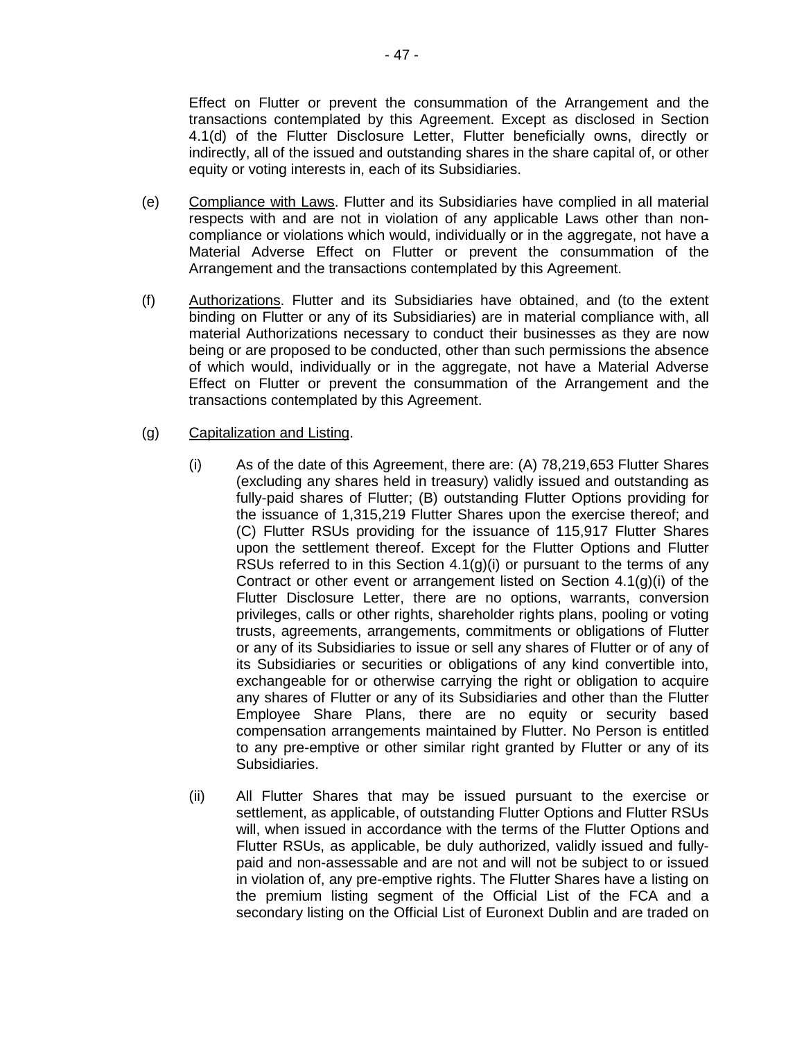Effect on Flutter or prevent the consummation of the Arrangement and the transactions contemplated by this Agreement. Except as disclosed in Section 4.1(d) of the Flutter Disclosure Letter, Flutter beneficially owns, directly or indirectly, all of the issued and outstanding shares in the share capital of, or other equity or voting interests in, each of its Subsidiaries.

- (e) Compliance with Laws. Flutter and its Subsidiaries have complied in all material respects with and are not in violation of any applicable Laws other than noncompliance or violations which would, individually or in the aggregate, not have a Material Adverse Effect on Flutter or prevent the consummation of the Arrangement and the transactions contemplated by this Agreement.
- (f) Authorizations. Flutter and its Subsidiaries have obtained, and (to the extent binding on Flutter or any of its Subsidiaries) are in material compliance with, all material Authorizations necessary to conduct their businesses as they are now being or are proposed to be conducted, other than such permissions the absence of which would, individually or in the aggregate, not have a Material Adverse Effect on Flutter or prevent the consummation of the Arrangement and the transactions contemplated by this Agreement.

### (g) Capitalization and Listing.

- (i) As of the date of this Agreement, there are: (A) 78,219,653 Flutter Shares (excluding any shares held in treasury) validly issued and outstanding as fully-paid shares of Flutter; (B) outstanding Flutter Options providing for the issuance of 1,315,219 Flutter Shares upon the exercise thereof; and (C) Flutter RSUs providing for the issuance of 115,917 Flutter Shares upon the settlement thereof. Except for the Flutter Options and Flutter RSUs referred to in this Section  $4.1(q)(i)$  or pursuant to the terms of any Contract or other event or arrangement listed on Section 4.1(g)(i) of the Flutter Disclosure Letter, there are no options, warrants, conversion privileges, calls or other rights, shareholder rights plans, pooling or voting trusts, agreements, arrangements, commitments or obligations of Flutter or any of its Subsidiaries to issue or sell any shares of Flutter or of any of its Subsidiaries or securities or obligations of any kind convertible into, exchangeable for or otherwise carrying the right or obligation to acquire any shares of Flutter or any of its Subsidiaries and other than the Flutter Employee Share Plans, there are no equity or security based compensation arrangements maintained by Flutter. No Person is entitled to any pre-emptive or other similar right granted by Flutter or any of its Subsidiaries.
- (ii) All Flutter Shares that may be issued pursuant to the exercise or settlement, as applicable, of outstanding Flutter Options and Flutter RSUs will, when issued in accordance with the terms of the Flutter Options and Flutter RSUs, as applicable, be duly authorized, validly issued and fullypaid and non-assessable and are not and will not be subject to or issued in violation of, any pre-emptive rights. The Flutter Shares have a listing on the premium listing segment of the Official List of the FCA and a secondary listing on the Official List of Euronext Dublin and are traded on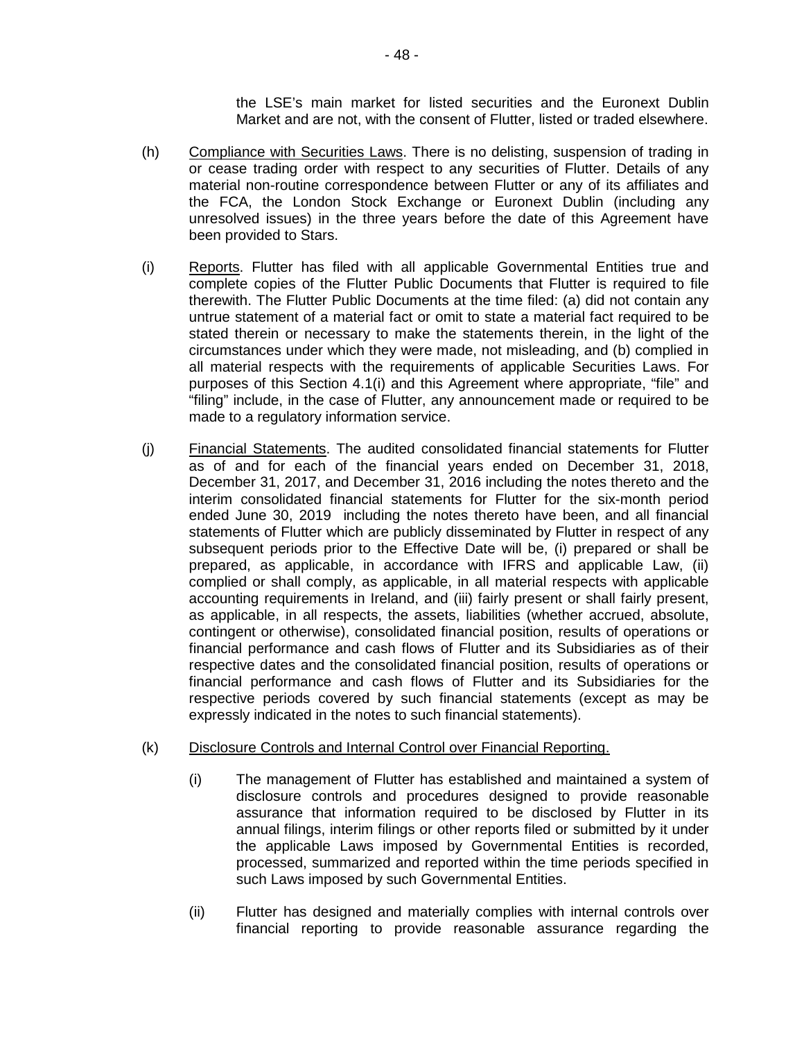the LSE's main market for listed securities and the Euronext Dublin Market and are not, with the consent of Flutter, listed or traded elsewhere.

- (h) Compliance with Securities Laws. There is no delisting, suspension of trading in or cease trading order with respect to any securities of Flutter. Details of any material non-routine correspondence between Flutter or any of its affiliates and the FCA, the London Stock Exchange or Euronext Dublin (including any unresolved issues) in the three years before the date of this Agreement have been provided to Stars.
- (i) Reports. Flutter has filed with all applicable Governmental Entities true and complete copies of the Flutter Public Documents that Flutter is required to file therewith. The Flutter Public Documents at the time filed: (a) did not contain any untrue statement of a material fact or omit to state a material fact required to be stated therein or necessary to make the statements therein, in the light of the circumstances under which they were made, not misleading, and (b) complied in all material respects with the requirements of applicable Securities Laws. For purposes of this Section 4.1(i) and this Agreement where appropriate, "file" and "filing" include, in the case of Flutter, any announcement made or required to be made to a regulatory information service.
- (j) Financial Statements. The audited consolidated financial statements for Flutter as of and for each of the financial years ended on December 31, 2018, December 31, 2017, and December 31, 2016 including the notes thereto and the interim consolidated financial statements for Flutter for the six-month period ended June 30, 2019 including the notes thereto have been, and all financial statements of Flutter which are publicly disseminated by Flutter in respect of any subsequent periods prior to the Effective Date will be, (i) prepared or shall be prepared, as applicable, in accordance with IFRS and applicable Law, (ii) complied or shall comply, as applicable, in all material respects with applicable accounting requirements in Ireland, and (iii) fairly present or shall fairly present, as applicable, in all respects, the assets, liabilities (whether accrued, absolute, contingent or otherwise), consolidated financial position, results of operations or financial performance and cash flows of Flutter and its Subsidiaries as of their respective dates and the consolidated financial position, results of operations or financial performance and cash flows of Flutter and its Subsidiaries for the respective periods covered by such financial statements (except as may be expressly indicated in the notes to such financial statements).

### (k) Disclosure Controls and Internal Control over Financial Reporting.

- (i) The management of Flutter has established and maintained a system of disclosure controls and procedures designed to provide reasonable assurance that information required to be disclosed by Flutter in its annual filings, interim filings or other reports filed or submitted by it under the applicable Laws imposed by Governmental Entities is recorded, processed, summarized and reported within the time periods specified in such Laws imposed by such Governmental Entities.
- (ii) Flutter has designed and materially complies with internal controls over financial reporting to provide reasonable assurance regarding the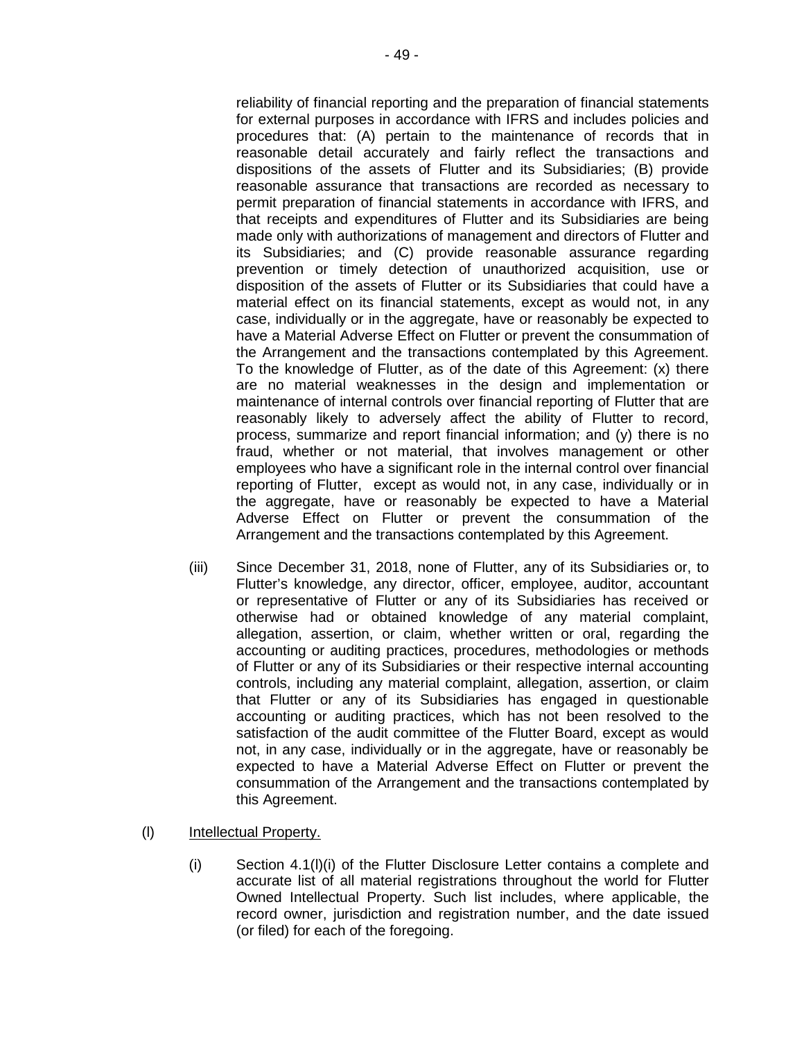reliability of financial reporting and the preparation of financial statements for external purposes in accordance with IFRS and includes policies and procedures that: (A) pertain to the maintenance of records that in reasonable detail accurately and fairly reflect the transactions and dispositions of the assets of Flutter and its Subsidiaries; (B) provide reasonable assurance that transactions are recorded as necessary to permit preparation of financial statements in accordance with IFRS, and that receipts and expenditures of Flutter and its Subsidiaries are being made only with authorizations of management and directors of Flutter and its Subsidiaries; and (C) provide reasonable assurance regarding prevention or timely detection of unauthorized acquisition, use or disposition of the assets of Flutter or its Subsidiaries that could have a material effect on its financial statements, except as would not, in any case, individually or in the aggregate, have or reasonably be expected to have a Material Adverse Effect on Flutter or prevent the consummation of the Arrangement and the transactions contemplated by this Agreement. To the knowledge of Flutter, as of the date of this Agreement: (x) there are no material weaknesses in the design and implementation or maintenance of internal controls over financial reporting of Flutter that are reasonably likely to adversely affect the ability of Flutter to record, process, summarize and report financial information; and (y) there is no fraud, whether or not material, that involves management or other employees who have a significant role in the internal control over financial reporting of Flutter, except as would not, in any case, individually or in the aggregate, have or reasonably be expected to have a Material Adverse Effect on Flutter or prevent the consummation of the Arrangement and the transactions contemplated by this Agreement.

- (iii) Since December 31, 2018, none of Flutter, any of its Subsidiaries or, to Flutter's knowledge, any director, officer, employee, auditor, accountant or representative of Flutter or any of its Subsidiaries has received or otherwise had or obtained knowledge of any material complaint, allegation, assertion, or claim, whether written or oral, regarding the accounting or auditing practices, procedures, methodologies or methods of Flutter or any of its Subsidiaries or their respective internal accounting controls, including any material complaint, allegation, assertion, or claim that Flutter or any of its Subsidiaries has engaged in questionable accounting or auditing practices, which has not been resolved to the satisfaction of the audit committee of the Flutter Board, except as would not, in any case, individually or in the aggregate, have or reasonably be expected to have a Material Adverse Effect on Flutter or prevent the consummation of the Arrangement and the transactions contemplated by this Agreement.
- (l) Intellectual Property.
	- (i) Section 4.1(l)(i) of the Flutter Disclosure Letter contains a complete and accurate list of all material registrations throughout the world for Flutter Owned Intellectual Property. Such list includes, where applicable, the record owner, jurisdiction and registration number, and the date issued (or filed) for each of the foregoing.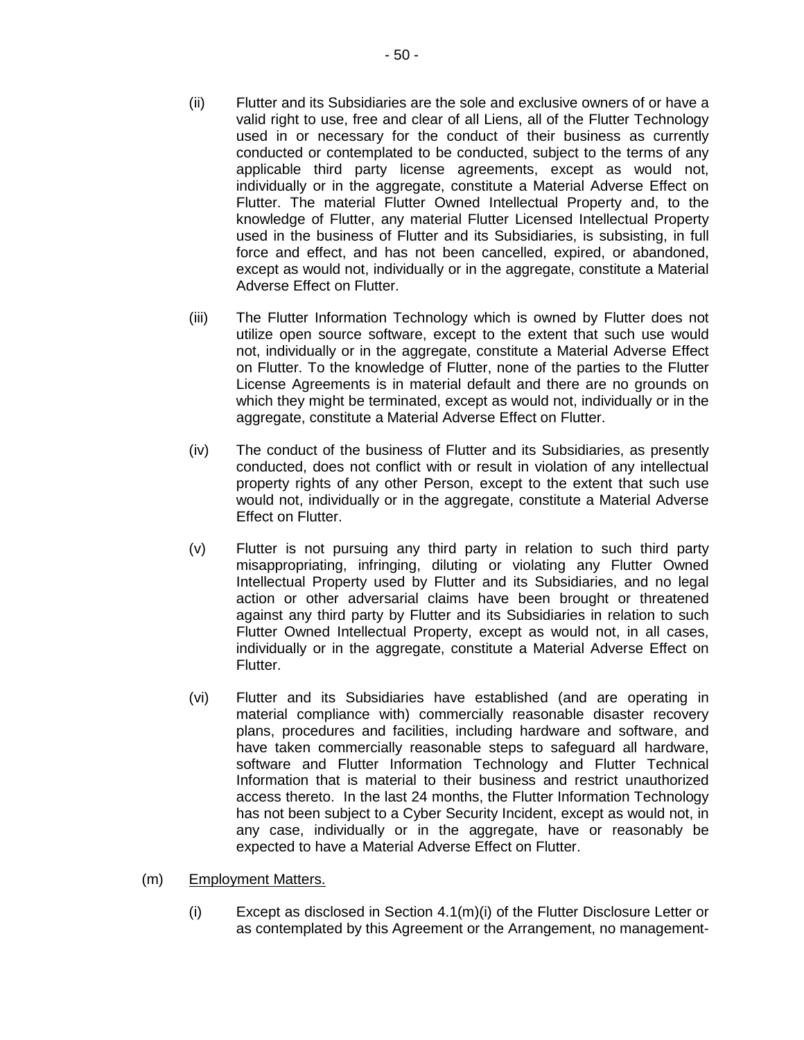- (ii) Flutter and its Subsidiaries are the sole and exclusive owners of or have a valid right to use, free and clear of all Liens, all of the Flutter Technology used in or necessary for the conduct of their business as currently conducted or contemplated to be conducted, subject to the terms of any applicable third party license agreements, except as would not, individually or in the aggregate, constitute a Material Adverse Effect on Flutter. The material Flutter Owned Intellectual Property and, to the knowledge of Flutter, any material Flutter Licensed Intellectual Property used in the business of Flutter and its Subsidiaries, is subsisting, in full force and effect, and has not been cancelled, expired, or abandoned, except as would not, individually or in the aggregate, constitute a Material Adverse Effect on Flutter.
- (iii) The Flutter Information Technology which is owned by Flutter does not utilize open source software, except to the extent that such use would not, individually or in the aggregate, constitute a Material Adverse Effect on Flutter. To the knowledge of Flutter, none of the parties to the Flutter License Agreements is in material default and there are no grounds on which they might be terminated, except as would not, individually or in the aggregate, constitute a Material Adverse Effect on Flutter.
- (iv) The conduct of the business of Flutter and its Subsidiaries, as presently conducted, does not conflict with or result in violation of any intellectual property rights of any other Person, except to the extent that such use would not, individually or in the aggregate, constitute a Material Adverse Effect on Flutter.
- (v) Flutter is not pursuing any third party in relation to such third party misappropriating, infringing, diluting or violating any Flutter Owned Intellectual Property used by Flutter and its Subsidiaries, and no legal action or other adversarial claims have been brought or threatened against any third party by Flutter and its Subsidiaries in relation to such Flutter Owned Intellectual Property, except as would not, in all cases, individually or in the aggregate, constitute a Material Adverse Effect on Flutter.
- (vi) Flutter and its Subsidiaries have established (and are operating in material compliance with) commercially reasonable disaster recovery plans, procedures and facilities, including hardware and software, and have taken commercially reasonable steps to safeguard all hardware, software and Flutter Information Technology and Flutter Technical Information that is material to their business and restrict unauthorized access thereto. In the last 24 months, the Flutter Information Technology has not been subject to a Cyber Security Incident, except as would not, in any case, individually or in the aggregate, have or reasonably be expected to have a Material Adverse Effect on Flutter.
- (m) Employment Matters.
	- (i) Except as disclosed in Section  $4.1(m)(i)$  of the Flutter Disclosure Letter or as contemplated by this Agreement or the Arrangement, no management-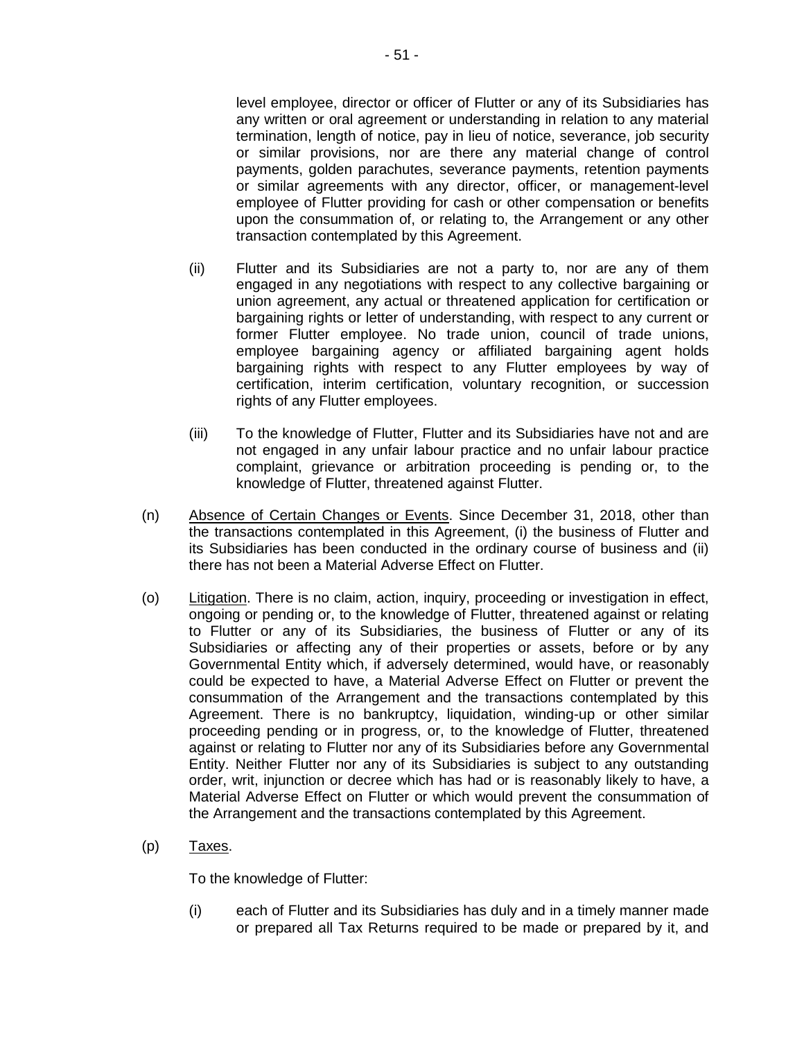level employee, director or officer of Flutter or any of its Subsidiaries has any written or oral agreement or understanding in relation to any material termination, length of notice, pay in lieu of notice, severance, job security or similar provisions, nor are there any material change of control payments, golden parachutes, severance payments, retention payments or similar agreements with any director, officer, or management-level employee of Flutter providing for cash or other compensation or benefits upon the consummation of, or relating to, the Arrangement or any other transaction contemplated by this Agreement.

- (ii) Flutter and its Subsidiaries are not a party to, nor are any of them engaged in any negotiations with respect to any collective bargaining or union agreement, any actual or threatened application for certification or bargaining rights or letter of understanding, with respect to any current or former Flutter employee. No trade union, council of trade unions, employee bargaining agency or affiliated bargaining agent holds bargaining rights with respect to any Flutter employees by way of certification, interim certification, voluntary recognition, or succession rights of any Flutter employees.
- (iii) To the knowledge of Flutter, Flutter and its Subsidiaries have not and are not engaged in any unfair labour practice and no unfair labour practice complaint, grievance or arbitration proceeding is pending or, to the knowledge of Flutter, threatened against Flutter.
- (n) Absence of Certain Changes or Events. Since December 31, 2018, other than the transactions contemplated in this Agreement, (i) the business of Flutter and its Subsidiaries has been conducted in the ordinary course of business and (ii) there has not been a Material Adverse Effect on Flutter.
- (o) Litigation. There is no claim, action, inquiry, proceeding or investigation in effect, ongoing or pending or, to the knowledge of Flutter, threatened against or relating to Flutter or any of its Subsidiaries, the business of Flutter or any of its Subsidiaries or affecting any of their properties or assets, before or by any Governmental Entity which, if adversely determined, would have, or reasonably could be expected to have, a Material Adverse Effect on Flutter or prevent the consummation of the Arrangement and the transactions contemplated by this Agreement. There is no bankruptcy, liquidation, winding-up or other similar proceeding pending or in progress, or, to the knowledge of Flutter, threatened against or relating to Flutter nor any of its Subsidiaries before any Governmental Entity. Neither Flutter nor any of its Subsidiaries is subject to any outstanding order, writ, injunction or decree which has had or is reasonably likely to have, a Material Adverse Effect on Flutter or which would prevent the consummation of the Arrangement and the transactions contemplated by this Agreement.
- $(p)$  Taxes.

To the knowledge of Flutter:

(i) each of Flutter and its Subsidiaries has duly and in a timely manner made or prepared all Tax Returns required to be made or prepared by it, and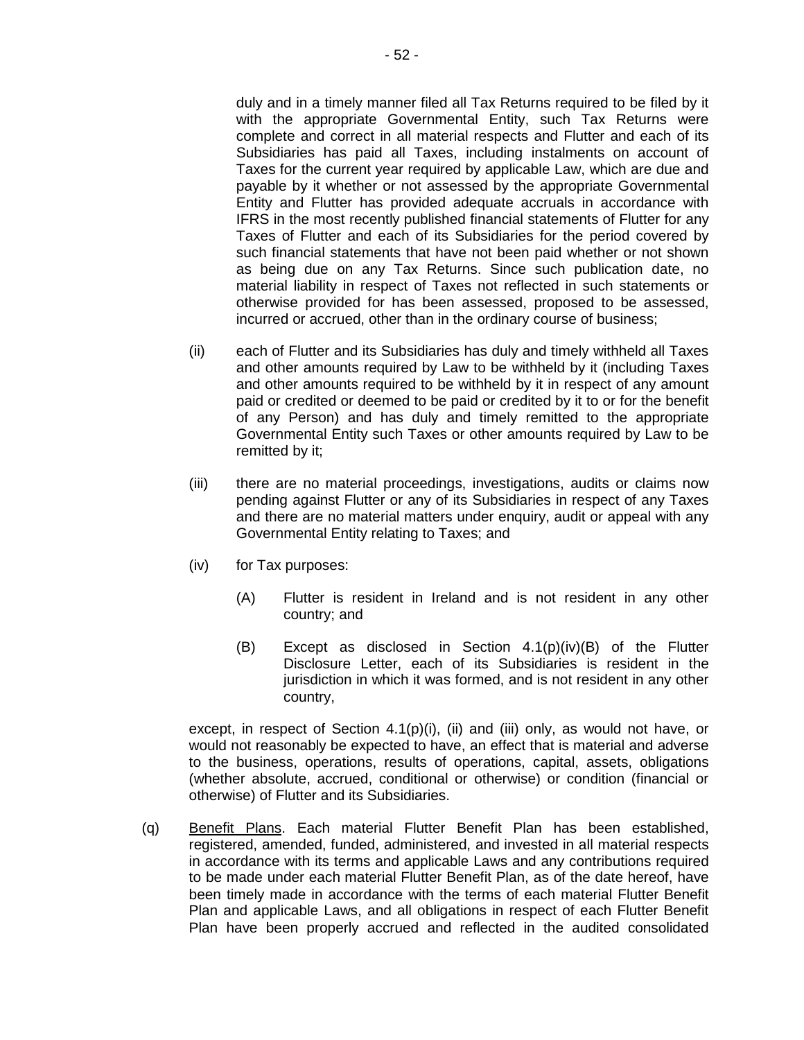duly and in a timely manner filed all Tax Returns required to be filed by it with the appropriate Governmental Entity, such Tax Returns were complete and correct in all material respects and Flutter and each of its Subsidiaries has paid all Taxes, including instalments on account of Taxes for the current year required by applicable Law, which are due and payable by it whether or not assessed by the appropriate Governmental Entity and Flutter has provided adequate accruals in accordance with IFRS in the most recently published financial statements of Flutter for any Taxes of Flutter and each of its Subsidiaries for the period covered by such financial statements that have not been paid whether or not shown as being due on any Tax Returns. Since such publication date, no material liability in respect of Taxes not reflected in such statements or otherwise provided for has been assessed, proposed to be assessed, incurred or accrued, other than in the ordinary course of business;

- (ii) each of Flutter and its Subsidiaries has duly and timely withheld all Taxes and other amounts required by Law to be withheld by it (including Taxes and other amounts required to be withheld by it in respect of any amount paid or credited or deemed to be paid or credited by it to or for the benefit of any Person) and has duly and timely remitted to the appropriate Governmental Entity such Taxes or other amounts required by Law to be remitted by it;
- (iii) there are no material proceedings, investigations, audits or claims now pending against Flutter or any of its Subsidiaries in respect of any Taxes and there are no material matters under enquiry, audit or appeal with any Governmental Entity relating to Taxes; and
- (iv) for Tax purposes:
	- (A) Flutter is resident in Ireland and is not resident in any other country; and
	- (B) Except as disclosed in Section 4.1(p)(iv)(B) of the Flutter Disclosure Letter, each of its Subsidiaries is resident in the jurisdiction in which it was formed, and is not resident in any other country,

except, in respect of Section 4.1(p)(i), (ii) and (iii) only, as would not have, or would not reasonably be expected to have, an effect that is material and adverse to the business, operations, results of operations, capital, assets, obligations (whether absolute, accrued, conditional or otherwise) or condition (financial or otherwise) of Flutter and its Subsidiaries.

(q) Benefit Plans. Each material Flutter Benefit Plan has been established, registered, amended, funded, administered, and invested in all material respects in accordance with its terms and applicable Laws and any contributions required to be made under each material Flutter Benefit Plan, as of the date hereof, have been timely made in accordance with the terms of each material Flutter Benefit Plan and applicable Laws, and all obligations in respect of each Flutter Benefit Plan have been properly accrued and reflected in the audited consolidated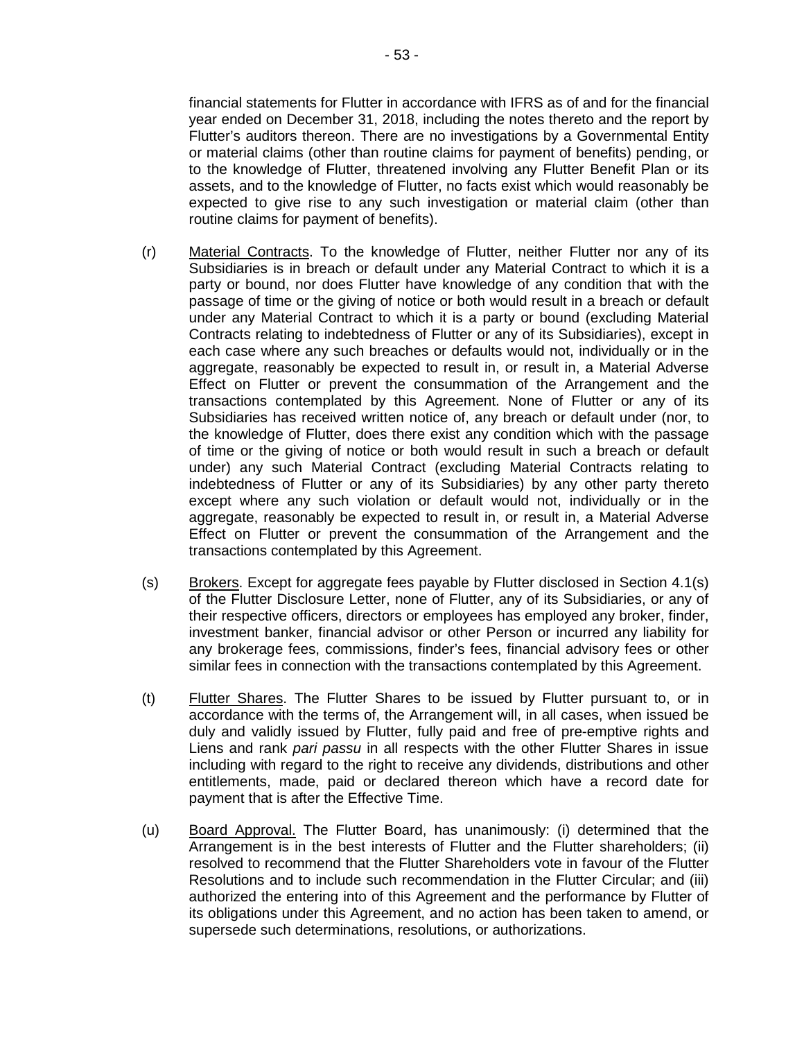financial statements for Flutter in accordance with IFRS as of and for the financial year ended on December 31, 2018, including the notes thereto and the report by Flutter's auditors thereon. There are no investigations by a Governmental Entity or material claims (other than routine claims for payment of benefits) pending, or to the knowledge of Flutter, threatened involving any Flutter Benefit Plan or its assets, and to the knowledge of Flutter, no facts exist which would reasonably be expected to give rise to any such investigation or material claim (other than routine claims for payment of benefits).

- (r) Material Contracts. To the knowledge of Flutter, neither Flutter nor any of its Subsidiaries is in breach or default under any Material Contract to which it is a party or bound, nor does Flutter have knowledge of any condition that with the passage of time or the giving of notice or both would result in a breach or default under any Material Contract to which it is a party or bound (excluding Material Contracts relating to indebtedness of Flutter or any of its Subsidiaries), except in each case where any such breaches or defaults would not, individually or in the aggregate, reasonably be expected to result in, or result in, a Material Adverse Effect on Flutter or prevent the consummation of the Arrangement and the transactions contemplated by this Agreement. None of Flutter or any of its Subsidiaries has received written notice of, any breach or default under (nor, to the knowledge of Flutter, does there exist any condition which with the passage of time or the giving of notice or both would result in such a breach or default under) any such Material Contract (excluding Material Contracts relating to indebtedness of Flutter or any of its Subsidiaries) by any other party thereto except where any such violation or default would not, individually or in the aggregate, reasonably be expected to result in, or result in, a Material Adverse Effect on Flutter or prevent the consummation of the Arrangement and the transactions contemplated by this Agreement.
- $(s)$  Brokers. Except for aggregate fees payable by Flutter disclosed in Section 4.1(s) of the Flutter Disclosure Letter, none of Flutter, any of its Subsidiaries, or any of their respective officers, directors or employees has employed any broker, finder, investment banker, financial advisor or other Person or incurred any liability for any brokerage fees, commissions, finder's fees, financial advisory fees or other similar fees in connection with the transactions contemplated by this Agreement.
- (t) Flutter Shares. The Flutter Shares to be issued by Flutter pursuant to, or in accordance with the terms of, the Arrangement will, in all cases, when issued be duly and validly issued by Flutter, fully paid and free of pre-emptive rights and Liens and rank *pari passu* in all respects with the other Flutter Shares in issue including with regard to the right to receive any dividends, distributions and other entitlements, made, paid or declared thereon which have a record date for payment that is after the Effective Time.
- (u) Board Approval. The Flutter Board, has unanimously: (i) determined that the Arrangement is in the best interests of Flutter and the Flutter shareholders; (ii) resolved to recommend that the Flutter Shareholders vote in favour of the Flutter Resolutions and to include such recommendation in the Flutter Circular; and (iii) authorized the entering into of this Agreement and the performance by Flutter of its obligations under this Agreement, and no action has been taken to amend, or supersede such determinations, resolutions, or authorizations.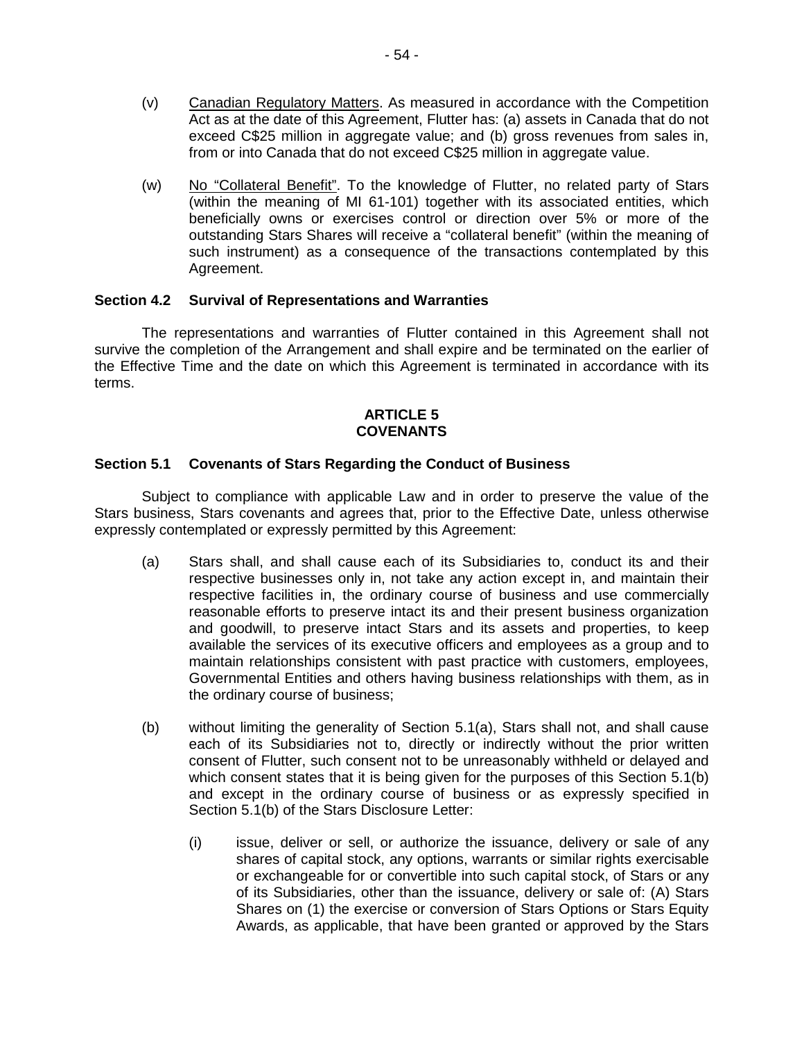- (v) Canadian Regulatory Matters. As measured in accordance with the Competition Act as at the date of this Agreement, Flutter has: (a) assets in Canada that do not exceed C\$25 million in aggregate value; and (b) gross revenues from sales in, from or into Canada that do not exceed C\$25 million in aggregate value.
- (w) No "Collateral Benefit". To the knowledge of Flutter, no related party of Stars (within the meaning of MI 61-101) together with its associated entities, which beneficially owns or exercises control or direction over 5% or more of the outstanding Stars Shares will receive a "collateral benefit" (within the meaning of such instrument) as a consequence of the transactions contemplated by this Agreement.

# **Section 4.2 Survival of Representations and Warranties**

The representations and warranties of Flutter contained in this Agreement shall not survive the completion of the Arrangement and shall expire and be terminated on the earlier of the Effective Time and the date on which this Agreement is terminated in accordance with its terms.

### **ARTICLE 5 COVENANTS**

### **Section 5.1 Covenants of Stars Regarding the Conduct of Business**

Subject to compliance with applicable Law and in order to preserve the value of the Stars business, Stars covenants and agrees that, prior to the Effective Date, unless otherwise expressly contemplated or expressly permitted by this Agreement:

- (a) Stars shall, and shall cause each of its Subsidiaries to, conduct its and their respective businesses only in, not take any action except in, and maintain their respective facilities in, the ordinary course of business and use commercially reasonable efforts to preserve intact its and their present business organization and goodwill, to preserve intact Stars and its assets and properties, to keep available the services of its executive officers and employees as a group and to maintain relationships consistent with past practice with customers, employees, Governmental Entities and others having business relationships with them, as in the ordinary course of business;
- (b) without limiting the generality of Section 5.1(a), Stars shall not, and shall cause each of its Subsidiaries not to, directly or indirectly without the prior written consent of Flutter, such consent not to be unreasonably withheld or delayed and which consent states that it is being given for the purposes of this Section 5.1(b) and except in the ordinary course of business or as expressly specified in Section 5.1(b) of the Stars Disclosure Letter:
	- (i) issue, deliver or sell, or authorize the issuance, delivery or sale of any shares of capital stock, any options, warrants or similar rights exercisable or exchangeable for or convertible into such capital stock, of Stars or any of its Subsidiaries, other than the issuance, delivery or sale of: (A) Stars Shares on (1) the exercise or conversion of Stars Options or Stars Equity Awards, as applicable, that have been granted or approved by the Stars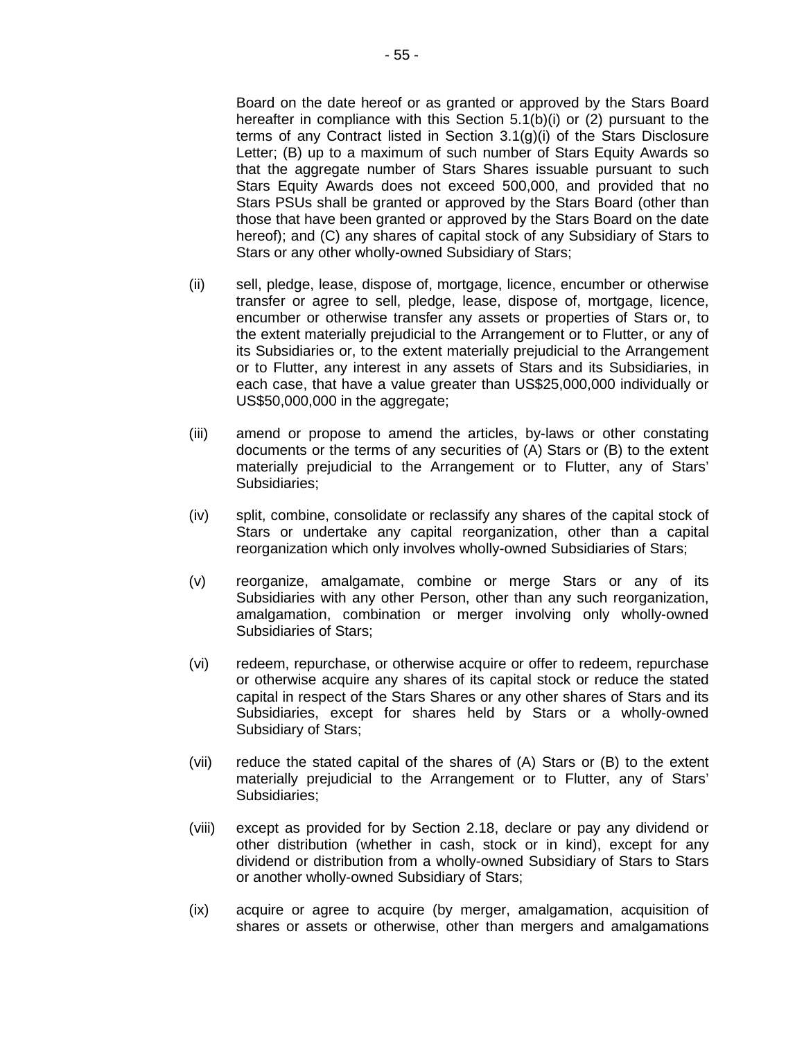Board on the date hereof or as granted or approved by the Stars Board hereafter in compliance with this Section 5.1(b)(i) or (2) pursuant to the terms of any Contract listed in Section 3.1(g)(i) of the Stars Disclosure Letter; (B) up to a maximum of such number of Stars Equity Awards so that the aggregate number of Stars Shares issuable pursuant to such Stars Equity Awards does not exceed 500,000, and provided that no Stars PSUs shall be granted or approved by the Stars Board (other than those that have been granted or approved by the Stars Board on the date hereof); and (C) any shares of capital stock of any Subsidiary of Stars to Stars or any other wholly-owned Subsidiary of Stars;

- (ii) sell, pledge, lease, dispose of, mortgage, licence, encumber or otherwise transfer or agree to sell, pledge, lease, dispose of, mortgage, licence, encumber or otherwise transfer any assets or properties of Stars or, to the extent materially prejudicial to the Arrangement or to Flutter, or any of its Subsidiaries or, to the extent materially prejudicial to the Arrangement or to Flutter, any interest in any assets of Stars and its Subsidiaries, in each case, that have a value greater than US\$25,000,000 individually or US\$50,000,000 in the aggregate;
- (iii) amend or propose to amend the articles, by-laws or other constating documents or the terms of any securities of (A) Stars or (B) to the extent materially prejudicial to the Arrangement or to Flutter, any of Stars' Subsidiaries;
- (iv) split, combine, consolidate or reclassify any shares of the capital stock of Stars or undertake any capital reorganization, other than a capital reorganization which only involves wholly-owned Subsidiaries of Stars;
- (v) reorganize, amalgamate, combine or merge Stars or any of its Subsidiaries with any other Person, other than any such reorganization, amalgamation, combination or merger involving only wholly-owned Subsidiaries of Stars;
- (vi) redeem, repurchase, or otherwise acquire or offer to redeem, repurchase or otherwise acquire any shares of its capital stock or reduce the stated capital in respect of the Stars Shares or any other shares of Stars and its Subsidiaries, except for shares held by Stars or a wholly-owned Subsidiary of Stars;
- (vii) reduce the stated capital of the shares of (A) Stars or (B) to the extent materially prejudicial to the Arrangement or to Flutter, any of Stars' Subsidiaries;
- (viii) except as provided for by Section 2.18, declare or pay any dividend or other distribution (whether in cash, stock or in kind), except for any dividend or distribution from a wholly-owned Subsidiary of Stars to Stars or another wholly-owned Subsidiary of Stars;
- (ix) acquire or agree to acquire (by merger, amalgamation, acquisition of shares or assets or otherwise, other than mergers and amalgamations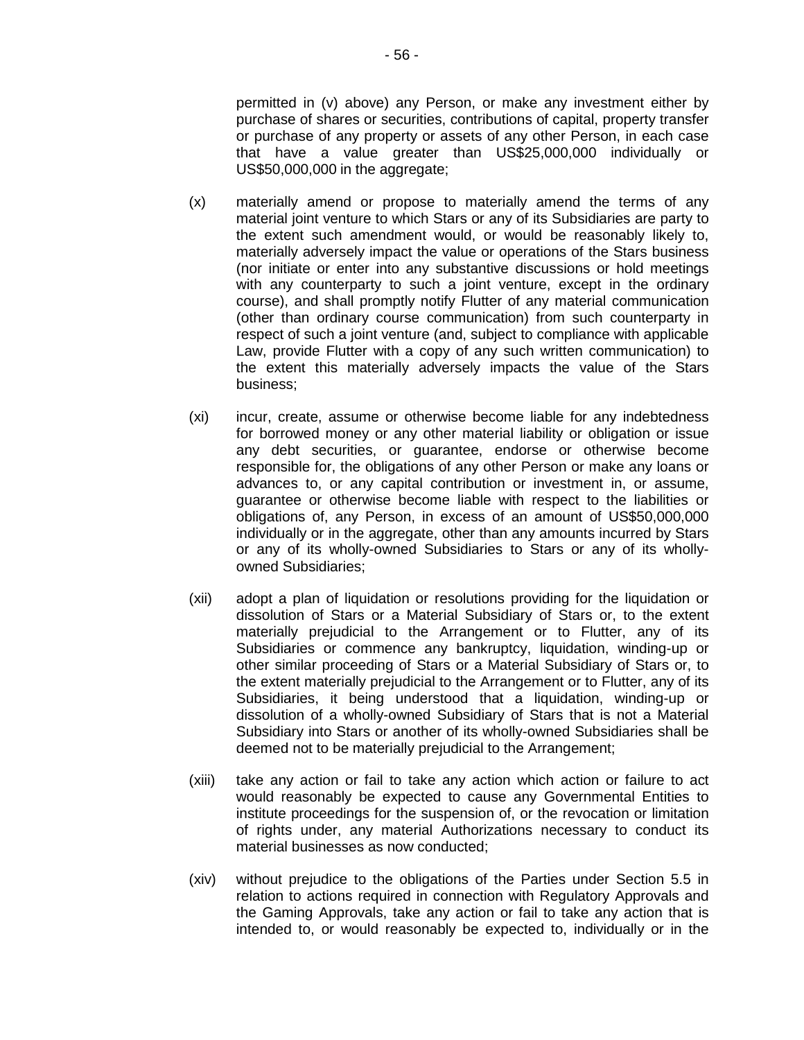permitted in (v) above) any Person, or make any investment either by purchase of shares or securities, contributions of capital, property transfer or purchase of any property or assets of any other Person, in each case that have a value greater than US\$25,000,000 individually or US\$50,000,000 in the aggregate;

- (x) materially amend or propose to materially amend the terms of any material joint venture to which Stars or any of its Subsidiaries are party to the extent such amendment would, or would be reasonably likely to, materially adversely impact the value or operations of the Stars business (nor initiate or enter into any substantive discussions or hold meetings with any counterparty to such a joint venture, except in the ordinary course), and shall promptly notify Flutter of any material communication (other than ordinary course communication) from such counterparty in respect of such a joint venture (and, subject to compliance with applicable Law, provide Flutter with a copy of any such written communication) to the extent this materially adversely impacts the value of the Stars business;
- (xi) incur, create, assume or otherwise become liable for any indebtedness for borrowed money or any other material liability or obligation or issue any debt securities, or guarantee, endorse or otherwise become responsible for, the obligations of any other Person or make any loans or advances to, or any capital contribution or investment in, or assume, guarantee or otherwise become liable with respect to the liabilities or obligations of, any Person, in excess of an amount of US\$50,000,000 individually or in the aggregate, other than any amounts incurred by Stars or any of its wholly-owned Subsidiaries to Stars or any of its whollyowned Subsidiaries;
- (xii) adopt a plan of liquidation or resolutions providing for the liquidation or dissolution of Stars or a Material Subsidiary of Stars or, to the extent materially prejudicial to the Arrangement or to Flutter, any of its Subsidiaries or commence any bankruptcy, liquidation, winding-up or other similar proceeding of Stars or a Material Subsidiary of Stars or, to the extent materially prejudicial to the Arrangement or to Flutter, any of its Subsidiaries, it being understood that a liquidation, winding-up or dissolution of a wholly-owned Subsidiary of Stars that is not a Material Subsidiary into Stars or another of its wholly-owned Subsidiaries shall be deemed not to be materially prejudicial to the Arrangement;
- (xiii) take any action or fail to take any action which action or failure to act would reasonably be expected to cause any Governmental Entities to institute proceedings for the suspension of, or the revocation or limitation of rights under, any material Authorizations necessary to conduct its material businesses as now conducted;
- (xiv) without prejudice to the obligations of the Parties under Section 5.5 in relation to actions required in connection with Regulatory Approvals and the Gaming Approvals, take any action or fail to take any action that is intended to, or would reasonably be expected to, individually or in the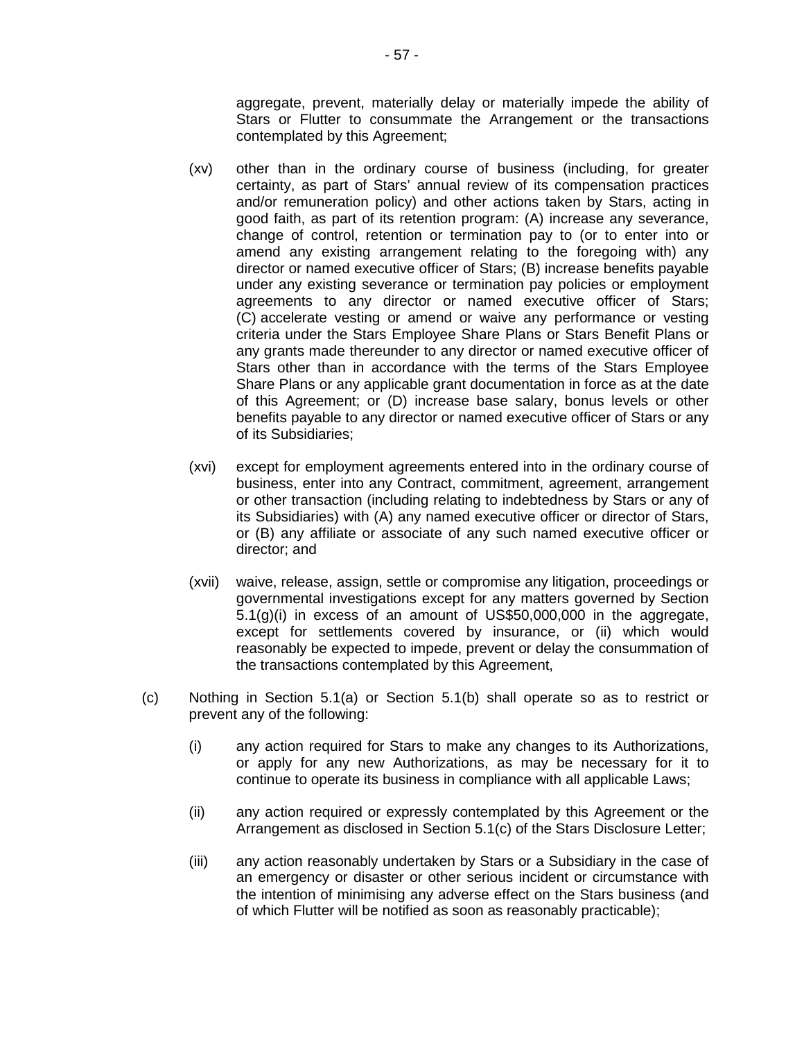aggregate, prevent, materially delay or materially impede the ability of Stars or Flutter to consummate the Arrangement or the transactions contemplated by this Agreement;

- (xv) other than in the ordinary course of business (including, for greater certainty, as part of Stars' annual review of its compensation practices and/or remuneration policy) and other actions taken by Stars, acting in good faith, as part of its retention program: (A) increase any severance, change of control, retention or termination pay to (or to enter into or amend any existing arrangement relating to the foregoing with) any director or named executive officer of Stars; (B) increase benefits payable under any existing severance or termination pay policies or employment agreements to any director or named executive officer of Stars; (C) accelerate vesting or amend or waive any performance or vesting criteria under the Stars Employee Share Plans or Stars Benefit Plans or any grants made thereunder to any director or named executive officer of Stars other than in accordance with the terms of the Stars Employee Share Plans or any applicable grant documentation in force as at the date of this Agreement; or (D) increase base salary, bonus levels or other benefits payable to any director or named executive officer of Stars or any of its Subsidiaries;
- (xvi) except for employment agreements entered into in the ordinary course of business, enter into any Contract, commitment, agreement, arrangement or other transaction (including relating to indebtedness by Stars or any of its Subsidiaries) with (A) any named executive officer or director of Stars, or (B) any affiliate or associate of any such named executive officer or director; and
- (xvii) waive, release, assign, settle or compromise any litigation, proceedings or governmental investigations except for any matters governed by Section 5.1(g)(i) in excess of an amount of US\$50,000,000 in the aggregate, except for settlements covered by insurance, or (ii) which would reasonably be expected to impede, prevent or delay the consummation of the transactions contemplated by this Agreement,
- (c) Nothing in Section 5.1(a) or Section 5.1(b) shall operate so as to restrict or prevent any of the following:
	- (i) any action required for Stars to make any changes to its Authorizations, or apply for any new Authorizations, as may be necessary for it to continue to operate its business in compliance with all applicable Laws;
	- (ii) any action required or expressly contemplated by this Agreement or the Arrangement as disclosed in Section 5.1(c) of the Stars Disclosure Letter;
	- (iii) any action reasonably undertaken by Stars or a Subsidiary in the case of an emergency or disaster or other serious incident or circumstance with the intention of minimising any adverse effect on the Stars business (and of which Flutter will be notified as soon as reasonably practicable);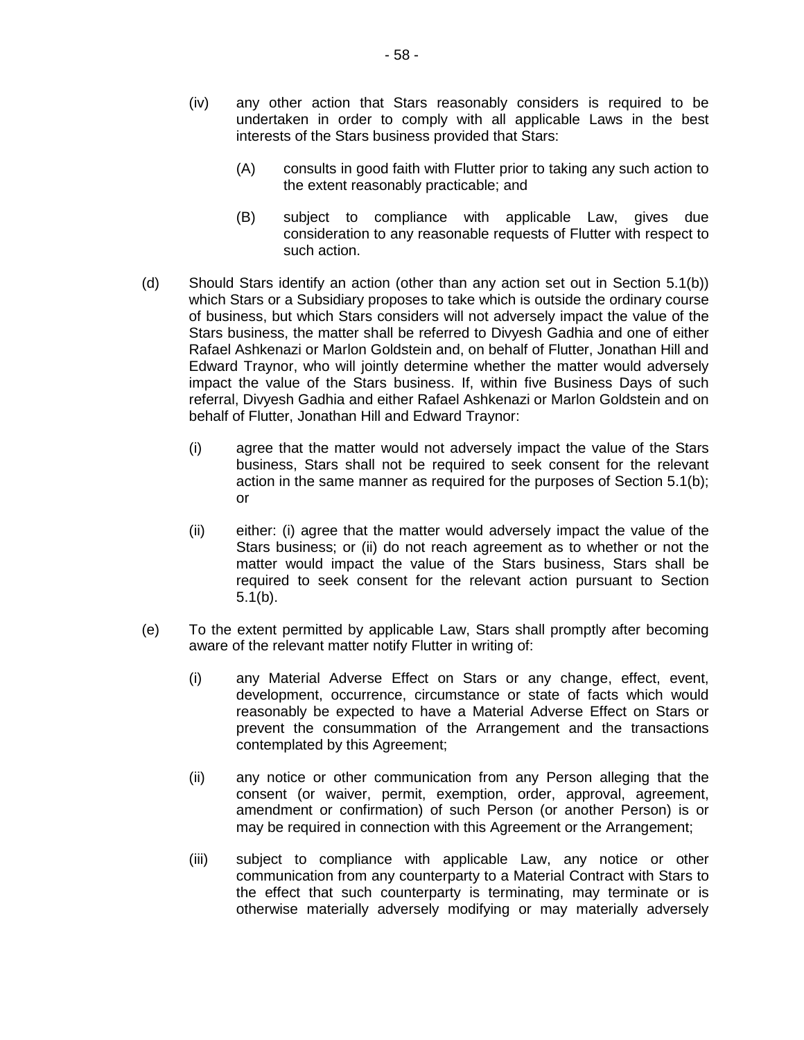- (iv) any other action that Stars reasonably considers is required to be undertaken in order to comply with all applicable Laws in the best interests of the Stars business provided that Stars:
	- (A) consults in good faith with Flutter prior to taking any such action to the extent reasonably practicable; and
	- (B) subject to compliance with applicable Law, gives due consideration to any reasonable requests of Flutter with respect to such action.
- (d) Should Stars identify an action (other than any action set out in Section 5.1(b)) which Stars or a Subsidiary proposes to take which is outside the ordinary course of business, but which Stars considers will not adversely impact the value of the Stars business, the matter shall be referred to Divyesh Gadhia and one of either Rafael Ashkenazi or Marlon Goldstein and, on behalf of Flutter, Jonathan Hill and Edward Traynor, who will jointly determine whether the matter would adversely impact the value of the Stars business. If, within five Business Days of such referral, Divyesh Gadhia and either Rafael Ashkenazi or Marlon Goldstein and on behalf of Flutter, Jonathan Hill and Edward Traynor:
	- (i) agree that the matter would not adversely impact the value of the Stars business, Stars shall not be required to seek consent for the relevant action in the same manner as required for the purposes of Section 5.1(b); or
	- (ii) either: (i) agree that the matter would adversely impact the value of the Stars business; or (ii) do not reach agreement as to whether or not the matter would impact the value of the Stars business, Stars shall be required to seek consent for the relevant action pursuant to Section 5.1(b).
- (e) To the extent permitted by applicable Law, Stars shall promptly after becoming aware of the relevant matter notify Flutter in writing of:
	- (i) any Material Adverse Effect on Stars or any change, effect, event, development, occurrence, circumstance or state of facts which would reasonably be expected to have a Material Adverse Effect on Stars or prevent the consummation of the Arrangement and the transactions contemplated by this Agreement;
	- (ii) any notice or other communication from any Person alleging that the consent (or waiver, permit, exemption, order, approval, agreement, amendment or confirmation) of such Person (or another Person) is or may be required in connection with this Agreement or the Arrangement;
	- (iii) subject to compliance with applicable Law, any notice or other communication from any counterparty to a Material Contract with Stars to the effect that such counterparty is terminating, may terminate or is otherwise materially adversely modifying or may materially adversely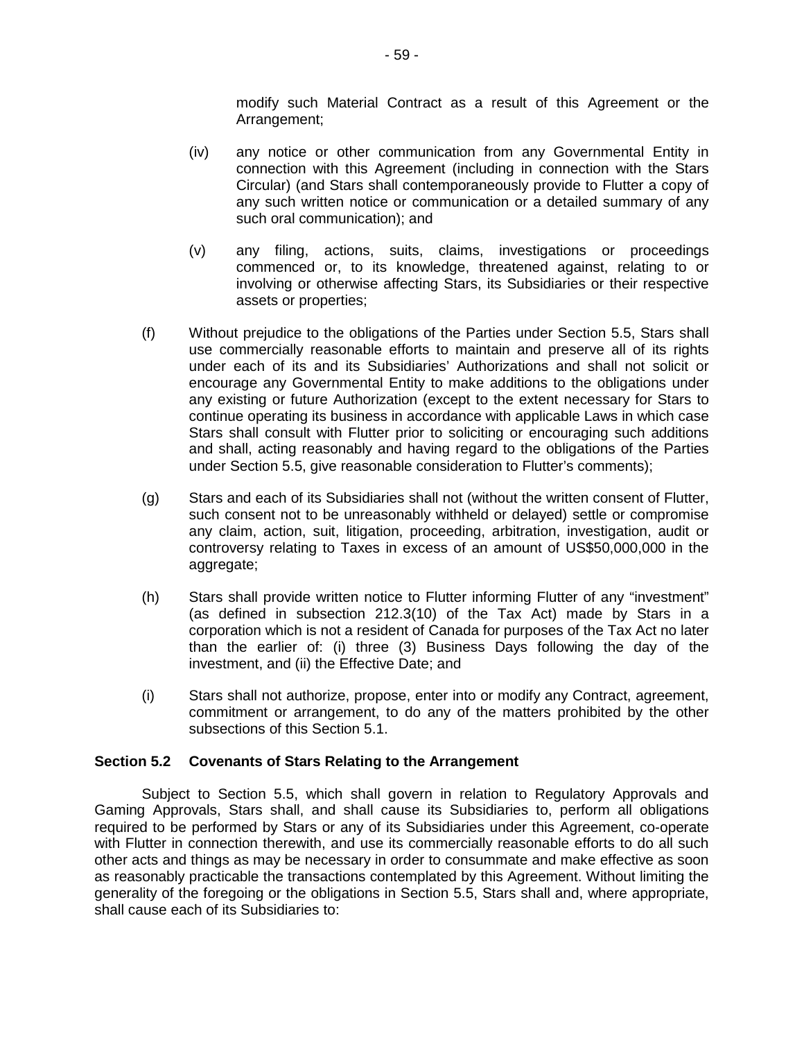modify such Material Contract as a result of this Agreement or the Arrangement;

- (iv) any notice or other communication from any Governmental Entity in connection with this Agreement (including in connection with the Stars Circular) (and Stars shall contemporaneously provide to Flutter a copy of any such written notice or communication or a detailed summary of any such oral communication); and
- (v) any filing, actions, suits, claims, investigations or proceedings commenced or, to its knowledge, threatened against, relating to or involving or otherwise affecting Stars, its Subsidiaries or their respective assets or properties;
- (f) Without prejudice to the obligations of the Parties under Section 5.5, Stars shall use commercially reasonable efforts to maintain and preserve all of its rights under each of its and its Subsidiaries' Authorizations and shall not solicit or encourage any Governmental Entity to make additions to the obligations under any existing or future Authorization (except to the extent necessary for Stars to continue operating its business in accordance with applicable Laws in which case Stars shall consult with Flutter prior to soliciting or encouraging such additions and shall, acting reasonably and having regard to the obligations of the Parties under Section 5.5, give reasonable consideration to Flutter's comments);
- (g) Stars and each of its Subsidiaries shall not (without the written consent of Flutter, such consent not to be unreasonably withheld or delayed) settle or compromise any claim, action, suit, litigation, proceeding, arbitration, investigation, audit or controversy relating to Taxes in excess of an amount of US\$50,000,000 in the aggregate;
- (h) Stars shall provide written notice to Flutter informing Flutter of any "investment" (as defined in subsection 212.3(10) of the Tax Act) made by Stars in a corporation which is not a resident of Canada for purposes of the Tax Act no later than the earlier of: (i) three (3) Business Days following the day of the investment, and (ii) the Effective Date; and
- (i) Stars shall not authorize, propose, enter into or modify any Contract, agreement, commitment or arrangement, to do any of the matters prohibited by the other subsections of this Section 5.1.

# **Section 5.2 Covenants of Stars Relating to the Arrangement**

Subject to Section 5.5, which shall govern in relation to Regulatory Approvals and Gaming Approvals, Stars shall, and shall cause its Subsidiaries to, perform all obligations required to be performed by Stars or any of its Subsidiaries under this Agreement, co-operate with Flutter in connection therewith, and use its commercially reasonable efforts to do all such other acts and things as may be necessary in order to consummate and make effective as soon as reasonably practicable the transactions contemplated by this Agreement. Without limiting the generality of the foregoing or the obligations in Section 5.5, Stars shall and, where appropriate, shall cause each of its Subsidiaries to: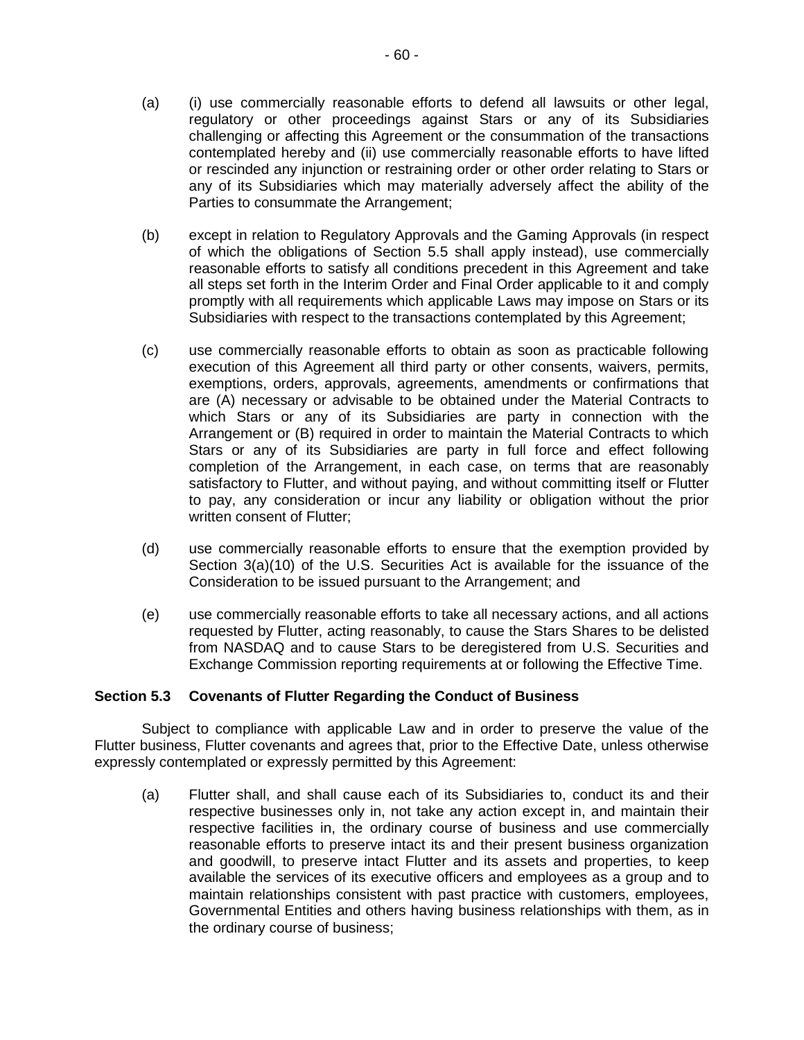- (a) (i) use commercially reasonable efforts to defend all lawsuits or other legal, regulatory or other proceedings against Stars or any of its Subsidiaries challenging or affecting this Agreement or the consummation of the transactions contemplated hereby and (ii) use commercially reasonable efforts to have lifted or rescinded any injunction or restraining order or other order relating to Stars or any of its Subsidiaries which may materially adversely affect the ability of the Parties to consummate the Arrangement;
- (b) except in relation to Regulatory Approvals and the Gaming Approvals (in respect of which the obligations of Section 5.5 shall apply instead), use commercially reasonable efforts to satisfy all conditions precedent in this Agreement and take all steps set forth in the Interim Order and Final Order applicable to it and comply promptly with all requirements which applicable Laws may impose on Stars or its Subsidiaries with respect to the transactions contemplated by this Agreement;
- (c) use commercially reasonable efforts to obtain as soon as practicable following execution of this Agreement all third party or other consents, waivers, permits, exemptions, orders, approvals, agreements, amendments or confirmations that are (A) necessary or advisable to be obtained under the Material Contracts to which Stars or any of its Subsidiaries are party in connection with the Arrangement or (B) required in order to maintain the Material Contracts to which Stars or any of its Subsidiaries are party in full force and effect following completion of the Arrangement, in each case, on terms that are reasonably satisfactory to Flutter, and without paying, and without committing itself or Flutter to pay, any consideration or incur any liability or obligation without the prior written consent of Flutter;
- (d) use commercially reasonable efforts to ensure that the exemption provided by Section 3(a)(10) of the U.S. Securities Act is available for the issuance of the Consideration to be issued pursuant to the Arrangement; and
- (e) use commercially reasonable efforts to take all necessary actions, and all actions requested by Flutter, acting reasonably, to cause the Stars Shares to be delisted from NASDAQ and to cause Stars to be deregistered from U.S. Securities and Exchange Commission reporting requirements at or following the Effective Time.

# **Section 5.3 Covenants of Flutter Regarding the Conduct of Business**

Subject to compliance with applicable Law and in order to preserve the value of the Flutter business, Flutter covenants and agrees that, prior to the Effective Date, unless otherwise expressly contemplated or expressly permitted by this Agreement:

(a) Flutter shall, and shall cause each of its Subsidiaries to, conduct its and their respective businesses only in, not take any action except in, and maintain their respective facilities in, the ordinary course of business and use commercially reasonable efforts to preserve intact its and their present business organization and goodwill, to preserve intact Flutter and its assets and properties, to keep available the services of its executive officers and employees as a group and to maintain relationships consistent with past practice with customers, employees, Governmental Entities and others having business relationships with them, as in the ordinary course of business;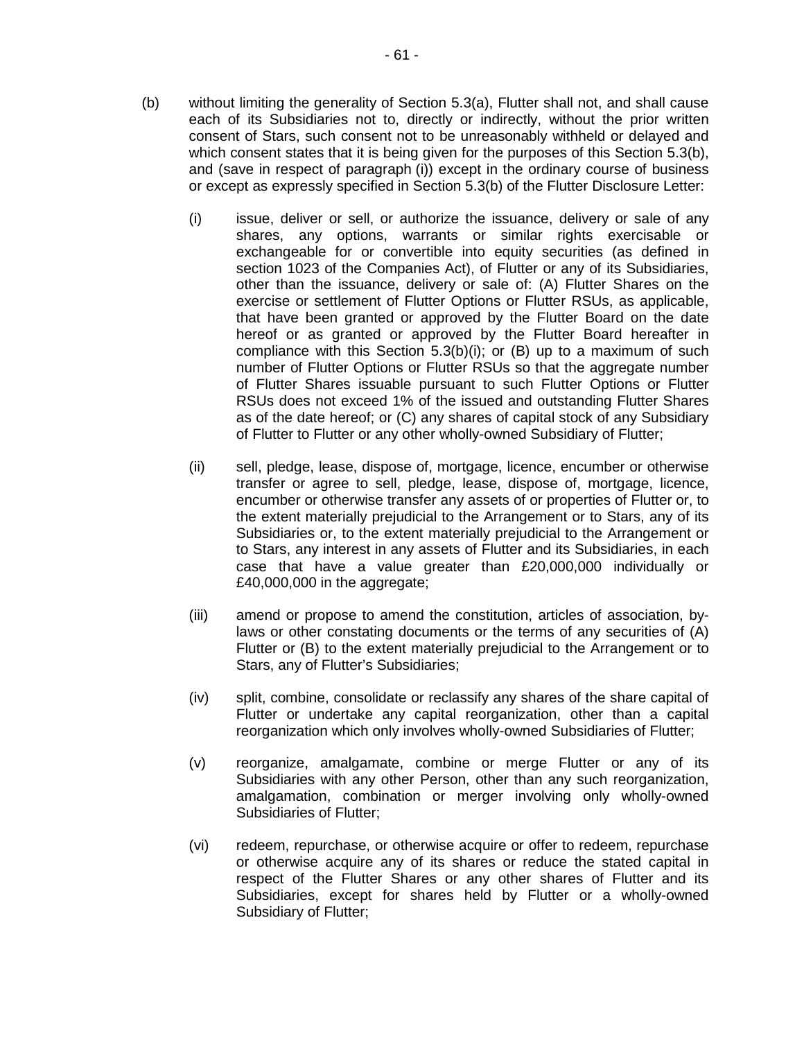- (b) without limiting the generality of Section 5.3(a), Flutter shall not, and shall cause each of its Subsidiaries not to, directly or indirectly, without the prior written consent of Stars, such consent not to be unreasonably withheld or delayed and which consent states that it is being given for the purposes of this Section 5.3(b), and (save in respect of paragraph (i)) except in the ordinary course of business or except as expressly specified in Section 5.3(b) of the Flutter Disclosure Letter:
	- (i) issue, deliver or sell, or authorize the issuance, delivery or sale of any shares, any options, warrants or similar rights exercisable or exchangeable for or convertible into equity securities (as defined in section 1023 of the Companies Act), of Flutter or any of its Subsidiaries, other than the issuance, delivery or sale of: (A) Flutter Shares on the exercise or settlement of Flutter Options or Flutter RSUs, as applicable, that have been granted or approved by the Flutter Board on the date hereof or as granted or approved by the Flutter Board hereafter in compliance with this Section 5.3(b)(i); or (B) up to a maximum of such number of Flutter Options or Flutter RSUs so that the aggregate number of Flutter Shares issuable pursuant to such Flutter Options or Flutter RSUs does not exceed 1% of the issued and outstanding Flutter Shares as of the date hereof; or (C) any shares of capital stock of any Subsidiary of Flutter to Flutter or any other wholly-owned Subsidiary of Flutter;
	- (ii) sell, pledge, lease, dispose of, mortgage, licence, encumber or otherwise transfer or agree to sell, pledge, lease, dispose of, mortgage, licence, encumber or otherwise transfer any assets of or properties of Flutter or, to the extent materially prejudicial to the Arrangement or to Stars, any of its Subsidiaries or, to the extent materially prejudicial to the Arrangement or to Stars, any interest in any assets of Flutter and its Subsidiaries, in each case that have a value greater than £20,000,000 individually or £40,000,000 in the aggregate;
	- (iii) amend or propose to amend the constitution, articles of association, bylaws or other constating documents or the terms of any securities of (A) Flutter or (B) to the extent materially prejudicial to the Arrangement or to Stars, any of Flutter's Subsidiaries;
	- (iv) split, combine, consolidate or reclassify any shares of the share capital of Flutter or undertake any capital reorganization, other than a capital reorganization which only involves wholly-owned Subsidiaries of Flutter;
	- (v) reorganize, amalgamate, combine or merge Flutter or any of its Subsidiaries with any other Person, other than any such reorganization, amalgamation, combination or merger involving only wholly-owned Subsidiaries of Flutter;
	- (vi) redeem, repurchase, or otherwise acquire or offer to redeem, repurchase or otherwise acquire any of its shares or reduce the stated capital in respect of the Flutter Shares or any other shares of Flutter and its Subsidiaries, except for shares held by Flutter or a wholly-owned Subsidiary of Flutter;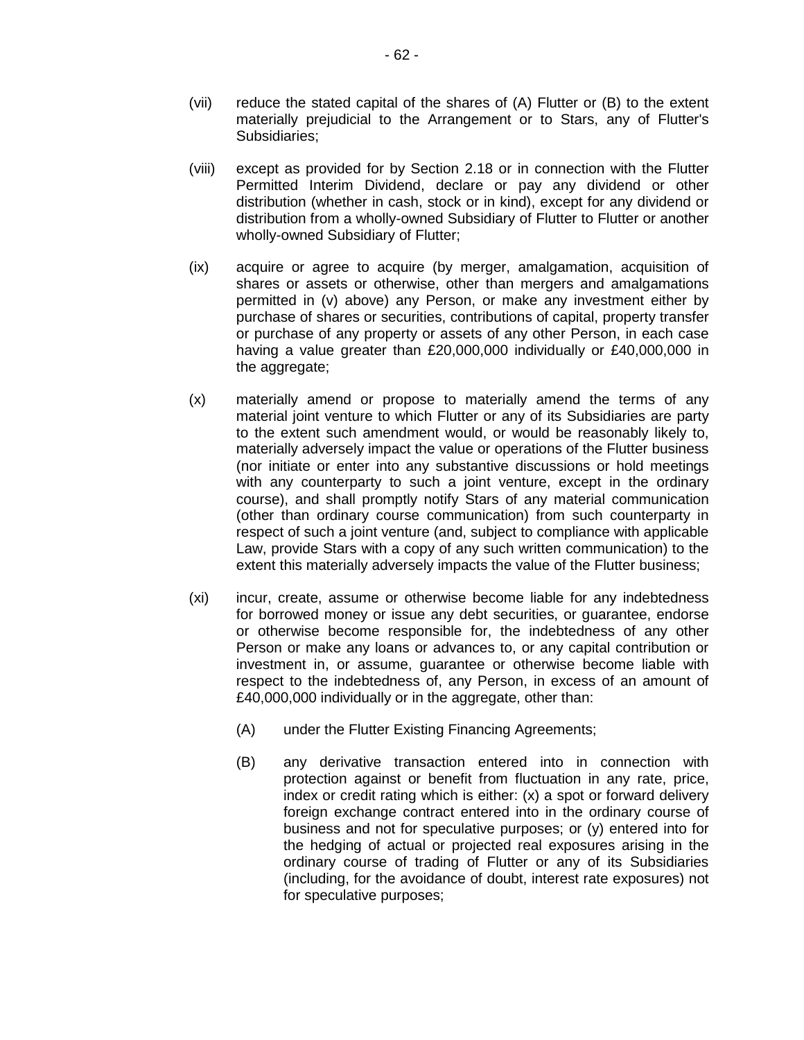- (vii) reduce the stated capital of the shares of (A) Flutter or (B) to the extent materially prejudicial to the Arrangement or to Stars, any of Flutter's Subsidiaries;
- (viii) except as provided for by Section 2.18 or in connection with the Flutter Permitted Interim Dividend, declare or pay any dividend or other distribution (whether in cash, stock or in kind), except for any dividend or distribution from a wholly-owned Subsidiary of Flutter to Flutter or another wholly-owned Subsidiary of Flutter;
- (ix) acquire or agree to acquire (by merger, amalgamation, acquisition of shares or assets or otherwise, other than mergers and amalgamations permitted in (v) above) any Person, or make any investment either by purchase of shares or securities, contributions of capital, property transfer or purchase of any property or assets of any other Person, in each case having a value greater than £20,000,000 individually or £40,000,000 in the aggregate;
- (x) materially amend or propose to materially amend the terms of any material joint venture to which Flutter or any of its Subsidiaries are party to the extent such amendment would, or would be reasonably likely to, materially adversely impact the value or operations of the Flutter business (nor initiate or enter into any substantive discussions or hold meetings with any counterparty to such a joint venture, except in the ordinary course), and shall promptly notify Stars of any material communication (other than ordinary course communication) from such counterparty in respect of such a joint venture (and, subject to compliance with applicable Law, provide Stars with a copy of any such written communication) to the extent this materially adversely impacts the value of the Flutter business;
- (xi) incur, create, assume or otherwise become liable for any indebtedness for borrowed money or issue any debt securities, or guarantee, endorse or otherwise become responsible for, the indebtedness of any other Person or make any loans or advances to, or any capital contribution or investment in, or assume, guarantee or otherwise become liable with respect to the indebtedness of, any Person, in excess of an amount of £40,000,000 individually or in the aggregate, other than:
	- (A) under the Flutter Existing Financing Agreements;
	- (B) any derivative transaction entered into in connection with protection against or benefit from fluctuation in any rate, price, index or credit rating which is either: (x) a spot or forward delivery foreign exchange contract entered into in the ordinary course of business and not for speculative purposes; or (y) entered into for the hedging of actual or projected real exposures arising in the ordinary course of trading of Flutter or any of its Subsidiaries (including, for the avoidance of doubt, interest rate exposures) not for speculative purposes;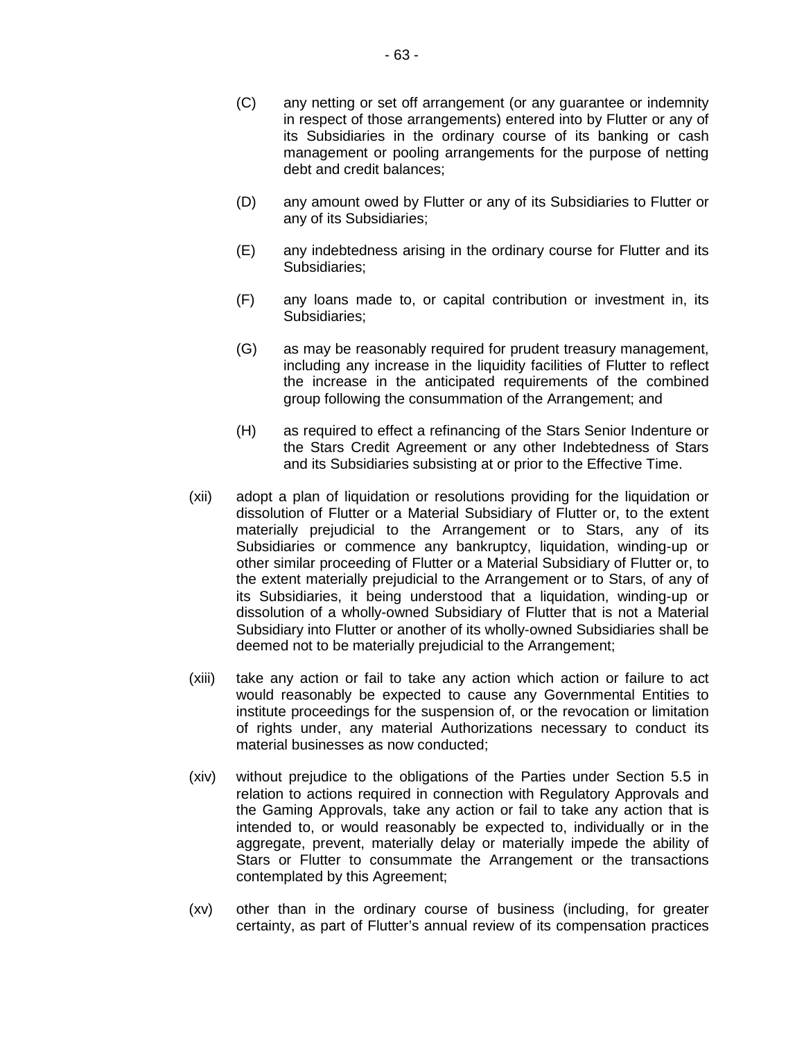- (D) any amount owed by Flutter or any of its Subsidiaries to Flutter or any of its Subsidiaries;
- (E) any indebtedness arising in the ordinary course for Flutter and its Subsidiaries;
- (F) any loans made to, or capital contribution or investment in, its Subsidiaries;
- (G) as may be reasonably required for prudent treasury management, including any increase in the liquidity facilities of Flutter to reflect the increase in the anticipated requirements of the combined group following the consummation of the Arrangement; and
- (H) as required to effect a refinancing of the Stars Senior Indenture or the Stars Credit Agreement or any other Indebtedness of Stars and its Subsidiaries subsisting at or prior to the Effective Time.
- (xii) adopt a plan of liquidation or resolutions providing for the liquidation or dissolution of Flutter or a Material Subsidiary of Flutter or, to the extent materially prejudicial to the Arrangement or to Stars, any of its Subsidiaries or commence any bankruptcy, liquidation, winding-up or other similar proceeding of Flutter or a Material Subsidiary of Flutter or, to the extent materially prejudicial to the Arrangement or to Stars, of any of its Subsidiaries, it being understood that a liquidation, winding-up or dissolution of a wholly-owned Subsidiary of Flutter that is not a Material Subsidiary into Flutter or another of its wholly-owned Subsidiaries shall be deemed not to be materially prejudicial to the Arrangement;
- (xiii) take any action or fail to take any action which action or failure to act would reasonably be expected to cause any Governmental Entities to institute proceedings for the suspension of, or the revocation or limitation of rights under, any material Authorizations necessary to conduct its material businesses as now conducted;
- (xiv) without prejudice to the obligations of the Parties under Section 5.5 in relation to actions required in connection with Regulatory Approvals and the Gaming Approvals, take any action or fail to take any action that is intended to, or would reasonably be expected to, individually or in the aggregate, prevent, materially delay or materially impede the ability of Stars or Flutter to consummate the Arrangement or the transactions contemplated by this Agreement;
- (xv) other than in the ordinary course of business (including, for greater certainty, as part of Flutter's annual review of its compensation practices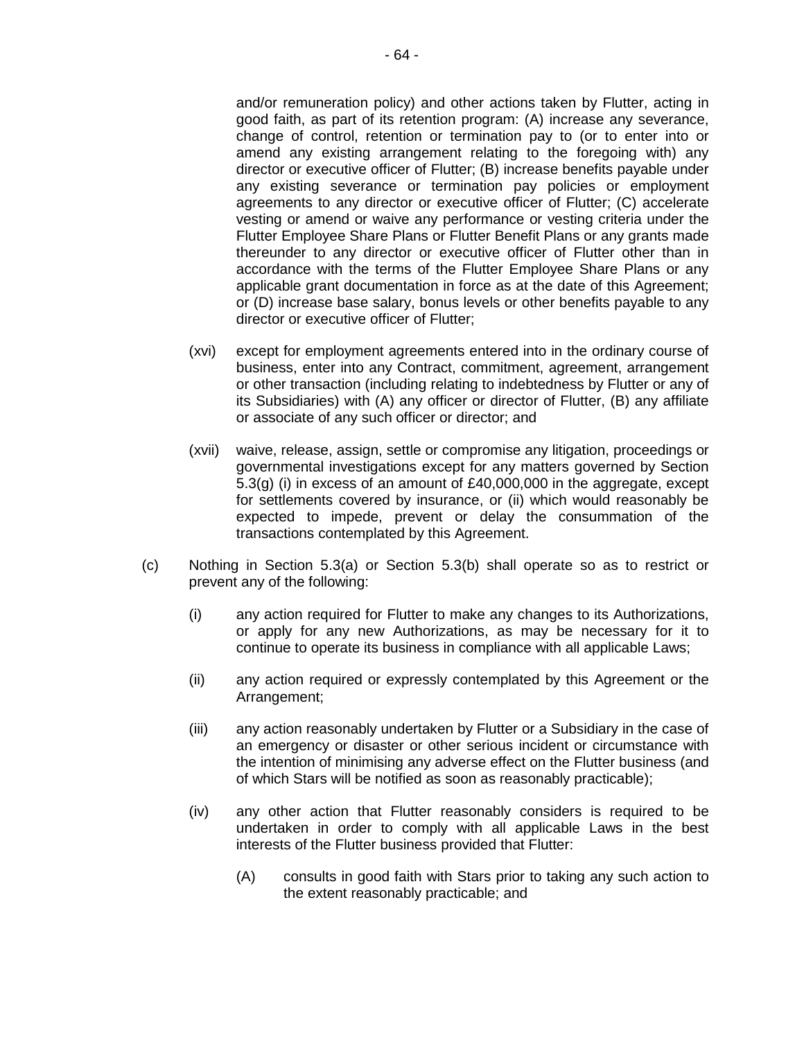and/or remuneration policy) and other actions taken by Flutter, acting in good faith, as part of its retention program: (A) increase any severance, change of control, retention or termination pay to (or to enter into or amend any existing arrangement relating to the foregoing with) any director or executive officer of Flutter; (B) increase benefits payable under any existing severance or termination pay policies or employment agreements to any director or executive officer of Flutter; (C) accelerate vesting or amend or waive any performance or vesting criteria under the Flutter Employee Share Plans or Flutter Benefit Plans or any grants made thereunder to any director or executive officer of Flutter other than in accordance with the terms of the Flutter Employee Share Plans or any applicable grant documentation in force as at the date of this Agreement; or (D) increase base salary, bonus levels or other benefits payable to any director or executive officer of Flutter;

- (xvi) except for employment agreements entered into in the ordinary course of business, enter into any Contract, commitment, agreement, arrangement or other transaction (including relating to indebtedness by Flutter or any of its Subsidiaries) with (A) any officer or director of Flutter, (B) any affiliate or associate of any such officer or director; and
- (xvii) waive, release, assign, settle or compromise any litigation, proceedings or governmental investigations except for any matters governed by Section 5.3(g) (i) in excess of an amount of £40,000,000 in the aggregate, except for settlements covered by insurance, or (ii) which would reasonably be expected to impede, prevent or delay the consummation of the transactions contemplated by this Agreement.
- (c) Nothing in Section 5.3(a) or Section 5.3(b) shall operate so as to restrict or prevent any of the following:
	- (i) any action required for Flutter to make any changes to its Authorizations, or apply for any new Authorizations, as may be necessary for it to continue to operate its business in compliance with all applicable Laws;
	- (ii) any action required or expressly contemplated by this Agreement or the Arrangement;
	- (iii) any action reasonably undertaken by Flutter or a Subsidiary in the case of an emergency or disaster or other serious incident or circumstance with the intention of minimising any adverse effect on the Flutter business (and of which Stars will be notified as soon as reasonably practicable);
	- (iv) any other action that Flutter reasonably considers is required to be undertaken in order to comply with all applicable Laws in the best interests of the Flutter business provided that Flutter:
		- (A) consults in good faith with Stars prior to taking any such action to the extent reasonably practicable; and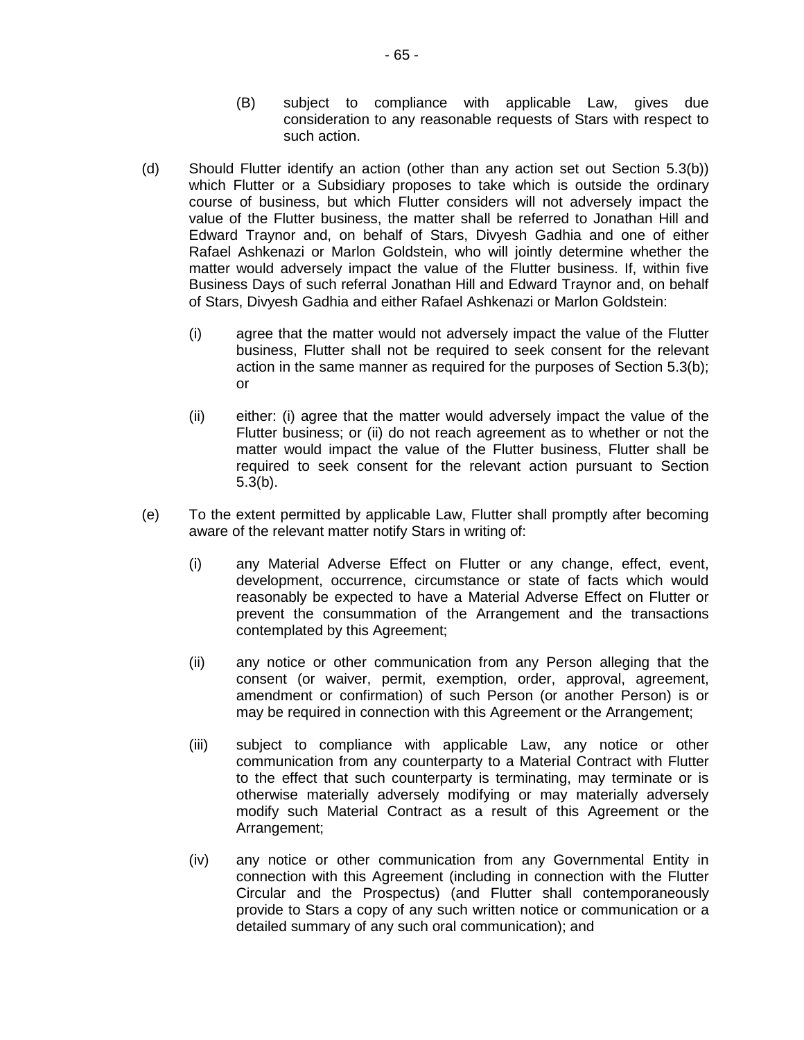- (B) subject to compliance with applicable Law, gives due consideration to any reasonable requests of Stars with respect to such action.
- (d) Should Flutter identify an action (other than any action set out Section 5.3(b)) which Flutter or a Subsidiary proposes to take which is outside the ordinary course of business, but which Flutter considers will not adversely impact the value of the Flutter business, the matter shall be referred to Jonathan Hill and Edward Traynor and, on behalf of Stars, Divyesh Gadhia and one of either Rafael Ashkenazi or Marlon Goldstein, who will jointly determine whether the matter would adversely impact the value of the Flutter business. If, within five Business Days of such referral Jonathan Hill and Edward Traynor and, on behalf of Stars, Divyesh Gadhia and either Rafael Ashkenazi or Marlon Goldstein:
	- (i) agree that the matter would not adversely impact the value of the Flutter business, Flutter shall not be required to seek consent for the relevant action in the same manner as required for the purposes of Section 5.3(b); or
	- (ii) either: (i) agree that the matter would adversely impact the value of the Flutter business; or (ii) do not reach agreement as to whether or not the matter would impact the value of the Flutter business, Flutter shall be required to seek consent for the relevant action pursuant to Section 5.3(b).
- (e) To the extent permitted by applicable Law, Flutter shall promptly after becoming aware of the relevant matter notify Stars in writing of:
	- (i) any Material Adverse Effect on Flutter or any change, effect, event, development, occurrence, circumstance or state of facts which would reasonably be expected to have a Material Adverse Effect on Flutter or prevent the consummation of the Arrangement and the transactions contemplated by this Agreement;
	- (ii) any notice or other communication from any Person alleging that the consent (or waiver, permit, exemption, order, approval, agreement, amendment or confirmation) of such Person (or another Person) is or may be required in connection with this Agreement or the Arrangement;
	- (iii) subject to compliance with applicable Law, any notice or other communication from any counterparty to a Material Contract with Flutter to the effect that such counterparty is terminating, may terminate or is otherwise materially adversely modifying or may materially adversely modify such Material Contract as a result of this Agreement or the Arrangement;
	- (iv) any notice or other communication from any Governmental Entity in connection with this Agreement (including in connection with the Flutter Circular and the Prospectus) (and Flutter shall contemporaneously provide to Stars a copy of any such written notice or communication or a detailed summary of any such oral communication); and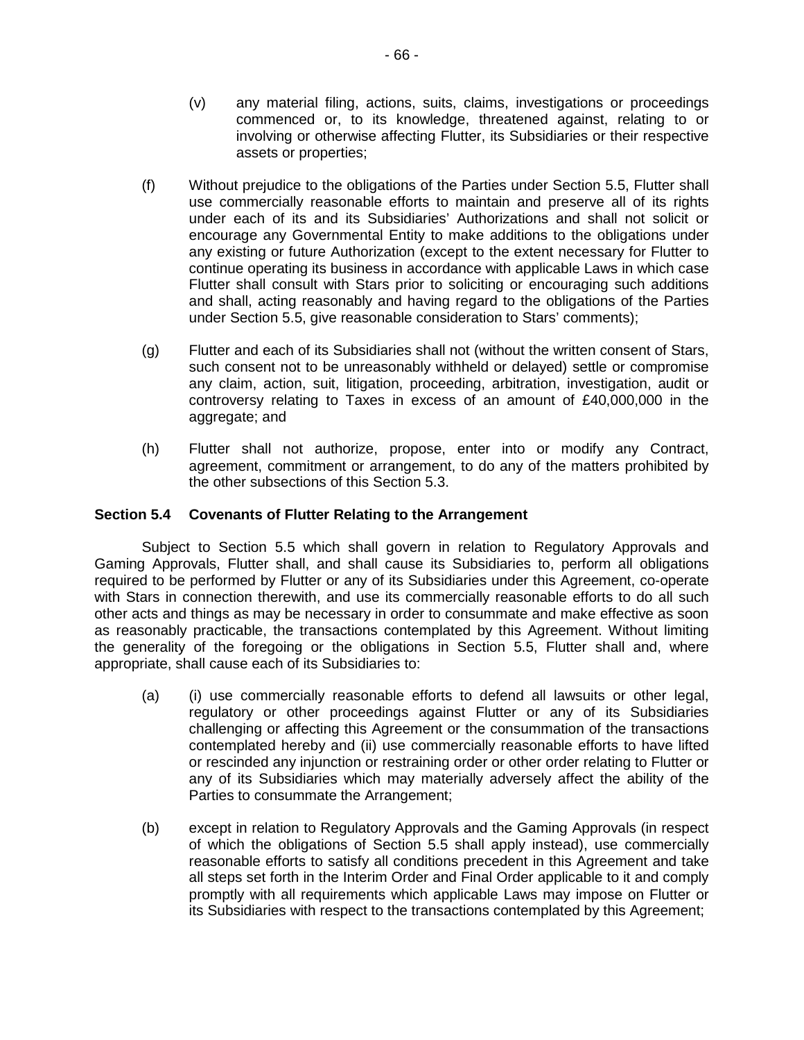- (v) any material filing, actions, suits, claims, investigations or proceedings commenced or, to its knowledge, threatened against, relating to or involving or otherwise affecting Flutter, its Subsidiaries or their respective assets or properties;
- (f) Without prejudice to the obligations of the Parties under Section 5.5, Flutter shall use commercially reasonable efforts to maintain and preserve all of its rights under each of its and its Subsidiaries' Authorizations and shall not solicit or encourage any Governmental Entity to make additions to the obligations under any existing or future Authorization (except to the extent necessary for Flutter to continue operating its business in accordance with applicable Laws in which case Flutter shall consult with Stars prior to soliciting or encouraging such additions and shall, acting reasonably and having regard to the obligations of the Parties under Section 5.5, give reasonable consideration to Stars' comments);
- (g) Flutter and each of its Subsidiaries shall not (without the written consent of Stars, such consent not to be unreasonably withheld or delayed) settle or compromise any claim, action, suit, litigation, proceeding, arbitration, investigation, audit or controversy relating to Taxes in excess of an amount of  $£40,000,000$  in the aggregate; and
- (h) Flutter shall not authorize, propose, enter into or modify any Contract, agreement, commitment or arrangement, to do any of the matters prohibited by the other subsections of this Section 5.3.

# **Section 5.4 Covenants of Flutter Relating to the Arrangement**

Subject to Section 5.5 which shall govern in relation to Regulatory Approvals and Gaming Approvals, Flutter shall, and shall cause its Subsidiaries to, perform all obligations required to be performed by Flutter or any of its Subsidiaries under this Agreement, co-operate with Stars in connection therewith, and use its commercially reasonable efforts to do all such other acts and things as may be necessary in order to consummate and make effective as soon as reasonably practicable, the transactions contemplated by this Agreement. Without limiting the generality of the foregoing or the obligations in Section 5.5, Flutter shall and, where appropriate, shall cause each of its Subsidiaries to:

- (a) (i) use commercially reasonable efforts to defend all lawsuits or other legal, regulatory or other proceedings against Flutter or any of its Subsidiaries challenging or affecting this Agreement or the consummation of the transactions contemplated hereby and (ii) use commercially reasonable efforts to have lifted or rescinded any injunction or restraining order or other order relating to Flutter or any of its Subsidiaries which may materially adversely affect the ability of the Parties to consummate the Arrangement;
- (b) except in relation to Regulatory Approvals and the Gaming Approvals (in respect of which the obligations of Section 5.5 shall apply instead), use commercially reasonable efforts to satisfy all conditions precedent in this Agreement and take all steps set forth in the Interim Order and Final Order applicable to it and comply promptly with all requirements which applicable Laws may impose on Flutter or its Subsidiaries with respect to the transactions contemplated by this Agreement;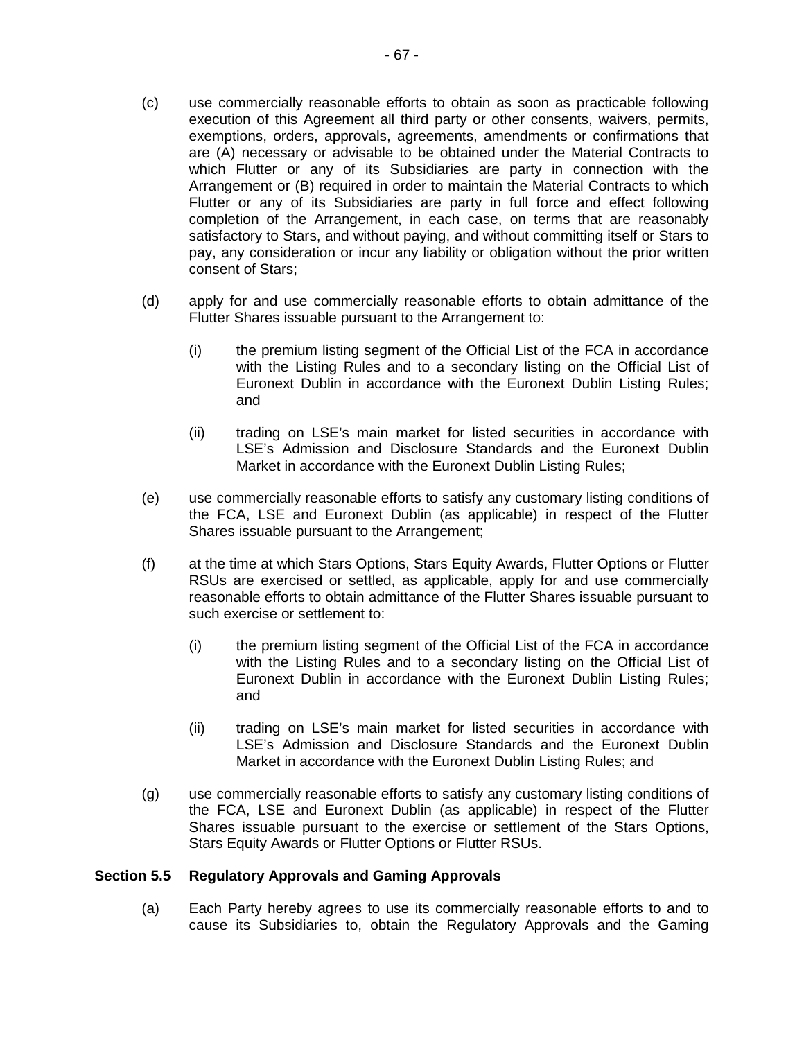- (c) use commercially reasonable efforts to obtain as soon as practicable following execution of this Agreement all third party or other consents, waivers, permits, exemptions, orders, approvals, agreements, amendments or confirmations that are (A) necessary or advisable to be obtained under the Material Contracts to which Flutter or any of its Subsidiaries are party in connection with the Arrangement or (B) required in order to maintain the Material Contracts to which Flutter or any of its Subsidiaries are party in full force and effect following completion of the Arrangement, in each case, on terms that are reasonably satisfactory to Stars, and without paying, and without committing itself or Stars to pay, any consideration or incur any liability or obligation without the prior written consent of Stars;
- (d) apply for and use commercially reasonable efforts to obtain admittance of the Flutter Shares issuable pursuant to the Arrangement to:
	- (i) the premium listing segment of the Official List of the FCA in accordance with the Listing Rules and to a secondary listing on the Official List of Euronext Dublin in accordance with the Euronext Dublin Listing Rules; and
	- (ii) trading on LSE's main market for listed securities in accordance with LSE's Admission and Disclosure Standards and the Euronext Dublin Market in accordance with the Euronext Dublin Listing Rules;
- (e) use commercially reasonable efforts to satisfy any customary listing conditions of the FCA, LSE and Euronext Dublin (as applicable) in respect of the Flutter Shares issuable pursuant to the Arrangement;
- (f) at the time at which Stars Options, Stars Equity Awards, Flutter Options or Flutter RSUs are exercised or settled, as applicable, apply for and use commercially reasonable efforts to obtain admittance of the Flutter Shares issuable pursuant to such exercise or settlement to:
	- (i) the premium listing segment of the Official List of the FCA in accordance with the Listing Rules and to a secondary listing on the Official List of Euronext Dublin in accordance with the Euronext Dublin Listing Rules; and
	- (ii) trading on LSE's main market for listed securities in accordance with LSE's Admission and Disclosure Standards and the Euronext Dublin Market in accordance with the Euronext Dublin Listing Rules; and
- (g) use commercially reasonable efforts to satisfy any customary listing conditions of the FCA, LSE and Euronext Dublin (as applicable) in respect of the Flutter Shares issuable pursuant to the exercise or settlement of the Stars Options, Stars Equity Awards or Flutter Options or Flutter RSUs.

### **Section 5.5 Regulatory Approvals and Gaming Approvals**

(a) Each Party hereby agrees to use its commercially reasonable efforts to and to cause its Subsidiaries to, obtain the Regulatory Approvals and the Gaming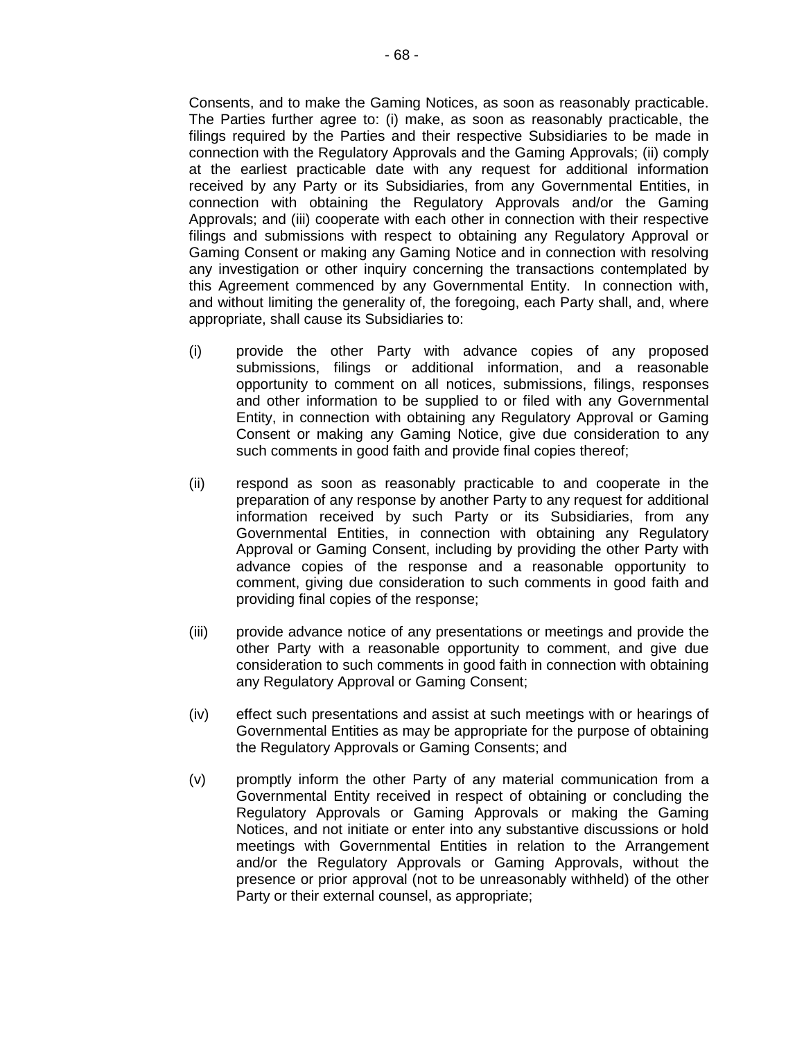Consents, and to make the Gaming Notices, as soon as reasonably practicable. The Parties further agree to: (i) make, as soon as reasonably practicable, the filings required by the Parties and their respective Subsidiaries to be made in connection with the Regulatory Approvals and the Gaming Approvals; (ii) comply at the earliest practicable date with any request for additional information received by any Party or its Subsidiaries, from any Governmental Entities, in connection with obtaining the Regulatory Approvals and/or the Gaming Approvals; and (iii) cooperate with each other in connection with their respective filings and submissions with respect to obtaining any Regulatory Approval or Gaming Consent or making any Gaming Notice and in connection with resolving any investigation or other inquiry concerning the transactions contemplated by this Agreement commenced by any Governmental Entity. In connection with, and without limiting the generality of, the foregoing, each Party shall, and, where appropriate, shall cause its Subsidiaries to:

- (i) provide the other Party with advance copies of any proposed submissions, filings or additional information, and a reasonable opportunity to comment on all notices, submissions, filings, responses and other information to be supplied to or filed with any Governmental Entity, in connection with obtaining any Regulatory Approval or Gaming Consent or making any Gaming Notice, give due consideration to any such comments in good faith and provide final copies thereof;
- (ii) respond as soon as reasonably practicable to and cooperate in the preparation of any response by another Party to any request for additional information received by such Party or its Subsidiaries, from any Governmental Entities, in connection with obtaining any Regulatory Approval or Gaming Consent, including by providing the other Party with advance copies of the response and a reasonable opportunity to comment, giving due consideration to such comments in good faith and providing final copies of the response;
- (iii) provide advance notice of any presentations or meetings and provide the other Party with a reasonable opportunity to comment, and give due consideration to such comments in good faith in connection with obtaining any Regulatory Approval or Gaming Consent;
- (iv) effect such presentations and assist at such meetings with or hearings of Governmental Entities as may be appropriate for the purpose of obtaining the Regulatory Approvals or Gaming Consents; and
- (v) promptly inform the other Party of any material communication from a Governmental Entity received in respect of obtaining or concluding the Regulatory Approvals or Gaming Approvals or making the Gaming Notices, and not initiate or enter into any substantive discussions or hold meetings with Governmental Entities in relation to the Arrangement and/or the Regulatory Approvals or Gaming Approvals, without the presence or prior approval (not to be unreasonably withheld) of the other Party or their external counsel, as appropriate;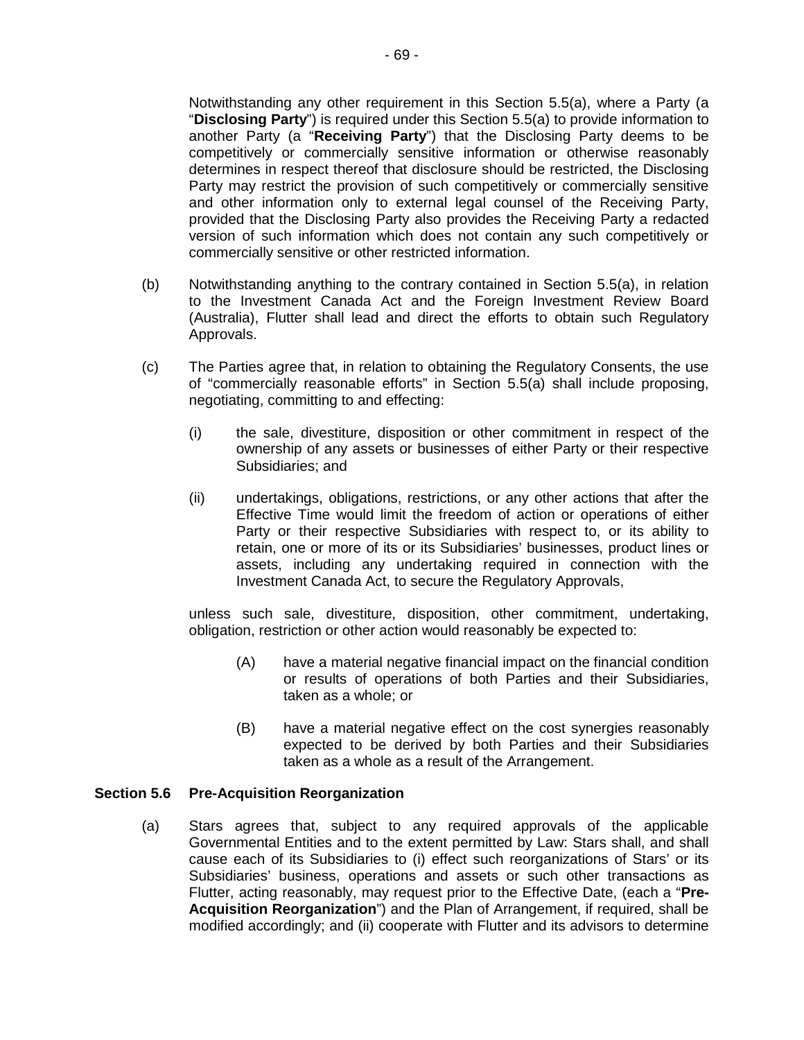Notwithstanding any other requirement in this Section 5.5(a), where a Party (a "**Disclosing Party**") is required under this Section 5.5(a) to provide information to another Party (a "**Receiving Party**") that the Disclosing Party deems to be competitively or commercially sensitive information or otherwise reasonably determines in respect thereof that disclosure should be restricted, the Disclosing Party may restrict the provision of such competitively or commercially sensitive and other information only to external legal counsel of the Receiving Party, provided that the Disclosing Party also provides the Receiving Party a redacted version of such information which does not contain any such competitively or commercially sensitive or other restricted information.

- (b) Notwithstanding anything to the contrary contained in Section 5.5(a), in relation to the Investment Canada Act and the Foreign Investment Review Board (Australia), Flutter shall lead and direct the efforts to obtain such Regulatory Approvals.
- (c) The Parties agree that, in relation to obtaining the Regulatory Consents, the use of "commercially reasonable efforts" in Section 5.5(a) shall include proposing, negotiating, committing to and effecting:
	- (i) the sale, divestiture, disposition or other commitment in respect of the ownership of any assets or businesses of either Party or their respective Subsidiaries; and
	- (ii) undertakings, obligations, restrictions, or any other actions that after the Effective Time would limit the freedom of action or operations of either Party or their respective Subsidiaries with respect to, or its ability to retain, one or more of its or its Subsidiaries' businesses, product lines or assets, including any undertaking required in connection with the Investment Canada Act, to secure the Regulatory Approvals,

unless such sale, divestiture, disposition, other commitment, undertaking, obligation, restriction or other action would reasonably be expected to:

- (A) have a material negative financial impact on the financial condition or results of operations of both Parties and their Subsidiaries, taken as a whole; or
- (B) have a material negative effect on the cost synergies reasonably expected to be derived by both Parties and their Subsidiaries taken as a whole as a result of the Arrangement.

### **Section 5.6 Pre-Acquisition Reorganization**

(a) Stars agrees that, subject to any required approvals of the applicable Governmental Entities and to the extent permitted by Law: Stars shall, and shall cause each of its Subsidiaries to (i) effect such reorganizations of Stars' or its Subsidiaries' business, operations and assets or such other transactions as Flutter, acting reasonably, may request prior to the Effective Date, (each a "**Pre-Acquisition Reorganization**") and the Plan of Arrangement, if required, shall be modified accordingly; and (ii) cooperate with Flutter and its advisors to determine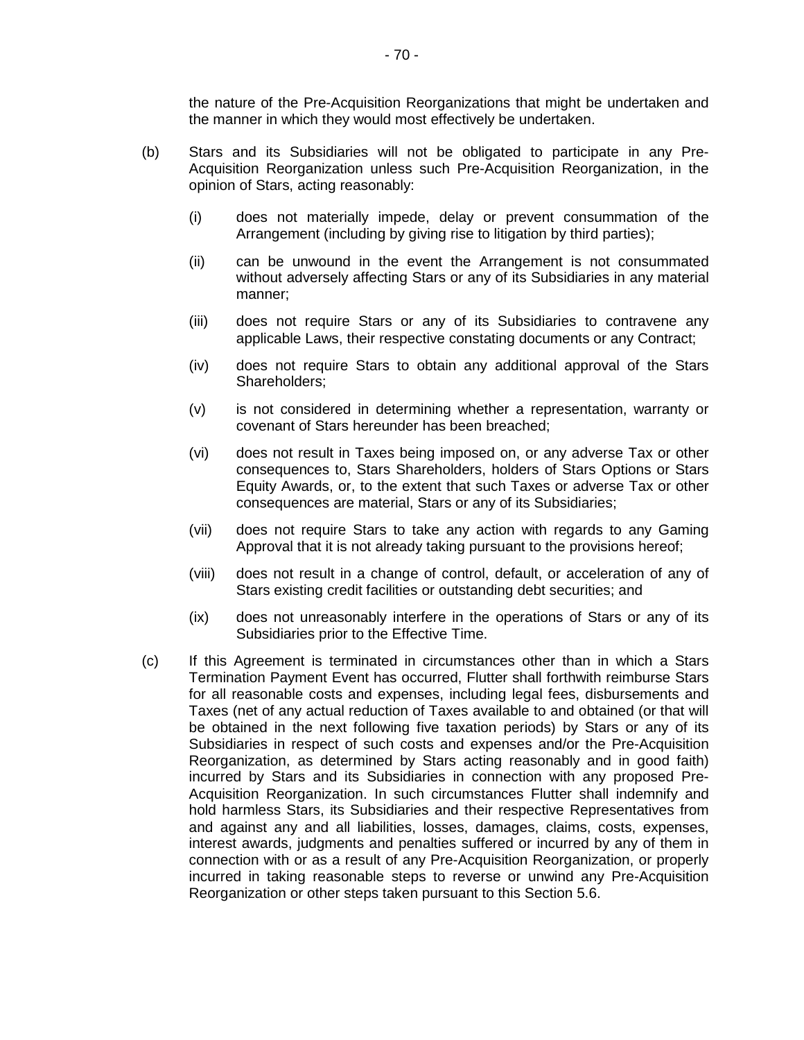the nature of the Pre-Acquisition Reorganizations that might be undertaken and the manner in which they would most effectively be undertaken.

- (b) Stars and its Subsidiaries will not be obligated to participate in any Pre-Acquisition Reorganization unless such Pre-Acquisition Reorganization, in the opinion of Stars, acting reasonably:
	- (i) does not materially impede, delay or prevent consummation of the Arrangement (including by giving rise to litigation by third parties);
	- (ii) can be unwound in the event the Arrangement is not consummated without adversely affecting Stars or any of its Subsidiaries in any material manner;
	- (iii) does not require Stars or any of its Subsidiaries to contravene any applicable Laws, their respective constating documents or any Contract;
	- (iv) does not require Stars to obtain any additional approval of the Stars Shareholders;
	- (v) is not considered in determining whether a representation, warranty or covenant of Stars hereunder has been breached;
	- (vi) does not result in Taxes being imposed on, or any adverse Tax or other consequences to, Stars Shareholders, holders of Stars Options or Stars Equity Awards, or, to the extent that such Taxes or adverse Tax or other consequences are material, Stars or any of its Subsidiaries;
	- (vii) does not require Stars to take any action with regards to any Gaming Approval that it is not already taking pursuant to the provisions hereof;
	- (viii) does not result in a change of control, default, or acceleration of any of Stars existing credit facilities or outstanding debt securities; and
	- (ix) does not unreasonably interfere in the operations of Stars or any of its Subsidiaries prior to the Effective Time.
- (c) If this Agreement is terminated in circumstances other than in which a Stars Termination Payment Event has occurred, Flutter shall forthwith reimburse Stars for all reasonable costs and expenses, including legal fees, disbursements and Taxes (net of any actual reduction of Taxes available to and obtained (or that will be obtained in the next following five taxation periods) by Stars or any of its Subsidiaries in respect of such costs and expenses and/or the Pre-Acquisition Reorganization, as determined by Stars acting reasonably and in good faith) incurred by Stars and its Subsidiaries in connection with any proposed Pre-Acquisition Reorganization. In such circumstances Flutter shall indemnify and hold harmless Stars, its Subsidiaries and their respective Representatives from and against any and all liabilities, losses, damages, claims, costs, expenses, interest awards, judgments and penalties suffered or incurred by any of them in connection with or as a result of any Pre-Acquisition Reorganization, or properly incurred in taking reasonable steps to reverse or unwind any Pre-Acquisition Reorganization or other steps taken pursuant to this Section 5.6.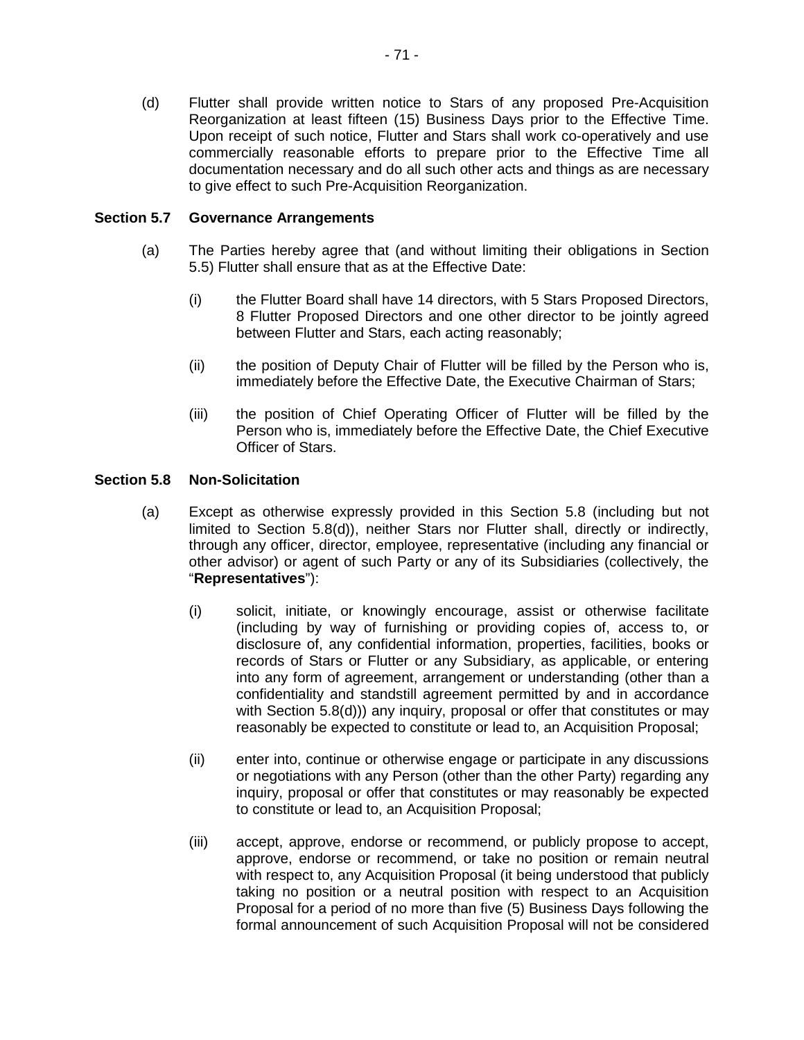(d) Flutter shall provide written notice to Stars of any proposed Pre-Acquisition Reorganization at least fifteen (15) Business Days prior to the Effective Time. Upon receipt of such notice, Flutter and Stars shall work co-operatively and use commercially reasonable efforts to prepare prior to the Effective Time all documentation necessary and do all such other acts and things as are necessary to give effect to such Pre-Acquisition Reorganization.

## **Section 5.7 Governance Arrangements**

- (a) The Parties hereby agree that (and without limiting their obligations in Section 5.5) Flutter shall ensure that as at the Effective Date:
	- (i) the Flutter Board shall have 14 directors, with 5 Stars Proposed Directors, 8 Flutter Proposed Directors and one other director to be jointly agreed between Flutter and Stars, each acting reasonably;
	- (ii) the position of Deputy Chair of Flutter will be filled by the Person who is, immediately before the Effective Date, the Executive Chairman of Stars;
	- (iii) the position of Chief Operating Officer of Flutter will be filled by the Person who is, immediately before the Effective Date, the Chief Executive Officer of Stars.

## **Section 5.8 Non-Solicitation**

- (a) Except as otherwise expressly provided in this Section 5.8 (including but not limited to Section 5.8(d)), neither Stars nor Flutter shall, directly or indirectly, through any officer, director, employee, representative (including any financial or other advisor) or agent of such Party or any of its Subsidiaries (collectively, the "**Representatives**"):
	- (i) solicit, initiate, or knowingly encourage, assist or otherwise facilitate (including by way of furnishing or providing copies of, access to, or disclosure of, any confidential information, properties, facilities, books or records of Stars or Flutter or any Subsidiary, as applicable, or entering into any form of agreement, arrangement or understanding (other than a confidentiality and standstill agreement permitted by and in accordance with Section 5.8(d))) any inquiry, proposal or offer that constitutes or may reasonably be expected to constitute or lead to, an Acquisition Proposal;
	- (ii) enter into, continue or otherwise engage or participate in any discussions or negotiations with any Person (other than the other Party) regarding any inquiry, proposal or offer that constitutes or may reasonably be expected to constitute or lead to, an Acquisition Proposal;
	- (iii) accept, approve, endorse or recommend, or publicly propose to accept, approve, endorse or recommend, or take no position or remain neutral with respect to, any Acquisition Proposal (it being understood that publicly taking no position or a neutral position with respect to an Acquisition Proposal for a period of no more than five (5) Business Days following the formal announcement of such Acquisition Proposal will not be considered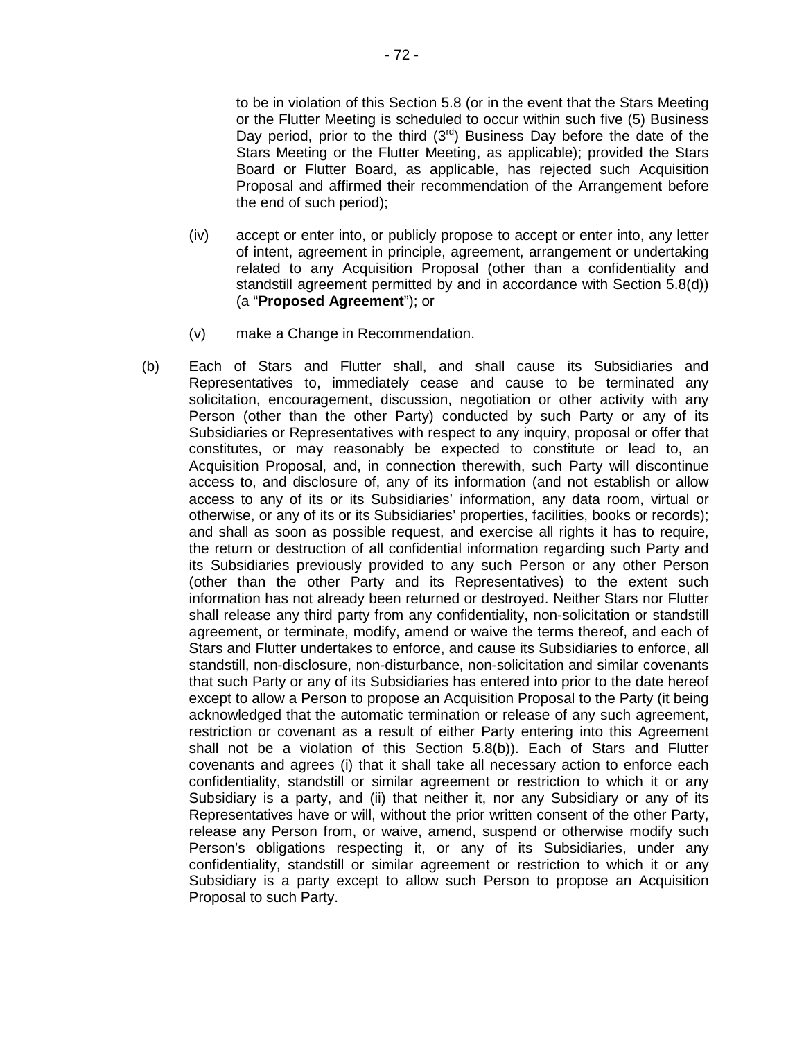to be in violation of this Section 5.8 (or in the event that the Stars Meeting or the Flutter Meeting is scheduled to occur within such five (5) Business Day period, prior to the third  $(3^{rd})$  Business Day before the date of the Stars Meeting or the Flutter Meeting, as applicable); provided the Stars Board or Flutter Board, as applicable, has rejected such Acquisition Proposal and affirmed their recommendation of the Arrangement before the end of such period);

- (iv) accept or enter into, or publicly propose to accept or enter into, any letter of intent, agreement in principle, agreement, arrangement or undertaking related to any Acquisition Proposal (other than a confidentiality and standstill agreement permitted by and in accordance with Section 5.8(d)) (a "**Proposed Agreement**"); or
- (v) make a Change in Recommendation.
- (b) Each of Stars and Flutter shall, and shall cause its Subsidiaries and Representatives to, immediately cease and cause to be terminated any solicitation, encouragement, discussion, negotiation or other activity with any Person (other than the other Party) conducted by such Party or any of its Subsidiaries or Representatives with respect to any inquiry, proposal or offer that constitutes, or may reasonably be expected to constitute or lead to, an Acquisition Proposal, and, in connection therewith, such Party will discontinue access to, and disclosure of, any of its information (and not establish or allow access to any of its or its Subsidiaries' information, any data room, virtual or otherwise, or any of its or its Subsidiaries' properties, facilities, books or records); and shall as soon as possible request, and exercise all rights it has to require, the return or destruction of all confidential information regarding such Party and its Subsidiaries previously provided to any such Person or any other Person (other than the other Party and its Representatives) to the extent such information has not already been returned or destroyed. Neither Stars nor Flutter shall release any third party from any confidentiality, non-solicitation or standstill agreement, or terminate, modify, amend or waive the terms thereof, and each of Stars and Flutter undertakes to enforce, and cause its Subsidiaries to enforce, all standstill, non-disclosure, non-disturbance, non-solicitation and similar covenants that such Party or any of its Subsidiaries has entered into prior to the date hereof except to allow a Person to propose an Acquisition Proposal to the Party (it being acknowledged that the automatic termination or release of any such agreement, restriction or covenant as a result of either Party entering into this Agreement shall not be a violation of this Section 5.8(b)). Each of Stars and Flutter covenants and agrees (i) that it shall take all necessary action to enforce each confidentiality, standstill or similar agreement or restriction to which it or any Subsidiary is a party, and (ii) that neither it, nor any Subsidiary or any of its Representatives have or will, without the prior written consent of the other Party, release any Person from, or waive, amend, suspend or otherwise modify such Person's obligations respecting it, or any of its Subsidiaries, under any confidentiality, standstill or similar agreement or restriction to which it or any Subsidiary is a party except to allow such Person to propose an Acquisition Proposal to such Party.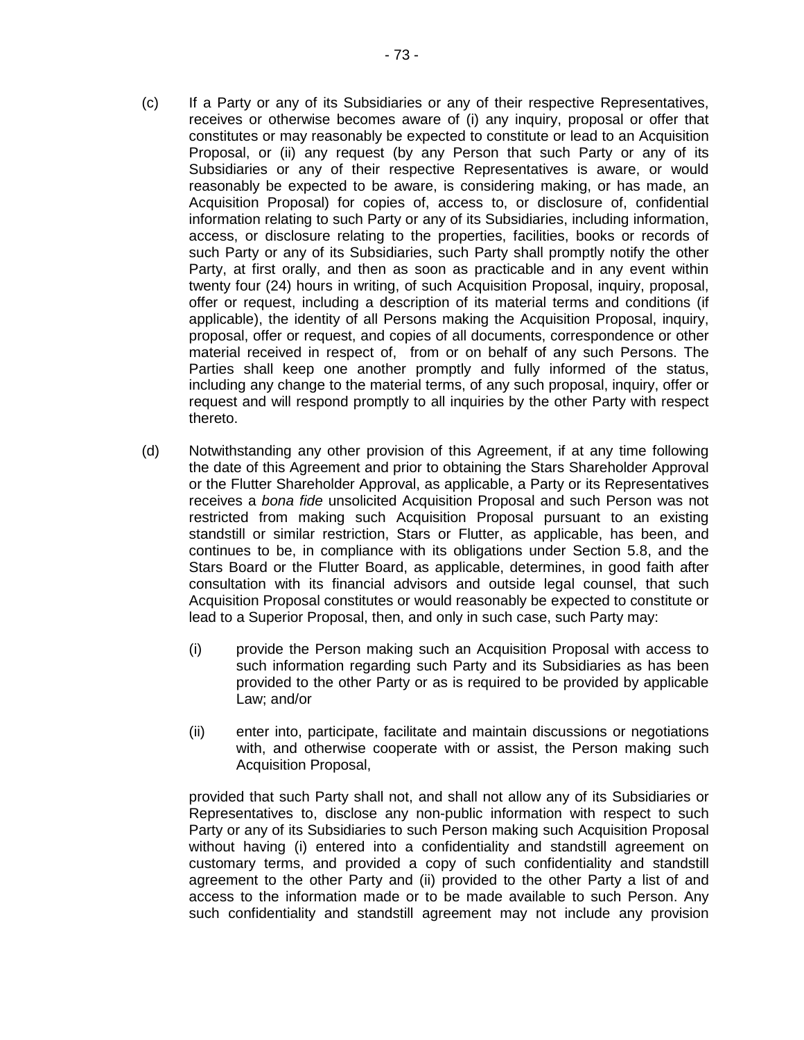- (c) If a Party or any of its Subsidiaries or any of their respective Representatives, receives or otherwise becomes aware of (i) any inquiry, proposal or offer that constitutes or may reasonably be expected to constitute or lead to an Acquisition Proposal, or (ii) any request (by any Person that such Party or any of its Subsidiaries or any of their respective Representatives is aware, or would reasonably be expected to be aware, is considering making, or has made, an Acquisition Proposal) for copies of, access to, or disclosure of, confidential information relating to such Party or any of its Subsidiaries, including information, access, or disclosure relating to the properties, facilities, books or records of such Party or any of its Subsidiaries, such Party shall promptly notify the other Party, at first orally, and then as soon as practicable and in any event within twenty four (24) hours in writing, of such Acquisition Proposal, inquiry, proposal, offer or request, including a description of its material terms and conditions (if applicable), the identity of all Persons making the Acquisition Proposal, inquiry, proposal, offer or request, and copies of all documents, correspondence or other material received in respect of, from or on behalf of any such Persons. The Parties shall keep one another promptly and fully informed of the status, including any change to the material terms, of any such proposal, inquiry, offer or request and will respond promptly to all inquiries by the other Party with respect thereto.
- (d) Notwithstanding any other provision of this Agreement, if at any time following the date of this Agreement and prior to obtaining the Stars Shareholder Approval or the Flutter Shareholder Approval, as applicable, a Party or its Representatives receives a *bona fide* unsolicited Acquisition Proposal and such Person was not restricted from making such Acquisition Proposal pursuant to an existing standstill or similar restriction, Stars or Flutter, as applicable, has been, and continues to be, in compliance with its obligations under Section 5.8, and the Stars Board or the Flutter Board, as applicable, determines, in good faith after consultation with its financial advisors and outside legal counsel, that such Acquisition Proposal constitutes or would reasonably be expected to constitute or lead to a Superior Proposal, then, and only in such case, such Party may:
	- (i) provide the Person making such an Acquisition Proposal with access to such information regarding such Party and its Subsidiaries as has been provided to the other Party or as is required to be provided by applicable Law; and/or
	- (ii) enter into, participate, facilitate and maintain discussions or negotiations with, and otherwise cooperate with or assist, the Person making such Acquisition Proposal,

provided that such Party shall not, and shall not allow any of its Subsidiaries or Representatives to, disclose any non-public information with respect to such Party or any of its Subsidiaries to such Person making such Acquisition Proposal without having (i) entered into a confidentiality and standstill agreement on customary terms, and provided a copy of such confidentiality and standstill agreement to the other Party and (ii) provided to the other Party a list of and access to the information made or to be made available to such Person. Any such confidentiality and standstill agreement may not include any provision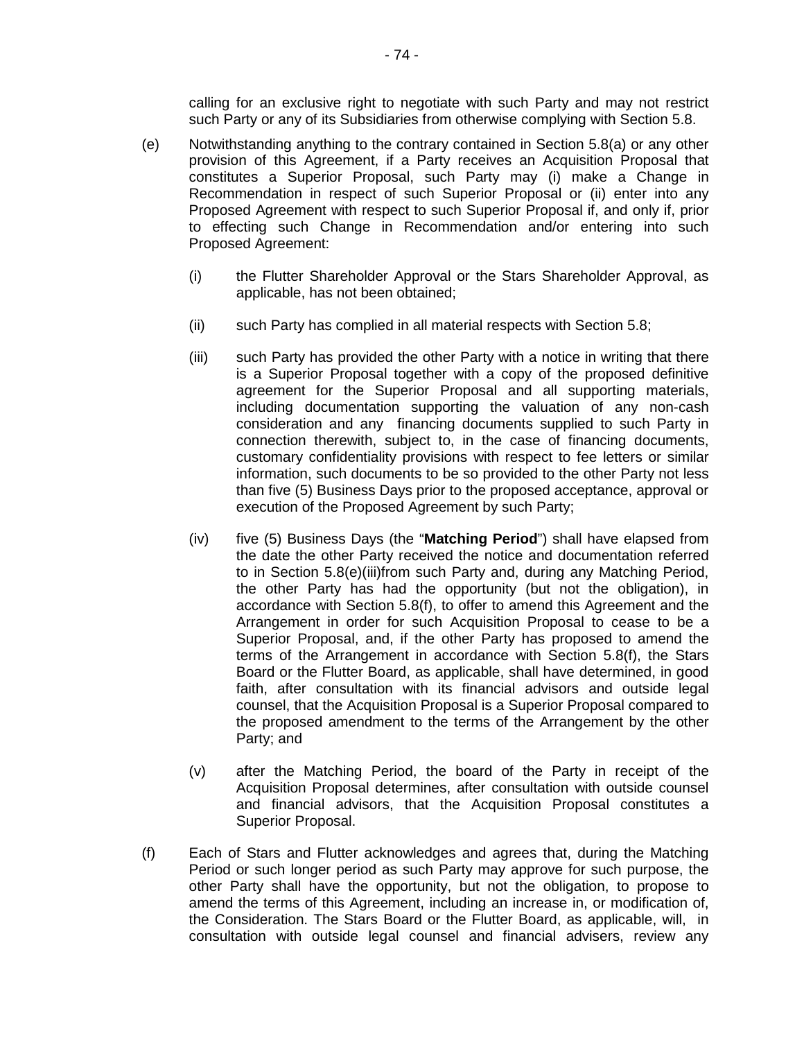calling for an exclusive right to negotiate with such Party and may not restrict such Party or any of its Subsidiaries from otherwise complying with Section 5.8.

- (e) Notwithstanding anything to the contrary contained in Section 5.8(a) or any other provision of this Agreement, if a Party receives an Acquisition Proposal that constitutes a Superior Proposal, such Party may (i) make a Change in Recommendation in respect of such Superior Proposal or (ii) enter into any Proposed Agreement with respect to such Superior Proposal if, and only if, prior to effecting such Change in Recommendation and/or entering into such Proposed Agreement:
	- (i) the Flutter Shareholder Approval or the Stars Shareholder Approval, as applicable, has not been obtained;
	- (ii) such Party has complied in all material respects with Section 5.8;
	- (iii) such Party has provided the other Party with a notice in writing that there is a Superior Proposal together with a copy of the proposed definitive agreement for the Superior Proposal and all supporting materials, including documentation supporting the valuation of any non-cash consideration and any financing documents supplied to such Party in connection therewith, subject to, in the case of financing documents, customary confidentiality provisions with respect to fee letters or similar information, such documents to be so provided to the other Party not less than five (5) Business Days prior to the proposed acceptance, approval or execution of the Proposed Agreement by such Party;
	- (iv) five (5) Business Days (the "**Matching Period**") shall have elapsed from the date the other Party received the notice and documentation referred to in Section 5.8(e)(iii)from such Party and, during any Matching Period, the other Party has had the opportunity (but not the obligation), in accordance with Section 5.8(f), to offer to amend this Agreement and the Arrangement in order for such Acquisition Proposal to cease to be a Superior Proposal, and, if the other Party has proposed to amend the terms of the Arrangement in accordance with Section 5.8(f), the Stars Board or the Flutter Board, as applicable, shall have determined, in good faith, after consultation with its financial advisors and outside legal counsel, that the Acquisition Proposal is a Superior Proposal compared to the proposed amendment to the terms of the Arrangement by the other Party; and
	- (v) after the Matching Period, the board of the Party in receipt of the Acquisition Proposal determines, after consultation with outside counsel and financial advisors, that the Acquisition Proposal constitutes a Superior Proposal.
- (f) Each of Stars and Flutter acknowledges and agrees that, during the Matching Period or such longer period as such Party may approve for such purpose, the other Party shall have the opportunity, but not the obligation, to propose to amend the terms of this Agreement, including an increase in, or modification of, the Consideration. The Stars Board or the Flutter Board, as applicable, will, in consultation with outside legal counsel and financial advisers, review any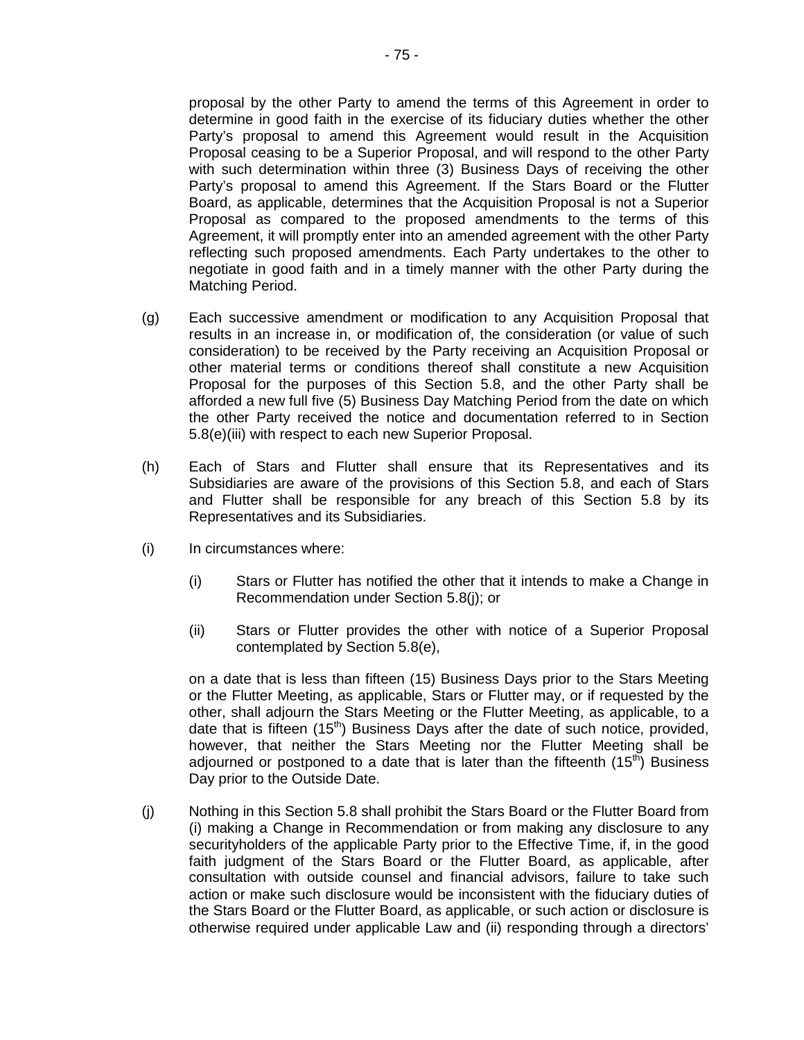proposal by the other Party to amend the terms of this Agreement in order to determine in good faith in the exercise of its fiduciary duties whether the other Party's proposal to amend this Agreement would result in the Acquisition Proposal ceasing to be a Superior Proposal, and will respond to the other Party with such determination within three (3) Business Days of receiving the other Party's proposal to amend this Agreement. If the Stars Board or the Flutter Board, as applicable, determines that the Acquisition Proposal is not a Superior Proposal as compared to the proposed amendments to the terms of this Agreement, it will promptly enter into an amended agreement with the other Party reflecting such proposed amendments. Each Party undertakes to the other to negotiate in good faith and in a timely manner with the other Party during the Matching Period.

- (g) Each successive amendment or modification to any Acquisition Proposal that results in an increase in, or modification of, the consideration (or value of such consideration) to be received by the Party receiving an Acquisition Proposal or other material terms or conditions thereof shall constitute a new Acquisition Proposal for the purposes of this Section 5.8, and the other Party shall be afforded a new full five (5) Business Day Matching Period from the date on which the other Party received the notice and documentation referred to in Section 5.8(e)(iii) with respect to each new Superior Proposal.
- (h) Each of Stars and Flutter shall ensure that its Representatives and its Subsidiaries are aware of the provisions of this Section 5.8, and each of Stars and Flutter shall be responsible for any breach of this Section 5.8 by its Representatives and its Subsidiaries.
- (i) In circumstances where:
	- (i) Stars or Flutter has notified the other that it intends to make a Change in Recommendation under Section 5.8(j); or
	- (ii) Stars or Flutter provides the other with notice of a Superior Proposal contemplated by Section 5.8(e),

on a date that is less than fifteen (15) Business Days prior to the Stars Meeting or the Flutter Meeting, as applicable, Stars or Flutter may, or if requested by the other, shall adjourn the Stars Meeting or the Flutter Meeting, as applicable, to a date that is fifteen  $(15<sup>th</sup>)$  Business Days after the date of such notice, provided, however, that neither the Stars Meeting nor the Flutter Meeting shall be adjourned or postponed to a date that is later than the fifteenth  $(15<sup>th</sup>)$  Business Day prior to the Outside Date.

(j) Nothing in this Section 5.8 shall prohibit the Stars Board or the Flutter Board from (i) making a Change in Recommendation or from making any disclosure to any securityholders of the applicable Party prior to the Effective Time, if, in the good faith judgment of the Stars Board or the Flutter Board, as applicable, after consultation with outside counsel and financial advisors, failure to take such action or make such disclosure would be inconsistent with the fiduciary duties of the Stars Board or the Flutter Board, as applicable, or such action or disclosure is otherwise required under applicable Law and (ii) responding through a directors'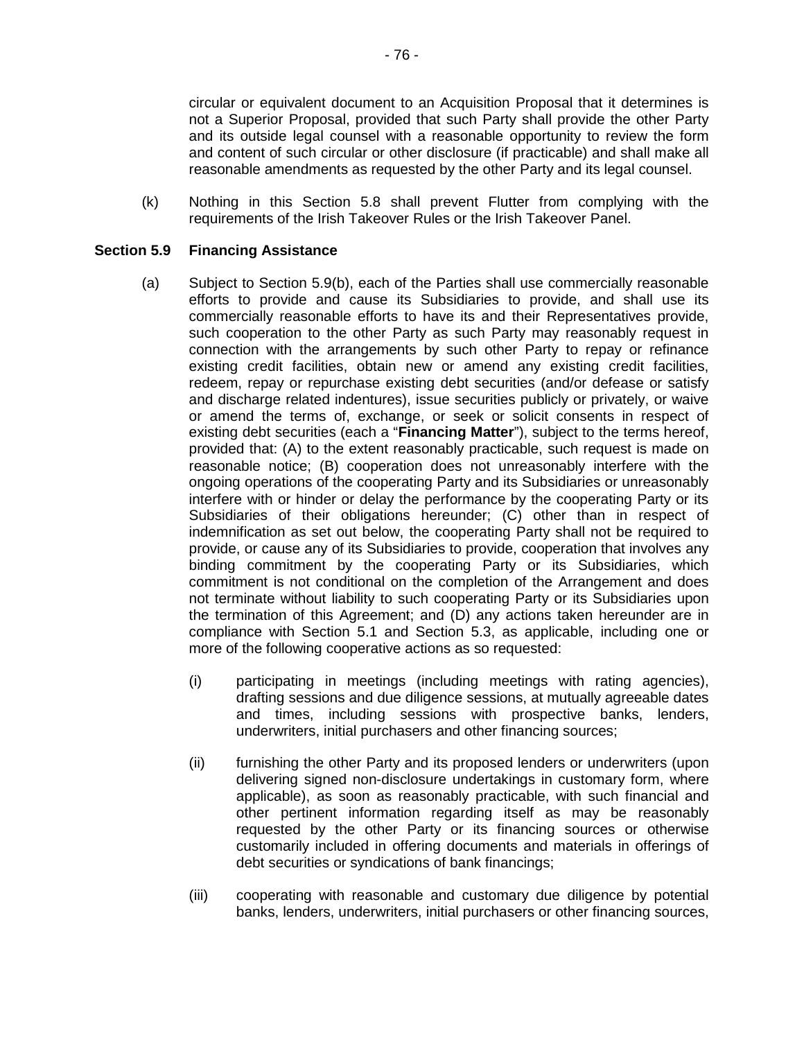circular or equivalent document to an Acquisition Proposal that it determines is not a Superior Proposal, provided that such Party shall provide the other Party and its outside legal counsel with a reasonable opportunity to review the form and content of such circular or other disclosure (if practicable) and shall make all reasonable amendments as requested by the other Party and its legal counsel.

(k) Nothing in this Section 5.8 shall prevent Flutter from complying with the requirements of the Irish Takeover Rules or the Irish Takeover Panel.

## **Section 5.9 Financing Assistance**

- (a) Subject to Section 5.9(b), each of the Parties shall use commercially reasonable efforts to provide and cause its Subsidiaries to provide, and shall use its commercially reasonable efforts to have its and their Representatives provide, such cooperation to the other Party as such Party may reasonably request in connection with the arrangements by such other Party to repay or refinance existing credit facilities, obtain new or amend any existing credit facilities, redeem, repay or repurchase existing debt securities (and/or defease or satisfy and discharge related indentures), issue securities publicly or privately, or waive or amend the terms of, exchange, or seek or solicit consents in respect of existing debt securities (each a "**Financing Matter**"), subject to the terms hereof, provided that: (A) to the extent reasonably practicable, such request is made on reasonable notice; (B) cooperation does not unreasonably interfere with the ongoing operations of the cooperating Party and its Subsidiaries or unreasonably interfere with or hinder or delay the performance by the cooperating Party or its Subsidiaries of their obligations hereunder; (C) other than in respect of indemnification as set out below, the cooperating Party shall not be required to provide, or cause any of its Subsidiaries to provide, cooperation that involves any binding commitment by the cooperating Party or its Subsidiaries, which commitment is not conditional on the completion of the Arrangement and does not terminate without liability to such cooperating Party or its Subsidiaries upon the termination of this Agreement; and (D) any actions taken hereunder are in compliance with Section 5.1 and Section 5.3, as applicable, including one or more of the following cooperative actions as so requested:
	- (i) participating in meetings (including meetings with rating agencies), drafting sessions and due diligence sessions, at mutually agreeable dates and times, including sessions with prospective banks, lenders, underwriters, initial purchasers and other financing sources;
	- (ii) furnishing the other Party and its proposed lenders or underwriters (upon delivering signed non-disclosure undertakings in customary form, where applicable), as soon as reasonably practicable, with such financial and other pertinent information regarding itself as may be reasonably requested by the other Party or its financing sources or otherwise customarily included in offering documents and materials in offerings of debt securities or syndications of bank financings;
	- (iii) cooperating with reasonable and customary due diligence by potential banks, lenders, underwriters, initial purchasers or other financing sources,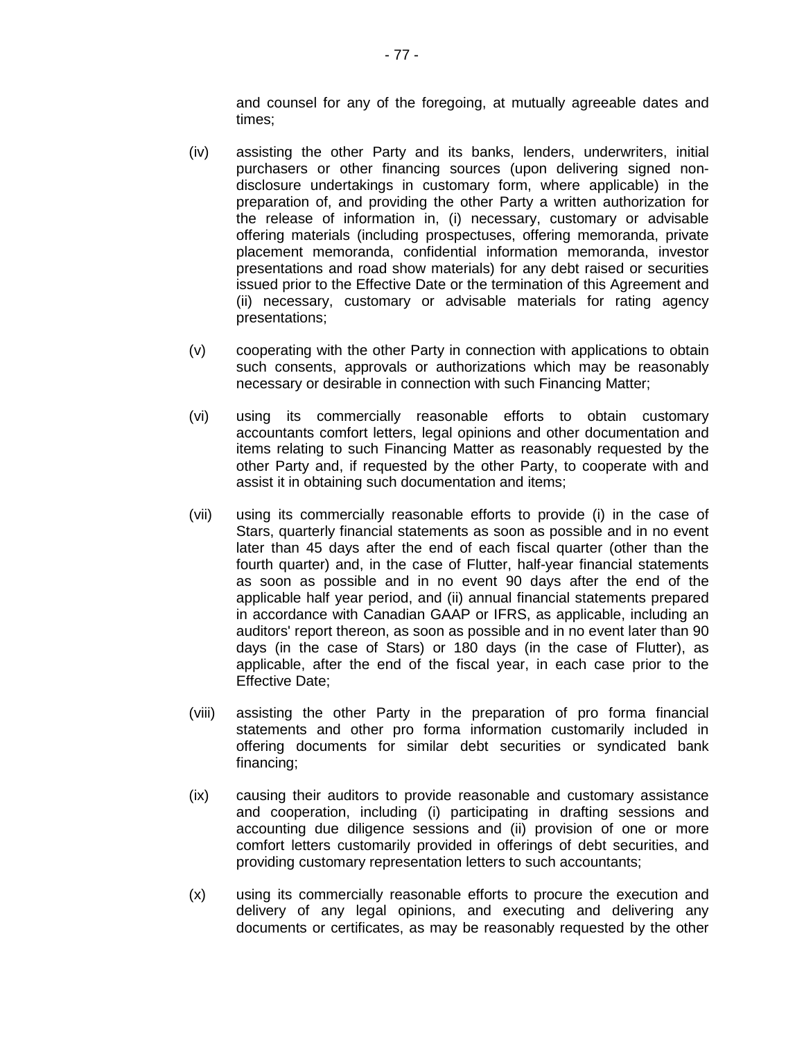and counsel for any of the foregoing, at mutually agreeable dates and times;

- (iv) assisting the other Party and its banks, lenders, underwriters, initial purchasers or other financing sources (upon delivering signed nondisclosure undertakings in customary form, where applicable) in the preparation of, and providing the other Party a written authorization for the release of information in, (i) necessary, customary or advisable offering materials (including prospectuses, offering memoranda, private placement memoranda, confidential information memoranda, investor presentations and road show materials) for any debt raised or securities issued prior to the Effective Date or the termination of this Agreement and (ii) necessary, customary or advisable materials for rating agency presentations;
- (v) cooperating with the other Party in connection with applications to obtain such consents, approvals or authorizations which may be reasonably necessary or desirable in connection with such Financing Matter;
- (vi) using its commercially reasonable efforts to obtain customary accountants comfort letters, legal opinions and other documentation and items relating to such Financing Matter as reasonably requested by the other Party and, if requested by the other Party, to cooperate with and assist it in obtaining such documentation and items;
- (vii) using its commercially reasonable efforts to provide (i) in the case of Stars, quarterly financial statements as soon as possible and in no event later than 45 days after the end of each fiscal quarter (other than the fourth quarter) and, in the case of Flutter, half-year financial statements as soon as possible and in no event 90 days after the end of the applicable half year period, and (ii) annual financial statements prepared in accordance with Canadian GAAP or IFRS, as applicable, including an auditors' report thereon, as soon as possible and in no event later than 90 days (in the case of Stars) or 180 days (in the case of Flutter), as applicable, after the end of the fiscal year, in each case prior to the Effective Date;
- (viii) assisting the other Party in the preparation of pro forma financial statements and other pro forma information customarily included in offering documents for similar debt securities or syndicated bank financing;
- (ix) causing their auditors to provide reasonable and customary assistance and cooperation, including (i) participating in drafting sessions and accounting due diligence sessions and (ii) provision of one or more comfort letters customarily provided in offerings of debt securities, and providing customary representation letters to such accountants;
- (x) using its commercially reasonable efforts to procure the execution and delivery of any legal opinions, and executing and delivering any documents or certificates, as may be reasonably requested by the other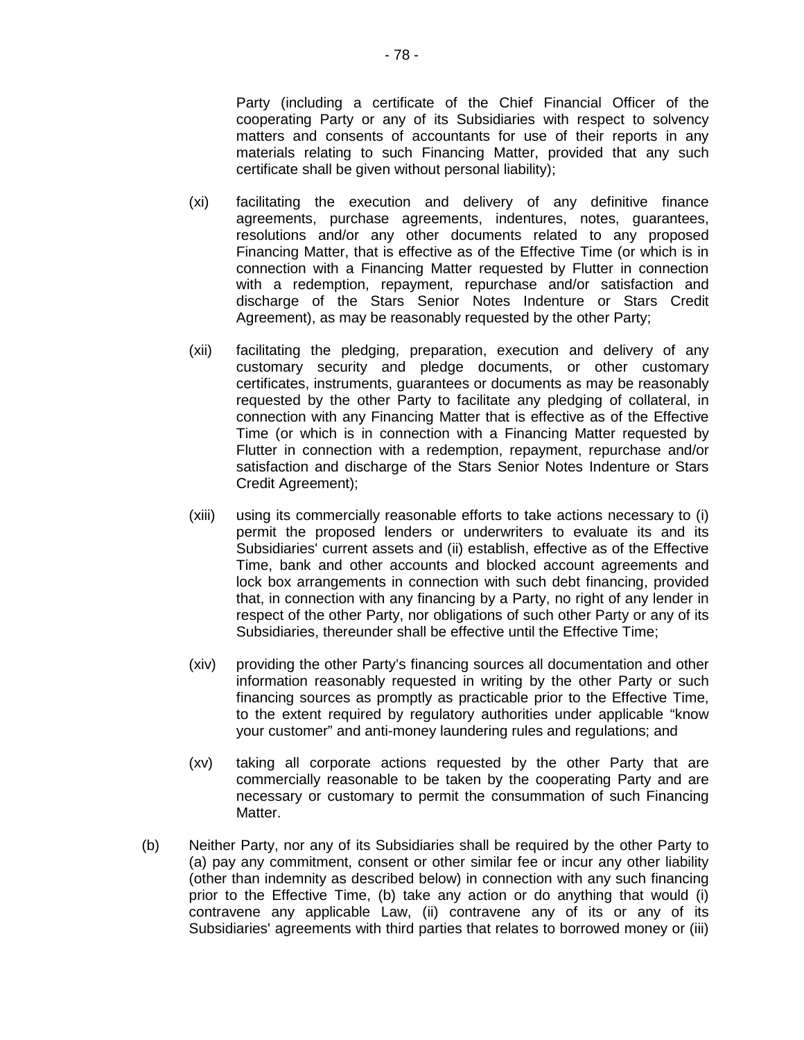Party (including a certificate of the Chief Financial Officer of the cooperating Party or any of its Subsidiaries with respect to solvency matters and consents of accountants for use of their reports in any materials relating to such Financing Matter, provided that any such certificate shall be given without personal liability);

- (xi) facilitating the execution and delivery of any definitive finance agreements, purchase agreements, indentures, notes, guarantees, resolutions and/or any other documents related to any proposed Financing Matter, that is effective as of the Effective Time (or which is in connection with a Financing Matter requested by Flutter in connection with a redemption, repayment, repurchase and/or satisfaction and discharge of the Stars Senior Notes Indenture or Stars Credit Agreement), as may be reasonably requested by the other Party;
- (xii) facilitating the pledging, preparation, execution and delivery of any customary security and pledge documents, or other customary certificates, instruments, guarantees or documents as may be reasonably requested by the other Party to facilitate any pledging of collateral, in connection with any Financing Matter that is effective as of the Effective Time (or which is in connection with a Financing Matter requested by Flutter in connection with a redemption, repayment, repurchase and/or satisfaction and discharge of the Stars Senior Notes Indenture or Stars Credit Agreement);
- (xiii) using its commercially reasonable efforts to take actions necessary to (i) permit the proposed lenders or underwriters to evaluate its and its Subsidiaries' current assets and (ii) establish, effective as of the Effective Time, bank and other accounts and blocked account agreements and lock box arrangements in connection with such debt financing, provided that, in connection with any financing by a Party, no right of any lender in respect of the other Party, nor obligations of such other Party or any of its Subsidiaries, thereunder shall be effective until the Effective Time;
- (xiv) providing the other Party's financing sources all documentation and other information reasonably requested in writing by the other Party or such financing sources as promptly as practicable prior to the Effective Time, to the extent required by regulatory authorities under applicable "know your customer" and anti-money laundering rules and regulations; and
- (xv) taking all corporate actions requested by the other Party that are commercially reasonable to be taken by the cooperating Party and are necessary or customary to permit the consummation of such Financing Matter.
- (b) Neither Party, nor any of its Subsidiaries shall be required by the other Party to (a) pay any commitment, consent or other similar fee or incur any other liability (other than indemnity as described below) in connection with any such financing prior to the Effective Time, (b) take any action or do anything that would (i) contravene any applicable Law, (ii) contravene any of its or any of its Subsidiaries' agreements with third parties that relates to borrowed money or (iii)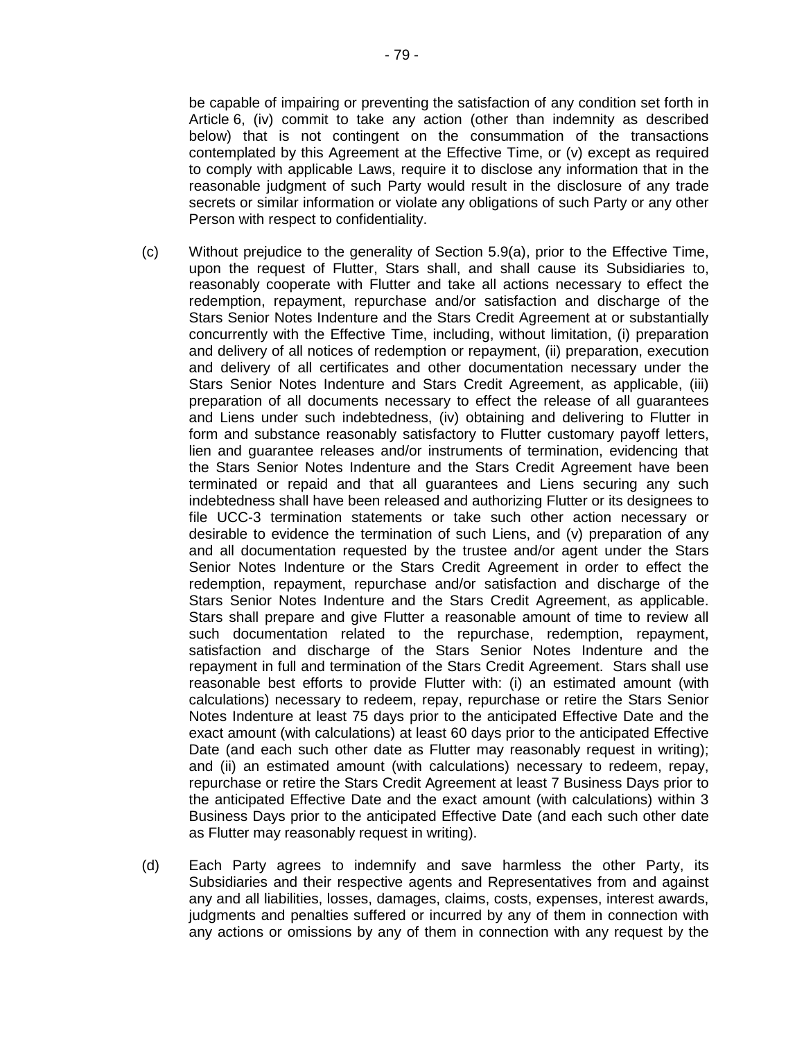be capable of impairing or preventing the satisfaction of any condition set forth in Article 6, (iv) commit to take any action (other than indemnity as described below) that is not contingent on the consummation of the transactions contemplated by this Agreement at the Effective Time, or (v) except as required to comply with applicable Laws, require it to disclose any information that in the reasonable judgment of such Party would result in the disclosure of any trade secrets or similar information or violate any obligations of such Party or any other Person with respect to confidentiality.

- (c) Without prejudice to the generality of Section 5.9(a), prior to the Effective Time, upon the request of Flutter, Stars shall, and shall cause its Subsidiaries to, reasonably cooperate with Flutter and take all actions necessary to effect the redemption, repayment, repurchase and/or satisfaction and discharge of the Stars Senior Notes Indenture and the Stars Credit Agreement at or substantially concurrently with the Effective Time, including, without limitation, (i) preparation and delivery of all notices of redemption or repayment, (ii) preparation, execution and delivery of all certificates and other documentation necessary under the Stars Senior Notes Indenture and Stars Credit Agreement, as applicable, (iii) preparation of all documents necessary to effect the release of all guarantees and Liens under such indebtedness, (iv) obtaining and delivering to Flutter in form and substance reasonably satisfactory to Flutter customary payoff letters, lien and guarantee releases and/or instruments of termination, evidencing that the Stars Senior Notes Indenture and the Stars Credit Agreement have been terminated or repaid and that all guarantees and Liens securing any such indebtedness shall have been released and authorizing Flutter or its designees to file UCC-3 termination statements or take such other action necessary or desirable to evidence the termination of such Liens, and (v) preparation of any and all documentation requested by the trustee and/or agent under the Stars Senior Notes Indenture or the Stars Credit Agreement in order to effect the redemption, repayment, repurchase and/or satisfaction and discharge of the Stars Senior Notes Indenture and the Stars Credit Agreement, as applicable. Stars shall prepare and give Flutter a reasonable amount of time to review all such documentation related to the repurchase, redemption, repayment, satisfaction and discharge of the Stars Senior Notes Indenture and the repayment in full and termination of the Stars Credit Agreement. Stars shall use reasonable best efforts to provide Flutter with: (i) an estimated amount (with calculations) necessary to redeem, repay, repurchase or retire the Stars Senior Notes Indenture at least 75 days prior to the anticipated Effective Date and the exact amount (with calculations) at least 60 days prior to the anticipated Effective Date (and each such other date as Flutter may reasonably request in writing); and (ii) an estimated amount (with calculations) necessary to redeem, repay, repurchase or retire the Stars Credit Agreement at least 7 Business Days prior to the anticipated Effective Date and the exact amount (with calculations) within 3 Business Days prior to the anticipated Effective Date (and each such other date as Flutter may reasonably request in writing).
- (d) Each Party agrees to indemnify and save harmless the other Party, its Subsidiaries and their respective agents and Representatives from and against any and all liabilities, losses, damages, claims, costs, expenses, interest awards, judgments and penalties suffered or incurred by any of them in connection with any actions or omissions by any of them in connection with any request by the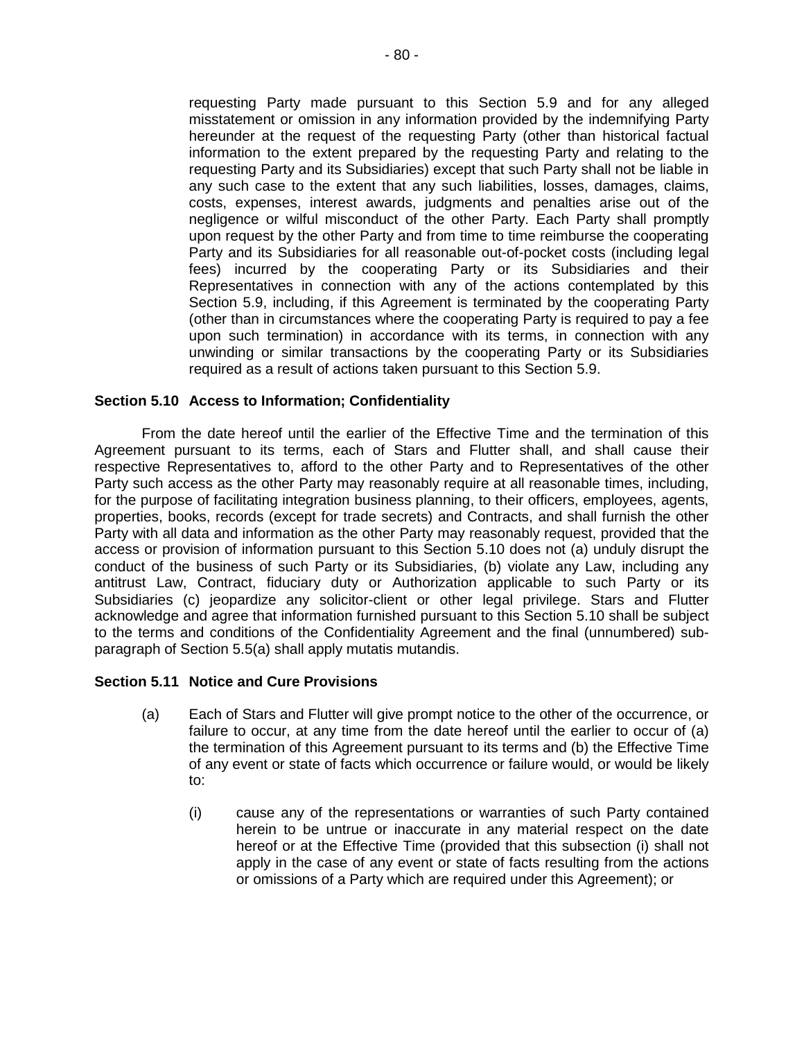requesting Party made pursuant to this Section 5.9 and for any alleged misstatement or omission in any information provided by the indemnifying Party hereunder at the request of the requesting Party (other than historical factual information to the extent prepared by the requesting Party and relating to the requesting Party and its Subsidiaries) except that such Party shall not be liable in any such case to the extent that any such liabilities, losses, damages, claims, costs, expenses, interest awards, judgments and penalties arise out of the negligence or wilful misconduct of the other Party. Each Party shall promptly upon request by the other Party and from time to time reimburse the cooperating Party and its Subsidiaries for all reasonable out-of-pocket costs (including legal fees) incurred by the cooperating Party or its Subsidiaries and their Representatives in connection with any of the actions contemplated by this Section 5.9, including, if this Agreement is terminated by the cooperating Party (other than in circumstances where the cooperating Party is required to pay a fee upon such termination) in accordance with its terms, in connection with any unwinding or similar transactions by the cooperating Party or its Subsidiaries required as a result of actions taken pursuant to this Section 5.9.

### **Section 5.10 Access to Information; Confidentiality**

From the date hereof until the earlier of the Effective Time and the termination of this Agreement pursuant to its terms, each of Stars and Flutter shall, and shall cause their respective Representatives to, afford to the other Party and to Representatives of the other Party such access as the other Party may reasonably require at all reasonable times, including, for the purpose of facilitating integration business planning, to their officers, employees, agents, properties, books, records (except for trade secrets) and Contracts, and shall furnish the other Party with all data and information as the other Party may reasonably request, provided that the access or provision of information pursuant to this Section 5.10 does not (a) unduly disrupt the conduct of the business of such Party or its Subsidiaries, (b) violate any Law, including any antitrust Law, Contract, fiduciary duty or Authorization applicable to such Party or its Subsidiaries (c) jeopardize any solicitor-client or other legal privilege. Stars and Flutter acknowledge and agree that information furnished pursuant to this Section 5.10 shall be subject to the terms and conditions of the Confidentiality Agreement and the final (unnumbered) subparagraph of Section 5.5(a) shall apply mutatis mutandis.

### **Section 5.11 Notice and Cure Provisions**

- (a) Each of Stars and Flutter will give prompt notice to the other of the occurrence, or failure to occur, at any time from the date hereof until the earlier to occur of (a) the termination of this Agreement pursuant to its terms and (b) the Effective Time of any event or state of facts which occurrence or failure would, or would be likely to:
	- (i) cause any of the representations or warranties of such Party contained herein to be untrue or inaccurate in any material respect on the date hereof or at the Effective Time (provided that this subsection (i) shall not apply in the case of any event or state of facts resulting from the actions or omissions of a Party which are required under this Agreement); or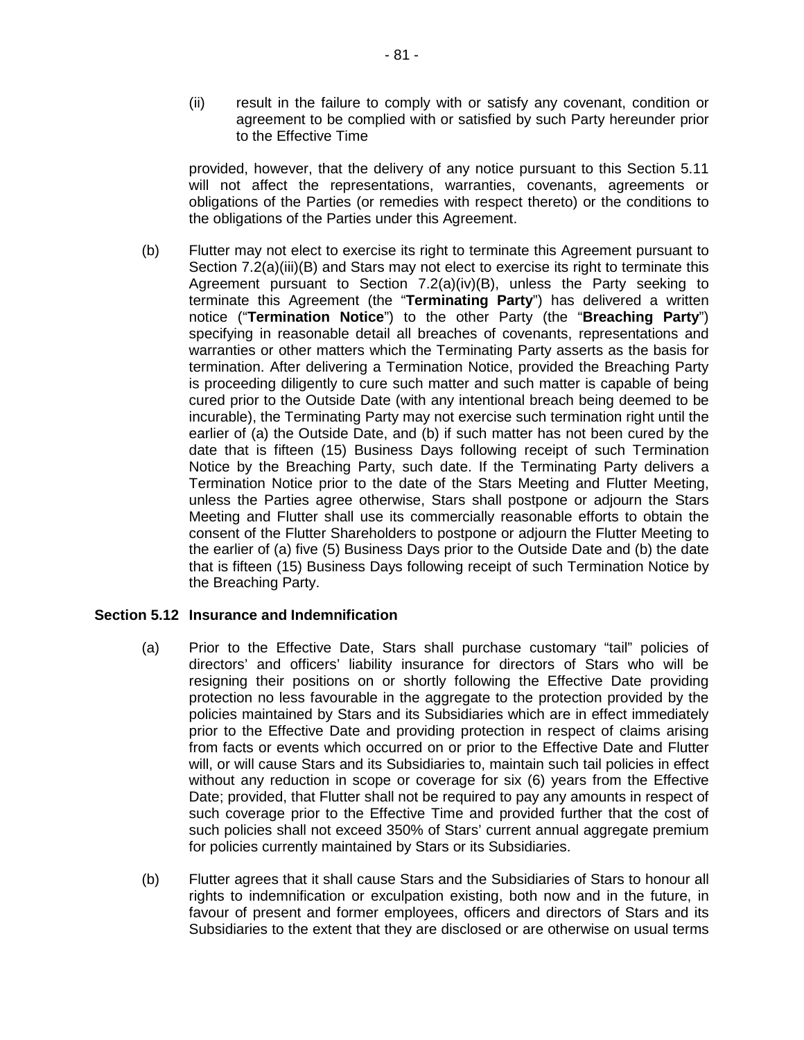(ii) result in the failure to comply with or satisfy any covenant, condition or agreement to be complied with or satisfied by such Party hereunder prior to the Effective Time

provided, however, that the delivery of any notice pursuant to this Section 5.11 will not affect the representations, warranties, covenants, agreements or obligations of the Parties (or remedies with respect thereto) or the conditions to the obligations of the Parties under this Agreement.

(b) Flutter may not elect to exercise its right to terminate this Agreement pursuant to Section 7.2(a)(iii)(B) and Stars may not elect to exercise its right to terminate this Agreement pursuant to Section 7.2(a)(iv)(B), unless the Party seeking to terminate this Agreement (the "**Terminating Party**") has delivered a written notice ("**Termination Notice**") to the other Party (the "**Breaching Party**") specifying in reasonable detail all breaches of covenants, representations and warranties or other matters which the Terminating Party asserts as the basis for termination. After delivering a Termination Notice, provided the Breaching Party is proceeding diligently to cure such matter and such matter is capable of being cured prior to the Outside Date (with any intentional breach being deemed to be incurable), the Terminating Party may not exercise such termination right until the earlier of (a) the Outside Date, and (b) if such matter has not been cured by the date that is fifteen (15) Business Days following receipt of such Termination Notice by the Breaching Party, such date. If the Terminating Party delivers a Termination Notice prior to the date of the Stars Meeting and Flutter Meeting, unless the Parties agree otherwise, Stars shall postpone or adjourn the Stars Meeting and Flutter shall use its commercially reasonable efforts to obtain the consent of the Flutter Shareholders to postpone or adjourn the Flutter Meeting to the earlier of (a) five (5) Business Days prior to the Outside Date and (b) the date that is fifteen (15) Business Days following receipt of such Termination Notice by the Breaching Party.

### **Section 5.12 Insurance and Indemnification**

- (a) Prior to the Effective Date, Stars shall purchase customary "tail" policies of directors' and officers' liability insurance for directors of Stars who will be resigning their positions on or shortly following the Effective Date providing protection no less favourable in the aggregate to the protection provided by the policies maintained by Stars and its Subsidiaries which are in effect immediately prior to the Effective Date and providing protection in respect of claims arising from facts or events which occurred on or prior to the Effective Date and Flutter will, or will cause Stars and its Subsidiaries to, maintain such tail policies in effect without any reduction in scope or coverage for six (6) years from the Effective Date; provided, that Flutter shall not be required to pay any amounts in respect of such coverage prior to the Effective Time and provided further that the cost of such policies shall not exceed 350% of Stars' current annual aggregate premium for policies currently maintained by Stars or its Subsidiaries.
- (b) Flutter agrees that it shall cause Stars and the Subsidiaries of Stars to honour all rights to indemnification or exculpation existing, both now and in the future, in favour of present and former employees, officers and directors of Stars and its Subsidiaries to the extent that they are disclosed or are otherwise on usual terms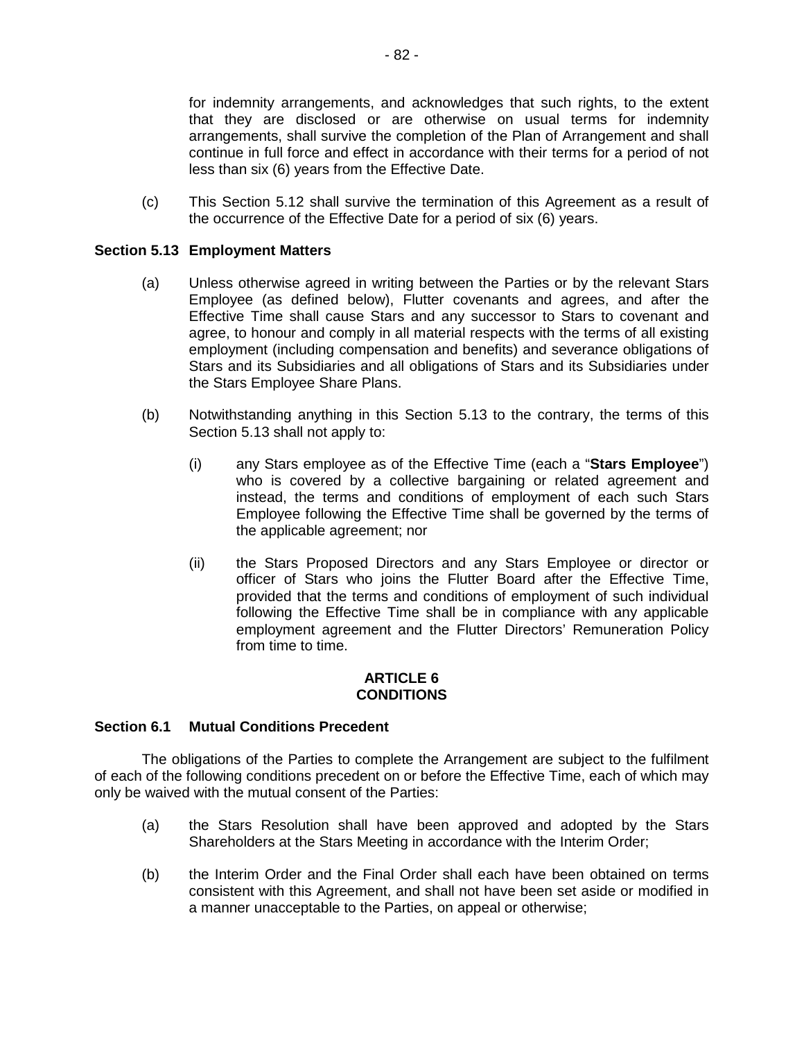for indemnity arrangements, and acknowledges that such rights, to the extent that they are disclosed or are otherwise on usual terms for indemnity arrangements, shall survive the completion of the Plan of Arrangement and shall continue in full force and effect in accordance with their terms for a period of not less than six (6) years from the Effective Date.

(c) This Section 5.12 shall survive the termination of this Agreement as a result of the occurrence of the Effective Date for a period of six (6) years.

## **Section 5.13 Employment Matters**

- (a) Unless otherwise agreed in writing between the Parties or by the relevant Stars Employee (as defined below), Flutter covenants and agrees, and after the Effective Time shall cause Stars and any successor to Stars to covenant and agree, to honour and comply in all material respects with the terms of all existing employment (including compensation and benefits) and severance obligations of Stars and its Subsidiaries and all obligations of Stars and its Subsidiaries under the Stars Employee Share Plans.
- (b) Notwithstanding anything in this Section 5.13 to the contrary, the terms of this Section 5.13 shall not apply to:
	- (i) any Stars employee as of the Effective Time (each a "**Stars Employee**") who is covered by a collective bargaining or related agreement and instead, the terms and conditions of employment of each such Stars Employee following the Effective Time shall be governed by the terms of the applicable agreement; nor
	- (ii) the Stars Proposed Directors and any Stars Employee or director or officer of Stars who joins the Flutter Board after the Effective Time, provided that the terms and conditions of employment of such individual following the Effective Time shall be in compliance with any applicable employment agreement and the Flutter Directors' Remuneration Policy from time to time.

#### **ARTICLE 6 CONDITIONS**

### **Section 6.1 Mutual Conditions Precedent**

The obligations of the Parties to complete the Arrangement are subject to the fulfilment of each of the following conditions precedent on or before the Effective Time, each of which may only be waived with the mutual consent of the Parties:

- (a) the Stars Resolution shall have been approved and adopted by the Stars Shareholders at the Stars Meeting in accordance with the Interim Order;
- (b) the Interim Order and the Final Order shall each have been obtained on terms consistent with this Agreement, and shall not have been set aside or modified in a manner unacceptable to the Parties, on appeal or otherwise;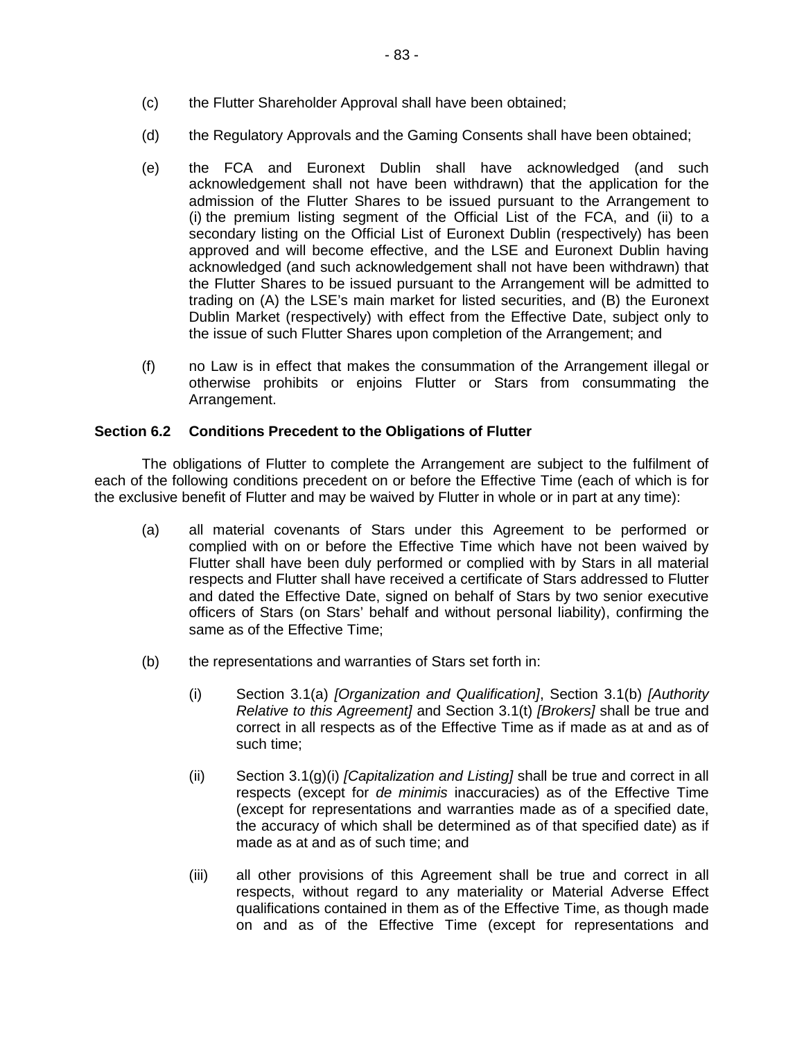- (c) the Flutter Shareholder Approval shall have been obtained;
- (d) the Regulatory Approvals and the Gaming Consents shall have been obtained;
- (e) the FCA and Euronext Dublin shall have acknowledged (and such acknowledgement shall not have been withdrawn) that the application for the admission of the Flutter Shares to be issued pursuant to the Arrangement to (i) the premium listing segment of the Official List of the FCA, and (ii) to a secondary listing on the Official List of Euronext Dublin (respectively) has been approved and will become effective, and the LSE and Euronext Dublin having acknowledged (and such acknowledgement shall not have been withdrawn) that the Flutter Shares to be issued pursuant to the Arrangement will be admitted to trading on (A) the LSE's main market for listed securities, and (B) the Euronext Dublin Market (respectively) with effect from the Effective Date, subject only to the issue of such Flutter Shares upon completion of the Arrangement; and
- (f) no Law is in effect that makes the consummation of the Arrangement illegal or otherwise prohibits or enjoins Flutter or Stars from consummating the Arrangement.

# **Section 6.2 Conditions Precedent to the Obligations of Flutter**

The obligations of Flutter to complete the Arrangement are subject to the fulfilment of each of the following conditions precedent on or before the Effective Time (each of which is for the exclusive benefit of Flutter and may be waived by Flutter in whole or in part at any time):

- (a) all material covenants of Stars under this Agreement to be performed or complied with on or before the Effective Time which have not been waived by Flutter shall have been duly performed or complied with by Stars in all material respects and Flutter shall have received a certificate of Stars addressed to Flutter and dated the Effective Date, signed on behalf of Stars by two senior executive officers of Stars (on Stars' behalf and without personal liability), confirming the same as of the Effective Time;
- (b) the representations and warranties of Stars set forth in:
	- (i) Section 3.1(a) *[Organization and Qualification]*, Section 3.1(b) *[Authority Relative to this Agreement]* and Section 3.1(t) *[Brokers]* shall be true and correct in all respects as of the Effective Time as if made as at and as of such time;
	- (ii) Section 3.1(g)(i) *[Capitalization and Listing]* shall be true and correct in all respects (except for *de minimis* inaccuracies) as of the Effective Time (except for representations and warranties made as of a specified date, the accuracy of which shall be determined as of that specified date) as if made as at and as of such time; and
	- (iii) all other provisions of this Agreement shall be true and correct in all respects, without regard to any materiality or Material Adverse Effect qualifications contained in them as of the Effective Time, as though made on and as of the Effective Time (except for representations and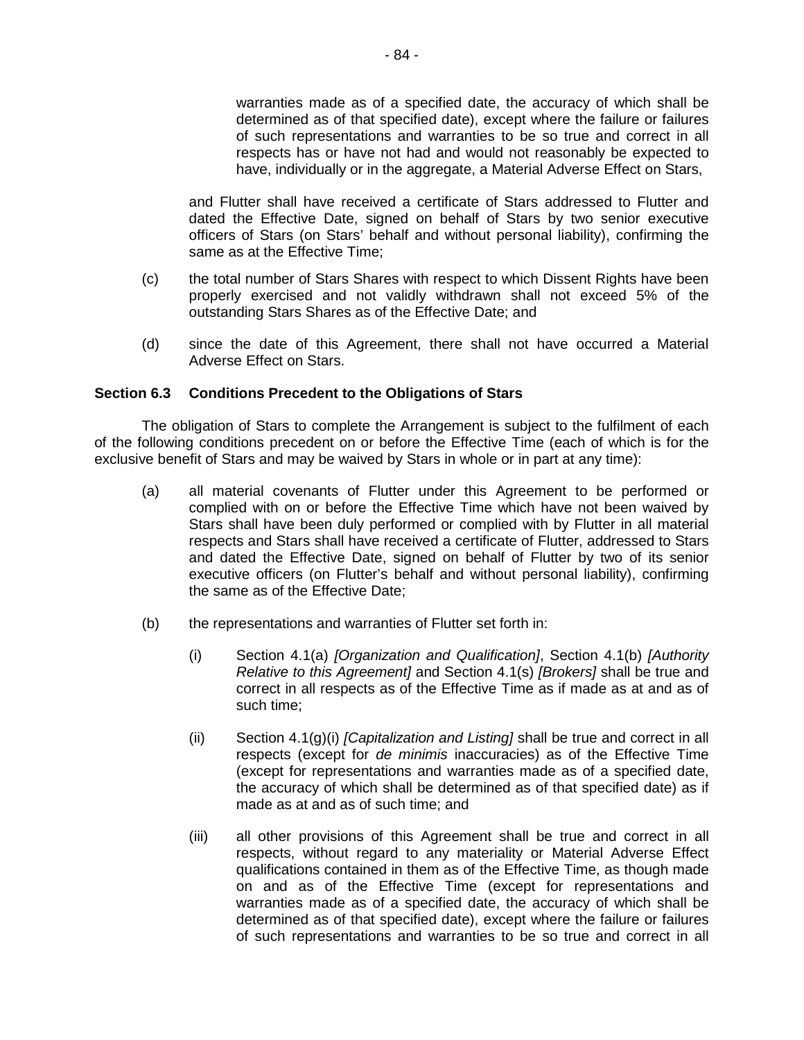warranties made as of a specified date, the accuracy of which shall be determined as of that specified date), except where the failure or failures of such representations and warranties to be so true and correct in all respects has or have not had and would not reasonably be expected to have, individually or in the aggregate, a Material Adverse Effect on Stars,

and Flutter shall have received a certificate of Stars addressed to Flutter and dated the Effective Date, signed on behalf of Stars by two senior executive officers of Stars (on Stars' behalf and without personal liability), confirming the same as at the Effective Time;

- (c) the total number of Stars Shares with respect to which Dissent Rights have been properly exercised and not validly withdrawn shall not exceed 5% of the outstanding Stars Shares as of the Effective Date; and
- (d) since the date of this Agreement, there shall not have occurred a Material Adverse Effect on Stars.

### **Section 6.3 Conditions Precedent to the Obligations of Stars**

The obligation of Stars to complete the Arrangement is subject to the fulfilment of each of the following conditions precedent on or before the Effective Time (each of which is for the exclusive benefit of Stars and may be waived by Stars in whole or in part at any time):

- (a) all material covenants of Flutter under this Agreement to be performed or complied with on or before the Effective Time which have not been waived by Stars shall have been duly performed or complied with by Flutter in all material respects and Stars shall have received a certificate of Flutter, addressed to Stars and dated the Effective Date, signed on behalf of Flutter by two of its senior executive officers (on Flutter's behalf and without personal liability), confirming the same as of the Effective Date;
- (b) the representations and warranties of Flutter set forth in:
	- (i) Section 4.1(a) *[Organization and Qualification]*, Section 4.1(b) *[Authority Relative to this Agreement]* and Section 4.1(s) *[Brokers]* shall be true and correct in all respects as of the Effective Time as if made as at and as of such time;
	- (ii) Section 4.1(g)(i) *[Capitalization and Listing]* shall be true and correct in all respects (except for *de minimis* inaccuracies) as of the Effective Time (except for representations and warranties made as of a specified date, the accuracy of which shall be determined as of that specified date) as if made as at and as of such time; and
	- (iii) all other provisions of this Agreement shall be true and correct in all respects, without regard to any materiality or Material Adverse Effect qualifications contained in them as of the Effective Time, as though made on and as of the Effective Time (except for representations and warranties made as of a specified date, the accuracy of which shall be determined as of that specified date), except where the failure or failures of such representations and warranties to be so true and correct in all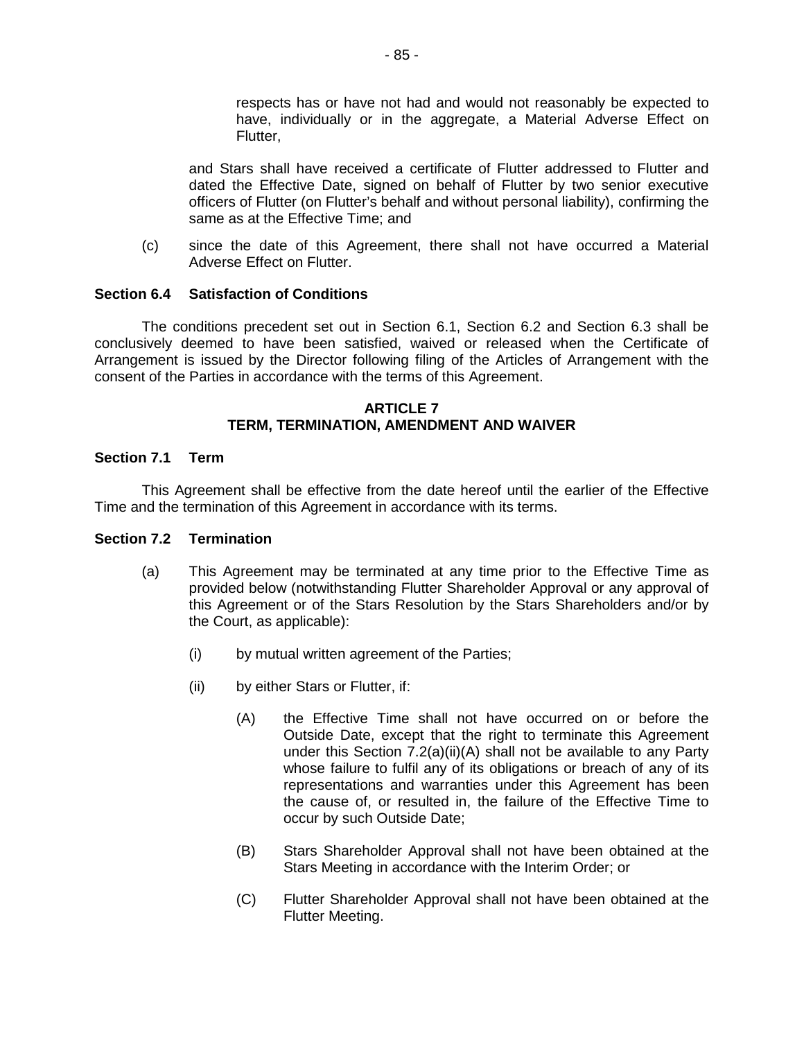respects has or have not had and would not reasonably be expected to have, individually or in the aggregate, a Material Adverse Effect on Flutter,

and Stars shall have received a certificate of Flutter addressed to Flutter and dated the Effective Date, signed on behalf of Flutter by two senior executive officers of Flutter (on Flutter's behalf and without personal liability), confirming the same as at the Effective Time; and

(c) since the date of this Agreement, there shall not have occurred a Material Adverse Effect on Flutter.

## **Section 6.4 Satisfaction of Conditions**

The conditions precedent set out in Section 6.1, Section 6.2 and Section 6.3 shall be conclusively deemed to have been satisfied, waived or released when the Certificate of Arrangement is issued by the Director following filing of the Articles of Arrangement with the consent of the Parties in accordance with the terms of this Agreement.

#### **ARTICLE 7 TERM, TERMINATION, AMENDMENT AND WAIVER**

## **Section 7.1 Term**

This Agreement shall be effective from the date hereof until the earlier of the Effective Time and the termination of this Agreement in accordance with its terms.

### **Section 7.2 Termination**

- (a) This Agreement may be terminated at any time prior to the Effective Time as provided below (notwithstanding Flutter Shareholder Approval or any approval of this Agreement or of the Stars Resolution by the Stars Shareholders and/or by the Court, as applicable):
	- (i) by mutual written agreement of the Parties;
	- (ii) by either Stars or Flutter, if:
		- (A) the Effective Time shall not have occurred on or before the Outside Date, except that the right to terminate this Agreement under this Section 7.2(a)(ii)(A) shall not be available to any Party whose failure to fulfil any of its obligations or breach of any of its representations and warranties under this Agreement has been the cause of, or resulted in, the failure of the Effective Time to occur by such Outside Date;
		- (B) Stars Shareholder Approval shall not have been obtained at the Stars Meeting in accordance with the Interim Order; or
		- (C) Flutter Shareholder Approval shall not have been obtained at the Flutter Meeting.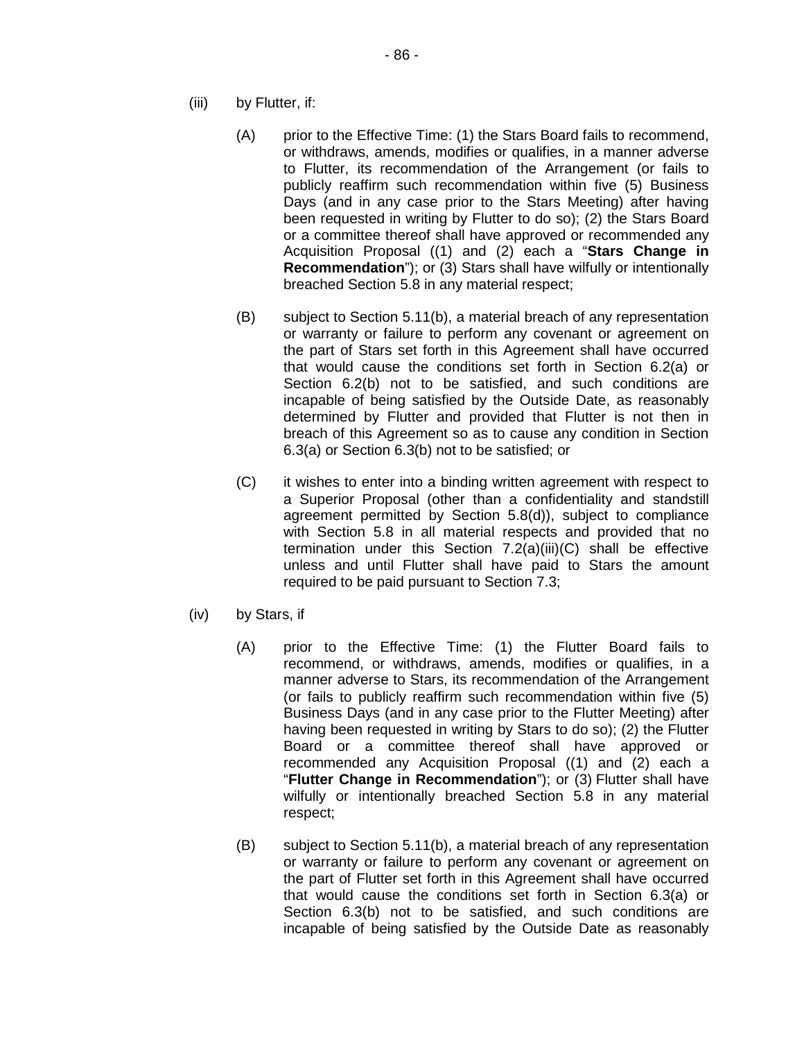- (iii) by Flutter, if:
	- (A) prior to the Effective Time: (1) the Stars Board fails to recommend, or withdraws, amends, modifies or qualifies, in a manner adverse to Flutter, its recommendation of the Arrangement (or fails to publicly reaffirm such recommendation within five (5) Business Days (and in any case prior to the Stars Meeting) after having been requested in writing by Flutter to do so); (2) the Stars Board or a committee thereof shall have approved or recommended any Acquisition Proposal ((1) and (2) each a "**Stars Change in Recommendation**"); or (3) Stars shall have wilfully or intentionally breached Section 5.8 in any material respect;
	- (B) subject to Section 5.11(b), a material breach of any representation or warranty or failure to perform any covenant or agreement on the part of Stars set forth in this Agreement shall have occurred that would cause the conditions set forth in Section 6.2(a) or Section 6.2(b) not to be satisfied, and such conditions are incapable of being satisfied by the Outside Date, as reasonably determined by Flutter and provided that Flutter is not then in breach of this Agreement so as to cause any condition in Section 6.3(a) or Section 6.3(b) not to be satisfied; or
	- (C) it wishes to enter into a binding written agreement with respect to a Superior Proposal (other than a confidentiality and standstill agreement permitted by Section 5.8(d)), subject to compliance with Section 5.8 in all material respects and provided that no termination under this Section 7.2(a)(iii)(C) shall be effective unless and until Flutter shall have paid to Stars the amount required to be paid pursuant to Section 7.3;
- (iv) by Stars, if
	- (A) prior to the Effective Time: (1) the Flutter Board fails to recommend, or withdraws, amends, modifies or qualifies, in a manner adverse to Stars, its recommendation of the Arrangement (or fails to publicly reaffirm such recommendation within five (5) Business Days (and in any case prior to the Flutter Meeting) after having been requested in writing by Stars to do so); (2) the Flutter Board or a committee thereof shall have approved or recommended any Acquisition Proposal ((1) and (2) each a "**Flutter Change in Recommendation**"); or (3) Flutter shall have wilfully or intentionally breached Section 5.8 in any material respect;
	- (B) subject to Section 5.11(b), a material breach of any representation or warranty or failure to perform any covenant or agreement on the part of Flutter set forth in this Agreement shall have occurred that would cause the conditions set forth in Section 6.3(a) or Section 6.3(b) not to be satisfied, and such conditions are incapable of being satisfied by the Outside Date as reasonably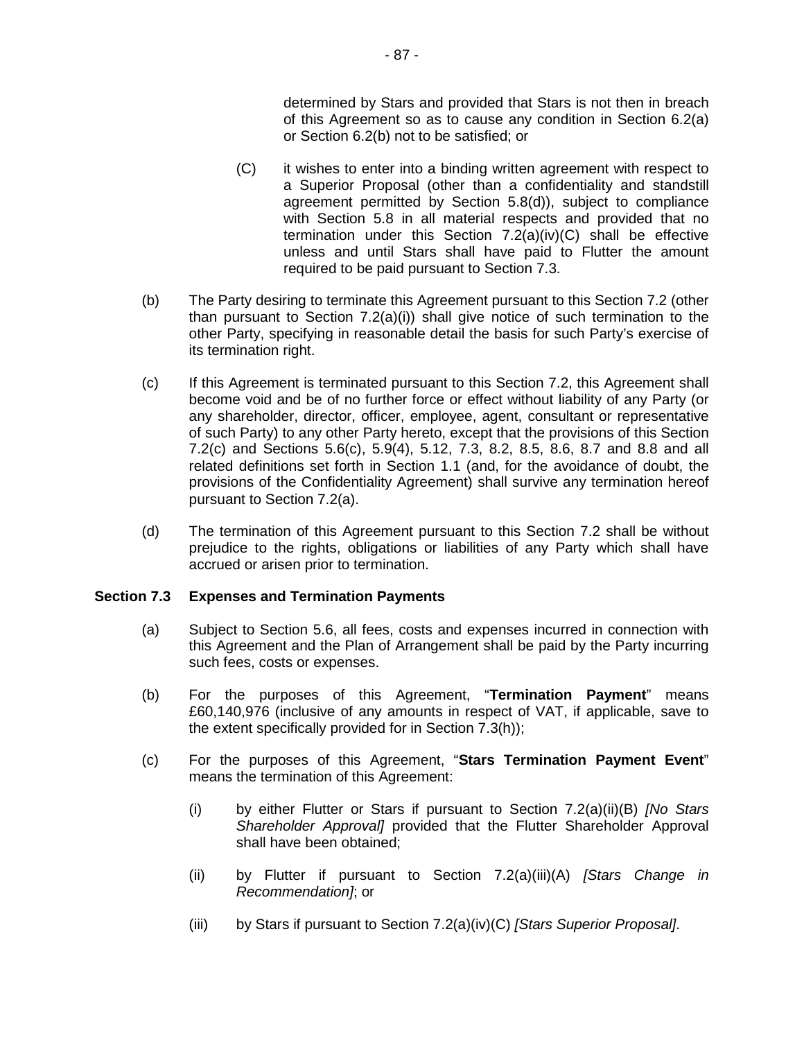determined by Stars and provided that Stars is not then in breach of this Agreement so as to cause any condition in Section 6.2(a) or Section 6.2(b) not to be satisfied; or

- (C) it wishes to enter into a binding written agreement with respect to a Superior Proposal (other than a confidentiality and standstill agreement permitted by Section 5.8(d)), subject to compliance with Section 5.8 in all material respects and provided that no termination under this Section 7.2(a)(iv)(C) shall be effective unless and until Stars shall have paid to Flutter the amount required to be paid pursuant to Section 7.3.
- (b) The Party desiring to terminate this Agreement pursuant to this Section 7.2 (other than pursuant to Section 7.2(a)(i)) shall give notice of such termination to the other Party, specifying in reasonable detail the basis for such Party's exercise of its termination right.
- (c) If this Agreement is terminated pursuant to this Section 7.2, this Agreement shall become void and be of no further force or effect without liability of any Party (or any shareholder, director, officer, employee, agent, consultant or representative of such Party) to any other Party hereto, except that the provisions of this Section 7.2(c) and Sections 5.6(c), 5.9(4), 5.12, 7.3, 8.2, 8.5, 8.6, 8.7 and 8.8 and all related definitions set forth in Section 1.1 (and, for the avoidance of doubt, the provisions of the Confidentiality Agreement) shall survive any termination hereof pursuant to Section 7.2(a).
- (d) The termination of this Agreement pursuant to this Section 7.2 shall be without prejudice to the rights, obligations or liabilities of any Party which shall have accrued or arisen prior to termination.

### **Section 7.3 Expenses and Termination Payments**

- (a) Subject to Section 5.6, all fees, costs and expenses incurred in connection with this Agreement and the Plan of Arrangement shall be paid by the Party incurring such fees, costs or expenses.
- (b) For the purposes of this Agreement, "**Termination Payment**" means £60,140,976 (inclusive of any amounts in respect of VAT, if applicable, save to the extent specifically provided for in Section 7.3(h));
- (c) For the purposes of this Agreement, "**Stars Termination Payment Event**" means the termination of this Agreement:
	- (i) by either Flutter or Stars if pursuant to Section 7.2(a)(ii)(B) *[No Stars Shareholder Approval]* provided that the Flutter Shareholder Approval shall have been obtained;
	- (ii) by Flutter if pursuant to Section 7.2(a)(iii)(A) *[Stars Change in Recommendation]*; or
	- (iii) by Stars if pursuant to Section 7.2(a)(iv)(C) *[Stars Superior Proposal]*.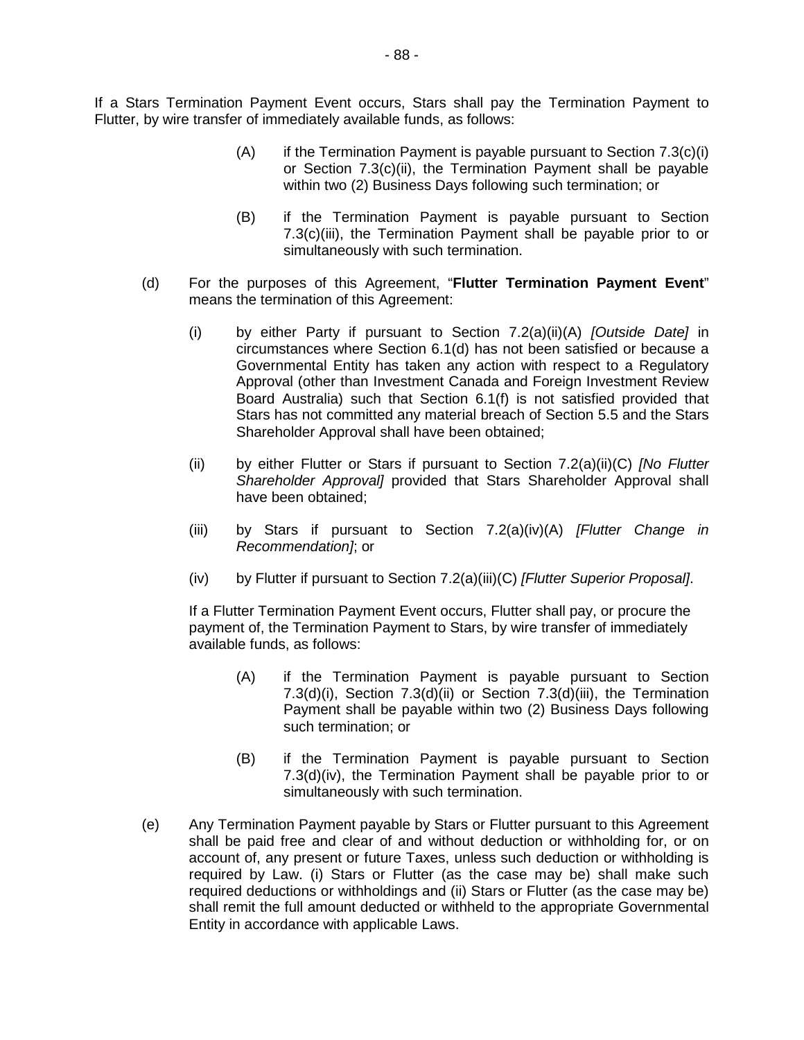If a Stars Termination Payment Event occurs, Stars shall pay the Termination Payment to Flutter, by wire transfer of immediately available funds, as follows:

- $(A)$  if the Termination Payment is payable pursuant to Section 7.3(c)(i) or Section 7.3(c)(ii), the Termination Payment shall be payable within two (2) Business Days following such termination; or
- (B) if the Termination Payment is payable pursuant to Section 7.3(c)(iii), the Termination Payment shall be payable prior to or simultaneously with such termination.
- (d) For the purposes of this Agreement, "**Flutter Termination Payment Event**" means the termination of this Agreement:
	- (i) by either Party if pursuant to Section 7.2(a)(ii)(A) *[Outside Date]* in circumstances where Section 6.1(d) has not been satisfied or because a Governmental Entity has taken any action with respect to a Regulatory Approval (other than Investment Canada and Foreign Investment Review Board Australia) such that Section 6.1(f) is not satisfied provided that Stars has not committed any material breach of Section 5.5 and the Stars Shareholder Approval shall have been obtained;
	- (ii) by either Flutter or Stars if pursuant to Section 7.2(a)(ii)(C) *[No Flutter Shareholder Approval]* provided that Stars Shareholder Approval shall have been obtained;
	- (iii) by Stars if pursuant to Section 7.2(a)(iv)(A) *[Flutter Change in Recommendation]*; or
	- (iv) by Flutter if pursuant to Section 7.2(a)(iii)(C) *[Flutter Superior Proposal]*.

If a Flutter Termination Payment Event occurs, Flutter shall pay, or procure the payment of, the Termination Payment to Stars, by wire transfer of immediately available funds, as follows:

- (A) if the Termination Payment is payable pursuant to Section 7.3(d)(i), Section 7.3(d)(ii) or Section 7.3(d)(iii), the Termination Payment shall be payable within two (2) Business Days following such termination; or
- (B) if the Termination Payment is payable pursuant to Section 7.3(d)(iv), the Termination Payment shall be payable prior to or simultaneously with such termination.
- (e) Any Termination Payment payable by Stars or Flutter pursuant to this Agreement shall be paid free and clear of and without deduction or withholding for, or on account of, any present or future Taxes, unless such deduction or withholding is required by Law. (i) Stars or Flutter (as the case may be) shall make such required deductions or withholdings and (ii) Stars or Flutter (as the case may be) shall remit the full amount deducted or withheld to the appropriate Governmental Entity in accordance with applicable Laws.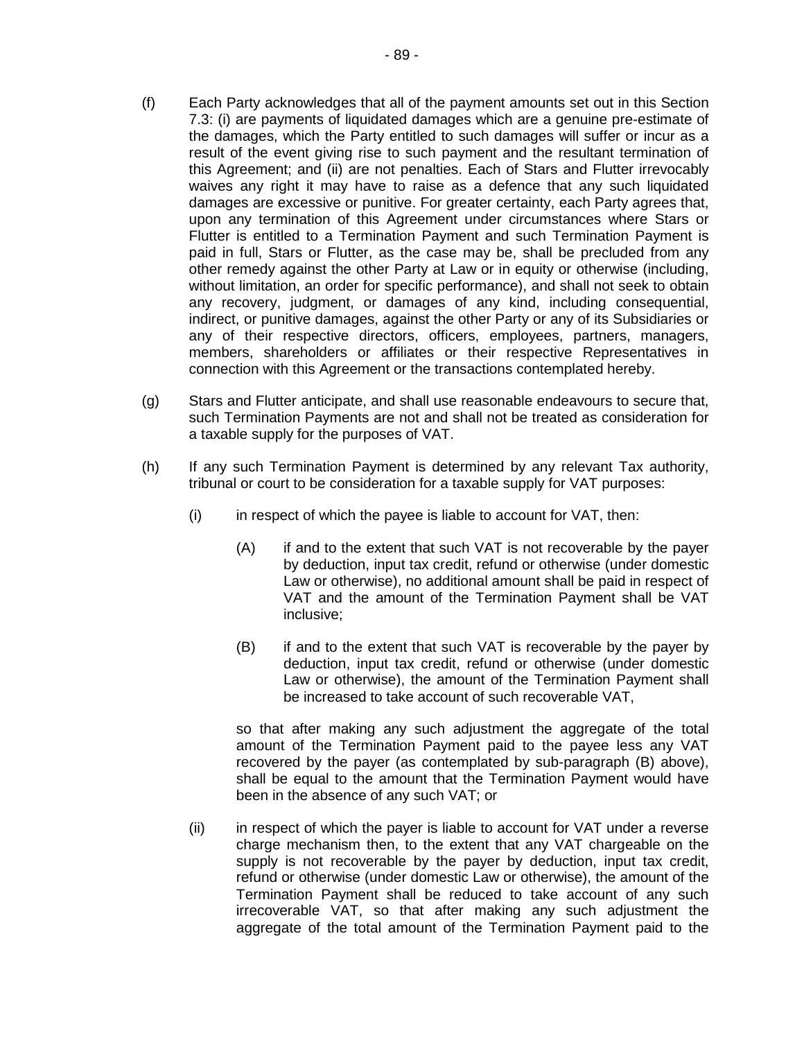- (f) Each Party acknowledges that all of the payment amounts set out in this Section 7.3: (i) are payments of liquidated damages which are a genuine pre-estimate of the damages, which the Party entitled to such damages will suffer or incur as a result of the event giving rise to such payment and the resultant termination of this Agreement; and (ii) are not penalties. Each of Stars and Flutter irrevocably waives any right it may have to raise as a defence that any such liquidated damages are excessive or punitive. For greater certainty, each Party agrees that, upon any termination of this Agreement under circumstances where Stars or Flutter is entitled to a Termination Payment and such Termination Payment is paid in full, Stars or Flutter, as the case may be, shall be precluded from any other remedy against the other Party at Law or in equity or otherwise (including, without limitation, an order for specific performance), and shall not seek to obtain any recovery, judgment, or damages of any kind, including consequential, indirect, or punitive damages, against the other Party or any of its Subsidiaries or any of their respective directors, officers, employees, partners, managers, members, shareholders or affiliates or their respective Representatives in connection with this Agreement or the transactions contemplated hereby.
- (g) Stars and Flutter anticipate, and shall use reasonable endeavours to secure that, such Termination Payments are not and shall not be treated as consideration for a taxable supply for the purposes of VAT.
- (h) If any such Termination Payment is determined by any relevant Tax authority, tribunal or court to be consideration for a taxable supply for VAT purposes:
	- $(i)$  in respect of which the payee is liable to account for VAT, then:
		- (A) if and to the extent that such VAT is not recoverable by the payer by deduction, input tax credit, refund or otherwise (under domestic Law or otherwise), no additional amount shall be paid in respect of VAT and the amount of the Termination Payment shall be VAT inclusive;
		- (B) if and to the extent that such VAT is recoverable by the payer by deduction, input tax credit, refund or otherwise (under domestic Law or otherwise), the amount of the Termination Payment shall be increased to take account of such recoverable VAT,

so that after making any such adjustment the aggregate of the total amount of the Termination Payment paid to the payee less any VAT recovered by the payer (as contemplated by sub-paragraph (B) above), shall be equal to the amount that the Termination Payment would have been in the absence of any such VAT; or

(ii) in respect of which the payer is liable to account for VAT under a reverse charge mechanism then, to the extent that any VAT chargeable on the supply is not recoverable by the payer by deduction, input tax credit, refund or otherwise (under domestic Law or otherwise), the amount of the Termination Payment shall be reduced to take account of any such irrecoverable VAT, so that after making any such adjustment the aggregate of the total amount of the Termination Payment paid to the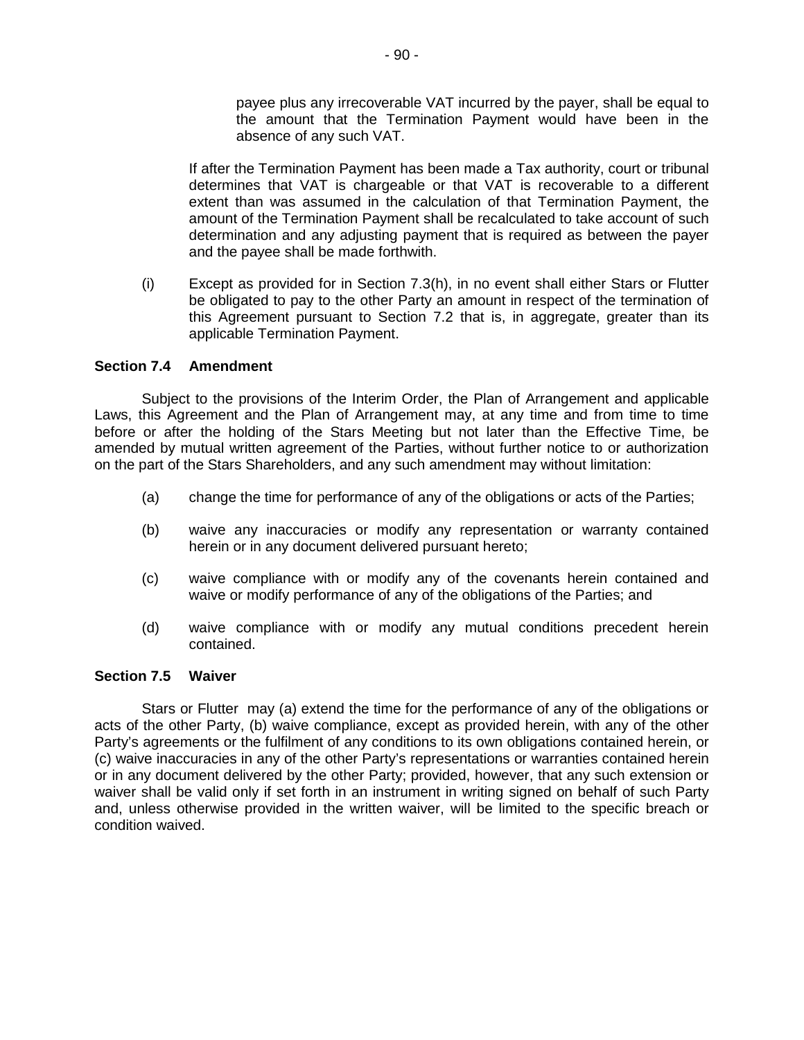payee plus any irrecoverable VAT incurred by the payer, shall be equal to the amount that the Termination Payment would have been in the absence of any such VAT.

If after the Termination Payment has been made a Tax authority, court or tribunal determines that VAT is chargeable or that VAT is recoverable to a different extent than was assumed in the calculation of that Termination Payment, the amount of the Termination Payment shall be recalculated to take account of such determination and any adjusting payment that is required as between the payer and the payee shall be made forthwith.

(i) Except as provided for in Section 7.3(h), in no event shall either Stars or Flutter be obligated to pay to the other Party an amount in respect of the termination of this Agreement pursuant to Section 7.2 that is, in aggregate, greater than its applicable Termination Payment.

## **Section 7.4 Amendment**

Subject to the provisions of the Interim Order, the Plan of Arrangement and applicable Laws, this Agreement and the Plan of Arrangement may, at any time and from time to time before or after the holding of the Stars Meeting but not later than the Effective Time, be amended by mutual written agreement of the Parties, without further notice to or authorization on the part of the Stars Shareholders, and any such amendment may without limitation:

- (a) change the time for performance of any of the obligations or acts of the Parties;
- (b) waive any inaccuracies or modify any representation or warranty contained herein or in any document delivered pursuant hereto;
- (c) waive compliance with or modify any of the covenants herein contained and waive or modify performance of any of the obligations of the Parties; and
- (d) waive compliance with or modify any mutual conditions precedent herein contained.

### **Section 7.5 Waiver**

Stars or Flutter may (a) extend the time for the performance of any of the obligations or acts of the other Party, (b) waive compliance, except as provided herein, with any of the other Party's agreements or the fulfilment of any conditions to its own obligations contained herein, or (c) waive inaccuracies in any of the other Party's representations or warranties contained herein or in any document delivered by the other Party; provided, however, that any such extension or waiver shall be valid only if set forth in an instrument in writing signed on behalf of such Party and, unless otherwise provided in the written waiver, will be limited to the specific breach or condition waived.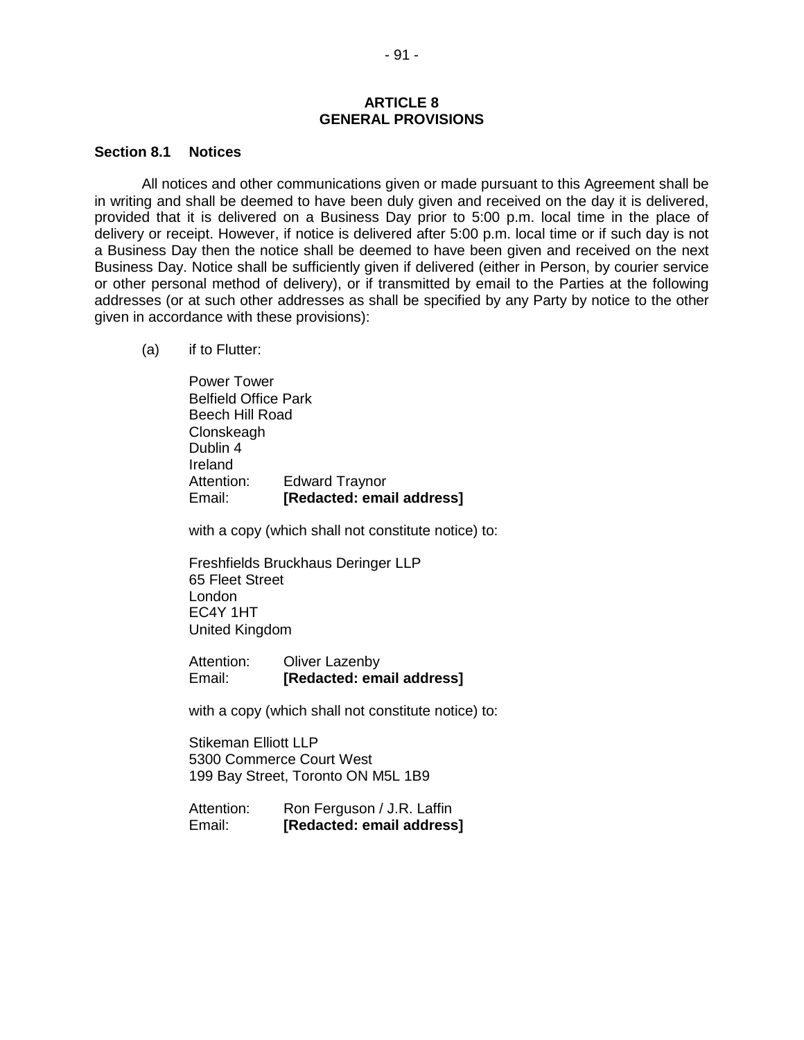### **ARTICLE 8 GENERAL PROVISIONS**

#### **Section 8.1 Notices**

All notices and other communications given or made pursuant to this Agreement shall be in writing and shall be deemed to have been duly given and received on the day it is delivered, provided that it is delivered on a Business Day prior to 5:00 p.m. local time in the place of delivery or receipt. However, if notice is delivered after 5:00 p.m. local time or if such day is not a Business Day then the notice shall be deemed to have been given and received on the next Business Day. Notice shall be sufficiently given if delivered (either in Person, by courier service or other personal method of delivery), or if transmitted by email to the Parties at the following addresses (or at such other addresses as shall be specified by any Party by notice to the other given in accordance with these provisions):

(a) if to Flutter:

Power Tower Belfield Office Park Beech Hill Road **Clonskeagh** Dublin 4 Ireland Attention: Edward Traynor Email: **[Redacted: email address]**

with a copy (which shall not constitute notice) to:

Freshfields Bruckhaus Deringer LLP 65 Fleet Street London EC4Y 1HT United Kingdom

Attention: Oliver Lazenby Email: **[Redacted: email address]**

with a copy (which shall not constitute notice) to:

Stikeman Elliott LLP 5300 Commerce Court West 199 Bay Street, Toronto ON M5L 1B9

| Attention: | Ron Ferguson / J.R. Laffin |
|------------|----------------------------|
| Email:     | [Redacted: email address]  |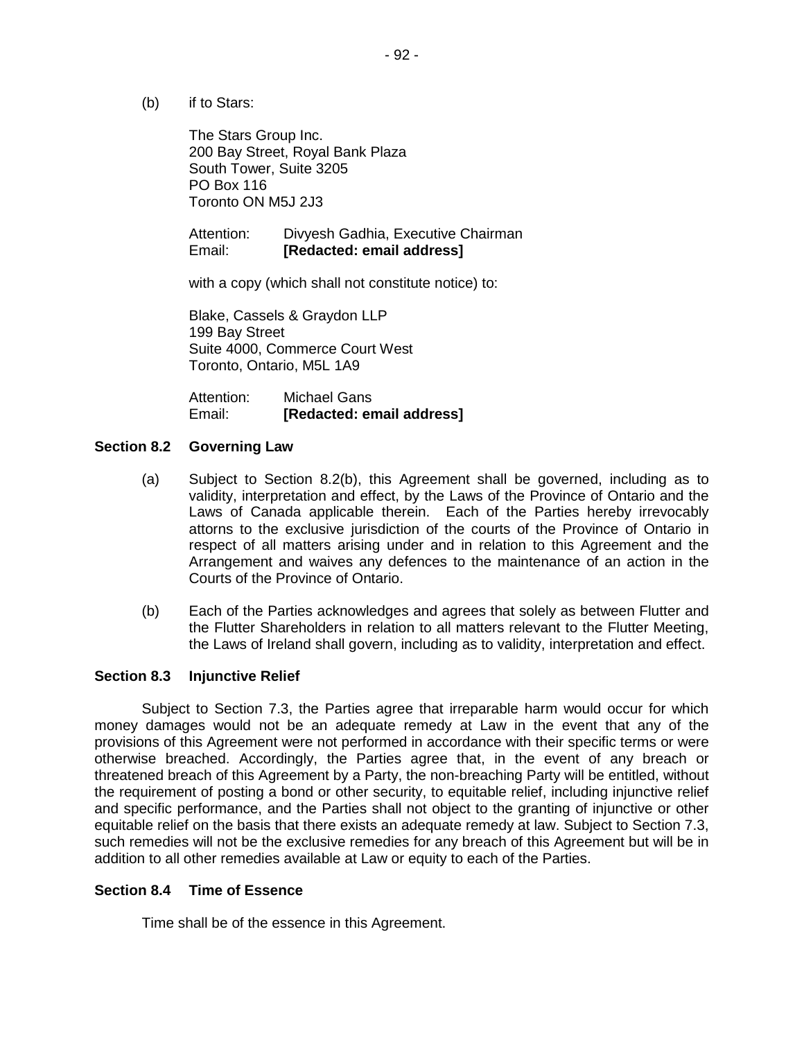(b) if to Stars:

The Stars Group Inc. 200 Bay Street, Royal Bank Plaza South Tower, Suite 3205 PO Box 116 Toronto ON M5J 2J3

Attention: Divyesh Gadhia, Executive Chairman Email: **[Redacted: email address]**

with a copy (which shall not constitute notice) to:

Blake, Cassels & Graydon LLP 199 Bay Street Suite 4000, Commerce Court West Toronto, Ontario, M5L 1A9

Attention: Michael Gans Email: **[Redacted: email address]**

### **Section 8.2 Governing Law**

- (a) Subject to Section 8.2(b), this Agreement shall be governed, including as to validity, interpretation and effect, by the Laws of the Province of Ontario and the Laws of Canada applicable therein. Each of the Parties hereby irrevocably attorns to the exclusive jurisdiction of the courts of the Province of Ontario in respect of all matters arising under and in relation to this Agreement and the Arrangement and waives any defences to the maintenance of an action in the Courts of the Province of Ontario.
- (b) Each of the Parties acknowledges and agrees that solely as between Flutter and the Flutter Shareholders in relation to all matters relevant to the Flutter Meeting, the Laws of Ireland shall govern, including as to validity, interpretation and effect.

### **Section 8.3 Injunctive Relief**

Subject to Section 7.3, the Parties agree that irreparable harm would occur for which money damages would not be an adequate remedy at Law in the event that any of the provisions of this Agreement were not performed in accordance with their specific terms or were otherwise breached. Accordingly, the Parties agree that, in the event of any breach or threatened breach of this Agreement by a Party, the non-breaching Party will be entitled, without the requirement of posting a bond or other security, to equitable relief, including injunctive relief and specific performance, and the Parties shall not object to the granting of injunctive or other equitable relief on the basis that there exists an adequate remedy at law. Subject to Section 7.3, such remedies will not be the exclusive remedies for any breach of this Agreement but will be in addition to all other remedies available at Law or equity to each of the Parties.

### **Section 8.4 Time of Essence**

Time shall be of the essence in this Agreement.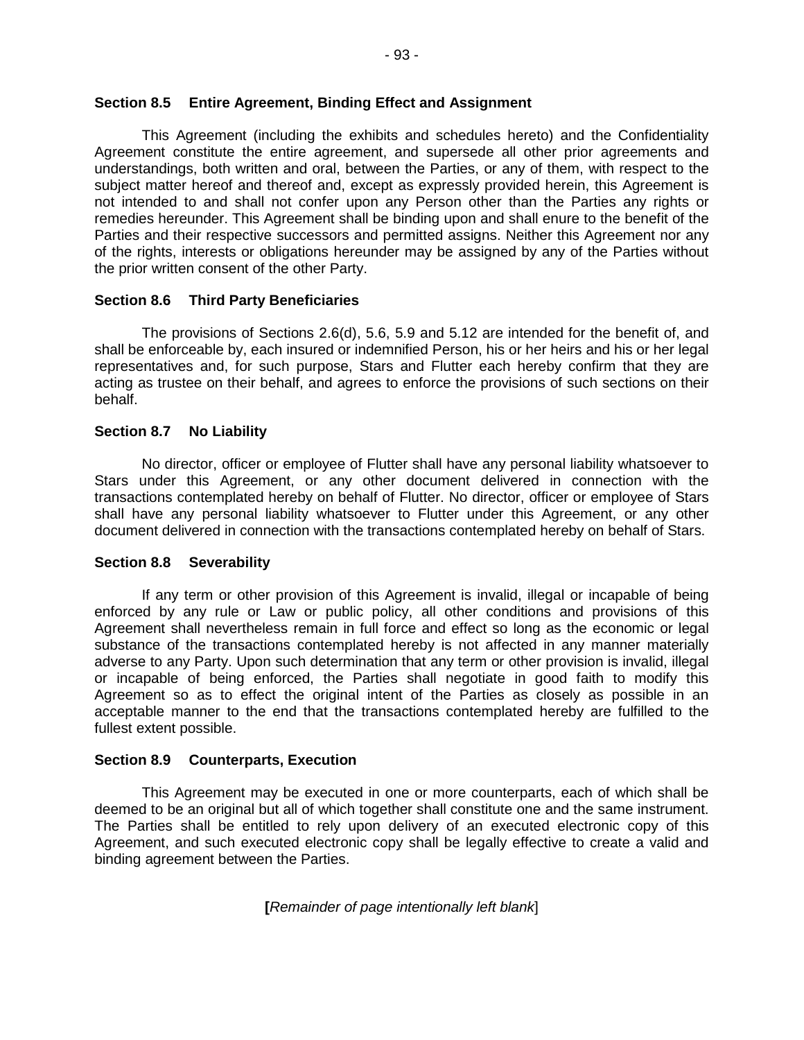This Agreement (including the exhibits and schedules hereto) and the Confidentiality Agreement constitute the entire agreement, and supersede all other prior agreements and understandings, both written and oral, between the Parties, or any of them, with respect to the subject matter hereof and thereof and, except as expressly provided herein, this Agreement is not intended to and shall not confer upon any Person other than the Parties any rights or remedies hereunder. This Agreement shall be binding upon and shall enure to the benefit of the Parties and their respective successors and permitted assigns. Neither this Agreement nor any of the rights, interests or obligations hereunder may be assigned by any of the Parties without the prior written consent of the other Party.

# **Section 8.6 Third Party Beneficiaries**

The provisions of Sections 2.6(d), 5.6, 5.9 and 5.12 are intended for the benefit of, and shall be enforceable by, each insured or indemnified Person, his or her heirs and his or her legal representatives and, for such purpose, Stars and Flutter each hereby confirm that they are acting as trustee on their behalf, and agrees to enforce the provisions of such sections on their behalf.

## **Section 8.7 No Liability**

No director, officer or employee of Flutter shall have any personal liability whatsoever to Stars under this Agreement, or any other document delivered in connection with the transactions contemplated hereby on behalf of Flutter. No director, officer or employee of Stars shall have any personal liability whatsoever to Flutter under this Agreement, or any other document delivered in connection with the transactions contemplated hereby on behalf of Stars.

### **Section 8.8 Severability**

If any term or other provision of this Agreement is invalid, illegal or incapable of being enforced by any rule or Law or public policy, all other conditions and provisions of this Agreement shall nevertheless remain in full force and effect so long as the economic or legal substance of the transactions contemplated hereby is not affected in any manner materially adverse to any Party. Upon such determination that any term or other provision is invalid, illegal or incapable of being enforced, the Parties shall negotiate in good faith to modify this Agreement so as to effect the original intent of the Parties as closely as possible in an acceptable manner to the end that the transactions contemplated hereby are fulfilled to the fullest extent possible.

### **Section 8.9 Counterparts, Execution**

This Agreement may be executed in one or more counterparts, each of which shall be deemed to be an original but all of which together shall constitute one and the same instrument. The Parties shall be entitled to rely upon delivery of an executed electronic copy of this Agreement, and such executed electronic copy shall be legally effective to create a valid and binding agreement between the Parties.

**[***Remainder of page intentionally left blank*]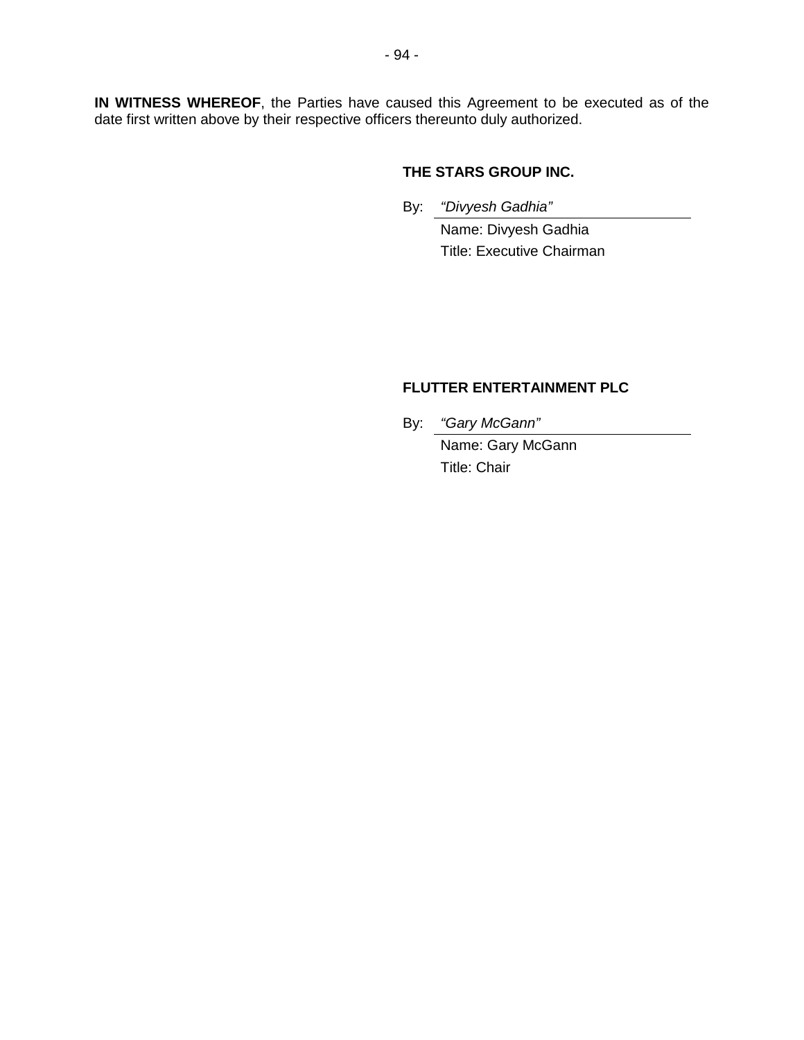**IN WITNESS WHEREOF**, the Parties have caused this Agreement to be executed as of the date first written above by their respective officers thereunto duly authorized.

# **THE STARS GROUP INC.**

By: *"Divyesh Gadhia"* 

Name: Divyesh Gadhia Title: Executive Chairman

# **FLUTTER ENTERTAINMENT PLC**

By: *"Gary McGann"* 

Name: Gary McGann Title: Chair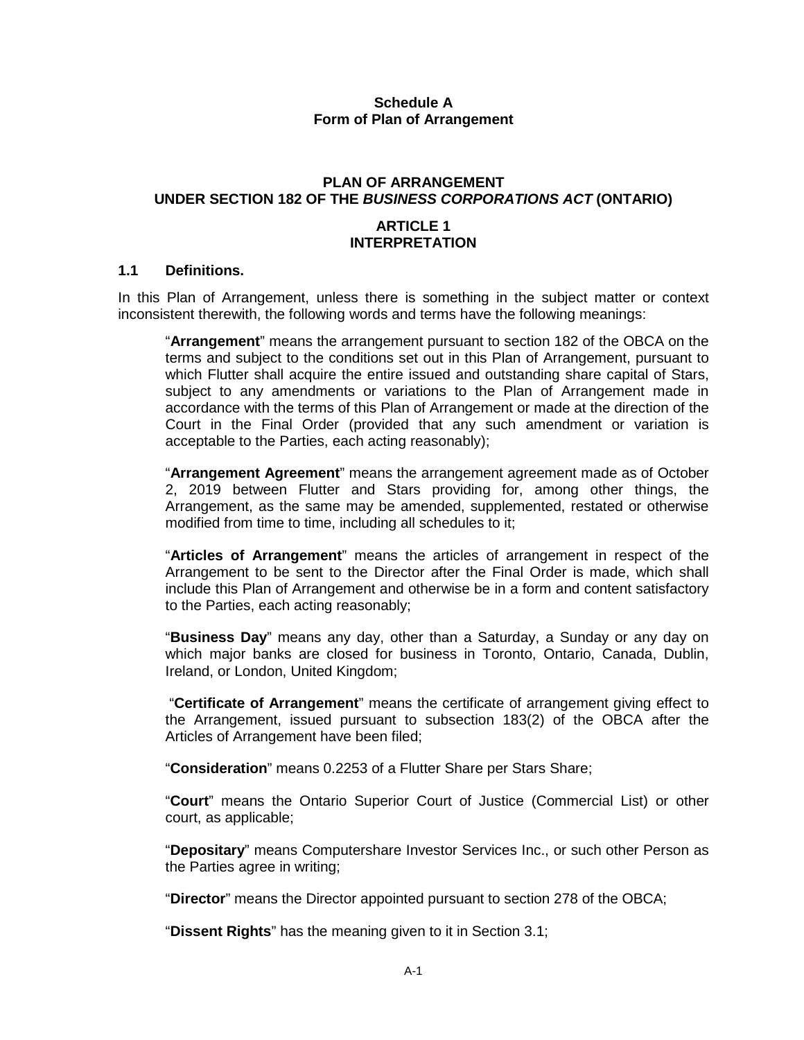## **Schedule A Form of Plan of Arrangement**

# **PLAN OF ARRANGEMENT UNDER SECTION 182 OF THE** *BUSINESS CORPORATIONS ACT* **(ONTARIO)**

## **ARTICLE 1 INTERPRETATION**

## **1.1 Definitions.**

In this Plan of Arrangement, unless there is something in the subject matter or context inconsistent therewith, the following words and terms have the following meanings:

"**Arrangement**" means the arrangement pursuant to section 182 of the OBCA on the terms and subject to the conditions set out in this Plan of Arrangement, pursuant to which Flutter shall acquire the entire issued and outstanding share capital of Stars, subject to any amendments or variations to the Plan of Arrangement made in accordance with the terms of this Plan of Arrangement or made at the direction of the Court in the Final Order (provided that any such amendment or variation is acceptable to the Parties, each acting reasonably);

"**Arrangement Agreement**" means the arrangement agreement made as of October 2, 2019 between Flutter and Stars providing for, among other things, the Arrangement, as the same may be amended, supplemented, restated or otherwise modified from time to time, including all schedules to it;

"**Articles of Arrangement**" means the articles of arrangement in respect of the Arrangement to be sent to the Director after the Final Order is made, which shall include this Plan of Arrangement and otherwise be in a form and content satisfactory to the Parties, each acting reasonably;

"**Business Day**" means any day, other than a Saturday, a Sunday or any day on which major banks are closed for business in Toronto, Ontario, Canada, Dublin, Ireland, or London, United Kingdom;

 "**Certificate of Arrangement**" means the certificate of arrangement giving effect to the Arrangement, issued pursuant to subsection 183(2) of the OBCA after the Articles of Arrangement have been filed;

"**Consideration**" means 0.2253 of a Flutter Share per Stars Share;

"**Court**" means the Ontario Superior Court of Justice (Commercial List) or other court, as applicable;

"**Depositary**" means Computershare Investor Services Inc., or such other Person as the Parties agree in writing;

"**Director**" means the Director appointed pursuant to section 278 of the OBCA;

"**Dissent Rights**" has the meaning given to it in Section 3.1;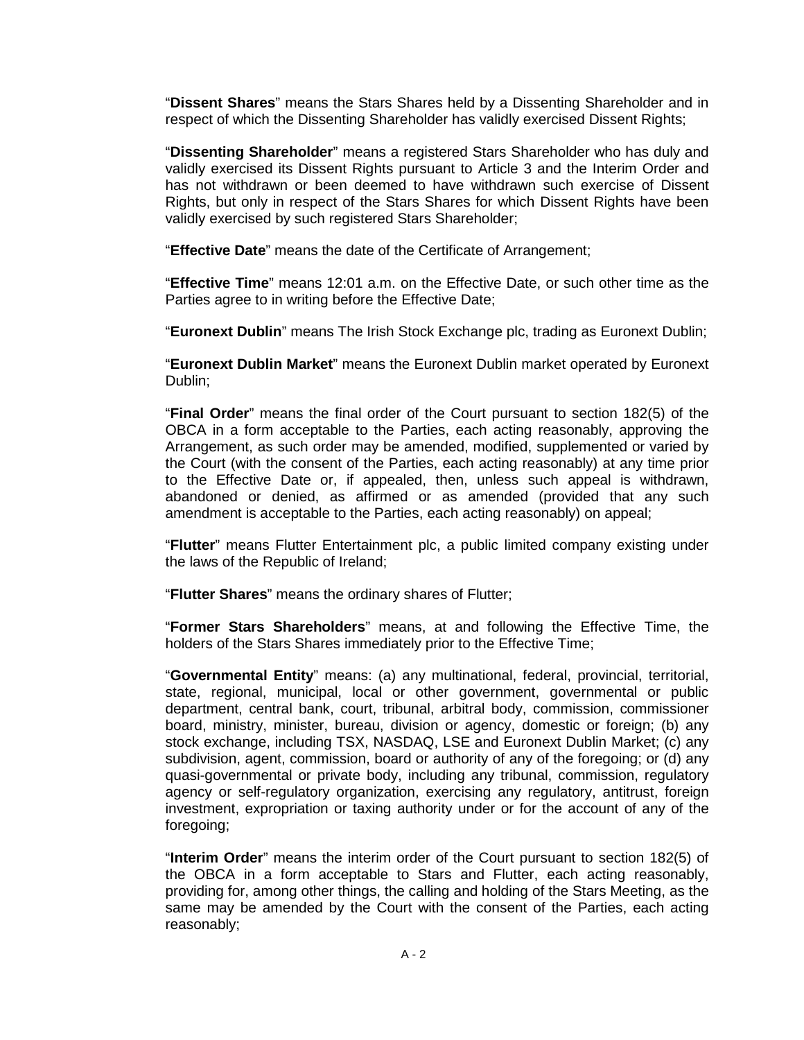"**Dissent Shares**" means the Stars Shares held by a Dissenting Shareholder and in respect of which the Dissenting Shareholder has validly exercised Dissent Rights;

"**Dissenting Shareholder**" means a registered Stars Shareholder who has duly and validly exercised its Dissent Rights pursuant to Article 3 and the Interim Order and has not withdrawn or been deemed to have withdrawn such exercise of Dissent Rights, but only in respect of the Stars Shares for which Dissent Rights have been validly exercised by such registered Stars Shareholder;

"**Effective Date**" means the date of the Certificate of Arrangement;

"**Effective Time**" means 12:01 a.m. on the Effective Date, or such other time as the Parties agree to in writing before the Effective Date;

"**Euronext Dublin**" means The Irish Stock Exchange plc, trading as Euronext Dublin;

"**Euronext Dublin Market**" means the Euronext Dublin market operated by Euronext Dublin;

"**Final Order**" means the final order of the Court pursuant to section 182(5) of the OBCA in a form acceptable to the Parties, each acting reasonably, approving the Arrangement, as such order may be amended, modified, supplemented or varied by the Court (with the consent of the Parties, each acting reasonably) at any time prior to the Effective Date or, if appealed, then, unless such appeal is withdrawn, abandoned or denied, as affirmed or as amended (provided that any such amendment is acceptable to the Parties, each acting reasonably) on appeal;

"**Flutter**" means Flutter Entertainment plc, a public limited company existing under the laws of the Republic of Ireland;

"**Flutter Shares**" means the ordinary shares of Flutter;

"**Former Stars Shareholders**" means, at and following the Effective Time, the holders of the Stars Shares immediately prior to the Effective Time;

"**Governmental Entity**" means: (a) any multinational, federal, provincial, territorial, state, regional, municipal, local or other government, governmental or public department, central bank, court, tribunal, arbitral body, commission, commissioner board, ministry, minister, bureau, division or agency, domestic or foreign; (b) any stock exchange, including TSX, NASDAQ, LSE and Euronext Dublin Market; (c) any subdivision, agent, commission, board or authority of any of the foregoing; or (d) any quasi-governmental or private body, including any tribunal, commission, regulatory agency or self-regulatory organization, exercising any regulatory, antitrust, foreign investment, expropriation or taxing authority under or for the account of any of the foregoing;

"**Interim Order**" means the interim order of the Court pursuant to section 182(5) of the OBCA in a form acceptable to Stars and Flutter, each acting reasonably, providing for, among other things, the calling and holding of the Stars Meeting, as the same may be amended by the Court with the consent of the Parties, each acting reasonably;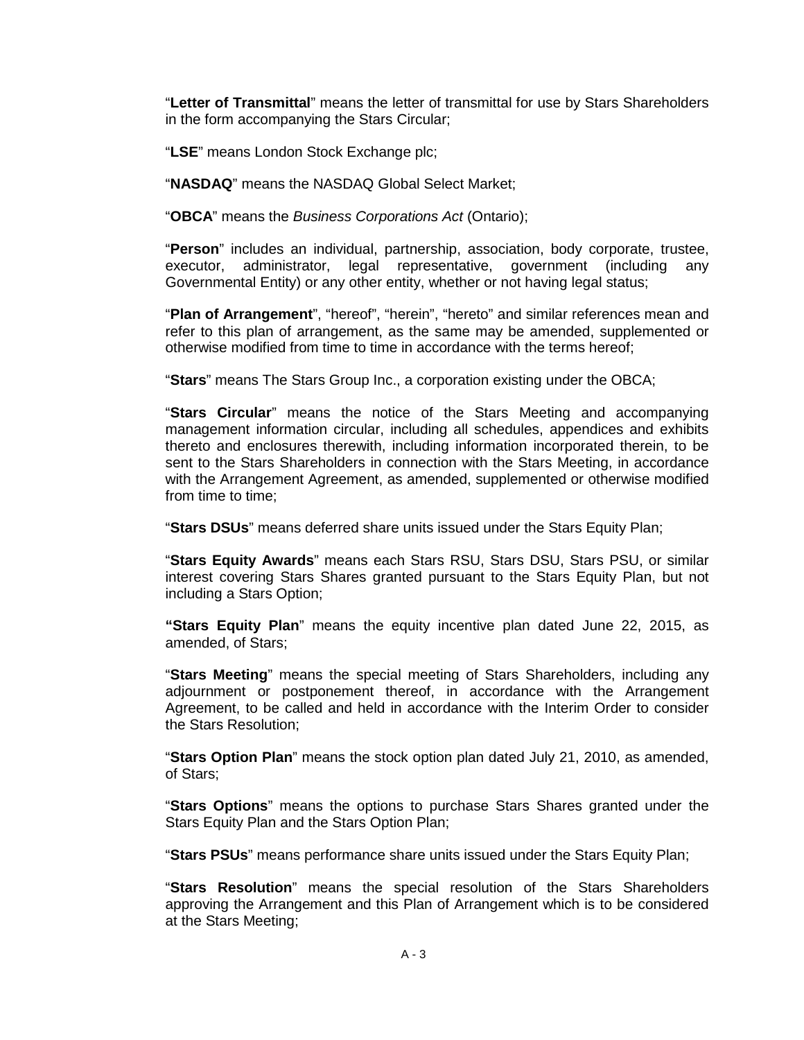"**Letter of Transmittal**" means the letter of transmittal for use by Stars Shareholders in the form accompanying the Stars Circular;

"**LSE**" means London Stock Exchange plc;

"**NASDAQ**" means the NASDAQ Global Select Market;

"**OBCA**" means the *Business Corporations Act* (Ontario);

"**Person**" includes an individual, partnership, association, body corporate, trustee, executor, administrator, legal representative, government (including any Governmental Entity) or any other entity, whether or not having legal status;

"**Plan of Arrangement**", "hereof", "herein", "hereto" and similar references mean and refer to this plan of arrangement, as the same may be amended, supplemented or otherwise modified from time to time in accordance with the terms hereof;

"**Stars**" means The Stars Group Inc., a corporation existing under the OBCA;

"**Stars Circular**" means the notice of the Stars Meeting and accompanying management information circular, including all schedules, appendices and exhibits thereto and enclosures therewith, including information incorporated therein, to be sent to the Stars Shareholders in connection with the Stars Meeting, in accordance with the Arrangement Agreement, as amended, supplemented or otherwise modified from time to time;

"**Stars DSUs**" means deferred share units issued under the Stars Equity Plan;

"**Stars Equity Awards**" means each Stars RSU, Stars DSU, Stars PSU, or similar interest covering Stars Shares granted pursuant to the Stars Equity Plan, but not including a Stars Option;

**"Stars Equity Plan**" means the equity incentive plan dated June 22, 2015, as amended, of Stars;

"**Stars Meeting**" means the special meeting of Stars Shareholders, including any adjournment or postponement thereof, in accordance with the Arrangement Agreement, to be called and held in accordance with the Interim Order to consider the Stars Resolution;

"**Stars Option Plan**" means the stock option plan dated July 21, 2010, as amended, of Stars;

"**Stars Options**" means the options to purchase Stars Shares granted under the Stars Equity Plan and the Stars Option Plan;

"**Stars PSUs**" means performance share units issued under the Stars Equity Plan;

"**Stars Resolution**" means the special resolution of the Stars Shareholders approving the Arrangement and this Plan of Arrangement which is to be considered at the Stars Meeting;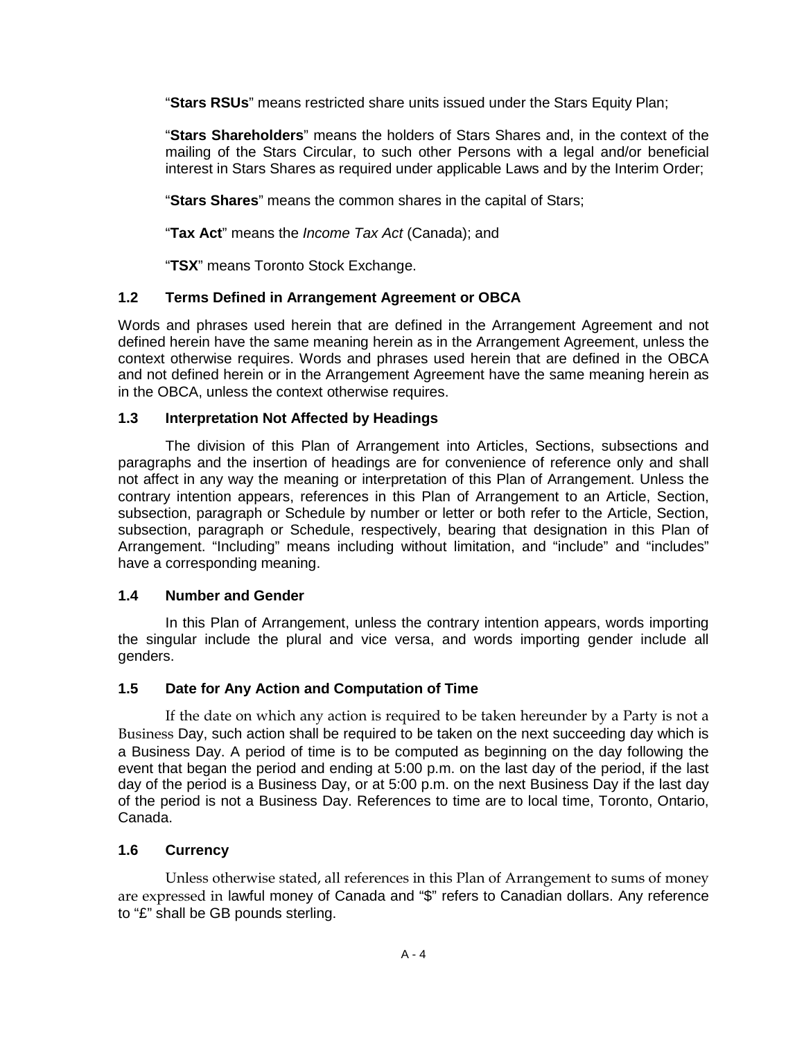"**Stars RSUs**" means restricted share units issued under the Stars Equity Plan;

"**Stars Shareholders**" means the holders of Stars Shares and, in the context of the mailing of the Stars Circular, to such other Persons with a legal and/or beneficial interest in Stars Shares as required under applicable Laws and by the Interim Order;

"**Stars Shares**" means the common shares in the capital of Stars;

"**Tax Act**" means the *Income Tax Act* (Canada); and

"**TSX**" means Toronto Stock Exchange.

## **1.2 Terms Defined in Arrangement Agreement or OBCA**

Words and phrases used herein that are defined in the Arrangement Agreement and not defined herein have the same meaning herein as in the Arrangement Agreement, unless the context otherwise requires. Words and phrases used herein that are defined in the OBCA and not defined herein or in the Arrangement Agreement have the same meaning herein as in the OBCA, unless the context otherwise requires.

## **1.3 Interpretation Not Affected by Headings**

The division of this Plan of Arrangement into Articles, Sections, subsections and paragraphs and the insertion of headings are for convenience of reference only and shall not affect in any way the meaning or interpretation of this Plan of Arrangement. Unless the contrary intention appears, references in this Plan of Arrangement to an Article, Section, subsection, paragraph or Schedule by number or letter or both refer to the Article, Section, subsection, paragraph or Schedule, respectively, bearing that designation in this Plan of Arrangement. "Including" means including without limitation, and "include" and "includes" have a corresponding meaning.

### **1.4 Number and Gender**

In this Plan of Arrangement, unless the contrary intention appears, words importing the singular include the plural and vice versa, and words importing gender include all genders.

### **1.5 Date for Any Action and Computation of Time**

If the date on which any action is required to be taken hereunder by a Party is not a Business Day, such action shall be required to be taken on the next succeeding day which is a Business Day. A period of time is to be computed as beginning on the day following the event that began the period and ending at 5:00 p.m. on the last day of the period, if the last day of the period is a Business Day, or at 5:00 p.m. on the next Business Day if the last day of the period is not a Business Day. References to time are to local time, Toronto, Ontario, Canada.

# **1.6 Currency**

Unless otherwise stated, all references in this Plan of Arrangement to sums of money are expressed in lawful money of Canada and "\$" refers to Canadian dollars. Any reference to "£" shall be GB pounds sterling.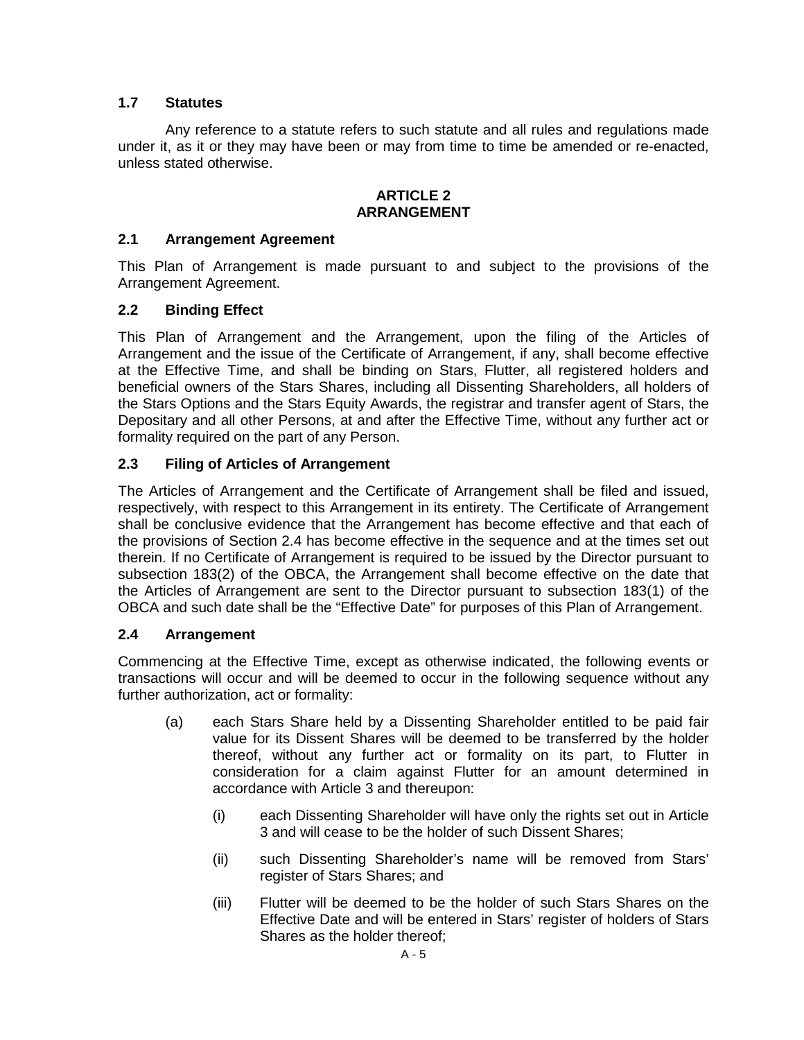# **1.7 Statutes**

Any reference to a statute refers to such statute and all rules and regulations made under it, as it or they may have been or may from time to time be amended or re-enacted, unless stated otherwise.

## **ARTICLE 2 ARRANGEMENT**

## **2.1 Arrangement Agreement**

This Plan of Arrangement is made pursuant to and subject to the provisions of the Arrangement Agreement.

# **2.2 Binding Effect**

This Plan of Arrangement and the Arrangement, upon the filing of the Articles of Arrangement and the issue of the Certificate of Arrangement, if any, shall become effective at the Effective Time, and shall be binding on Stars, Flutter, all registered holders and beneficial owners of the Stars Shares, including all Dissenting Shareholders, all holders of the Stars Options and the Stars Equity Awards, the registrar and transfer agent of Stars, the Depositary and all other Persons, at and after the Effective Time, without any further act or formality required on the part of any Person.

# **2.3 Filing of Articles of Arrangement**

The Articles of Arrangement and the Certificate of Arrangement shall be filed and issued, respectively, with respect to this Arrangement in its entirety. The Certificate of Arrangement shall be conclusive evidence that the Arrangement has become effective and that each of the provisions of Section 2.4 has become effective in the sequence and at the times set out therein. If no Certificate of Arrangement is required to be issued by the Director pursuant to subsection 183(2) of the OBCA, the Arrangement shall become effective on the date that the Articles of Arrangement are sent to the Director pursuant to subsection 183(1) of the OBCA and such date shall be the "Effective Date" for purposes of this Plan of Arrangement.

# **2.4 Arrangement**

Commencing at the Effective Time, except as otherwise indicated, the following events or transactions will occur and will be deemed to occur in the following sequence without any further authorization, act or formality:

- (a) each Stars Share held by a Dissenting Shareholder entitled to be paid fair value for its Dissent Shares will be deemed to be transferred by the holder thereof, without any further act or formality on its part, to Flutter in consideration for a claim against Flutter for an amount determined in accordance with Article 3 and thereupon:
	- (i) each Dissenting Shareholder will have only the rights set out in Article 3 and will cease to be the holder of such Dissent Shares;
	- (ii) such Dissenting Shareholder's name will be removed from Stars' register of Stars Shares; and
	- (iii) Flutter will be deemed to be the holder of such Stars Shares on the Effective Date and will be entered in Stars' register of holders of Stars Shares as the holder thereof;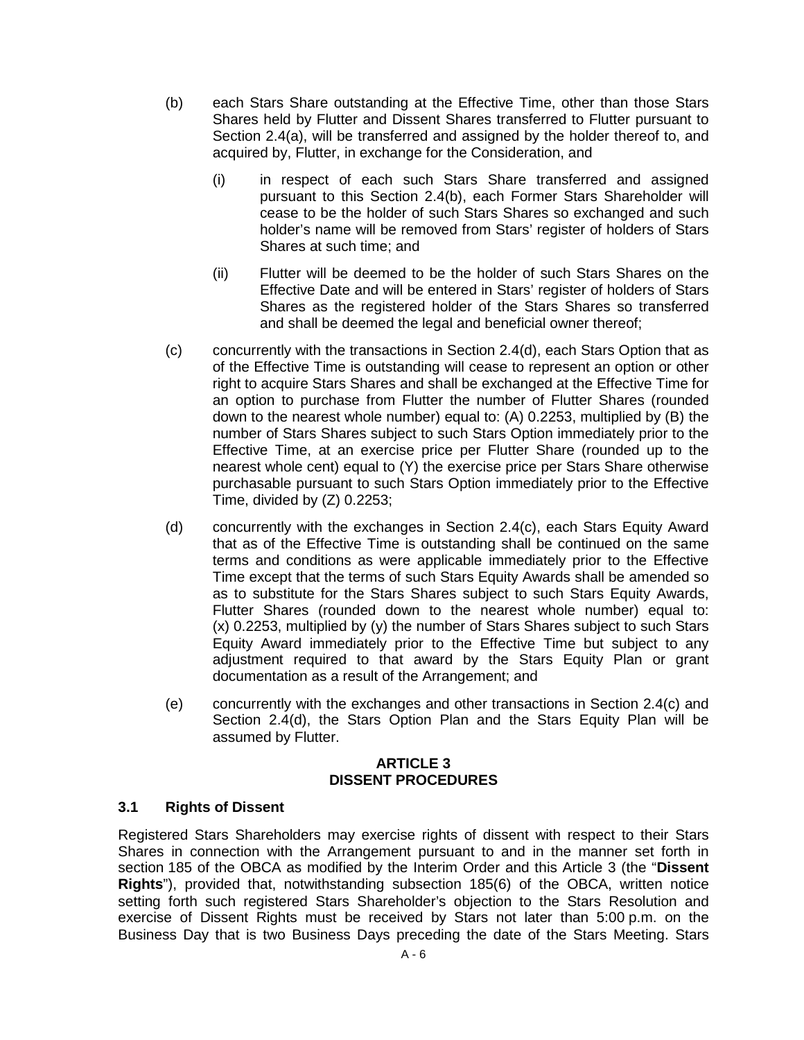- (b) each Stars Share outstanding at the Effective Time, other than those Stars Shares held by Flutter and Dissent Shares transferred to Flutter pursuant to Section 2.4(a), will be transferred and assigned by the holder thereof to, and acquired by, Flutter, in exchange for the Consideration, and
	- (i) in respect of each such Stars Share transferred and assigned pursuant to this Section 2.4(b), each Former Stars Shareholder will cease to be the holder of such Stars Shares so exchanged and such holder's name will be removed from Stars' register of holders of Stars Shares at such time; and
	- (ii) Flutter will be deemed to be the holder of such Stars Shares on the Effective Date and will be entered in Stars' register of holders of Stars Shares as the registered holder of the Stars Shares so transferred and shall be deemed the legal and beneficial owner thereof;
- (c) concurrently with the transactions in Section 2.4(d), each Stars Option that as of the Effective Time is outstanding will cease to represent an option or other right to acquire Stars Shares and shall be exchanged at the Effective Time for an option to purchase from Flutter the number of Flutter Shares (rounded down to the nearest whole number) equal to: (A) 0.2253, multiplied by (B) the number of Stars Shares subject to such Stars Option immediately prior to the Effective Time, at an exercise price per Flutter Share (rounded up to the nearest whole cent) equal to (Y) the exercise price per Stars Share otherwise purchasable pursuant to such Stars Option immediately prior to the Effective Time, divided by (Z) 0.2253;
- (d) concurrently with the exchanges in Section 2.4(c), each Stars Equity Award that as of the Effective Time is outstanding shall be continued on the same terms and conditions as were applicable immediately prior to the Effective Time except that the terms of such Stars Equity Awards shall be amended so as to substitute for the Stars Shares subject to such Stars Equity Awards, Flutter Shares (rounded down to the nearest whole number) equal to: (x) 0.2253, multiplied by (y) the number of Stars Shares subject to such Stars Equity Award immediately prior to the Effective Time but subject to any adjustment required to that award by the Stars Equity Plan or grant documentation as a result of the Arrangement; and
- (e) concurrently with the exchanges and other transactions in Section 2.4(c) and Section 2.4(d), the Stars Option Plan and the Stars Equity Plan will be assumed by Flutter.

#### **ARTICLE 3 DISSENT PROCEDURES**

# **3.1 Rights of Dissent**

Registered Stars Shareholders may exercise rights of dissent with respect to their Stars Shares in connection with the Arrangement pursuant to and in the manner set forth in section 185 of the OBCA as modified by the Interim Order and this Article 3 (the "**Dissent Rights**"), provided that, notwithstanding subsection 185(6) of the OBCA, written notice setting forth such registered Stars Shareholder's objection to the Stars Resolution and exercise of Dissent Rights must be received by Stars not later than 5:00 p.m. on the Business Day that is two Business Days preceding the date of the Stars Meeting. Stars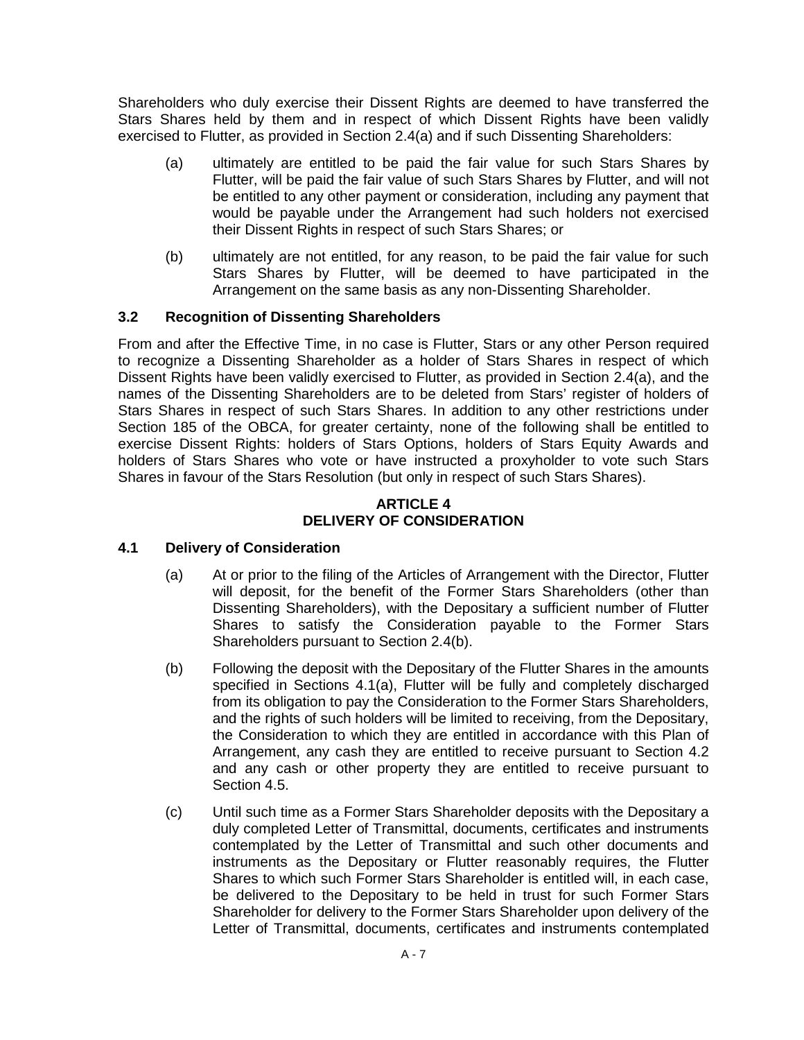Shareholders who duly exercise their Dissent Rights are deemed to have transferred the Stars Shares held by them and in respect of which Dissent Rights have been validly exercised to Flutter, as provided in Section 2.4(a) and if such Dissenting Shareholders:

- (a) ultimately are entitled to be paid the fair value for such Stars Shares by Flutter, will be paid the fair value of such Stars Shares by Flutter, and will not be entitled to any other payment or consideration, including any payment that would be payable under the Arrangement had such holders not exercised their Dissent Rights in respect of such Stars Shares; or
- (b) ultimately are not entitled, for any reason, to be paid the fair value for such Stars Shares by Flutter, will be deemed to have participated in the Arrangement on the same basis as any non-Dissenting Shareholder.

# **3.2 Recognition of Dissenting Shareholders**

From and after the Effective Time, in no case is Flutter, Stars or any other Person required to recognize a Dissenting Shareholder as a holder of Stars Shares in respect of which Dissent Rights have been validly exercised to Flutter, as provided in Section 2.4(a), and the names of the Dissenting Shareholders are to be deleted from Stars' register of holders of Stars Shares in respect of such Stars Shares. In addition to any other restrictions under Section 185 of the OBCA, for greater certainty, none of the following shall be entitled to exercise Dissent Rights: holders of Stars Options, holders of Stars Equity Awards and holders of Stars Shares who vote or have instructed a proxyholder to vote such Stars Shares in favour of the Stars Resolution (but only in respect of such Stars Shares).

### **ARTICLE 4 DELIVERY OF CONSIDERATION**

# **4.1 Delivery of Consideration**

- (a) At or prior to the filing of the Articles of Arrangement with the Director, Flutter will deposit, for the benefit of the Former Stars Shareholders (other than Dissenting Shareholders), with the Depositary a sufficient number of Flutter Shares to satisfy the Consideration payable to the Former Stars Shareholders pursuant to Section 2.4(b).
- (b) Following the deposit with the Depositary of the Flutter Shares in the amounts specified in Sections 4.1(a), Flutter will be fully and completely discharged from its obligation to pay the Consideration to the Former Stars Shareholders, and the rights of such holders will be limited to receiving, from the Depositary, the Consideration to which they are entitled in accordance with this Plan of Arrangement, any cash they are entitled to receive pursuant to Section 4.2 and any cash or other property they are entitled to receive pursuant to Section 4.5.
- (c) Until such time as a Former Stars Shareholder deposits with the Depositary a duly completed Letter of Transmittal, documents, certificates and instruments contemplated by the Letter of Transmittal and such other documents and instruments as the Depositary or Flutter reasonably requires, the Flutter Shares to which such Former Stars Shareholder is entitled will, in each case, be delivered to the Depositary to be held in trust for such Former Stars Shareholder for delivery to the Former Stars Shareholder upon delivery of the Letter of Transmittal, documents, certificates and instruments contemplated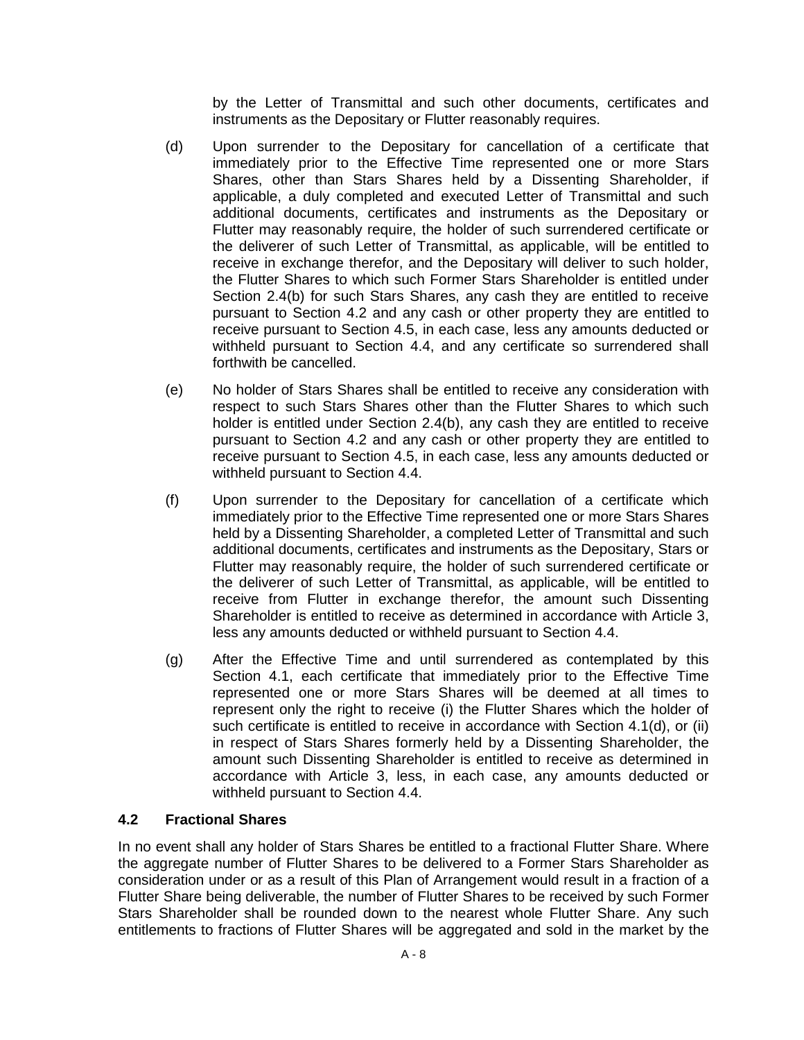by the Letter of Transmittal and such other documents, certificates and instruments as the Depositary or Flutter reasonably requires.

- (d) Upon surrender to the Depositary for cancellation of a certificate that immediately prior to the Effective Time represented one or more Stars Shares, other than Stars Shares held by a Dissenting Shareholder, if applicable, a duly completed and executed Letter of Transmittal and such additional documents, certificates and instruments as the Depositary or Flutter may reasonably require, the holder of such surrendered certificate or the deliverer of such Letter of Transmittal, as applicable, will be entitled to receive in exchange therefor, and the Depositary will deliver to such holder, the Flutter Shares to which such Former Stars Shareholder is entitled under Section 2.4(b) for such Stars Shares, any cash they are entitled to receive pursuant to Section 4.2 and any cash or other property they are entitled to receive pursuant to Section 4.5, in each case, less any amounts deducted or withheld pursuant to Section 4.4, and any certificate so surrendered shall forthwith be cancelled.
- (e) No holder of Stars Shares shall be entitled to receive any consideration with respect to such Stars Shares other than the Flutter Shares to which such holder is entitled under Section 2.4(b), any cash they are entitled to receive pursuant to Section 4.2 and any cash or other property they are entitled to receive pursuant to Section 4.5, in each case, less any amounts deducted or withheld pursuant to Section 4.4.
- (f) Upon surrender to the Depositary for cancellation of a certificate which immediately prior to the Effective Time represented one or more Stars Shares held by a Dissenting Shareholder, a completed Letter of Transmittal and such additional documents, certificates and instruments as the Depositary, Stars or Flutter may reasonably require, the holder of such surrendered certificate or the deliverer of such Letter of Transmittal, as applicable, will be entitled to receive from Flutter in exchange therefor, the amount such Dissenting Shareholder is entitled to receive as determined in accordance with Article 3, less any amounts deducted or withheld pursuant to Section 4.4.
- (g) After the Effective Time and until surrendered as contemplated by this Section 4.1, each certificate that immediately prior to the Effective Time represented one or more Stars Shares will be deemed at all times to represent only the right to receive (i) the Flutter Shares which the holder of such certificate is entitled to receive in accordance with Section 4.1(d), or (ii) in respect of Stars Shares formerly held by a Dissenting Shareholder, the amount such Dissenting Shareholder is entitled to receive as determined in accordance with Article 3, less, in each case, any amounts deducted or withheld pursuant to Section 4.4.

# **4.2 Fractional Shares**

In no event shall any holder of Stars Shares be entitled to a fractional Flutter Share. Where the aggregate number of Flutter Shares to be delivered to a Former Stars Shareholder as consideration under or as a result of this Plan of Arrangement would result in a fraction of a Flutter Share being deliverable, the number of Flutter Shares to be received by such Former Stars Shareholder shall be rounded down to the nearest whole Flutter Share. Any such entitlements to fractions of Flutter Shares will be aggregated and sold in the market by the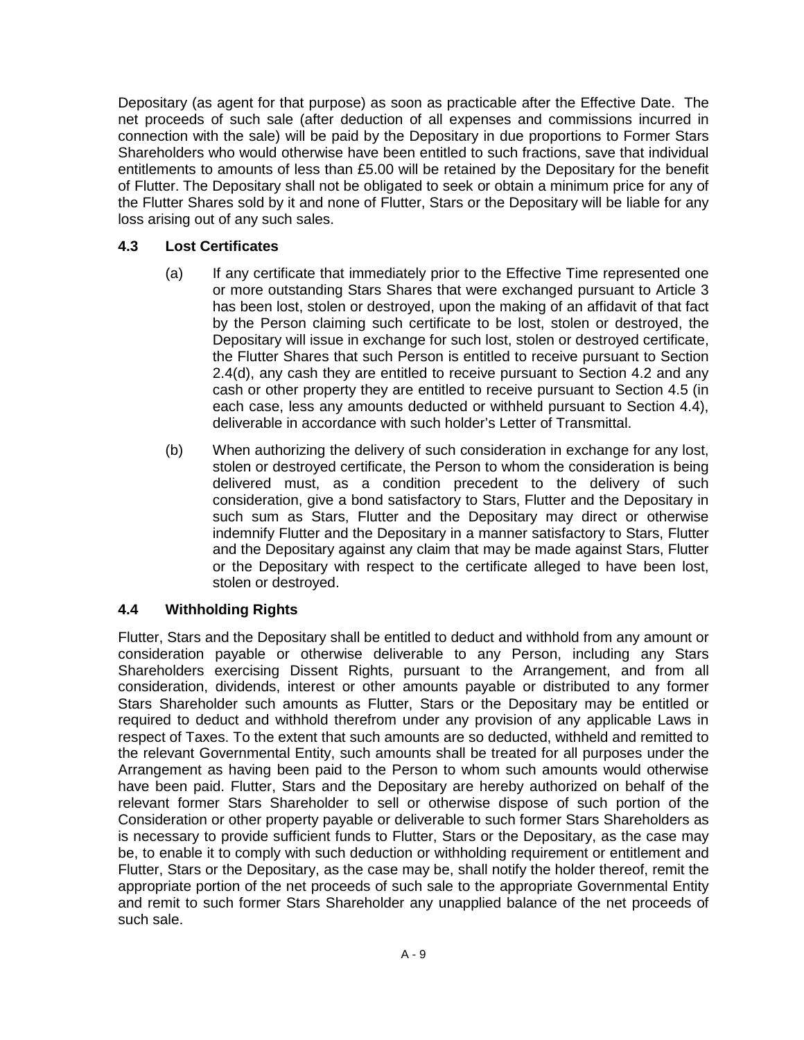Depositary (as agent for that purpose) as soon as practicable after the Effective Date. The net proceeds of such sale (after deduction of all expenses and commissions incurred in connection with the sale) will be paid by the Depositary in due proportions to Former Stars Shareholders who would otherwise have been entitled to such fractions, save that individual entitlements to amounts of less than £5.00 will be retained by the Depositary for the benefit of Flutter. The Depositary shall not be obligated to seek or obtain a minimum price for any of the Flutter Shares sold by it and none of Flutter, Stars or the Depositary will be liable for any loss arising out of any such sales.

# **4.3 Lost Certificates**

- (a) If any certificate that immediately prior to the Effective Time represented one or more outstanding Stars Shares that were exchanged pursuant to Article 3 has been lost, stolen or destroyed, upon the making of an affidavit of that fact by the Person claiming such certificate to be lost, stolen or destroyed, the Depositary will issue in exchange for such lost, stolen or destroyed certificate, the Flutter Shares that such Person is entitled to receive pursuant to Section 2.4(d), any cash they are entitled to receive pursuant to Section 4.2 and any cash or other property they are entitled to receive pursuant to Section 4.5 (in each case, less any amounts deducted or withheld pursuant to Section 4.4), deliverable in accordance with such holder's Letter of Transmittal.
- (b) When authorizing the delivery of such consideration in exchange for any lost, stolen or destroyed certificate, the Person to whom the consideration is being delivered must, as a condition precedent to the delivery of such consideration, give a bond satisfactory to Stars, Flutter and the Depositary in such sum as Stars, Flutter and the Depositary may direct or otherwise indemnify Flutter and the Depositary in a manner satisfactory to Stars, Flutter and the Depositary against any claim that may be made against Stars, Flutter or the Depositary with respect to the certificate alleged to have been lost, stolen or destroyed.

# **4.4 Withholding Rights**

Flutter, Stars and the Depositary shall be entitled to deduct and withhold from any amount or consideration payable or otherwise deliverable to any Person, including any Stars Shareholders exercising Dissent Rights, pursuant to the Arrangement, and from all consideration, dividends, interest or other amounts payable or distributed to any former Stars Shareholder such amounts as Flutter, Stars or the Depositary may be entitled or required to deduct and withhold therefrom under any provision of any applicable Laws in respect of Taxes. To the extent that such amounts are so deducted, withheld and remitted to the relevant Governmental Entity, such amounts shall be treated for all purposes under the Arrangement as having been paid to the Person to whom such amounts would otherwise have been paid. Flutter, Stars and the Depositary are hereby authorized on behalf of the relevant former Stars Shareholder to sell or otherwise dispose of such portion of the Consideration or other property payable or deliverable to such former Stars Shareholders as is necessary to provide sufficient funds to Flutter, Stars or the Depositary, as the case may be, to enable it to comply with such deduction or withholding requirement or entitlement and Flutter, Stars or the Depositary, as the case may be, shall notify the holder thereof, remit the appropriate portion of the net proceeds of such sale to the appropriate Governmental Entity and remit to such former Stars Shareholder any unapplied balance of the net proceeds of such sale.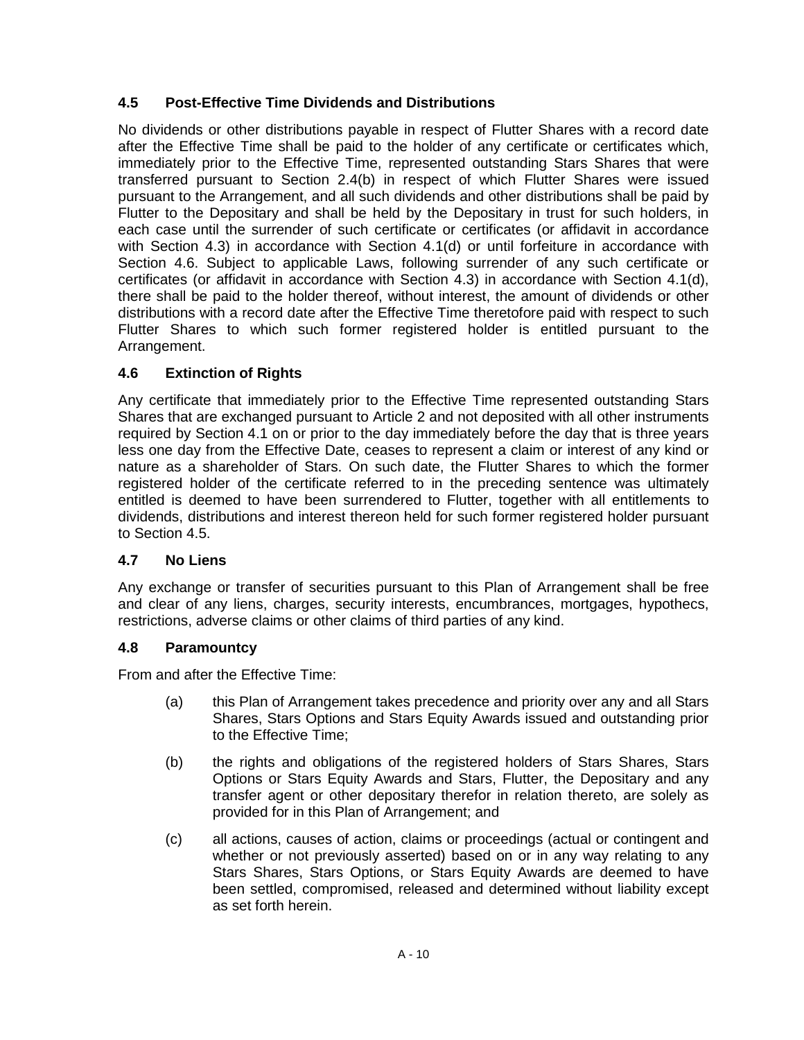# **4.5 Post-Effective Time Dividends and Distributions**

No dividends or other distributions payable in respect of Flutter Shares with a record date after the Effective Time shall be paid to the holder of any certificate or certificates which, immediately prior to the Effective Time, represented outstanding Stars Shares that were transferred pursuant to Section 2.4(b) in respect of which Flutter Shares were issued pursuant to the Arrangement, and all such dividends and other distributions shall be paid by Flutter to the Depositary and shall be held by the Depositary in trust for such holders, in each case until the surrender of such certificate or certificates (or affidavit in accordance with Section 4.3) in accordance with Section 4.1(d) or until forfeiture in accordance with Section 4.6. Subject to applicable Laws, following surrender of any such certificate or certificates (or affidavit in accordance with Section 4.3) in accordance with Section 4.1(d), there shall be paid to the holder thereof, without interest, the amount of dividends or other distributions with a record date after the Effective Time theretofore paid with respect to such Flutter Shares to which such former registered holder is entitled pursuant to the Arrangement.

# **4.6 Extinction of Rights**

Any certificate that immediately prior to the Effective Time represented outstanding Stars Shares that are exchanged pursuant to Article 2 and not deposited with all other instruments required by Section 4.1 on or prior to the day immediately before the day that is three years less one day from the Effective Date, ceases to represent a claim or interest of any kind or nature as a shareholder of Stars. On such date, the Flutter Shares to which the former registered holder of the certificate referred to in the preceding sentence was ultimately entitled is deemed to have been surrendered to Flutter, together with all entitlements to dividends, distributions and interest thereon held for such former registered holder pursuant to Section 4.5.

# **4.7 No Liens**

Any exchange or transfer of securities pursuant to this Plan of Arrangement shall be free and clear of any liens, charges, security interests, encumbrances, mortgages, hypothecs, restrictions, adverse claims or other claims of third parties of any kind.

# **4.8 Paramountcy**

From and after the Effective Time:

- (a) this Plan of Arrangement takes precedence and priority over any and all Stars Shares, Stars Options and Stars Equity Awards issued and outstanding prior to the Effective Time;
- (b) the rights and obligations of the registered holders of Stars Shares, Stars Options or Stars Equity Awards and Stars, Flutter, the Depositary and any transfer agent or other depositary therefor in relation thereto, are solely as provided for in this Plan of Arrangement; and
- (c) all actions, causes of action, claims or proceedings (actual or contingent and whether or not previously asserted) based on or in any way relating to any Stars Shares, Stars Options, or Stars Equity Awards are deemed to have been settled, compromised, released and determined without liability except as set forth herein.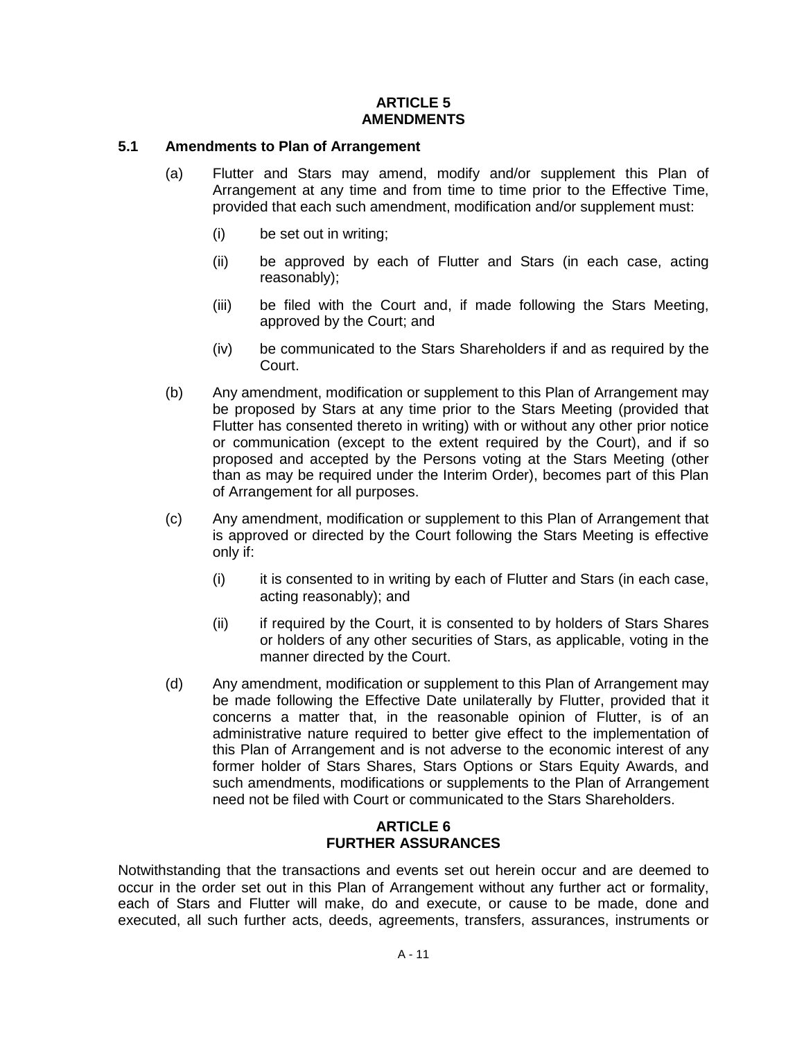## **ARTICLE 5 AMENDMENTS**

## **5.1 Amendments to Plan of Arrangement**

- (a) Flutter and Stars may amend, modify and/or supplement this Plan of Arrangement at any time and from time to time prior to the Effective Time, provided that each such amendment, modification and/or supplement must:
	- (i) be set out in writing;
	- (ii) be approved by each of Flutter and Stars (in each case, acting reasonably);
	- (iii) be filed with the Court and, if made following the Stars Meeting, approved by the Court; and
	- (iv) be communicated to the Stars Shareholders if and as required by the Court.
- (b) Any amendment, modification or supplement to this Plan of Arrangement may be proposed by Stars at any time prior to the Stars Meeting (provided that Flutter has consented thereto in writing) with or without any other prior notice or communication (except to the extent required by the Court), and if so proposed and accepted by the Persons voting at the Stars Meeting (other than as may be required under the Interim Order), becomes part of this Plan of Arrangement for all purposes.
- (c) Any amendment, modification or supplement to this Plan of Arrangement that is approved or directed by the Court following the Stars Meeting is effective only if:
	- $(i)$  it is consented to in writing by each of Flutter and Stars (in each case, acting reasonably); and
	- (ii) if required by the Court, it is consented to by holders of Stars Shares or holders of any other securities of Stars, as applicable, voting in the manner directed by the Court.
- (d) Any amendment, modification or supplement to this Plan of Arrangement may be made following the Effective Date unilaterally by Flutter, provided that it concerns a matter that, in the reasonable opinion of Flutter, is of an administrative nature required to better give effect to the implementation of this Plan of Arrangement and is not adverse to the economic interest of any former holder of Stars Shares, Stars Options or Stars Equity Awards, and such amendments, modifications or supplements to the Plan of Arrangement need not be filed with Court or communicated to the Stars Shareholders.

## **ARTICLE 6 FURTHER ASSURANCES**

Notwithstanding that the transactions and events set out herein occur and are deemed to occur in the order set out in this Plan of Arrangement without any further act or formality, each of Stars and Flutter will make, do and execute, or cause to be made, done and executed, all such further acts, deeds, agreements, transfers, assurances, instruments or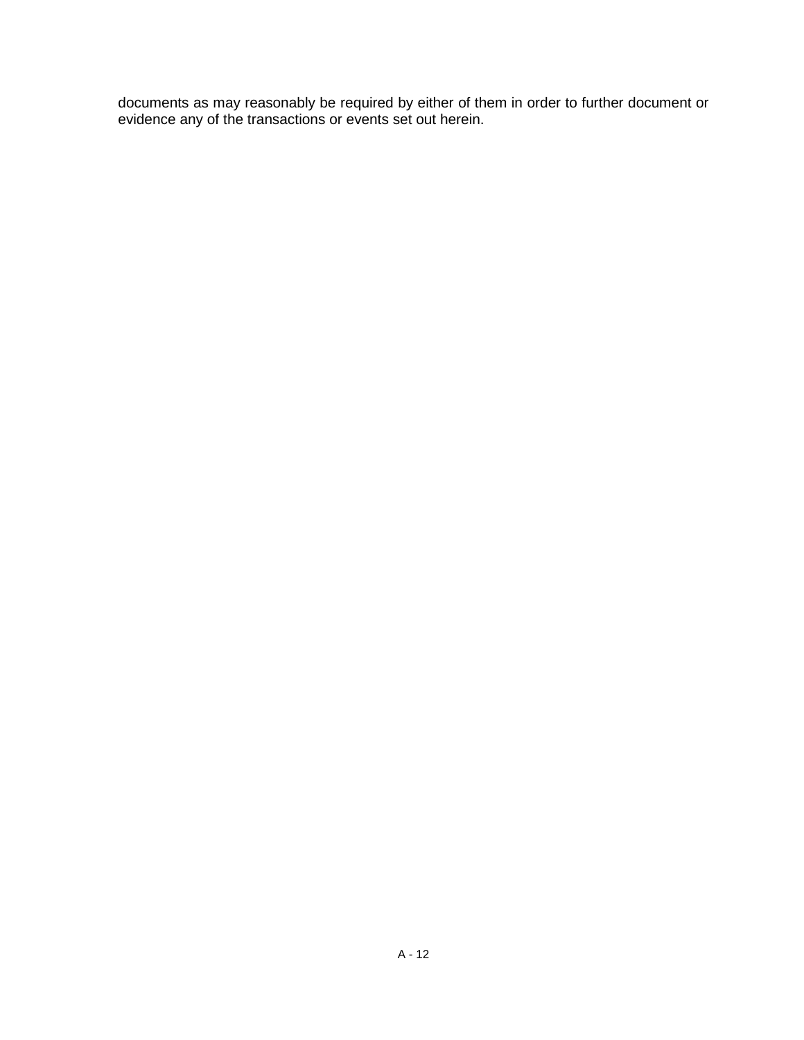documents as may reasonably be required by either of them in order to further document or evidence any of the transactions or events set out herein.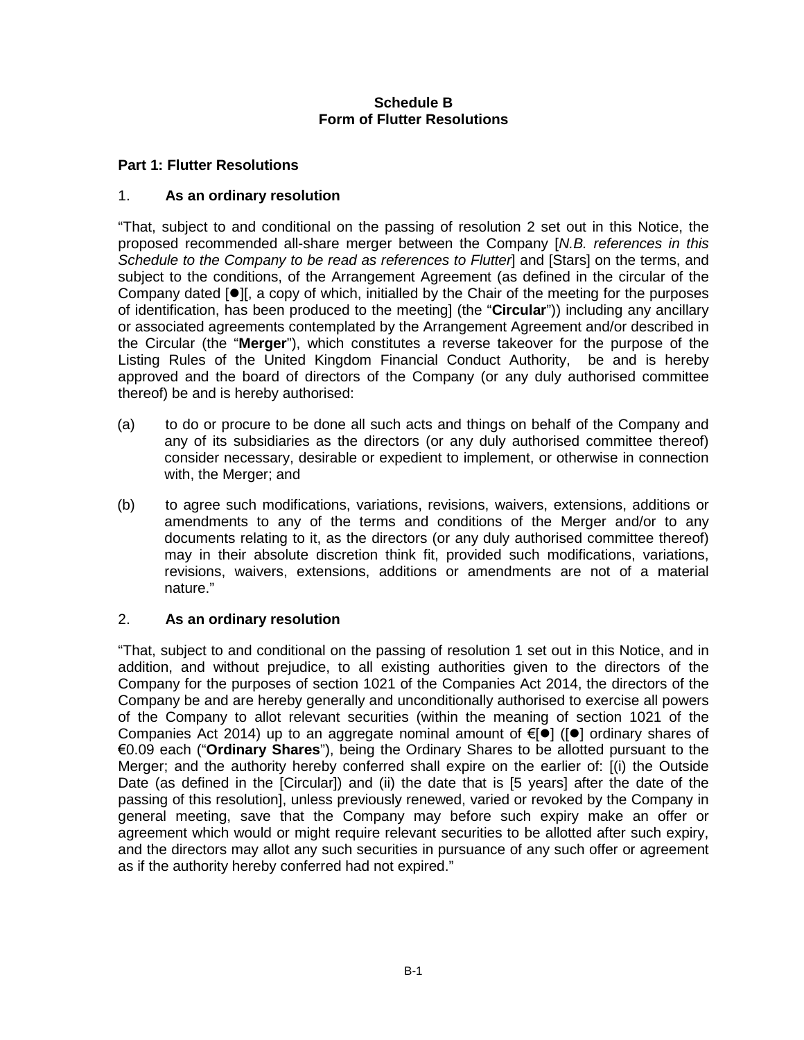# **Schedule B Form of Flutter Resolutions**

### **Part 1: Flutter Resolutions**

#### 1. **As an ordinary resolution**

"That, subject to and conditional on the passing of resolution 2 set out in this Notice, the proposed recommended all-share merger between the Company [*N.B. references in this Schedule to the Company to be read as references to Flutter*] and [Stars] on the terms, and subject to the conditions, of the Arrangement Agreement (as defined in the circular of the Company dated  $\lceil\bullet\rceil$ , a copy of which, initialled by the Chair of the meeting for the purposes of identification, has been produced to the meeting] (the "**Circular**")) including any ancillary or associated agreements contemplated by the Arrangement Agreement and/or described in the Circular (the "**Merger**"), which constitutes a reverse takeover for the purpose of the Listing Rules of the United Kingdom Financial Conduct Authority, be and is hereby approved and the board of directors of the Company (or any duly authorised committee thereof) be and is hereby authorised:

- (a) to do or procure to be done all such acts and things on behalf of the Company and any of its subsidiaries as the directors (or any duly authorised committee thereof) consider necessary, desirable or expedient to implement, or otherwise in connection with, the Merger; and
- (b) to agree such modifications, variations, revisions, waivers, extensions, additions or amendments to any of the terms and conditions of the Merger and/or to any documents relating to it, as the directors (or any duly authorised committee thereof) may in their absolute discretion think fit, provided such modifications, variations, revisions, waivers, extensions, additions or amendments are not of a material nature."

#### 2. **As an ordinary resolution**

"That, subject to and conditional on the passing of resolution 1 set out in this Notice, and in addition, and without prejudice, to all existing authorities given to the directors of the Company for the purposes of section 1021 of the Companies Act 2014, the directors of the Company be and are hereby generally and unconditionally authorised to exercise all powers of the Company to allot relevant securities (within the meaning of section 1021 of the Companies Act 2014) up to an aggregate nominal amount of  $\epsilon[\bullet]$  ( $[\bullet]$  ordinary shares of €0.09 each ("**Ordinary Shares**"), being the Ordinary Shares to be allotted pursuant to the Merger; and the authority hereby conferred shall expire on the earlier of: [(i) the Outside Date (as defined in the [Circular]) and (ii) the date that is [5 years] after the date of the passing of this resolution], unless previously renewed, varied or revoked by the Company in general meeting, save that the Company may before such expiry make an offer or agreement which would or might require relevant securities to be allotted after such expiry, and the directors may allot any such securities in pursuance of any such offer or agreement as if the authority hereby conferred had not expired."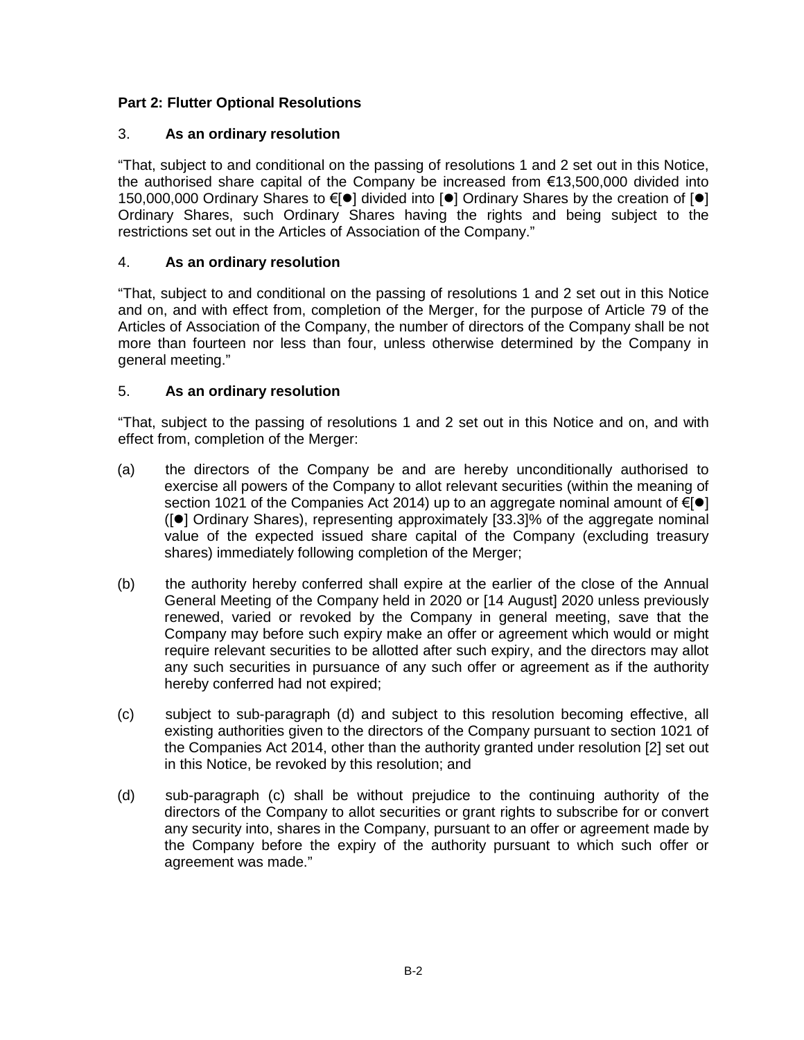# **Part 2: Flutter Optional Resolutions**

# 3. **As an ordinary resolution**

"That, subject to and conditional on the passing of resolutions 1 and 2 set out in this Notice, the authorised share capital of the Company be increased from  $\epsilon$ 13,500,000 divided into 150,000,000 Ordinary Shares to €[ $\bullet$ ] divided into [ $\bullet$ ] Ordinary Shares by the creation of [ $\bullet$ ] Ordinary Shares, such Ordinary Shares having the rights and being subject to the restrictions set out in the Articles of Association of the Company."

# 4. **As an ordinary resolution**

"That, subject to and conditional on the passing of resolutions 1 and 2 set out in this Notice and on, and with effect from, completion of the Merger, for the purpose of Article 79 of the Articles of Association of the Company, the number of directors of the Company shall be not more than fourteen nor less than four, unless otherwise determined by the Company in general meeting."

# 5. **As an ordinary resolution**

"That, subject to the passing of resolutions 1 and 2 set out in this Notice and on, and with effect from, completion of the Merger:

- (a) the directors of the Company be and are hereby unconditionally authorised to exercise all powers of the Company to allot relevant securities (within the meaning of section 1021 of the Companies Act 2014) up to an aggregate nominal amount of  $\epsilon[\bullet]$  $(|\bullet|)$  Ordinary Shares), representing approximately [33.3]% of the aggregate nominal value of the expected issued share capital of the Company (excluding treasury shares) immediately following completion of the Merger;
- (b) the authority hereby conferred shall expire at the earlier of the close of the Annual General Meeting of the Company held in 2020 or [14 August] 2020 unless previously renewed, varied or revoked by the Company in general meeting, save that the Company may before such expiry make an offer or agreement which would or might require relevant securities to be allotted after such expiry, and the directors may allot any such securities in pursuance of any such offer or agreement as if the authority hereby conferred had not expired;
- (c) subject to sub-paragraph (d) and subject to this resolution becoming effective, all existing authorities given to the directors of the Company pursuant to section 1021 of the Companies Act 2014, other than the authority granted under resolution [2] set out in this Notice, be revoked by this resolution; and
- (d) sub-paragraph (c) shall be without prejudice to the continuing authority of the directors of the Company to allot securities or grant rights to subscribe for or convert any security into, shares in the Company, pursuant to an offer or agreement made by the Company before the expiry of the authority pursuant to which such offer or agreement was made."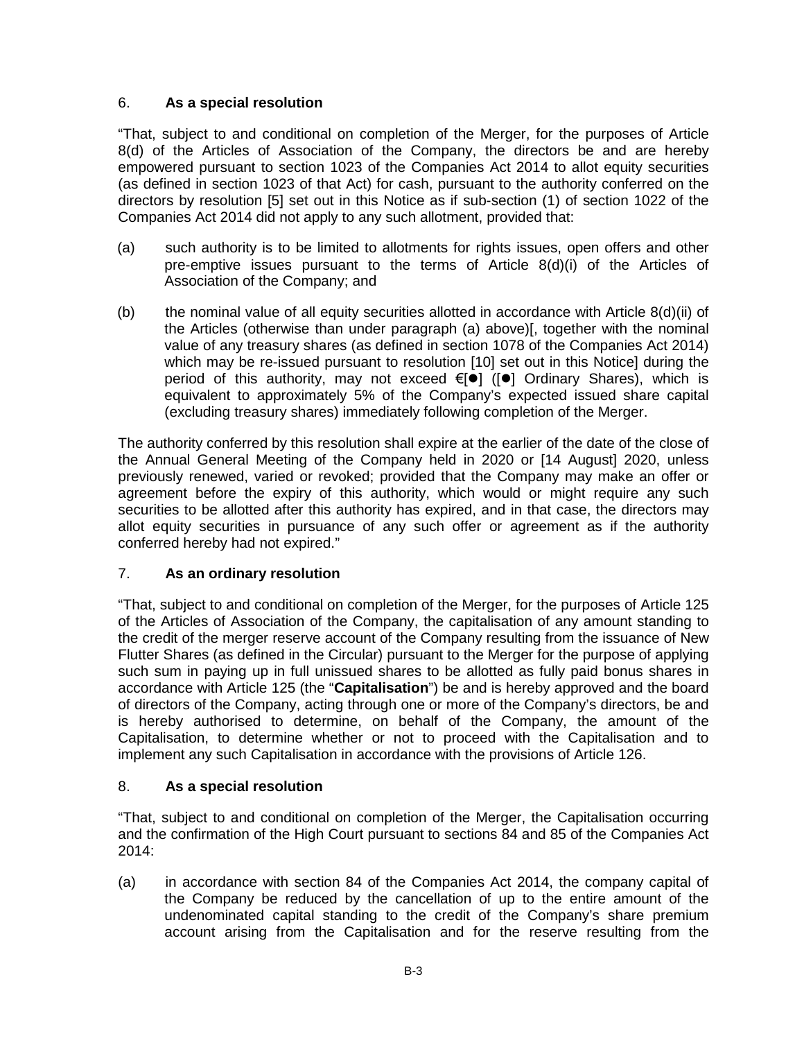# 6. **As a special resolution**

"That, subject to and conditional on completion of the Merger, for the purposes of Article 8(d) of the Articles of Association of the Company, the directors be and are hereby empowered pursuant to section 1023 of the Companies Act 2014 to allot equity securities (as defined in section 1023 of that Act) for cash, pursuant to the authority conferred on the directors by resolution [5] set out in this Notice as if sub-section (1) of section 1022 of the Companies Act 2014 did not apply to any such allotment, provided that:

- (a) such authority is to be limited to allotments for rights issues, open offers and other pre-emptive issues pursuant to the terms of Article 8(d)(i) of the Articles of Association of the Company; and
- (b) the nominal value of all equity securities allotted in accordance with Article 8(d)(ii) of the Articles (otherwise than under paragraph (a) above)[, together with the nominal value of any treasury shares (as defined in section 1078 of the Companies Act 2014) which may be re-issued pursuant to resolution [10] set out in this Notice] during the period of this authority, may not exceed  $\epsilon$ [ $\bullet$ ] ( $\bullet$ ] Ordinary Shares), which is equivalent to approximately 5% of the Company's expected issued share capital (excluding treasury shares) immediately following completion of the Merger.

The authority conferred by this resolution shall expire at the earlier of the date of the close of the Annual General Meeting of the Company held in 2020 or [14 August] 2020, unless previously renewed, varied or revoked; provided that the Company may make an offer or agreement before the expiry of this authority, which would or might require any such securities to be allotted after this authority has expired, and in that case, the directors may allot equity securities in pursuance of any such offer or agreement as if the authority conferred hereby had not expired."

# 7. **As an ordinary resolution**

"That, subject to and conditional on completion of the Merger, for the purposes of Article 125 of the Articles of Association of the Company, the capitalisation of any amount standing to the credit of the merger reserve account of the Company resulting from the issuance of New Flutter Shares (as defined in the Circular) pursuant to the Merger for the purpose of applying such sum in paying up in full unissued shares to be allotted as fully paid bonus shares in accordance with Article 125 (the "**Capitalisation**") be and is hereby approved and the board of directors of the Company, acting through one or more of the Company's directors, be and is hereby authorised to determine, on behalf of the Company, the amount of the Capitalisation, to determine whether or not to proceed with the Capitalisation and to implement any such Capitalisation in accordance with the provisions of Article 126.

# 8. **As a special resolution**

"That, subject to and conditional on completion of the Merger, the Capitalisation occurring and the confirmation of the High Court pursuant to sections 84 and 85 of the Companies Act 2014:

(a) in accordance with section 84 of the Companies Act 2014, the company capital of the Company be reduced by the cancellation of up to the entire amount of the undenominated capital standing to the credit of the Company's share premium account arising from the Capitalisation and for the reserve resulting from the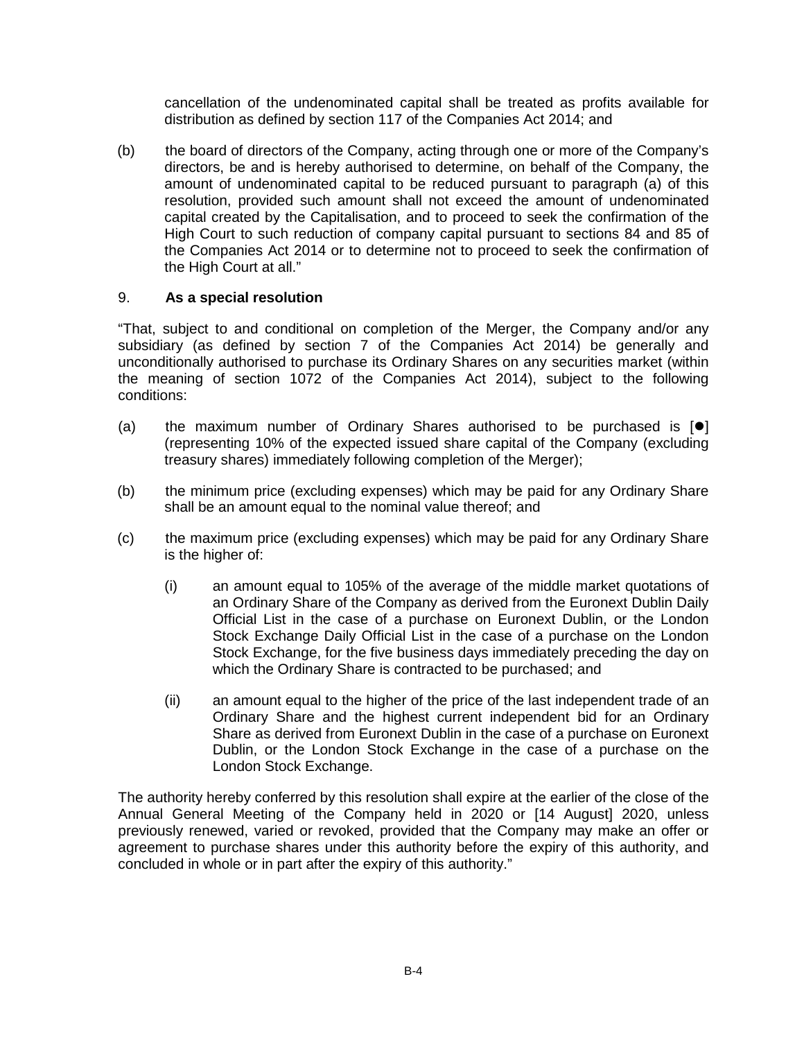cancellation of the undenominated capital shall be treated as profits available for distribution as defined by section 117 of the Companies Act 2014; and

(b) the board of directors of the Company, acting through one or more of the Company's directors, be and is hereby authorised to determine, on behalf of the Company, the amount of undenominated capital to be reduced pursuant to paragraph (a) of this resolution, provided such amount shall not exceed the amount of undenominated capital created by the Capitalisation, and to proceed to seek the confirmation of the High Court to such reduction of company capital pursuant to sections 84 and 85 of the Companies Act 2014 or to determine not to proceed to seek the confirmation of the High Court at all."

# 9. **As a special resolution**

"That, subject to and conditional on completion of the Merger, the Company and/or any subsidiary (as defined by section 7 of the Companies Act 2014) be generally and unconditionally authorised to purchase its Ordinary Shares on any securities market (within the meaning of section 1072 of the Companies Act 2014), subject to the following conditions:

- (a) the maximum number of Ordinary Shares authorised to be purchased is  $[•]$ (representing 10% of the expected issued share capital of the Company (excluding treasury shares) immediately following completion of the Merger);
- (b) the minimum price (excluding expenses) which may be paid for any Ordinary Share shall be an amount equal to the nominal value thereof; and
- (c) the maximum price (excluding expenses) which may be paid for any Ordinary Share is the higher of:
	- (i) an amount equal to 105% of the average of the middle market quotations of an Ordinary Share of the Company as derived from the Euronext Dublin Daily Official List in the case of a purchase on Euronext Dublin, or the London Stock Exchange Daily Official List in the case of a purchase on the London Stock Exchange, for the five business days immediately preceding the day on which the Ordinary Share is contracted to be purchased; and
	- (ii) an amount equal to the higher of the price of the last independent trade of an Ordinary Share and the highest current independent bid for an Ordinary Share as derived from Euronext Dublin in the case of a purchase on Euronext Dublin, or the London Stock Exchange in the case of a purchase on the London Stock Exchange.

The authority hereby conferred by this resolution shall expire at the earlier of the close of the Annual General Meeting of the Company held in 2020 or [14 August] 2020, unless previously renewed, varied or revoked, provided that the Company may make an offer or agreement to purchase shares under this authority before the expiry of this authority, and concluded in whole or in part after the expiry of this authority."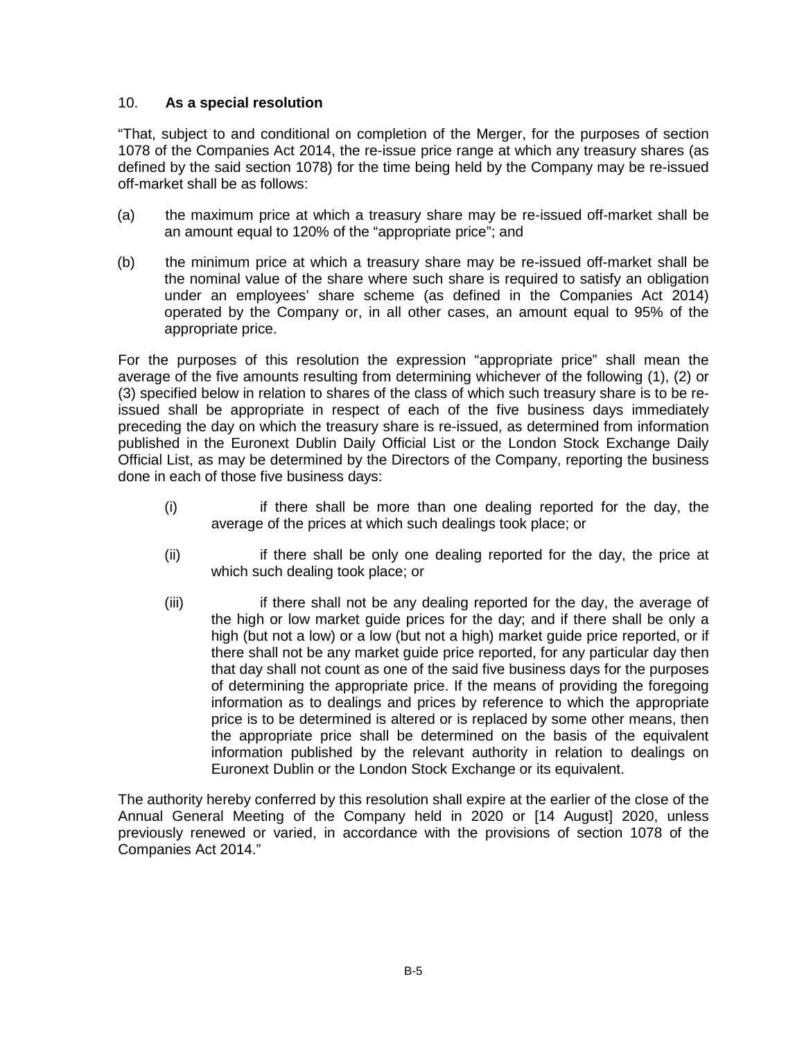# 10. **As a special resolution**

"That, subject to and conditional on completion of the Merger, for the purposes of section 1078 of the Companies Act 2014, the re-issue price range at which any treasury shares (as defined by the said section 1078) for the time being held by the Company may be re-issued off-market shall be as follows:

- (a) the maximum price at which a treasury share may be re-issued off-market shall be an amount equal to 120% of the "appropriate price"; and
- (b) the minimum price at which a treasury share may be re-issued off-market shall be the nominal value of the share where such share is required to satisfy an obligation under an employees' share scheme (as defined in the Companies Act 2014) operated by the Company or, in all other cases, an amount equal to 95% of the appropriate price.

For the purposes of this resolution the expression "appropriate price" shall mean the average of the five amounts resulting from determining whichever of the following (1), (2) or (3) specified below in relation to shares of the class of which such treasury share is to be reissued shall be appropriate in respect of each of the five business days immediately preceding the day on which the treasury share is re-issued, as determined from information published in the Euronext Dublin Daily Official List or the London Stock Exchange Daily Official List, as may be determined by the Directors of the Company, reporting the business done in each of those five business days:

- (i) if there shall be more than one dealing reported for the day, the average of the prices at which such dealings took place; or
- (ii) if there shall be only one dealing reported for the day, the price at which such dealing took place; or
- (iii) if there shall not be any dealing reported for the day, the average of the high or low market guide prices for the day; and if there shall be only a high (but not a low) or a low (but not a high) market guide price reported, or if there shall not be any market guide price reported, for any particular day then that day shall not count as one of the said five business days for the purposes of determining the appropriate price. If the means of providing the foregoing information as to dealings and prices by reference to which the appropriate price is to be determined is altered or is replaced by some other means, then the appropriate price shall be determined on the basis of the equivalent information published by the relevant authority in relation to dealings on Euronext Dublin or the London Stock Exchange or its equivalent.

The authority hereby conferred by this resolution shall expire at the earlier of the close of the Annual General Meeting of the Company held in 2020 or [14 August] 2020, unless previously renewed or varied, in accordance with the provisions of section 1078 of the Companies Act 2014."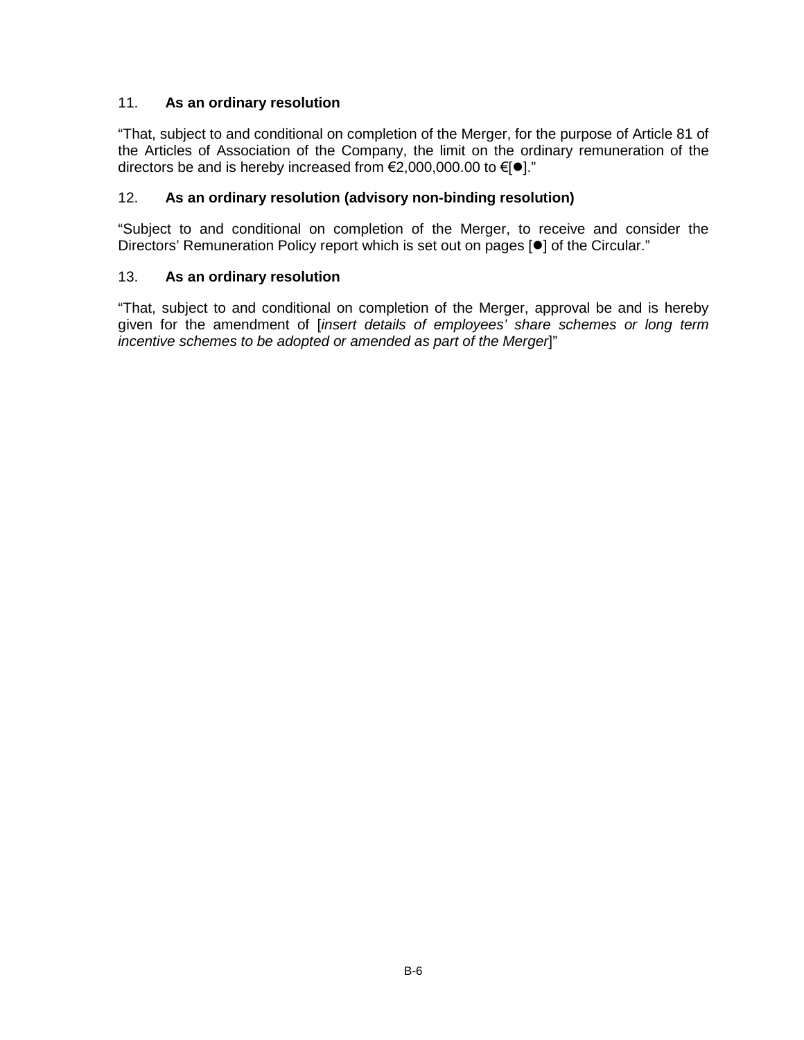# 11. **As an ordinary resolution**

"That, subject to and conditional on completion of the Merger, for the purpose of Article 81 of the Articles of Association of the Company, the limit on the ordinary remuneration of the directors be and is hereby increased from  $\epsilon$ 2,000,000.00 to  $\epsilon$ [ $\bullet$ ]."

# 12. **As an ordinary resolution (advisory non-binding resolution)**

"Subject to and conditional on completion of the Merger, to receive and consider the Directors' Remuneration Policy report which is set out on pages [ $\bullet$ ] of the Circular."

# 13. **As an ordinary resolution**

"That, subject to and conditional on completion of the Merger, approval be and is hereby given for the amendment of [*insert details of employees' share schemes or long term incentive schemes to be adopted or amended as part of the Merger*]"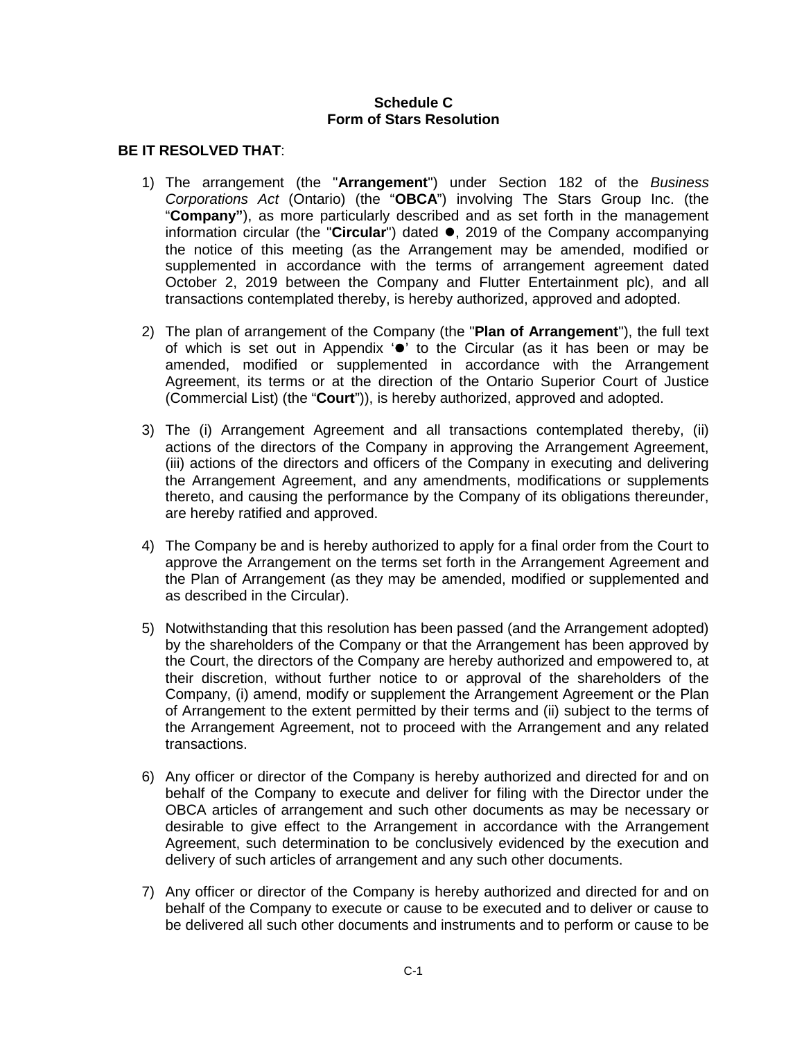#### **Schedule C Form of Stars Resolution**

#### **BE IT RESOLVED THAT**:

- 1) The arrangement (the "**Arrangement**") under Section 182 of the *Business Corporations Act* (Ontario) (the "**OBCA**") involving The Stars Group Inc. (the "**Company"**), as more particularly described and as set forth in the management information circular (the "**Circular**") dated  $\bullet$ , 2019 of the Company accompanying the notice of this meeting (as the Arrangement may be amended, modified or supplemented in accordance with the terms of arrangement agreement dated October 2, 2019 between the Company and Flutter Entertainment plc), and all transactions contemplated thereby, is hereby authorized, approved and adopted.
- 2) The plan of arrangement of the Company (the "**Plan of Arrangement**"), the full text of which is set out in Appendix  $\bullet$  to the Circular (as it has been or may be amended, modified or supplemented in accordance with the Arrangement Agreement, its terms or at the direction of the Ontario Superior Court of Justice (Commercial List) (the "**Court**")), is hereby authorized, approved and adopted.
- 3) The (i) Arrangement Agreement and all transactions contemplated thereby, (ii) actions of the directors of the Company in approving the Arrangement Agreement, (iii) actions of the directors and officers of the Company in executing and delivering the Arrangement Agreement, and any amendments, modifications or supplements thereto, and causing the performance by the Company of its obligations thereunder, are hereby ratified and approved.
- 4) The Company be and is hereby authorized to apply for a final order from the Court to approve the Arrangement on the terms set forth in the Arrangement Agreement and the Plan of Arrangement (as they may be amended, modified or supplemented and as described in the Circular).
- 5) Notwithstanding that this resolution has been passed (and the Arrangement adopted) by the shareholders of the Company or that the Arrangement has been approved by the Court, the directors of the Company are hereby authorized and empowered to, at their discretion, without further notice to or approval of the shareholders of the Company, (i) amend, modify or supplement the Arrangement Agreement or the Plan of Arrangement to the extent permitted by their terms and (ii) subject to the terms of the Arrangement Agreement, not to proceed with the Arrangement and any related transactions.
- 6) Any officer or director of the Company is hereby authorized and directed for and on behalf of the Company to execute and deliver for filing with the Director under the OBCA articles of arrangement and such other documents as may be necessary or desirable to give effect to the Arrangement in accordance with the Arrangement Agreement, such determination to be conclusively evidenced by the execution and delivery of such articles of arrangement and any such other documents.
- 7) Any officer or director of the Company is hereby authorized and directed for and on behalf of the Company to execute or cause to be executed and to deliver or cause to be delivered all such other documents and instruments and to perform or cause to be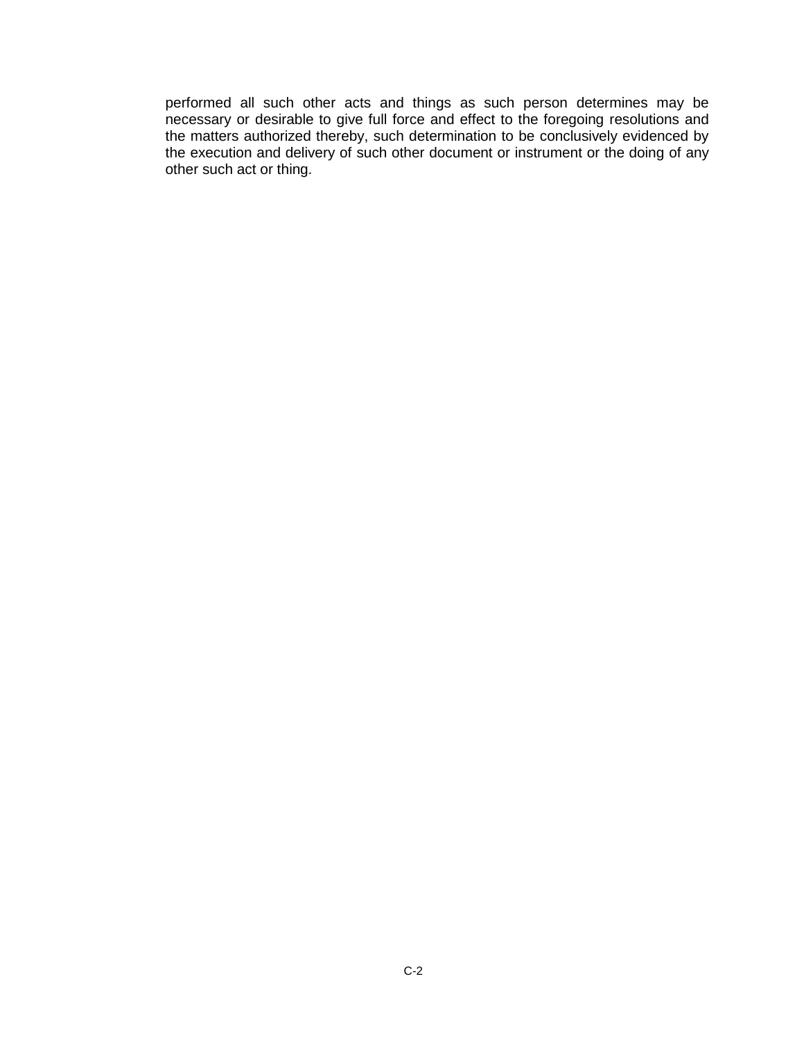performed all such other acts and things as such person determines may be necessary or desirable to give full force and effect to the foregoing resolutions and the matters authorized thereby, such determination to be conclusively evidenced by the execution and delivery of such other document or instrument or the doing of any other such act or thing.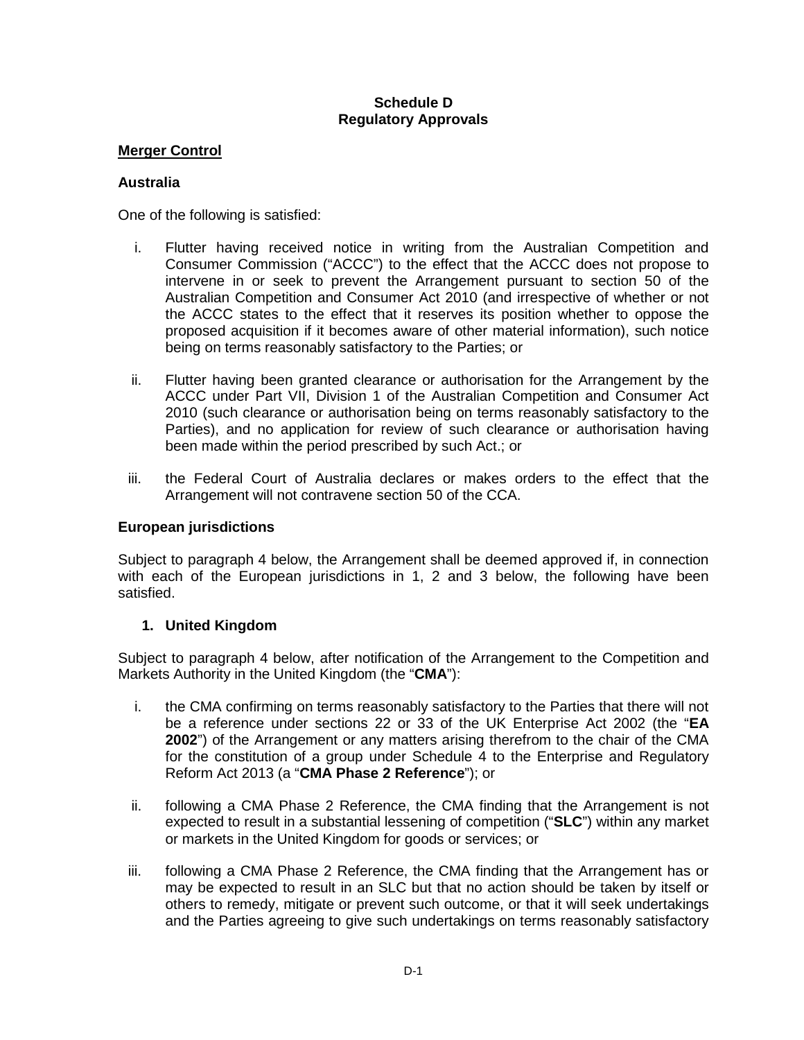# **Schedule D Regulatory Approvals**

# **Merger Control**

# **Australia**

One of the following is satisfied:

- i. Flutter having received notice in writing from the Australian Competition and Consumer Commission ("ACCC") to the effect that the ACCC does not propose to intervene in or seek to prevent the Arrangement pursuant to section 50 of the Australian Competition and Consumer Act 2010 (and irrespective of whether or not the ACCC states to the effect that it reserves its position whether to oppose the proposed acquisition if it becomes aware of other material information), such notice being on terms reasonably satisfactory to the Parties; or
- ii. Flutter having been granted clearance or authorisation for the Arrangement by the ACCC under Part VII, Division 1 of the Australian Competition and Consumer Act 2010 (such clearance or authorisation being on terms reasonably satisfactory to the Parties), and no application for review of such clearance or authorisation having been made within the period prescribed by such Act.; or
- iii. the Federal Court of Australia declares or makes orders to the effect that the Arrangement will not contravene section 50 of the CCA.

# **European jurisdictions**

Subject to paragraph 4 below, the Arrangement shall be deemed approved if, in connection with each of the European jurisdictions in 1, 2 and 3 below, the following have been satisfied.

# **1. United Kingdom**

Subject to paragraph 4 below, after notification of the Arrangement to the Competition and Markets Authority in the United Kingdom (the "**CMA**"):

- i. the CMA confirming on terms reasonably satisfactory to the Parties that there will not be a reference under sections 22 or 33 of the UK Enterprise Act 2002 (the "**EA 2002**") of the Arrangement or any matters arising therefrom to the chair of the CMA for the constitution of a group under Schedule 4 to the Enterprise and Regulatory Reform Act 2013 (a "**CMA Phase 2 Reference**"); or
- ii. following a CMA Phase 2 Reference, the CMA finding that the Arrangement is not expected to result in a substantial lessening of competition ("**SLC**") within any market or markets in the United Kingdom for goods or services; or
- iii. following a CMA Phase 2 Reference, the CMA finding that the Arrangement has or may be expected to result in an SLC but that no action should be taken by itself or others to remedy, mitigate or prevent such outcome, or that it will seek undertakings and the Parties agreeing to give such undertakings on terms reasonably satisfactory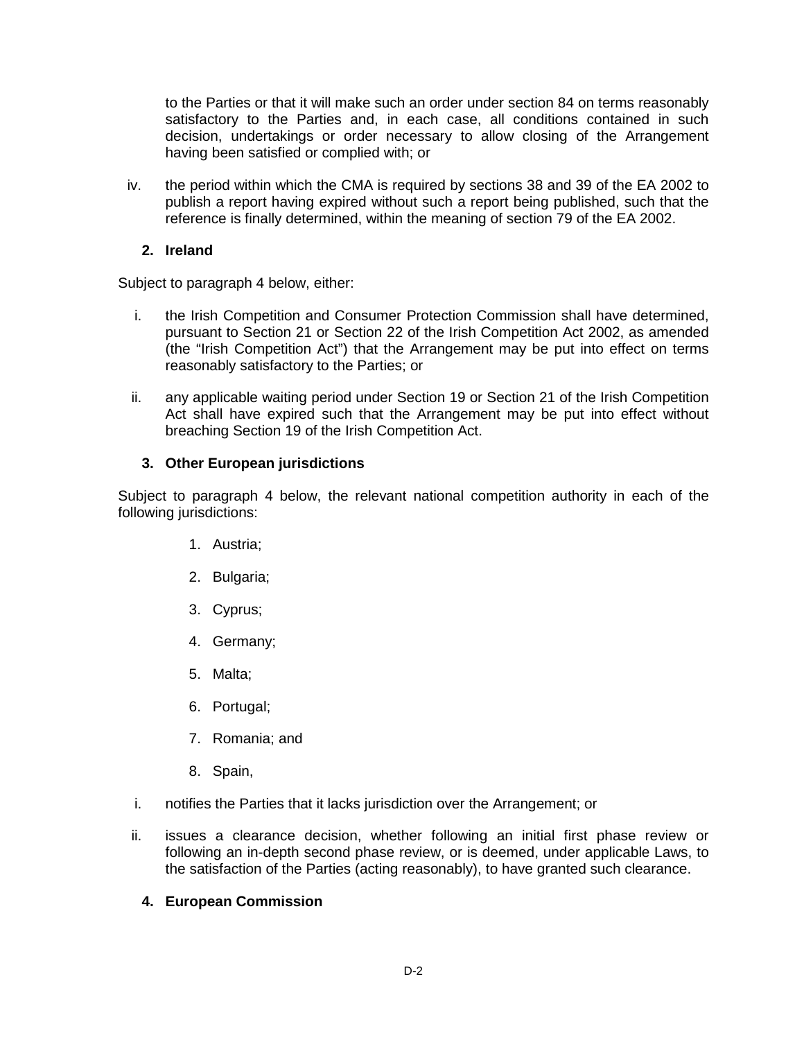to the Parties or that it will make such an order under section 84 on terms reasonably satisfactory to the Parties and, in each case, all conditions contained in such decision, undertakings or order necessary to allow closing of the Arrangement having been satisfied or complied with; or

iv. the period within which the CMA is required by sections 38 and 39 of the EA 2002 to publish a report having expired without such a report being published, such that the reference is finally determined, within the meaning of section 79 of the EA 2002.

# **2. Ireland**

Subject to paragraph 4 below, either:

- i. the Irish Competition and Consumer Protection Commission shall have determined, pursuant to Section 21 or Section 22 of the Irish Competition Act 2002, as amended (the "Irish Competition Act") that the Arrangement may be put into effect on terms reasonably satisfactory to the Parties; or
- ii. any applicable waiting period under Section 19 or Section 21 of the Irish Competition Act shall have expired such that the Arrangement may be put into effect without breaching Section 19 of the Irish Competition Act.

# **3. Other European jurisdictions**

Subject to paragraph 4 below, the relevant national competition authority in each of the following jurisdictions:

- 1. Austria;
- 2. Bulgaria;
- 3. Cyprus;
- 4. Germany;
- 5. Malta;
- 6. Portugal;
- 7. Romania; and
- 8. Spain,
- i. notifies the Parties that it lacks jurisdiction over the Arrangement; or
- ii. issues a clearance decision, whether following an initial first phase review or following an in-depth second phase review, or is deemed, under applicable Laws, to the satisfaction of the Parties (acting reasonably), to have granted such clearance.

# **4. European Commission**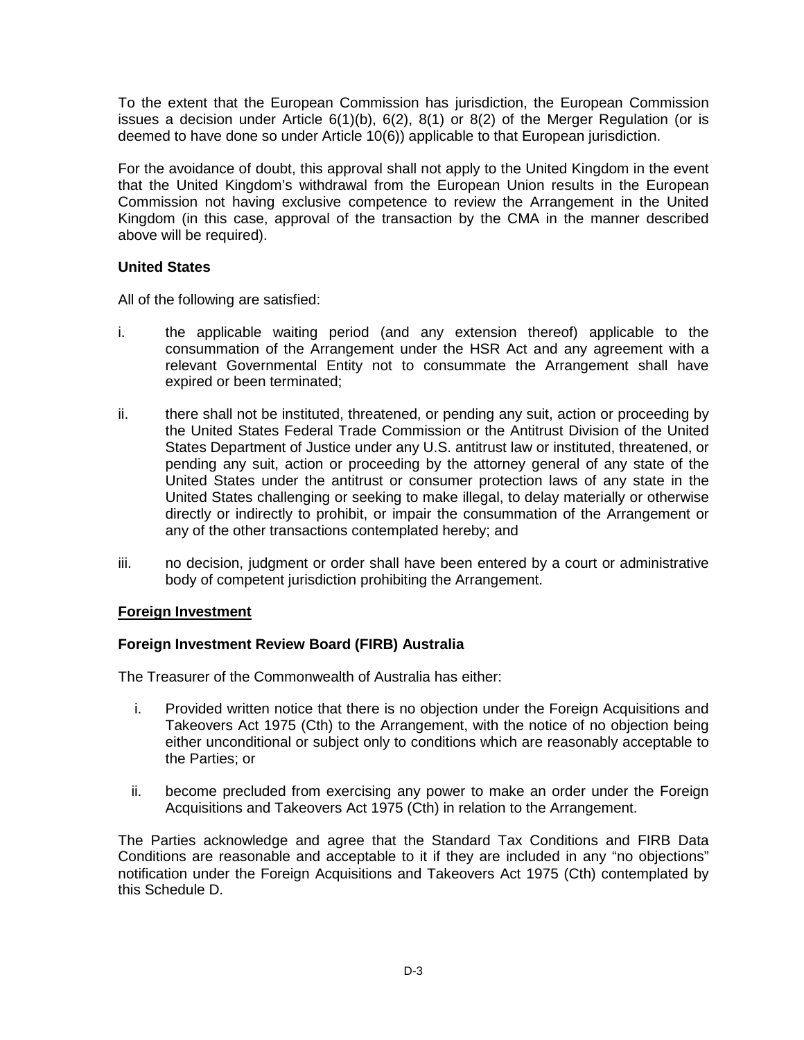To the extent that the European Commission has jurisdiction, the European Commission issues a decision under Article  $6(1)(b)$ ,  $6(2)$ ,  $8(1)$  or  $8(2)$  of the Merger Regulation (or is deemed to have done so under Article 10(6)) applicable to that European jurisdiction.

For the avoidance of doubt, this approval shall not apply to the United Kingdom in the event that the United Kingdom's withdrawal from the European Union results in the European Commission not having exclusive competence to review the Arrangement in the United Kingdom (in this case, approval of the transaction by the CMA in the manner described above will be required).

#### **United States**

All of the following are satisfied:

- i. the applicable waiting period (and any extension thereof) applicable to the consummation of the Arrangement under the HSR Act and any agreement with a relevant Governmental Entity not to consummate the Arrangement shall have expired or been terminated;
- ii. there shall not be instituted, threatened, or pending any suit, action or proceeding by the United States Federal Trade Commission or the Antitrust Division of the United States Department of Justice under any U.S. antitrust law or instituted, threatened, or pending any suit, action or proceeding by the attorney general of any state of the United States under the antitrust or consumer protection laws of any state in the United States challenging or seeking to make illegal, to delay materially or otherwise directly or indirectly to prohibit, or impair the consummation of the Arrangement or any of the other transactions contemplated hereby; and
- iii. no decision, judgment or order shall have been entered by a court or administrative body of competent jurisdiction prohibiting the Arrangement.

# **Foreign Investment**

# **Foreign Investment Review Board (FIRB) Australia**

The Treasurer of the Commonwealth of Australia has either:

- i. Provided written notice that there is no objection under the Foreign Acquisitions and Takeovers Act 1975 (Cth) to the Arrangement, with the notice of no objection being either unconditional or subject only to conditions which are reasonably acceptable to the Parties; or
- ii. become precluded from exercising any power to make an order under the Foreign Acquisitions and Takeovers Act 1975 (Cth) in relation to the Arrangement.

The Parties acknowledge and agree that the Standard Tax Conditions and FIRB Data Conditions are reasonable and acceptable to it if they are included in any "no objections" notification under the Foreign Acquisitions and Takeovers Act 1975 (Cth) contemplated by this Schedule D.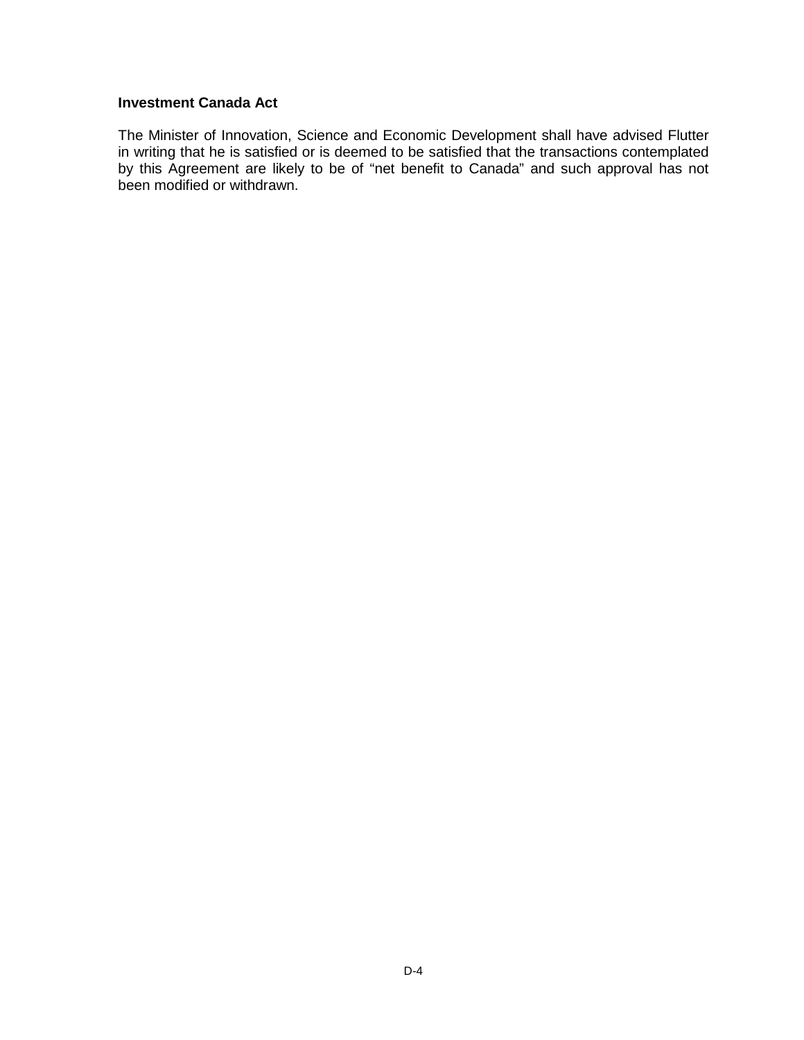# **Investment Canada Act**

The Minister of Innovation, Science and Economic Development shall have advised Flutter in writing that he is satisfied or is deemed to be satisfied that the transactions contemplated by this Agreement are likely to be of "net benefit to Canada" and such approval has not been modified or withdrawn.